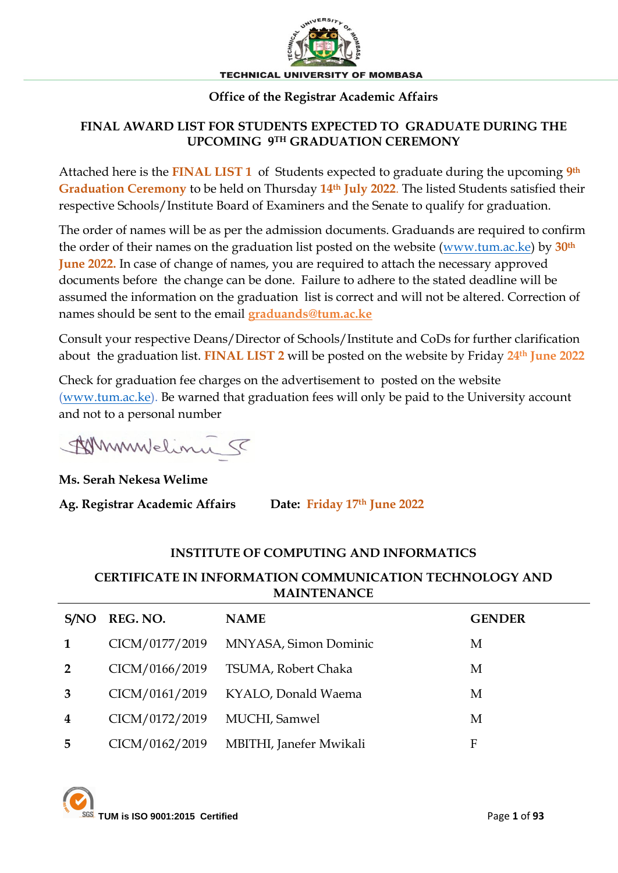

#### **Office of the Registrar Academic Affairs**

#### **FINAL AWARD LIST FOR STUDENTS EXPECTED TO GRADUATE DURING THE UPCOMING 9TH GRADUATION CEREMONY**

Attached here is the **FINAL LIST 1** of Students expected to graduate during the upcoming **9th Graduation Ceremony** to be held on Thursday **14th July 2022**. The listed Students satisfied their respective Schools/Institute Board of Examiners and the Senate to qualify for graduation.

The order of names will be as per the admission documents. Graduands are required to confirm the order of their names on the graduation list posted on the website [\(www.tum.ac.ke\)](http://www.tum.ac.ke/) by **30th June 2022.** In case of change of names, you are required to attach the necessary approved documents before the change can be done. Failure to adhere to the stated deadline will be assumed the information on the graduation list is correct and will not be altered. Correction of names should be sent to the email **[graduands@tum.ac.ke](mailto:graduands@tum.ac.ke)**

Consult your respective Deans/Director of Schools/Institute and CoDs for further clarification about the graduation list. **FINAL LIST 2** will be posted on the website by Friday **24th June 2022**

Check for graduation fee charges on the advertisement to posted on the website [\(www.tum.ac.ke\)](http://www.tum.ac.ke/). Be warned that graduation fees will only be paid to the University account and not to a personal number

Whymulelinu 5

**Ms. Serah Nekesa Welime**

**Ag. Registrar Academic Affairs Date: Friday 17th June 2022**

#### **INSTITUTE OF COMPUTING AND INFORMATICS**

#### **CERTIFICATE IN INFORMATION COMMUNICATION TECHNOLOGY AND MAINTENANCE**

| S/NO                    | REG. NO.       | <b>NAME</b>             | <b>GENDER</b> |
|-------------------------|----------------|-------------------------|---------------|
| 1                       | CICM/0177/2019 | MNYASA, Simon Dominic   | M             |
| $\overline{2}$          | CICM/0166/2019 | TSUMA, Robert Chaka     | M             |
| 3                       | CICM/0161/2019 | KYALO, Donald Waema     | M             |
| $\overline{\mathbf{4}}$ | CICM/0172/2019 | MUCHI, Samwel           | M             |
| 5                       | CICM/0162/2019 | MBITHI, Janefer Mwikali | F             |

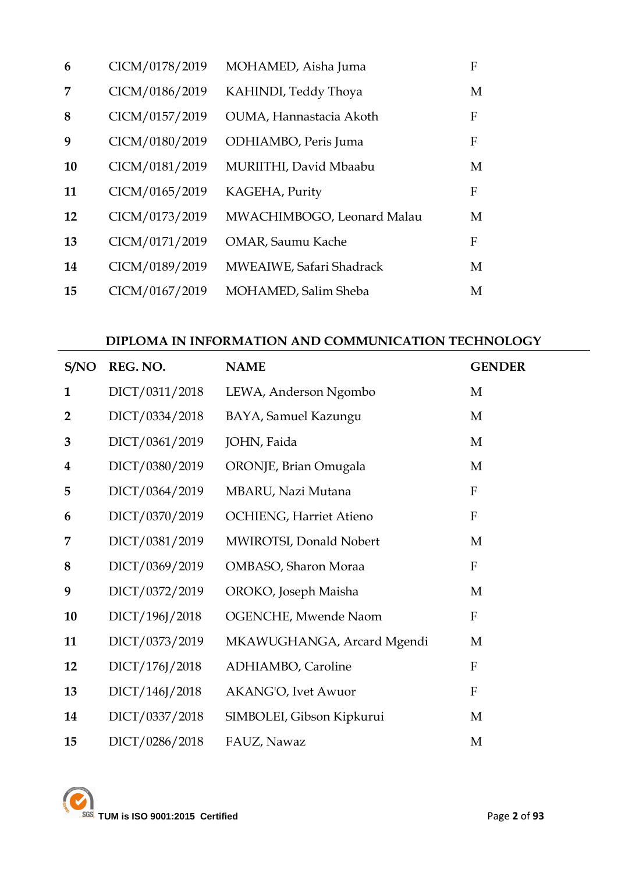| 6  | CICM/0178/2019 | MOHAMED, Aisha Juma        | F |
|----|----------------|----------------------------|---|
| 7  | CICM/0186/2019 | KAHINDI, Teddy Thoya       | M |
| 8  | CICM/0157/2019 | OUMA, Hannastacia Akoth    | F |
| 9  | CICM/0180/2019 | ODHIAMBO, Peris Juma       | F |
| 10 | CICM/0181/2019 | MURIITHI, David Mbaabu     | M |
| 11 | CICM/0165/2019 | KAGEHA, Purity             | F |
| 12 | CICM/0173/2019 | MWACHIMBOGO, Leonard Malau | M |
| 13 | CICM/0171/2019 | <b>OMAR, Saumu Kache</b>   | F |
| 14 | CICM/0189/2019 | MWEAIWE, Safari Shadrack   | M |
| 15 | CICM/0167/2019 | MOHAMED, Salim Sheba       | M |

### **DIPLOMA IN INFORMATION AND COMMUNICATION TECHNOLOGY**

| S/NO             | REG. NO.       | <b>NAME</b>                    | <b>GENDER</b> |
|------------------|----------------|--------------------------------|---------------|
| $\mathbf{1}$     | DICT/0311/2018 | LEWA, Anderson Ngombo          | M             |
| $\overline{2}$   | DICT/0334/2018 | BAYA, Samuel Kazungu           | M             |
| 3                | DICT/0361/2019 | JOHN, Faida                    | M             |
| $\boldsymbol{4}$ | DICT/0380/2019 | ORONJE, Brian Omugala          | M             |
| 5                | DICT/0364/2019 | MBARU, Nazi Mutana             | ${\bf F}$     |
| 6                | DICT/0370/2019 | <b>OCHIENG, Harriet Atieno</b> | $\mathbf{F}$  |
| 7                | DICT/0381/2019 | MWIROTSI, Donald Nobert        | M             |
| 8                | DICT/0369/2019 | OMBASO, Sharon Moraa           | $\mathbf{F}$  |
| 9                | DICT/0372/2019 | OROKO, Joseph Maisha           | M             |
| 10               | DICT/196J/2018 | OGENCHE, Mwende Naom           | ${\bf F}$     |
| 11               | DICT/0373/2019 | MKAWUGHANGA, Arcard Mgendi     | M             |
| 12               | DICT/176J/2018 | ADHIAMBO, Caroline             | $\mathbf{F}$  |
| 13               | DICT/146J/2018 | AKANG'O, Ivet Awuor            | ${\bf F}$     |
| 14               | DICT/0337/2018 | SIMBOLEI, Gibson Kipkurui      | M             |
| 15               | DICT/0286/2018 | FAUZ, Nawaz                    | M             |

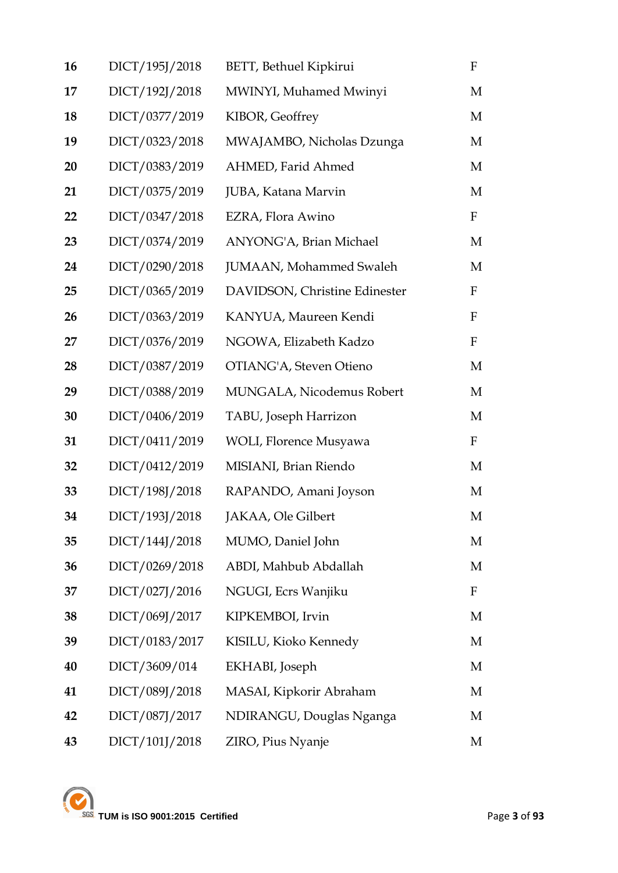| 16 | DICT/195J/2018 | BETT, Bethuel Kipkirui        | $\mathbf F$  |
|----|----------------|-------------------------------|--------------|
| 17 | DICT/192J/2018 | MWINYI, Muhamed Mwinyi        | M            |
| 18 | DICT/0377/2019 | KIBOR, Geoffrey               | M            |
| 19 | DICT/0323/2018 | MWAJAMBO, Nicholas Dzunga     | M            |
| 20 | DICT/0383/2019 | AHMED, Farid Ahmed            | M            |
| 21 | DICT/0375/2019 | JUBA, Katana Marvin           | M            |
| 22 | DICT/0347/2018 | EZRA, Flora Awino             | $\mathbf{F}$ |
| 23 | DICT/0374/2019 | ANYONG'A, Brian Michael       | M            |
| 24 | DICT/0290/2018 | JUMAAN, Mohammed Swaleh       | M            |
| 25 | DICT/0365/2019 | DAVIDSON, Christine Edinester | $\mathbf F$  |
| 26 | DICT/0363/2019 | KANYUA, Maureen Kendi         | $\mathbf F$  |
| 27 | DICT/0376/2019 | NGOWA, Elizabeth Kadzo        | $\mathbf{F}$ |
| 28 | DICT/0387/2019 | OTIANG'A, Steven Otieno       | M            |
| 29 | DICT/0388/2019 | MUNGALA, Nicodemus Robert     | M            |
| 30 | DICT/0406/2019 | TABU, Joseph Harrizon         | M            |
| 31 | DICT/0411/2019 | WOLI, Florence Musyawa        | $\mathbf{F}$ |
| 32 | DICT/0412/2019 | MISIANI, Brian Riendo         | M            |
| 33 | DICT/198J/2018 | RAPANDO, Amani Joyson         | M            |
| 34 | DICT/193J/2018 | JAKAA, Ole Gilbert            | M            |
| 35 | DICT/144J/2018 | MUMO, Daniel John             | M            |
| 36 | DICT/0269/2018 | ABDI, Mahbub Abdallah         | M            |
| 37 | DICT/027J/2016 | NGUGI, Ecrs Wanjiku           | F            |
| 38 | DICT/069J/2017 | KIPKEMBOI, Irvin              | M            |
| 39 | DICT/0183/2017 | KISILU, Kioko Kennedy         | M            |
| 40 | DICT/3609/014  | EKHABI, Joseph                | M            |
| 41 | DICT/089J/2018 | MASAI, Kipkorir Abraham       | M            |
| 42 | DICT/087J/2017 | NDIRANGU, Douglas Nganga      | M            |
| 43 | DICT/101J/2018 | ZIRO, Pius Nyanje             | M            |

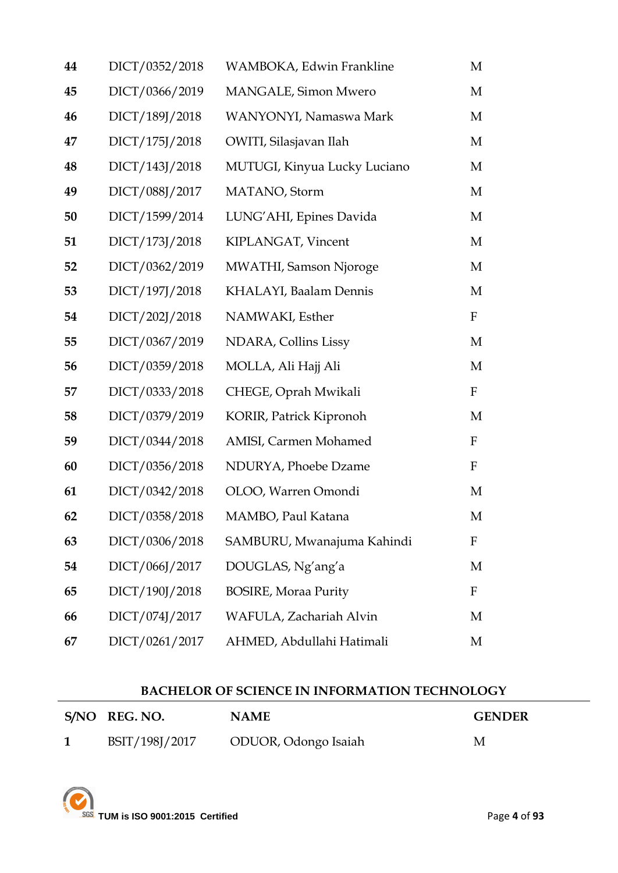| 44 | DICT/0352/2018 | WAMBOKA, Edwin Frankline      | M            |
|----|----------------|-------------------------------|--------------|
| 45 | DICT/0366/2019 | MANGALE, Simon Mwero          | M            |
| 46 | DICT/189J/2018 | WANYONYI, Namaswa Mark        | M            |
| 47 | DICT/175J/2018 | OWITI, Silasjavan Ilah        | M            |
| 48 | DICT/143J/2018 | MUTUGI, Kinyua Lucky Luciano  | M            |
| 49 | DICT/088J/2017 | MATANO, Storm                 | M            |
| 50 | DICT/1599/2014 | LUNG'AHI, Epines Davida       | M            |
| 51 | DICT/173J/2018 | KIPLANGAT, Vincent            | M            |
| 52 | DICT/0362/2019 | <b>MWATHI, Samson Njoroge</b> | M            |
| 53 | DICT/197J/2018 | KHALAYI, Baalam Dennis        | M            |
| 54 | DICT/202J/2018 | NAMWAKI, Esther               | $\mathbf F$  |
| 55 | DICT/0367/2019 | NDARA, Collins Lissy          | M            |
| 56 | DICT/0359/2018 | MOLLA, Ali Hajj Ali           | M            |
| 57 | DICT/0333/2018 | CHEGE, Oprah Mwikali          | $\mathbf F$  |
| 58 | DICT/0379/2019 | KORIR, Patrick Kipronoh       | M            |
| 59 | DICT/0344/2018 | AMISI, Carmen Mohamed         | $\mathbf{F}$ |
| 60 | DICT/0356/2018 | NDURYA, Phoebe Dzame          | $\mathbf{F}$ |
| 61 | DICT/0342/2018 | OLOO, Warren Omondi           | M            |
| 62 | DICT/0358/2018 | MAMBO, Paul Katana            | M            |
| 63 | DICT/0306/2018 | SAMBURU, Mwanajuma Kahindi    | F            |
| 54 | DICT/066J/2017 | DOUGLAS, Ng'ang'a             | M            |
| 65 | DICT/190J/2018 | <b>BOSIRE, Moraa Purity</b>   | F            |
| 66 | DICT/074J/2017 | WAFULA, Zachariah Alvin       | M            |
| 67 | DICT/0261/2017 | AHMED, Abdullahi Hatimali     | M            |

### **BACHELOR OF SCIENCE IN INFORMATION TECHNOLOGY**

| S/NO REG. NO.  | <b>NAME</b>          | <b>GENDER</b> |
|----------------|----------------------|---------------|
| BSIT/198J/2017 | ODUOR, Odongo Isaiah | M             |

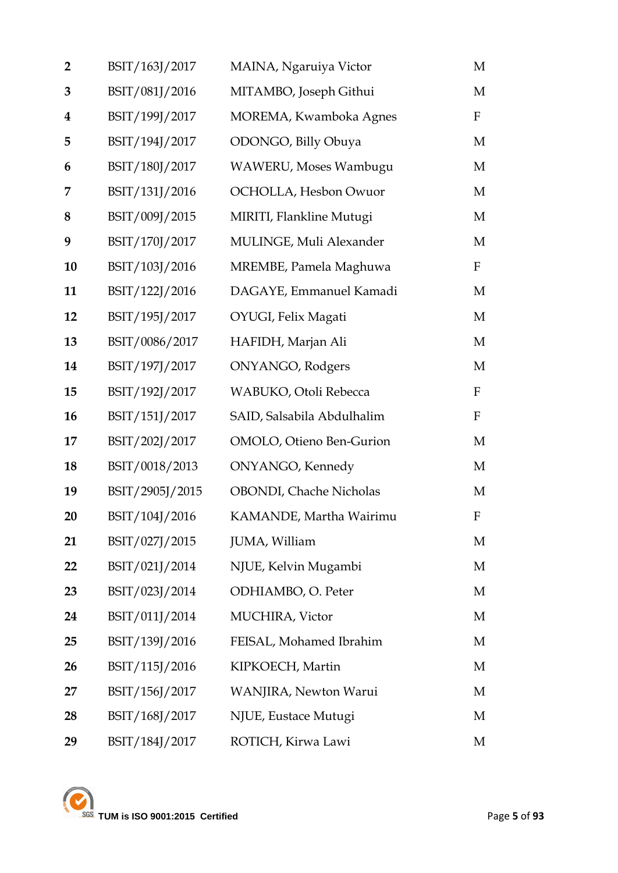| $\overline{2}$ | BSIT/163J/2017  | MAINA, Ngaruiya Victor     | M            |
|----------------|-----------------|----------------------------|--------------|
| 3              | BSIT/081J/2016  | MITAMBO, Joseph Githui     | M            |
| 4              | BSIT/199J/2017  | MOREMA, Kwamboka Agnes     | $\mathbf{F}$ |
| 5              | BSIT/194J/2017  | ODONGO, Billy Obuya        | M            |
| 6              | BSIT/180J/2017  | WAWERU, Moses Wambugu      | M            |
| 7              | BSIT/131J/2016  | OCHOLLA, Hesbon Owuor      | M            |
| 8              | BSIT/009J/2015  | MIRITI, Flankline Mutugi   | M            |
| 9              | BSIT/170J/2017  | MULINGE, Muli Alexander    | M            |
| 10             | BSIT/103J/2016  | MREMBE, Pamela Maghuwa     | $\mathbf{F}$ |
| 11             | BSIT/122J/2016  | DAGAYE, Emmanuel Kamadi    | M            |
| 12             | BSIT/195J/2017  | OYUGI, Felix Magati        | M            |
| 13             | BSIT/0086/2017  | HAFIDH, Marjan Ali         | M            |
| 14             | BSIT/197J/2017  | ONYANGO, Rodgers           | M            |
| 15             | BSIT/192J/2017  | WABUKO, Otoli Rebecca      | $\mathbf{F}$ |
| 16             | BSIT/151J/2017  | SAID, Salsabila Abdulhalim | $\mathbf{F}$ |
| 17             | BSIT/202J/2017  | OMOLO, Otieno Ben-Gurion   | M            |
| 18             | BSIT/0018/2013  | <b>ONYANGO</b> , Kennedy   | M            |
| 19             | BSIT/2905J/2015 | OBONDI, Chache Nicholas    | M            |
| 20             | BSIT/104J/2016  | KAMANDE, Martha Wairimu    | $\mathbf F$  |
| 21             | BSIT/027J/2015  | JUMA, William              | M            |
| 22             | BSIT/021J/2014  | NJUE, Kelvin Mugambi       | M            |
| 23             | BSIT/023J/2014  | ODHIAMBO, O. Peter         | M            |
| 24             | BSIT/011J/2014  | <b>MUCHIRA</b> , Victor    | M            |
| 25             | BSIT/139J/2016  | FEISAL, Mohamed Ibrahim    | M            |
| 26             | BSIT/115J/2016  | KIPKOECH, Martin           | M            |
| 27             | BSIT/156J/2017  | WANJIRA, Newton Warui      | M            |
| 28             | BSIT/168J/2017  | NJUE, Eustace Mutugi       | M            |
| 29             | BSIT/184J/2017  | ROTICH, Kirwa Lawi         | М            |

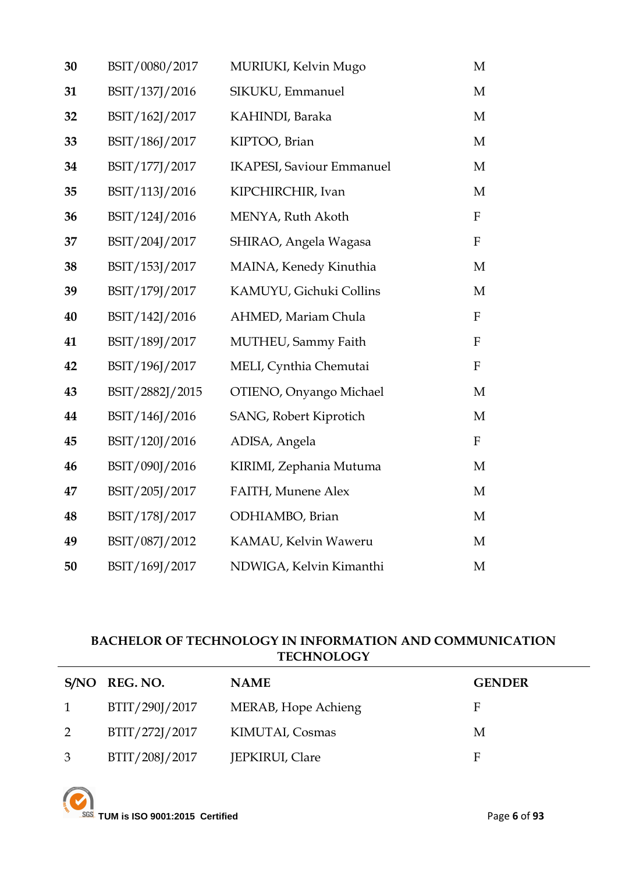| 30 | BSIT/0080/2017  | MURIUKI, Kelvin Mugo             | M                         |
|----|-----------------|----------------------------------|---------------------------|
| 31 | BSIT/137J/2016  | SIKUKU, Emmanuel                 | M                         |
| 32 | BSIT/162J/2017  | KAHINDI, Baraka                  | M                         |
| 33 | BSIT/186J/2017  | KIPTOO, Brian                    | M                         |
| 34 | BSIT/177J/2017  | <b>IKAPESI, Saviour Emmanuel</b> | M                         |
| 35 | BSIT/113J/2016  | KIPCHIRCHIR, Ivan                | M                         |
| 36 | BSIT/124J/2016  | MENYA, Ruth Akoth                | $\mathbf F$               |
| 37 | BSIT/204J/2017  | SHIRAO, Angela Wagasa            | ${\bf F}$                 |
| 38 | BSIT/153J/2017  | MAINA, Kenedy Kinuthia           | M                         |
| 39 | BSIT/179J/2017  | KAMUYU, Gichuki Collins          | M                         |
| 40 | BSIT/142J/2016  | AHMED, Mariam Chula              | $\boldsymbol{\mathrm{F}}$ |
| 41 | BSIT/189J/2017  | MUTHEU, Sammy Faith              | $\boldsymbol{F}$          |
| 42 | BSIT/196J/2017  | MELI, Cynthia Chemutai           | $\boldsymbol{\mathrm{F}}$ |
| 43 | BSIT/2882J/2015 | OTIENO, Onyango Michael          | M                         |
| 44 | BSIT/146J/2016  | SANG, Robert Kiprotich           | M                         |
| 45 | BSIT/120J/2016  | ADISA, Angela                    | $\boldsymbol{\mathrm{F}}$ |
| 46 | BSIT/090J/2016  | KIRIMI, Zephania Mutuma          | M                         |
| 47 | BSIT/205J/2017  | FAITH, Munene Alex               | M                         |
| 48 | BSIT/178J/2017  | ODHIAMBO, Brian                  | M                         |
| 49 | BSIT/087J/2012  | KAMAU, Kelvin Waweru             | M                         |
| 50 | BSIT/169J/2017  | NDWIGA, Kelvin Kimanthi          | M                         |

### **BACHELOR OF TECHNOLOGY IN INFORMATION AND COMMUNICATION TECHNOLOGY**

|                | S/NO REG. NO.  | <b>NAME</b>         | <b>GENDER</b> |
|----------------|----------------|---------------------|---------------|
| $\overline{1}$ | BTIT/290J/2017 | MERAB, Hope Achieng | F             |
| 2              | BTIT/272J/2017 | KIMUTAI, Cosmas     | M             |
| $\mathfrak{Z}$ | BTIT/208J/2017 | JEPKIRUI, Clare     | F             |

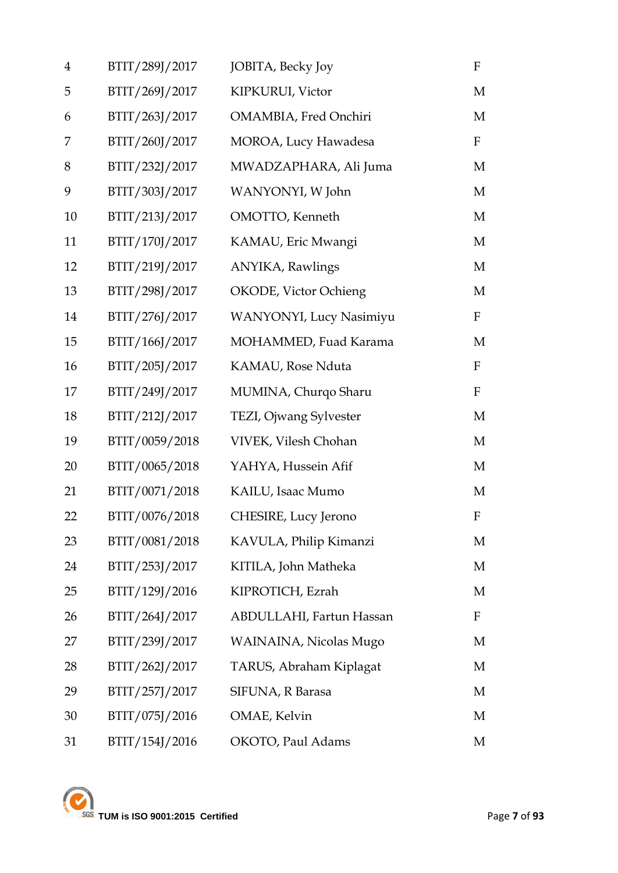| $\overline{4}$ | BTIT/289J/2017 | JOBITA, Becky Joy               | $\mathbf F$  |
|----------------|----------------|---------------------------------|--------------|
| 5              | BTIT/269J/2017 | KIPKURUI, Victor                | M            |
| 6              | BTIT/263J/2017 | OMAMBIA, Fred Onchiri           | M            |
| 7              | BTIT/260J/2017 | MOROA, Lucy Hawadesa            | $\mathbf F$  |
| 8              | BTIT/232J/2017 | MWADZAPHARA, Ali Juma           | M            |
| 9              | BTIT/303J/2017 | WANYONYI, W John                | M            |
| 10             | BTIT/213J/2017 | OMOTTO, Kenneth                 | M            |
| 11             | BTIT/170J/2017 | KAMAU, Eric Mwangi              | M            |
| 12             | BTIT/219J/2017 | <b>ANYIKA</b> , Rawlings        | M            |
| 13             | BTIT/298J/2017 | OKODE, Victor Ochieng           | M            |
| 14             | BTIT/276J/2017 | <b>WANYONYI</b> , Lucy Nasimiyu | $\mathbf{F}$ |
| 15             | BTIT/166J/2017 | MOHAMMED, Fuad Karama           | M            |
| 16             | BTIT/205J/2017 | KAMAU, Rose Nduta               | $\mathbf{F}$ |
| 17             | BTIT/249J/2017 | MUMINA, Churqo Sharu            | $\mathbf{F}$ |
| 18             | BTIT/212J/2017 | TEZI, Ojwang Sylvester          | M            |
| 19             | BTIT/0059/2018 | VIVEK, Vilesh Chohan            | M            |
| 20             | BTIT/0065/2018 | YAHYA, Hussein Afif             | M            |
| 21             | BTIT/0071/2018 | KAILU, Isaac Mumo               | M            |
| 22             | BTIT/0076/2018 | CHESIRE, Lucy Jerono            | F            |
| 23             | BTIT/0081/2018 | KAVULA, Philip Kimanzi          | M            |
| 24             | BTIT/253J/2017 | KITILA, John Matheka            | M            |
| 25             | BTIT/129J/2016 | KIPROTICH, Ezrah                | M            |
| 26             | BTIT/264J/2017 | ABDULLAHI, Fartun Hassan        | $\mathbf{F}$ |
| 27             | BTIT/239J/2017 | WAINAINA, Nicolas Mugo          | M            |
| 28             | BTIT/262J/2017 | TARUS, Abraham Kiplagat         | M            |
| 29             | BTIT/257J/2017 | SIFUNA, R Barasa                | M            |
| 30             | BTIT/075J/2016 | OMAE, Kelvin                    | M            |
| 31             | BTIT/154J/2016 | OKOTO, Paul Adams               | M            |

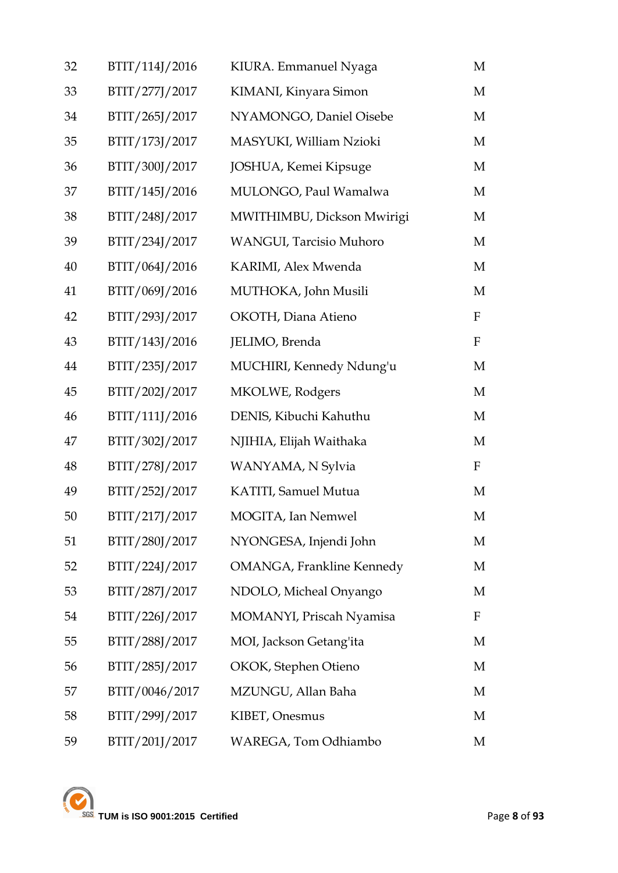| 32 | BTIT/114J/2016 | KIURA. Emmanuel Nyaga            | M            |
|----|----------------|----------------------------------|--------------|
| 33 | BTIT/277J/2017 | KIMANI, Kinyara Simon            | M            |
| 34 | BTIT/265J/2017 | NYAMONGO, Daniel Oisebe          | M            |
| 35 | BTIT/173J/2017 | MASYUKI, William Nzioki          | M            |
| 36 | BTIT/300J/2017 | JOSHUA, Kemei Kipsuge            | M            |
| 37 | BTIT/145J/2016 | MULONGO, Paul Wamalwa            | M            |
| 38 | BTIT/248J/2017 | MWITHIMBU, Dickson Mwirigi       | M            |
| 39 | BTIT/234J/2017 | WANGUI, Tarcisio Muhoro          | M            |
| 40 | BTIT/064J/2016 | KARIMI, Alex Mwenda              | M            |
| 41 | BTIT/069J/2016 | MUTHOKA, John Musili             | M            |
| 42 | BTIT/293J/2017 | OKOTH, Diana Atieno              | $\mathbf{F}$ |
| 43 | BTIT/143J/2016 | JELIMO, Brenda                   | $\mathbf{F}$ |
| 44 | BTIT/235J/2017 | MUCHIRI, Kennedy Ndung'u         | M            |
| 45 | BTIT/202J/2017 | MKOLWE, Rodgers                  | M            |
| 46 | BTIT/111J/2016 | DENIS, Kibuchi Kahuthu           | M            |
| 47 | BTIT/302J/2017 | NJIHIA, Elijah Waithaka          | M            |
| 48 | BTIT/278J/2017 | WANYAMA, N Sylvia                | $\mathbf{F}$ |
| 49 | BTIT/252J/2017 | KATITI, Samuel Mutua             | M            |
| 50 | BTIT/217J/2017 | MOGITA, Ian Nemwel               | M            |
| 51 | BTIT/280J/2017 | NYONGESA, Injendi John           | M            |
| 52 | BTIT/224J/2017 | <b>OMANGA, Frankline Kennedy</b> | M            |
| 53 | BTIT/287J/2017 | NDOLO, Micheal Onyango           | M            |
| 54 | BTIT/226J/2017 | MOMANYI, Priscah Nyamisa         | $\mathbf F$  |
| 55 | BTIT/288J/2017 | MOI, Jackson Getang'ita          | M            |
| 56 | BTIT/285J/2017 | OKOK, Stephen Otieno             | M            |
| 57 | BTIT/0046/2017 | MZUNGU, Allan Baha               | M            |
| 58 | BTIT/299J/2017 | KIBET, Onesmus                   | M            |
| 59 | BTIT/201J/2017 | WAREGA, Tom Odhiambo             | M            |

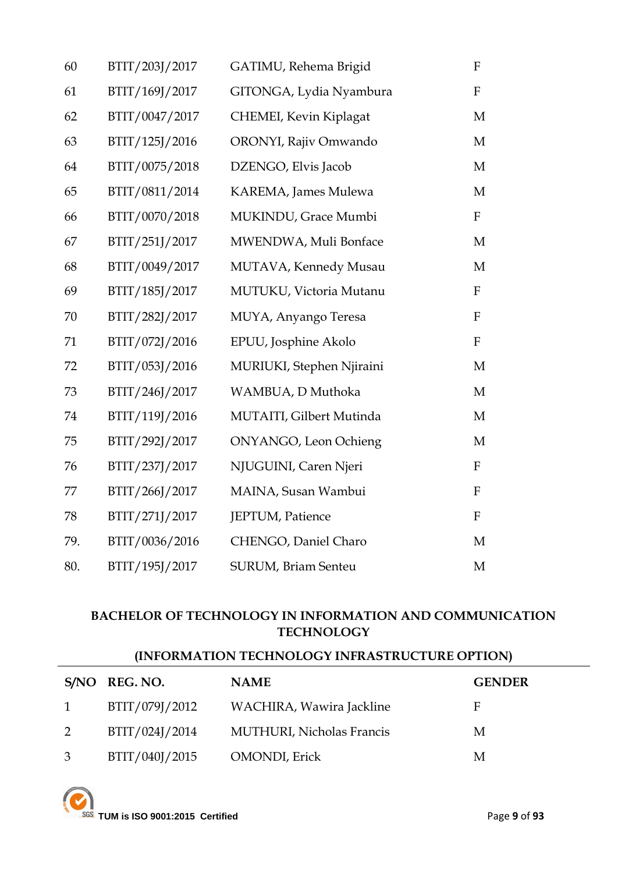| 60  | BTIT/203J/2017 | GATIMU, Rehema Brigid      | ${\bf F}$   |
|-----|----------------|----------------------------|-------------|
| 61  | BTIT/169J/2017 | GITONGA, Lydia Nyambura    | ${\bf F}$   |
| 62  | BTIT/0047/2017 | CHEMEI, Kevin Kiplagat     | M           |
| 63  | BTIT/125J/2016 | ORONYI, Rajiv Omwando      | M           |
| 64  | BTIT/0075/2018 | DZENGO, Elvis Jacob        | M           |
| 65  | BTIT/0811/2014 | KAREMA, James Mulewa       | M           |
| 66  | BTIT/0070/2018 | MUKINDU, Grace Mumbi       | ${\bf F}$   |
| 67  | BTIT/251J/2017 | MWENDWA, Muli Bonface      | M           |
| 68  | BTIT/0049/2017 | MUTAVA, Kennedy Musau      | M           |
| 69  | BTIT/185J/2017 | MUTUKU, Victoria Mutanu    | ${\bf F}$   |
| 70  | BTIT/282J/2017 | MUYA, Anyango Teresa       | $\mathbf F$ |
| 71  | BTIT/072J/2016 | EPUU, Josphine Akolo       | ${\bf F}$   |
| 72  | BTIT/053J/2016 | MURIUKI, Stephen Njiraini  | M           |
| 73  | BTIT/246J/2017 | WAMBUA, D Muthoka          | M           |
| 74  | BTIT/119J/2016 | MUTAITI, Gilbert Mutinda   | M           |
| 75  | BTIT/292J/2017 | ONYANGO, Leon Ochieng      | M           |
| 76  | BTIT/237J/2017 | NJUGUINI, Caren Njeri      | $\rm F$     |
| 77  | BTIT/266J/2017 | MAINA, Susan Wambui        | ${\bf F}$   |
| 78  | BTIT/271J/2017 | JEPTUM, Patience           | ${\bf F}$   |
| 79. | BTIT/0036/2016 | CHENGO, Daniel Charo       | M           |
| 80. | BTIT/195J/2017 | <b>SURUM, Briam Senteu</b> | M           |

### **BACHELOR OF TECHNOLOGY IN INFORMATION AND COMMUNICATION TECHNOLOGY**

### **(INFORMATION TECHNOLOGY INFRASTRUCTURE OPTION)**

|                | S/NO REG. NO.  | <b>NAME</b>                      | <b>GENDER</b> |
|----------------|----------------|----------------------------------|---------------|
| $1 \quad$      | BTIT/079J/2012 | WACHIRA, Wawira Jackline         | E             |
| 2              | BTIT/024J/2014 | <b>MUTHURI, Nicholas Francis</b> | M             |
| 3 <sup>7</sup> | BTIT/040J/2015 | <b>OMONDI</b> , Erick            | М             |

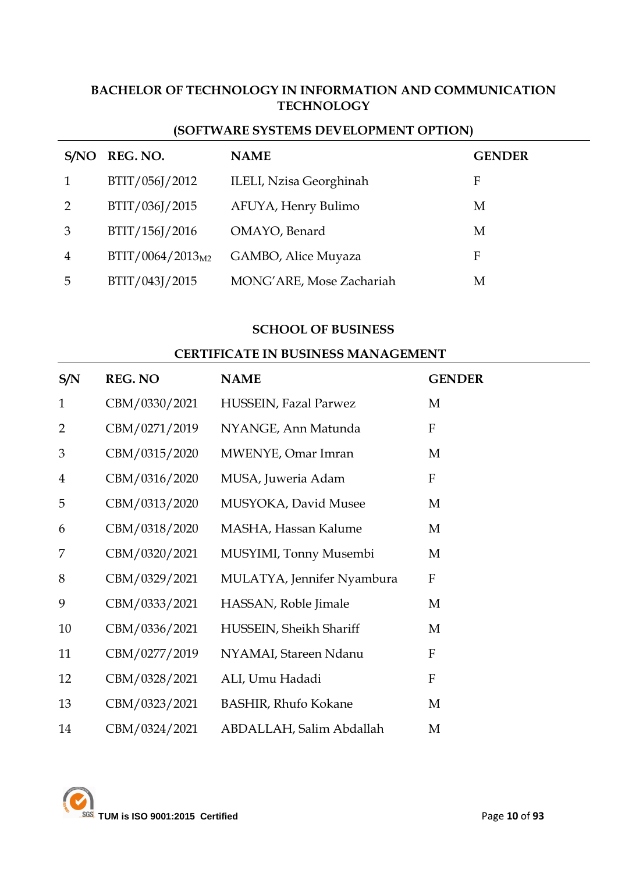### **BACHELOR OF TECHNOLOGY IN INFORMATION AND COMMUNICATION TECHNOLOGY**

| S/NO | REG. NO.                     | <b>NAME</b>                    | <b>GENDER</b> |
|------|------------------------------|--------------------------------|---------------|
|      | BTIT/056J/2012               | <b>ILELI, Nzisa Georghinah</b> | F             |
| 2    | BTIT/036J/2015               | AFUYA, Henry Bulimo            | Μ             |
| 3    | BTIT/156J/2016               | OMAYO, Benard                  | Μ             |
| 4    | BTIT/0064/2013 <sub>M2</sub> | GAMBO, Alice Muyaza            | F             |
| 5    | BTIT/043J/2015               | MONG'ARE, Mose Zachariah       | Μ             |

### **(SOFTWARE SYSTEMS DEVELOPMENT OPTION)**

#### **SCHOOL OF BUSINESS**

#### **CERTIFICATE IN BUSINESS MANAGEMENT**

| S/N            | <b>REG. NO</b> | <b>NAME</b>                 | <b>GENDER</b> |
|----------------|----------------|-----------------------------|---------------|
| $\mathbf{1}$   | CBM/0330/2021  | HUSSEIN, Fazal Parwez       | M             |
| $\overline{2}$ | CBM/0271/2019  | NYANGE, Ann Matunda         | $\mathbf F$   |
| 3              | CBM/0315/2020  | MWENYE, Omar Imran          | M             |
| $\overline{4}$ | CBM/0316/2020  | MUSA, Juweria Adam          | $\mathbf F$   |
| 5              | CBM/0313/2020  | MUSYOKA, David Musee        | M             |
| 6              | CBM/0318/2020  | MASHA, Hassan Kalume        | M             |
| 7              | CBM/0320/2021  | MUSYIMI, Tonny Musembi      | M             |
| 8              | CBM/0329/2021  | MULATYA, Jennifer Nyambura  | ${\bf F}$     |
| 9              | CBM/0333/2021  | HASSAN, Roble Jimale        | M             |
| 10             | CBM/0336/2021  | HUSSEIN, Sheikh Shariff     | M             |
| 11             | CBM/0277/2019  | NYAMAI, Stareen Ndanu       | ${\bf F}$     |
| 12             | CBM/0328/2021  | ALI, Umu Hadadi             | ${\bf F}$     |
| 13             | CBM/0323/2021  | <b>BASHIR, Rhufo Kokane</b> | M             |
| 14             | CBM/0324/2021  | ABDALLAH, Salim Abdallah    | M             |

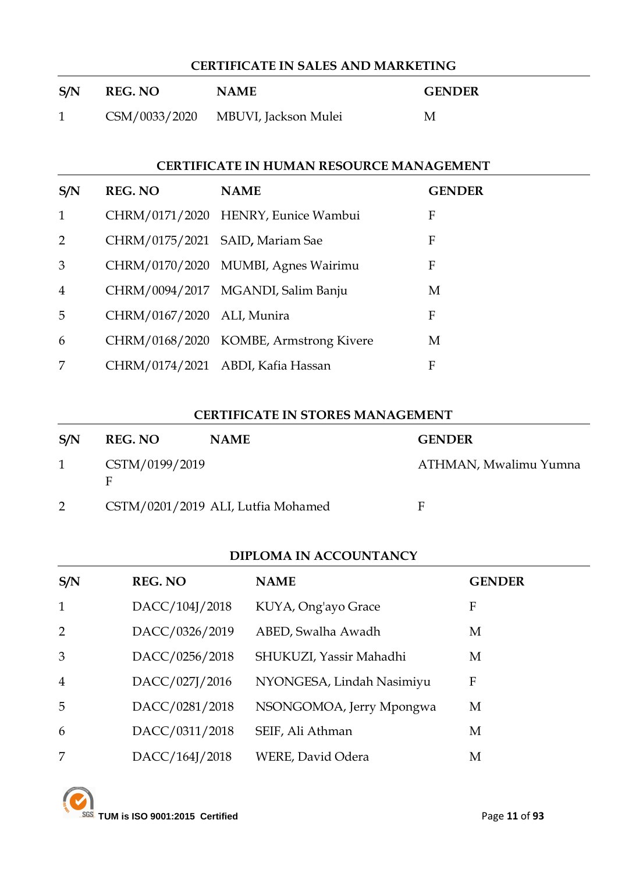# **CERTIFICATE IN SALES AND MARKETING S/N REG. NO NAME GENDER** CSM/0033/2020 MBUVI, Jackson Mulei M

### **CERTIFICATE IN HUMAN RESOURCE MANAGEMENT**

| S/N            | <b>REG. NO</b>                  | <b>NAME</b>                            | <b>GENDER</b> |
|----------------|---------------------------------|----------------------------------------|---------------|
| $\mathbf{1}$   |                                 | CHRM/0171/2020 HENRY, Eunice Wambui    | F             |
| 2              | CHRM/0175/2021 SAID, Mariam Sae |                                        | F             |
| 3              |                                 | CHRM/0170/2020 MUMBI, Agnes Wairimu    | F             |
| $\overline{4}$ |                                 | CHRM/0094/2017 MGANDI, Salim Banju     | M             |
| 5              | CHRM/0167/2020 ALI, Munira      |                                        | F             |
| 6              |                                 | CHRM/0168/2020 KOMBE, Armstrong Kivere | M             |
| 7              |                                 | CHRM/0174/2021 ABDI, Kafia Hassan      | F             |

#### **CERTIFICATE IN STORES MANAGEMENT**

| S/N | <b>REG. NO</b> | <b>NAME</b>                        | <b>GENDER</b>         |
|-----|----------------|------------------------------------|-----------------------|
| 1   | CSTM/0199/2019 |                                    | ATHMAN, Mwalimu Yumna |
|     |                | CSTM/0201/2019 ALI, Lutfia Mohamed | Е                     |

### **DIPLOMA IN ACCOUNTANCY**

| S/N            | <b>REG. NO</b> | <b>NAME</b>               | <b>GENDER</b> |
|----------------|----------------|---------------------------|---------------|
| $\mathbf{1}$   | DACC/104J/2018 | KUYA, Ong'ayo Grace       | F             |
| 2              | DACC/0326/2019 | ABED, Swalha Awadh        | M             |
| 3              | DACC/0256/2018 | SHUKUZI, Yassir Mahadhi   | М             |
| $\overline{4}$ | DACC/027J/2016 | NYONGESA, Lindah Nasimiyu | F             |
| 5              | DACC/0281/2018 | NSONGOMOA, Jerry Mpongwa  | M             |
| 6              | DACC/0311/2018 | SEIF, Ali Athman          | М             |
| 7              | DACC/164J/2018 | <b>WERE, David Odera</b>  | М             |

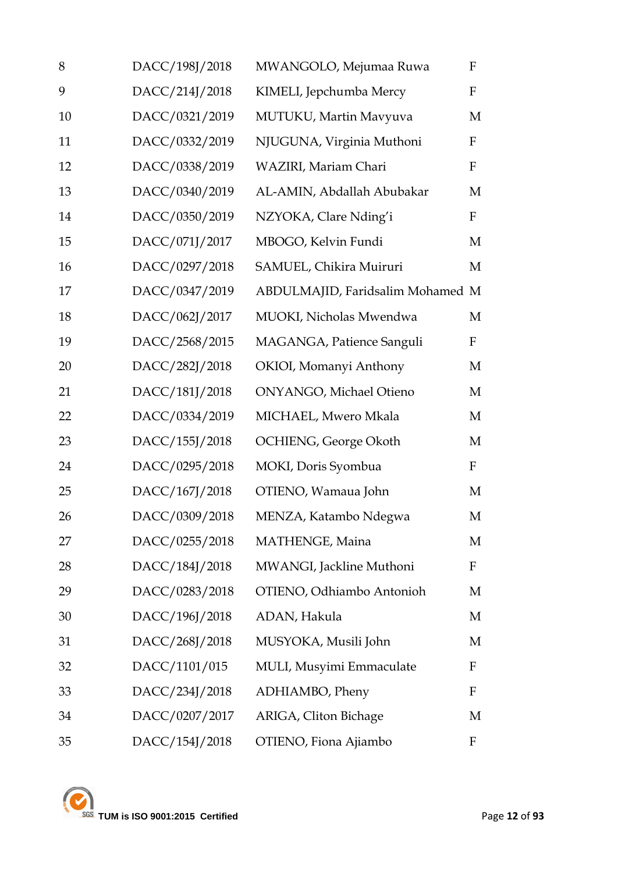| 8  | DACC/198J/2018 | MWANGOLO, Mejumaa Ruwa           | $\mathbf F$  |
|----|----------------|----------------------------------|--------------|
| 9  | DACC/214J/2018 | KIMELI, Jepchumba Mercy          | F            |
| 10 | DACC/0321/2019 | MUTUKU, Martin Mavyuva           | M            |
| 11 | DACC/0332/2019 | NJUGUNA, Virginia Muthoni        | $\mathbf F$  |
| 12 | DACC/0338/2019 | WAZIRI, Mariam Chari             | $\mathbf F$  |
| 13 | DACC/0340/2019 | AL-AMIN, Abdallah Abubakar       | M            |
| 14 | DACC/0350/2019 | NZYOKA, Clare Nding'i            | $\mathbf F$  |
| 15 | DACC/071J/2017 | MBOGO, Kelvin Fundi              | M            |
| 16 | DACC/0297/2018 | SAMUEL, Chikira Muiruri          | M            |
| 17 | DACC/0347/2019 | ABDULMAJID, Faridsalim Mohamed M |              |
| 18 | DACC/062J/2017 | MUOKI, Nicholas Mwendwa          | M            |
| 19 | DACC/2568/2015 | MAGANGA, Patience Sanguli        | $\mathbf F$  |
| 20 | DACC/282J/2018 | OKIOI, Momanyi Anthony           | M            |
| 21 | DACC/181J/2018 | <b>ONYANGO, Michael Otieno</b>   | M            |
| 22 | DACC/0334/2019 | MICHAEL, Mwero Mkala             | M            |
| 23 | DACC/155J/2018 | OCHIENG, George Okoth            | M            |
| 24 | DACC/0295/2018 | MOKI, Doris Syombua              | $\mathbf{F}$ |
| 25 | DACC/167J/2018 | OTIENO, Wamaua John              | M            |
| 26 | DACC/0309/2018 | MENZA, Katambo Ndegwa            | M            |
| 27 | DACC/0255/2018 | MATHENGE, Maina                  | M            |
| 28 | DACC/184J/2018 | MWANGI, Jackline Muthoni         | $\mathbf F$  |
| 29 | DACC/0283/2018 | OTIENO, Odhiambo Antonioh        | M            |
| 30 | DACC/196J/2018 | ADAN, Hakula                     | M            |
| 31 | DACC/268J/2018 | MUSYOKA, Musili John             | M            |
| 32 | DACC/1101/015  | MULI, Musyimi Emmaculate         | $\mathbf F$  |
| 33 | DACC/234J/2018 | ADHIAMBO, Pheny                  | F            |
| 34 | DACC/0207/2017 | ARIGA, Cliton Bichage            | M            |
| 35 | DACC/154J/2018 | OTIENO, Fiona Ajiambo            | F            |

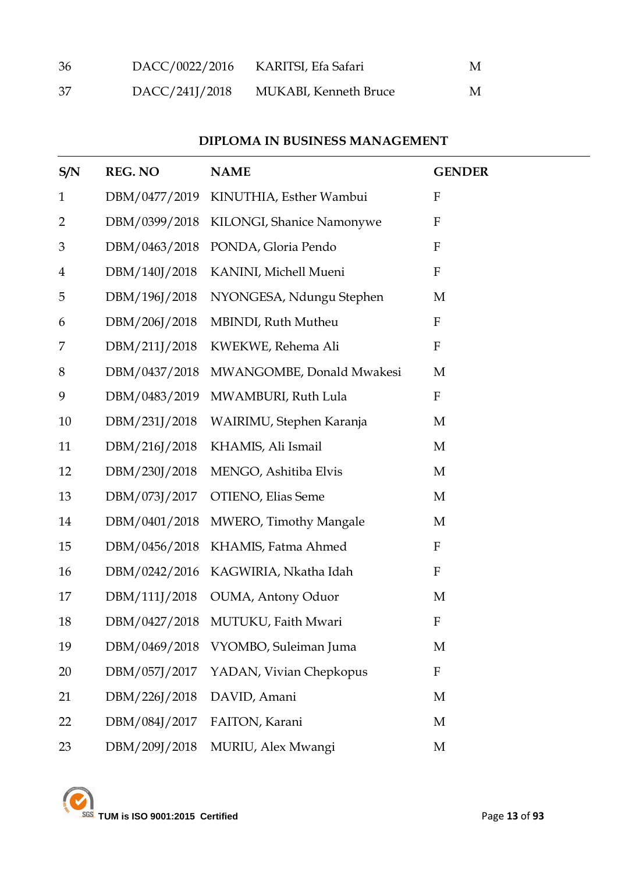| 36  | DACC/0022/2016 | KARITSI, Efa Safari   | M |
|-----|----------------|-----------------------|---|
| -37 | DACC/241J/2018 | MUKABI, Kenneth Bruce | M |

#### **DIPLOMA IN BUSINESS MANAGEMENT**

| S/N            | <b>REG. NO</b> | <b>NAME</b>                         | <b>GENDER</b>    |
|----------------|----------------|-------------------------------------|------------------|
| $\mathbf{1}$   | DBM/0477/2019  | KINUTHIA, Esther Wambui             | ${\bf F}$        |
| $\overline{2}$ | DBM/0399/2018  | KILONGI, Shanice Namonywe           | ${\bf F}$        |
| $\mathfrak{Z}$ | DBM/0463/2018  | PONDA, Gloria Pendo                 | ${\bf F}$        |
| $\overline{4}$ | DBM/140J/2018  | KANINI, Michell Mueni               | ${\bf F}$        |
| 5              | DBM/196J/2018  | NYONGESA, Ndungu Stephen            | M                |
| 6              | DBM/206J/2018  | MBINDI, Ruth Mutheu                 | ${\bf F}$        |
| 7              | DBM/211J/2018  | KWEKWE, Rehema Ali                  | ${\bf F}$        |
| 8              | DBM/0437/2018  | MWANGOMBE, Donald Mwakesi           | M                |
| 9              | DBM/0483/2019  | MWAMBURI, Ruth Lula                 | ${\bf F}$        |
| 10             | DBM/231J/2018  | WAIRIMU, Stephen Karanja            | M                |
| 11             | DBM/216J/2018  | KHAMIS, Ali Ismail                  | M                |
| 12             | DBM/230J/2018  | MENGO, Ashitiba Elvis               | M                |
| 13             | DBM/073J/2017  | <b>OTIENO</b> , Elias Seme          | M                |
| 14             | DBM/0401/2018  | MWERO, Timothy Mangale              | M                |
| 15             | DBM/0456/2018  | KHAMIS, Fatma Ahmed                 | $\boldsymbol{F}$ |
| 16             | DBM/0242/2016  | KAGWIRIA, Nkatha Idah               | $\mathbf F$      |
| 17             | DBM/111J/2018  | OUMA, Antony Oduor                  | M                |
| 18             | DBM/0427/2018  | MUTUKU, Faith Mwari                 | F                |
| 19             |                | DBM/0469/2018 VYOMBO, Suleiman Juma | M                |
| 20             | DBM/057J/2017  | YADAN, Vivian Chepkopus             | ${\bf F}$        |
| 21             | DBM/226J/2018  | DAVID, Amani                        | M                |
| 22             | DBM/084J/2017  | FAITON, Karani                      | M                |
| 23             | DBM/209J/2018  | MURIU, Alex Mwangi                  | M                |

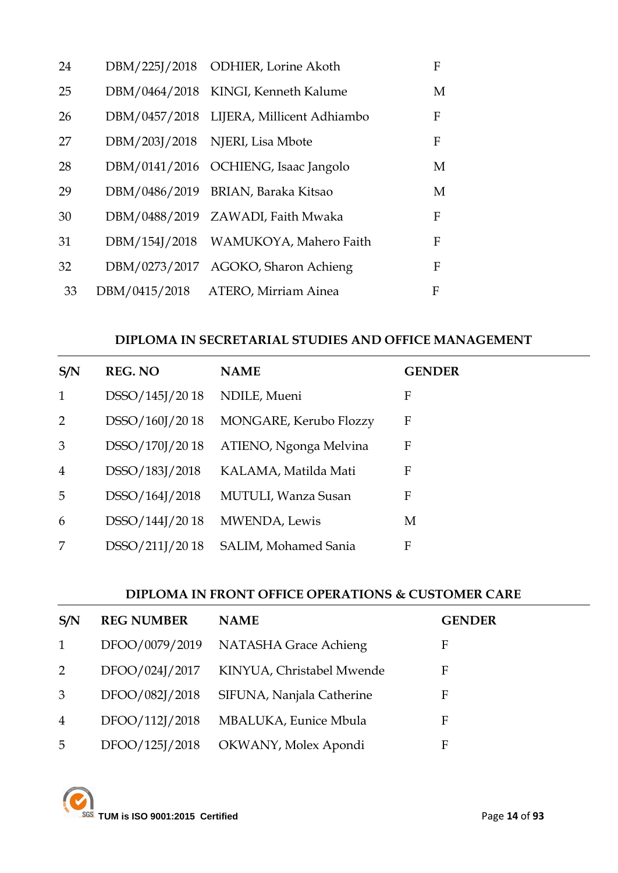| 24 | DBM/225J/2018 ODHIER, Lorine Akoth       | F |
|----|------------------------------------------|---|
| 25 | DBM/0464/2018 KINGI, Kenneth Kalume      | M |
| 26 | DBM/0457/2018 LIJERA, Millicent Adhiambo | F |
| 27 | DBM/203J/2018 NJERI, Lisa Mbote          | F |
| 28 | DBM/0141/2016 OCHIENG, Isaac Jangolo     | M |
| 29 | DBM/0486/2019 BRIAN, Baraka Kitsao       | M |
| 30 | DBM/0488/2019 ZAWADI, Faith Mwaka        | F |
| 31 | DBM/154J/2018 WAMUKOYA, Mahero Faith     | F |
| 32 | DBM/0273/2017 AGOKO, Sharon Achieng      | F |
| 33 | DBM/0415/2018 ATERO, Mirriam Ainea       | F |

#### **DIPLOMA IN SECRETARIAL STUDIES AND OFFICE MANAGEMENT**

| S/N            | <b>REG. NO</b> | <b>NAME</b>            | <b>GENDER</b> |
|----------------|----------------|------------------------|---------------|
| $\mathbf{1}$   | DSSO/145J/2018 | NDILE, Mueni           | F             |
| 2              | DSSO/160J/2018 | MONGARE, Kerubo Flozzy | F             |
| 3              | DSSO/170J/2018 | ATIENO, Ngonga Melvina | F             |
| $\overline{4}$ | DSSO/183J/2018 | KALAMA, Matilda Mati   | F             |
| 5              | DSSO/164J/2018 | MUTULI, Wanza Susan    | F             |
| 6              | DSSO/144J/2018 | MWENDA, Lewis          | М             |
| 7              | DSSO/211J/2018 | SALIM, Mohamed Sania   | F             |

### **DIPLOMA IN FRONT OFFICE OPERATIONS & CUSTOMER CARE**

| S/N            | <b>REG NUMBER</b> | <b>NAME</b>                          | <b>GENDER</b> |
|----------------|-------------------|--------------------------------------|---------------|
| 1              |                   | DFOO/0079/2019 NATASHA Grace Achieng | F             |
| 2              | DFOO/024J/2017    | KINYUA, Christabel Mwende            | F             |
| 3              | DFOO/082J/2018    | SIFUNA, Nanjala Catherine            | F             |
| $\overline{4}$ | DFOO/112J/2018    | MBALUKA, Eunice Mbula                | F             |
| 5              | DFOO/125J/2018    | OKWANY, Molex Apondi                 | F             |

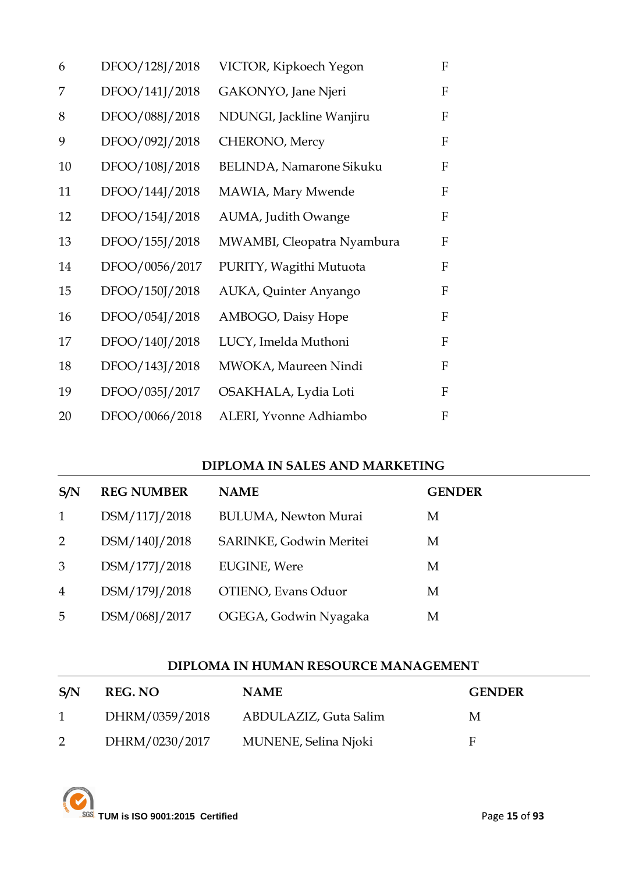| 6  | DFOO/128J/2018 | VICTOR, Kipkoech Yegon          | $\mathbf{F}$              |
|----|----------------|---------------------------------|---------------------------|
| 7  | DFOO/141J/2018 | GAKONYO, Jane Njeri             | $\boldsymbol{\mathrm{F}}$ |
| 8  | DFOO/088J/2018 | NDUNGI, Jackline Wanjiru        | F                         |
| 9  | DFOO/092J/2018 | CHERONO, Mercy                  | ${\bf F}$                 |
| 10 | DFOO/108J/2018 | <b>BELINDA, Namarone Sikuku</b> | $\mathbf{F}$              |
| 11 | DFOO/144J/2018 | MAWIA, Mary Mwende              | $\mathbf F$               |
| 12 | DFOO/154J/2018 | AUMA, Judith Owange             | $\boldsymbol{\mathrm{F}}$ |
| 13 | DFOO/155J/2018 | MWAMBI, Cleopatra Nyambura      | F                         |
| 14 | DFOO/0056/2017 | PURITY, Wagithi Mutuota         | $\mathbf{F}$              |
| 15 | DFOO/150J/2018 | AUKA, Quinter Anyango           | F                         |
| 16 | DFOO/054J/2018 | AMBOGO, Daisy Hope              | $\boldsymbol{F}$          |
| 17 | DFOO/140J/2018 | LUCY, Imelda Muthoni            | F                         |
| 18 | DFOO/143J/2018 | MWOKA, Maureen Nindi            | $\mathbf F$               |
| 19 | DFOO/035J/2017 | OSAKHALA, Lydia Loti            | $\mathbf{F}$              |
| 20 | DFOO/0066/2018 | ALERI, Yvonne Adhiambo          | $\boldsymbol{\mathrm{F}}$ |

### **DIPLOMA IN SALES AND MARKETING**

| S/N            | <b>REG NUMBER</b> | <b>NAME</b>                 | <b>GENDER</b> |
|----------------|-------------------|-----------------------------|---------------|
| 1              | DSM/117J/2018     | <b>BULUMA, Newton Murai</b> | М             |
| 2              | DSM/140J/2018     | SARINKE, Godwin Meritei     | M             |
| 3              | DSM/177J/2018     | <b>EUGINE</b> , Were        | М             |
| $\overline{4}$ | DSM/179J/2018     | OTIENO, Evans Oduor         | M             |
| 5              | DSM/068J/2017     | OGEGA, Godwin Nyagaka       | М             |

### **DIPLOMA IN HUMAN RESOURCE MANAGEMENT**

| S/N          | <b>REG. NO</b> | <b>NAME</b>           | <b>GENDER</b> |
|--------------|----------------|-----------------------|---------------|
| $\mathbf{1}$ | DHRM/0359/2018 | ABDULAZIZ, Guta Salim | М             |
|              | DHRM/0230/2017 | MUNENE, Selina Njoki  | E             |

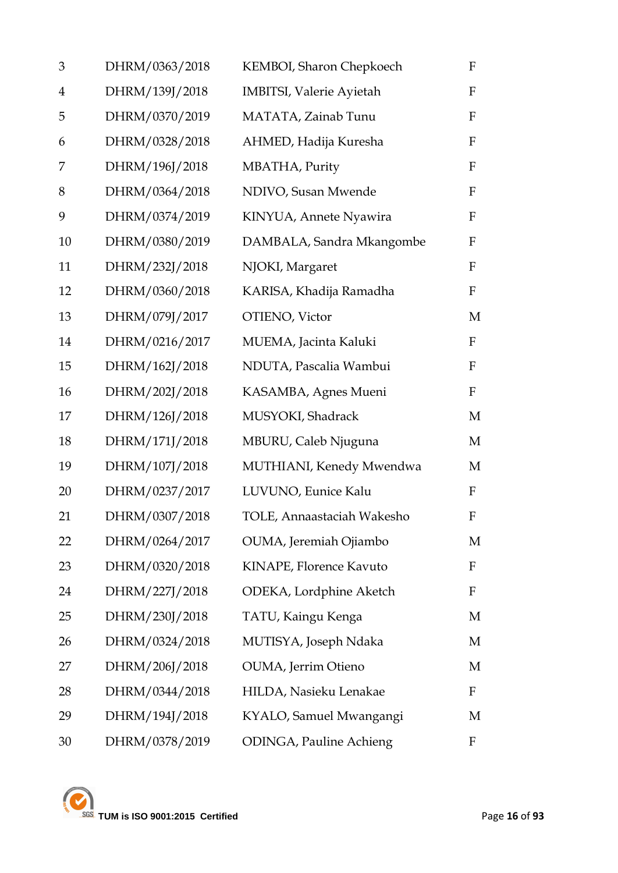| 3              | DHRM/0363/2018 | KEMBOI, Sharon Chepkoech        | F            |
|----------------|----------------|---------------------------------|--------------|
| $\overline{4}$ | DHRM/139J/2018 | <b>IMBITSI, Valerie Ayietah</b> | $\mathbf F$  |
| 5              | DHRM/0370/2019 | MATATA, Zainab Tunu             | $\mathbf F$  |
| 6              | DHRM/0328/2018 | AHMED, Hadija Kuresha           | $\mathbf F$  |
| 7              | DHRM/196J/2018 | MBATHA, Purity                  | $\mathbf F$  |
| 8              | DHRM/0364/2018 | NDIVO, Susan Mwende             | $\mathbf F$  |
| 9              | DHRM/0374/2019 | KINYUA, Annete Nyawira          | $\mathbf F$  |
| 10             | DHRM/0380/2019 | DAMBALA, Sandra Mkangombe       | F            |
| 11             | DHRM/232J/2018 | NJOKI, Margaret                 | F            |
| 12             | DHRM/0360/2018 | KARISA, Khadija Ramadha         | $\mathbf F$  |
| 13             | DHRM/079J/2017 | OTIENO, Victor                  | M            |
| 14             | DHRM/0216/2017 | MUEMA, Jacinta Kaluki           | $\mathbf{F}$ |
| 15             | DHRM/162J/2018 | NDUTA, Pascalia Wambui          | $\mathbf{F}$ |
| 16             | DHRM/202J/2018 | KASAMBA, Agnes Mueni            | $\mathbf F$  |
| 17             | DHRM/126J/2018 | MUSYOKI, Shadrack               | M            |
| 18             | DHRM/171J/2018 | MBURU, Caleb Njuguna            | M            |
| 19             | DHRM/107J/2018 | MUTHIANI, Kenedy Mwendwa        | M            |
| 20             | DHRM/0237/2017 | LUVUNO, Eunice Kalu             | $\mathbf{F}$ |
| 21             | DHRM/0307/2018 | TOLE, Annaastaciah Wakesho      | F            |
| 22             | DHRM/0264/2017 | OUMA, Jeremiah Ojiambo          | M            |
| 23             | DHRM/0320/2018 | KINAPE, Florence Kavuto         | F            |
| 24             | DHRM/227J/2018 | ODEKA, Lordphine Aketch         | F            |
| 25             | DHRM/230J/2018 | TATU, Kaingu Kenga              | M            |
| 26             | DHRM/0324/2018 | MUTISYA, Joseph Ndaka           | M            |
| 27             | DHRM/206J/2018 | OUMA, Jerrim Otieno             | M            |
| 28             | DHRM/0344/2018 | HILDA, Nasieku Lenakae          | F            |
| 29             | DHRM/194J/2018 | KYALO, Samuel Mwangangi         | M            |
| 30             | DHRM/0378/2019 | <b>ODINGA, Pauline Achieng</b>  | F            |

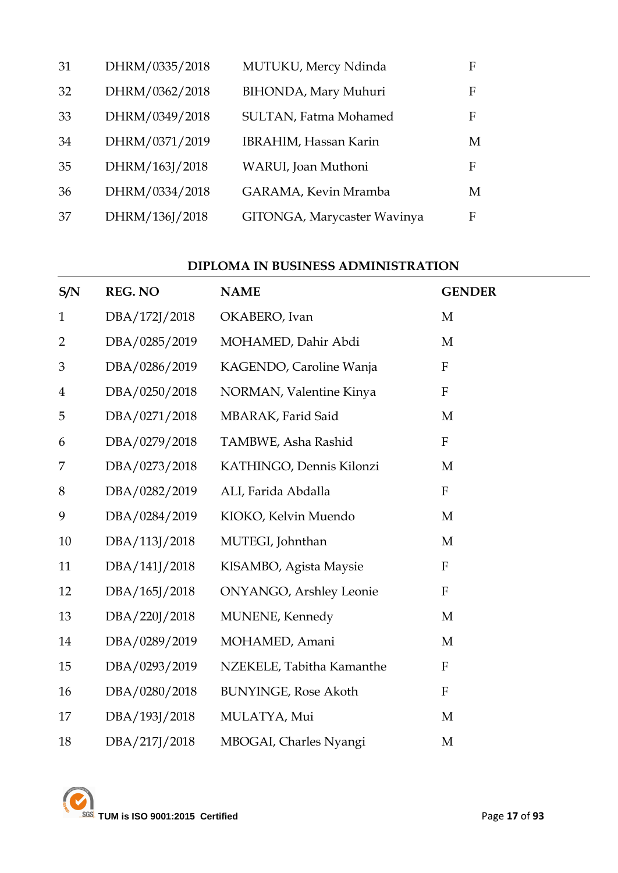| 31 | DHRM/0335/2018 | MUTUKU, Mercy Ndinda        | F |
|----|----------------|-----------------------------|---|
| 32 | DHRM/0362/2018 | BIHONDA, Mary Muhuri        | F |
| 33 | DHRM/0349/2018 | SULTAN, Fatma Mohamed       | F |
| 34 | DHRM/0371/2019 | IBRAHIM, Hassan Karin       | M |
| 35 | DHRM/163J/2018 | WARUI, Joan Muthoni         | F |
| 36 | DHRM/0334/2018 | GARAMA, Kevin Mramba        | М |
| 37 | DHRM/136J/2018 | GITONGA, Marycaster Wavinya | F |

#### **DIPLOMA IN BUSINESS ADMINISTRATION**

| S/N            | <b>REG. NO</b> | <b>NAME</b>                     | <b>GENDER</b>             |
|----------------|----------------|---------------------------------|---------------------------|
| $\mathbf{1}$   | DBA/172J/2018  | OKABERO, Ivan                   | $\mathbf{M}$              |
| $\overline{2}$ | DBA/0285/2019  | MOHAMED, Dahir Abdi             | M                         |
| 3              | DBA/0286/2019  | KAGENDO, Caroline Wanja         | ${\bf F}$                 |
| $\overline{4}$ | DBA/0250/2018  | NORMAN, Valentine Kinya         | ${\bf F}$                 |
| 5              | DBA/0271/2018  | MBARAK, Farid Said              | M                         |
| 6              | DBA/0279/2018  | TAMBWE, Asha Rashid             | $\boldsymbol{\mathrm{F}}$ |
| 7              | DBA/0273/2018  | KATHINGO, Dennis Kilonzi        | M                         |
| 8              | DBA/0282/2019  | ALI, Farida Abdalla             | $\boldsymbol{\mathrm{F}}$ |
| 9              | DBA/0284/2019  | KIOKO, Kelvin Muendo            | M                         |
| 10             | DBA/113J/2018  | MUTEGI, Johnthan                | M                         |
| 11             | DBA/141J/2018  | KISAMBO, Agista Maysie          | ${\bf F}$                 |
| 12             | DBA/165J/2018  | <b>ONYANGO</b> , Arshley Leonie | $\boldsymbol{\mathrm{F}}$ |
| 13             | DBA/220J/2018  | MUNENE, Kennedy                 | M                         |
| 14             | DBA/0289/2019  | MOHAMED, Amani                  | M                         |
| 15             | DBA/0293/2019  | NZEKELE, Tabitha Kamanthe       | $\mathbf{F}$              |
| 16             | DBA/0280/2018  | <b>BUNYINGE, Rose Akoth</b>     | $\mathbf{F}$              |
| 17             | DBA/193J/2018  | MULATYA, Mui                    | M                         |
| 18             | DBA/217J/2018  | MBOGAI, Charles Nyangi          | M                         |

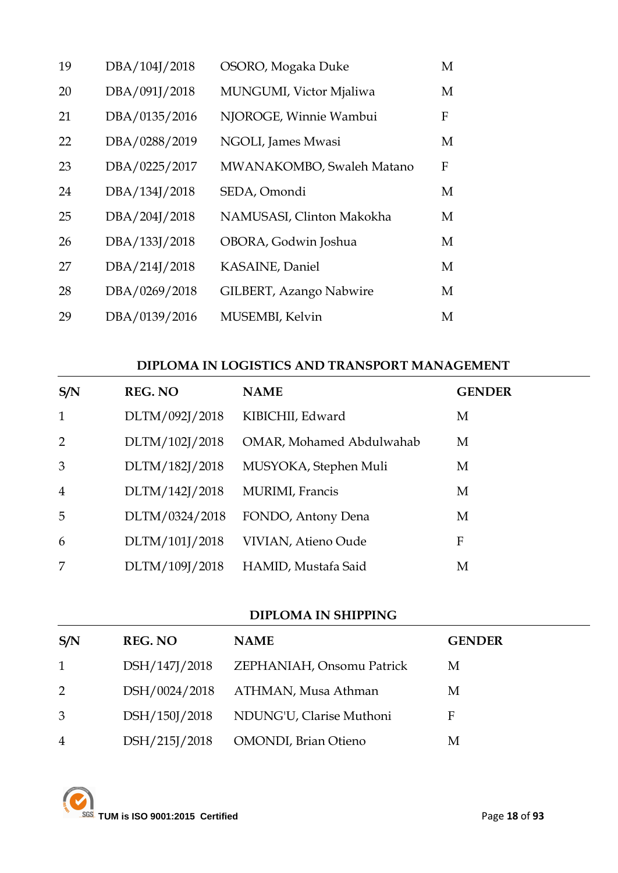| 19 | DBA/104J/2018 | OSORO, Mogaka Duke        | M |
|----|---------------|---------------------------|---|
| 20 | DBA/091J/2018 | MUNGUMI, Victor Mjaliwa   | M |
| 21 | DBA/0135/2016 | NJOROGE, Winnie Wambui    | F |
| 22 | DBA/0288/2019 | NGOLI, James Mwasi        | М |
| 23 | DBA/0225/2017 | MWANAKOMBO, Swaleh Matano | F |
| 24 | DBA/134J/2018 | SEDA, Omondi              | М |
| 25 | DBA/204J/2018 | NAMUSASI, Clinton Makokha | M |
| 26 | DBA/133J/2018 | OBORA, Godwin Joshua      | М |
| 27 | DBA/214J/2018 | KASAINE, Daniel           | M |
| 28 | DBA/0269/2018 | GILBERT, Azango Nabwire   | М |
| 29 | DBA/0139/2016 | MUSEMBI, Kelvin           | М |

### **DIPLOMA IN LOGISTICS AND TRANSPORT MANAGEMENT**

| S/N            | <b>REG. NO</b> | <b>NAME</b>              | <b>GENDER</b> |
|----------------|----------------|--------------------------|---------------|
| $\mathbf{1}$   | DLTM/092J/2018 | KIBICHII, Edward         | M             |
| 2              | DLTM/102J/2018 | OMAR, Mohamed Abdulwahab | M             |
| 3              | DLTM/182J/2018 | MUSYOKA, Stephen Muli    | M             |
| $\overline{4}$ | DLTM/142J/2018 | MURIMI, Francis          | M             |
| 5              | DLTM/0324/2018 | FONDO, Antony Dena       | M             |
| 6              | DLTM/101J/2018 | VIVIAN, Atieno Oude      | F             |
| 7              | DLTM/109J/2018 | HAMID, Mustafa Said      | M             |

#### **DIPLOMA IN SHIPPING**

| S/N            | <b>REG. NO</b> | <b>NAME</b>                  | <b>GENDER</b> |
|----------------|----------------|------------------------------|---------------|
| $\mathbf{1}$   | DSH/147J/2018  | ZEPHANIAH, Onsomu Patrick    | M             |
| $\overline{2}$ | DSH/0024/2018  | ATHMAN, Musa Athman          | М             |
| 3              | DSH/150J/2018  | NDUNG'U, Clarise Muthoni     | F             |
| $\overline{4}$ | DSH/215J/2018  | <b>OMONDI</b> , Brian Otieno | М             |

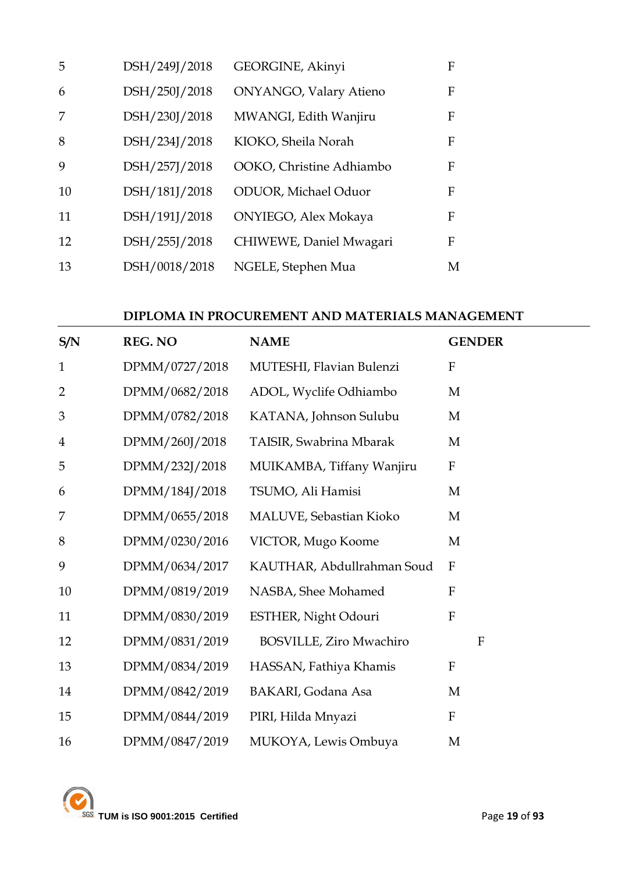| 5  | DSH/249J/2018 | GEORGINE, Akinyi            | F            |
|----|---------------|-----------------------------|--------------|
| 6  | DSH/250J/2018 | ONYANGO, Valary Atieno      | F            |
|    | DSH/230J/2018 | MWANGI, Edith Wanjiru       | F            |
| 8  | DSH/234J/2018 | KIOKO, Sheila Norah         | F            |
| 9  | DSH/257J/2018 | OOKO, Christine Adhiambo    | $\mathbf{F}$ |
| 10 | DSH/181J/2018 | <b>ODUOR, Michael Oduor</b> | F            |
| 11 | DSH/191J/2018 | ONYIEGO, Alex Mokaya        | F            |
| 12 | DSH/255J/2018 | CHIWEWE, Daniel Mwagari     | F            |
| 13 | DSH/0018/2018 | NGELE, Stephen Mua          | M            |

### **DIPLOMA IN PROCUREMENT AND MATERIALS MANAGEMENT**

| S/N            | <b>REG. NO</b> | <b>NAME</b>                    | <b>GENDER</b>             |
|----------------|----------------|--------------------------------|---------------------------|
| $\mathbf{1}$   | DPMM/0727/2018 | MUTESHI, Flavian Bulenzi       | $\boldsymbol{\mathrm{F}}$ |
| $\overline{2}$ | DPMM/0682/2018 | ADOL, Wyclife Odhiambo         | M                         |
| 3              | DPMM/0782/2018 | KATANA, Johnson Sulubu         | M                         |
| $\overline{4}$ | DPMM/260J/2018 | TAISIR, Swabrina Mbarak        | M                         |
| 5              | DPMM/232J/2018 | MUIKAMBA, Tiffany Wanjiru      | ${\bf F}$                 |
| 6              | DPMM/184J/2018 | TSUMO, Ali Hamisi              | M                         |
| 7              | DPMM/0655/2018 | MALUVE, Sebastian Kioko        | M                         |
| 8              | DPMM/0230/2016 | VICTOR, Mugo Koome             | M                         |
| 9              | DPMM/0634/2017 | KAUTHAR, Abdullrahman Soud     | $\mathbf{F}$              |
| 10             | DPMM/0819/2019 | NASBA, Shee Mohamed            | $\boldsymbol{\mathrm{F}}$ |
| 11             | DPMM/0830/2019 | ESTHER, Night Odouri           | $\mathbf{F}$              |
| 12             | DPMM/0831/2019 | <b>BOSVILLE, Ziro Mwachiro</b> | $\mathbf{F}$              |
| 13             | DPMM/0834/2019 | HASSAN, Fathiya Khamis         | $\mathbf{F}$              |
| 14             | DPMM/0842/2019 | BAKARI, Godana Asa             | M                         |
| 15             | DPMM/0844/2019 | PIRI, Hilda Mnyazi             | $\boldsymbol{\mathrm{F}}$ |
| 16             | DPMM/0847/2019 | MUKOYA, Lewis Ombuya           | M                         |

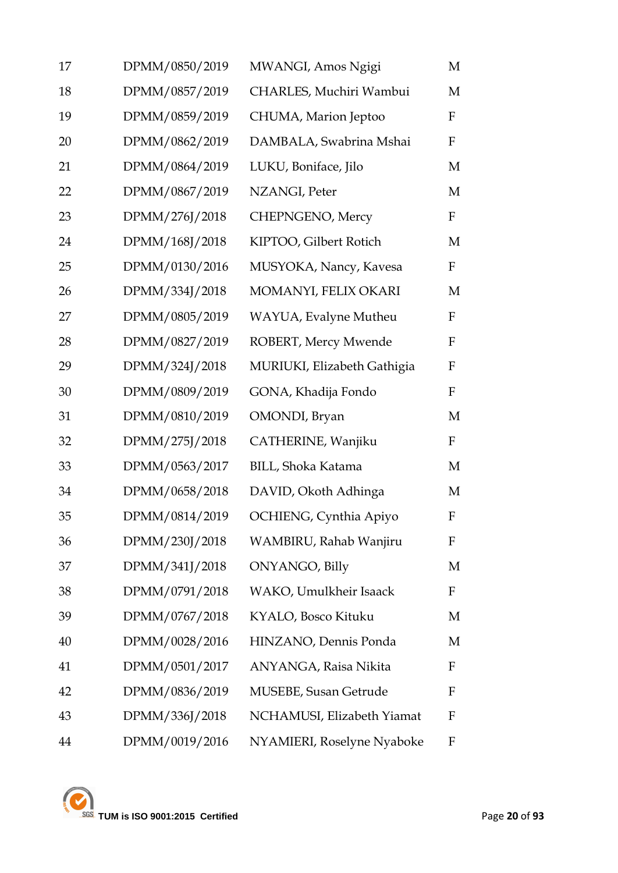| 17 | DPMM/0850/2019 | MWANGI, Amos Ngigi          | M                         |
|----|----------------|-----------------------------|---------------------------|
| 18 | DPMM/0857/2019 | CHARLES, Muchiri Wambui     | M                         |
| 19 | DPMM/0859/2019 | CHUMA, Marion Jeptoo        | $\boldsymbol{\mathrm{F}}$ |
| 20 | DPMM/0862/2019 | DAMBALA, Swabrina Mshai     | $\mathbf F$               |
| 21 | DPMM/0864/2019 | LUKU, Boniface, Jilo        | M                         |
| 22 | DPMM/0867/2019 | NZANGI, Peter               | M                         |
| 23 | DPMM/276J/2018 | CHEPNGENO, Mercy            | F                         |
| 24 | DPMM/168J/2018 | KIPTOO, Gilbert Rotich      | M                         |
| 25 | DPMM/0130/2016 | MUSYOKA, Nancy, Kavesa      | $\mathbf F$               |
| 26 | DPMM/334J/2018 | MOMANYI, FELIX OKARI        | M                         |
| 27 | DPMM/0805/2019 | WAYUA, Evalyne Mutheu       | $\mathbf F$               |
| 28 | DPMM/0827/2019 | ROBERT, Mercy Mwende        | $\mathbf F$               |
| 29 | DPMM/324J/2018 | MURIUKI, Elizabeth Gathigia | $\mathbf F$               |
| 30 | DPMM/0809/2019 | GONA, Khadija Fondo         | $\mathbf F$               |
| 31 | DPMM/0810/2019 | OMONDI, Bryan               | M                         |
| 32 | DPMM/275J/2018 | CATHERINE, Wanjiku          | $\mathbf F$               |
| 33 | DPMM/0563/2017 | BILL, Shoka Katama          | M                         |
| 34 | DPMM/0658/2018 | DAVID, Okoth Adhinga        | M                         |
| 35 | DPMM/0814/2019 | OCHIENG, Cynthia Apiyo      | $\mathbf F$               |
| 36 | DPMM/230J/2018 | WAMBIRU, Rahab Wanjiru      | F                         |
| 37 | DPMM/341J/2018 | ONYANGO, Billy              | M                         |
| 38 | DPMM/0791/2018 | WAKO, Umulkheir Isaack      | F                         |
| 39 | DPMM/0767/2018 | KYALO, Bosco Kituku         | M                         |
| 40 | DPMM/0028/2016 | HINZANO, Dennis Ponda       | M                         |
| 41 | DPMM/0501/2017 | ANYANGA, Raisa Nikita       | F                         |
| 42 | DPMM/0836/2019 | MUSEBE, Susan Getrude       | F                         |
| 43 | DPMM/336J/2018 | NCHAMUSI, Elizabeth Yiamat  | F                         |
| 44 | DPMM/0019/2016 | NYAMIERI, Roselyne Nyaboke  | F                         |

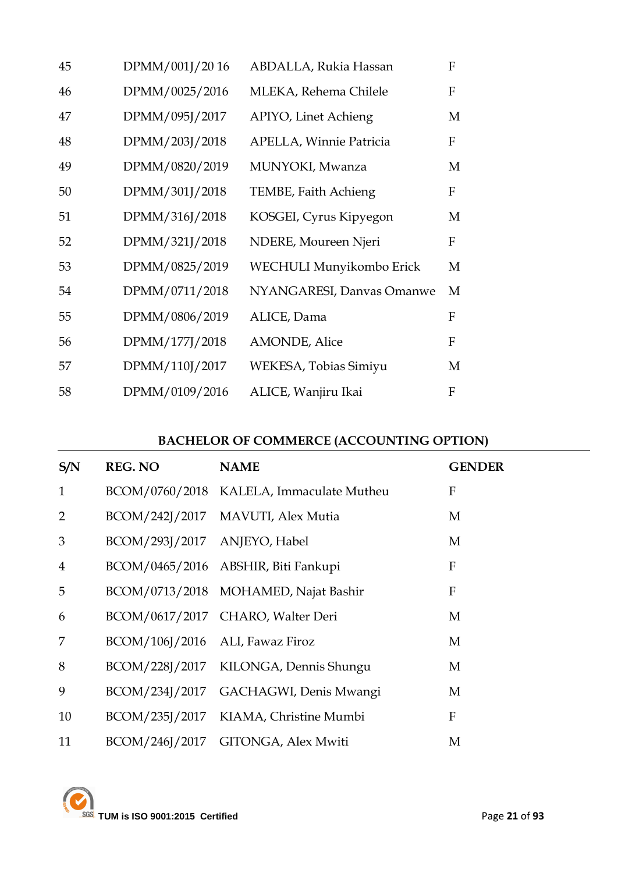| 45 | DPMM/001J/2016 | ABDALLA, Rukia Hassan          | $\mathbf F$ |
|----|----------------|--------------------------------|-------------|
| 46 | DPMM/0025/2016 | MLEKA, Rehema Chilele          | F           |
| 47 | DPMM/095J/2017 | APIYO, Linet Achieng           | M           |
| 48 | DPMM/203J/2018 | <b>APELLA, Winnie Patricia</b> | F           |
| 49 | DPMM/0820/2019 | MUNYOKI, Mwanza                | M           |
| 50 | DPMM/301J/2018 | TEMBE, Faith Achieng           | $\mathbf F$ |
| 51 | DPMM/316J/2018 | KOSGEI, Cyrus Kipyegon         | M           |
| 52 | DPMM/321J/2018 | NDERE, Moureen Njeri           | F           |
| 53 | DPMM/0825/2019 | WECHULI Munyikombo Erick       | M           |
| 54 | DPMM/0711/2018 | NYANGARESI, Danvas Omanwe      | M           |
| 55 | DPMM/0806/2019 | ALICE, Dama                    | F           |
| 56 | DPMM/177J/2018 | <b>AMONDE, Alice</b>           | $\mathbf F$ |
| 57 | DPMM/110J/2017 | WEKESA, Tobias Simiyu          | M           |
| 58 | DPMM/0109/2016 | ALICE, Wanjiru Ikai            | F           |

## **BACHELOR OF COMMERCE (ACCOUNTING OPTION)**

| S/N            | <b>REG. NO</b>                  | <b>NAME</b>                              | <b>GENDER</b> |
|----------------|---------------------------------|------------------------------------------|---------------|
| $\mathbf{1}$   |                                 | BCOM/0760/2018 KALELA, Immaculate Mutheu | F             |
| $\overline{2}$ |                                 | BCOM/242J/2017 MAVUTI, Alex Mutia        | M             |
| 3              | BCOM/293J/2017 ANJEYO, Habel    |                                          | M             |
| $\overline{4}$ |                                 | BCOM/0465/2016 ABSHIR, Biti Fankupi      | ${\bf F}$     |
| 5              |                                 | BCOM/0713/2018 MOHAMED, Najat Bashir     | $\mathbf{F}$  |
| 6              |                                 | BCOM/0617/2017 CHARO, Walter Deri        | M             |
| 7              | BCOM/106J/2016 ALI, Fawaz Firoz |                                          | M             |
| 8              |                                 | BCOM/228J/2017 KILONGA, Dennis Shungu    | M             |
| 9              |                                 | BCOM/234J/2017 GACHAGWI, Denis Mwangi    | M             |
| 10             |                                 | BCOM/235J/2017 KIAMA, Christine Mumbi    | $\mathbf{F}$  |
| 11             |                                 | BCOM/246J/2017 GITONGA, Alex Mwiti       | M             |

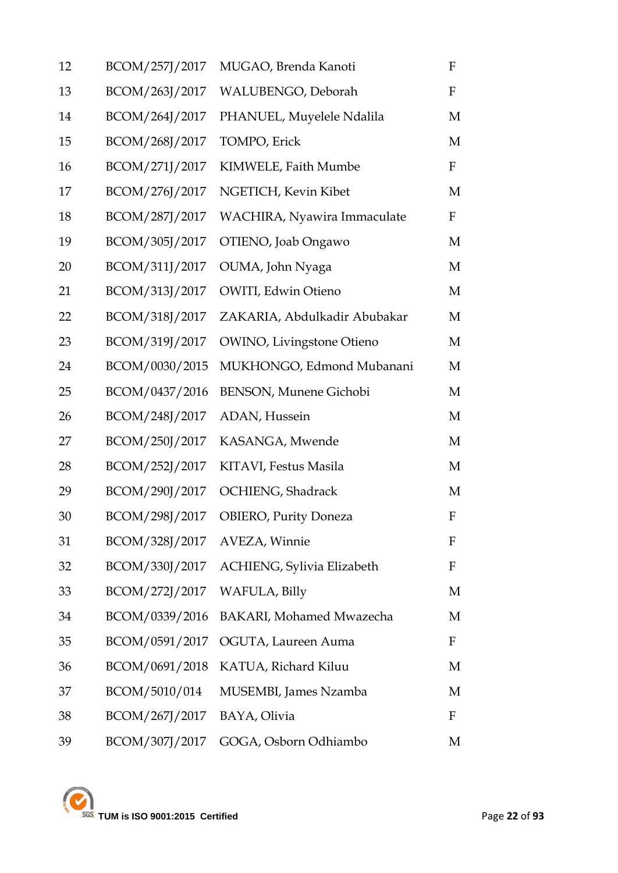| 12 | BCOM/257J/2017               | MUGAO, Brenda Kanoti              | ${\bf F}$                 |
|----|------------------------------|-----------------------------------|---------------------------|
| 13 | BCOM/263J/2017               | WALUBENGO, Deborah                | $\mathbf F$               |
| 14 | BCOM/264J/2017               | PHANUEL, Muyelele Ndalila         | M                         |
| 15 | BCOM/268J/2017               | TOMPO, Erick                      | M                         |
| 16 | BCOM/271J/2017               | KIMWELE, Faith Mumbe              | $\mathbf F$               |
| 17 | BCOM/276J/2017               | NGETICH, Kevin Kibet              | M                         |
| 18 | BCOM/287J/2017               | WACHIRA, Nyawira Immaculate       | $\mathbf F$               |
| 19 | BCOM/305J/2017               | OTIENO, Joab Ongawo               | M                         |
| 20 | BCOM/311J/2017               | OUMA, John Nyaga                  | M                         |
| 21 | BCOM/313J/2017               | OWITI, Edwin Otieno               | M                         |
| 22 | BCOM/318J/2017               | ZAKARIA, Abdulkadir Abubakar      | М                         |
| 23 | BCOM/319J/2017               | <b>OWINO</b> , Livingstone Otieno | M                         |
| 24 | BCOM/0030/2015               | MUKHONGO, Edmond Mubanani         | M                         |
| 25 | BCOM/0437/2016               | <b>BENSON, Munene Gichobi</b>     | M                         |
| 26 | BCOM/248J/2017               | ADAN, Hussein                     | M                         |
| 27 | BCOM/250J/2017               | KASANGA, Mwende                   | M                         |
| 28 | BCOM/252J/2017               | KITAVI, Festus Masila             | M                         |
| 29 | BCOM/290J/2017               | OCHIENG, Shadrack                 | M                         |
| 30 | BCOM/298J/2017               | <b>OBIERO, Purity Doneza</b>      | $\boldsymbol{\mathrm{F}}$ |
| 31 | BCOM/328J/2017 AVEZA, Winnie |                                   | F                         |
| 32 | BCOM/330J/2017               | ACHIENG, Sylivia Elizabeth        | F                         |
| 33 | BCOM/272J/2017               | WAFULA, Billy                     | M                         |
| 34 | BCOM/0339/2016               | BAKARI, Mohamed Mwazecha          | M                         |
| 35 | BCOM/0591/2017               | OGUTA, Laureen Auma               | F                         |
| 36 | BCOM/0691/2018               | KATUA, Richard Kiluu              | M                         |
| 37 | BCOM/5010/014                | MUSEMBI, James Nzamba             | M                         |
| 38 | BCOM/267J/2017               | BAYA, Olivia                      | F                         |
| 39 | BCOM/307J/2017               | GOGA, Osborn Odhiambo             | М                         |

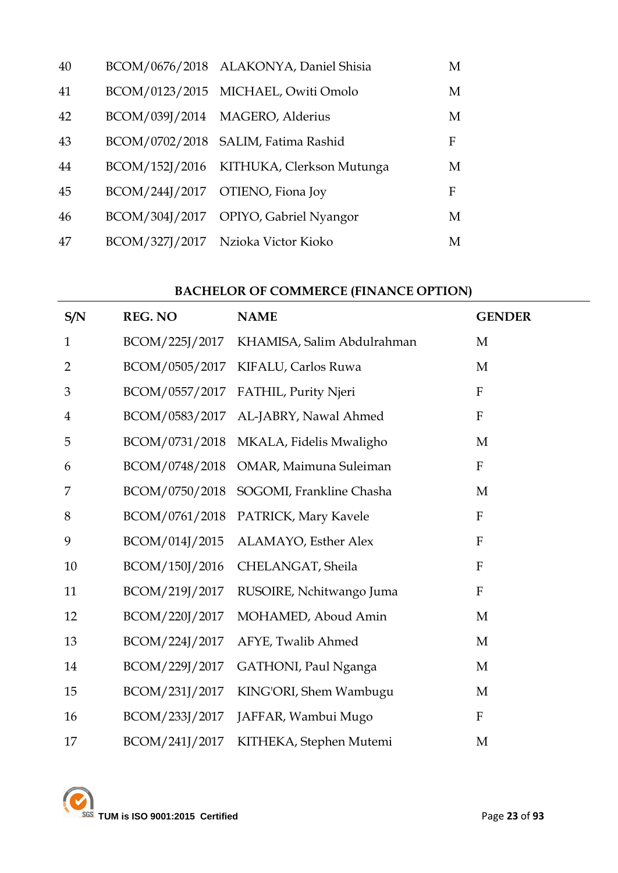| 40 | BCOM/0676/2018 ALAKONYA, Daniel Shisia   | M |
|----|------------------------------------------|---|
| 41 | BCOM/0123/2015 MICHAEL, Owiti Omolo      | M |
| 42 | BCOM/039J/2014 MAGERO, Alderius          | M |
| 43 | BCOM/0702/2018 SALIM, Fatima Rashid      | F |
| 44 | BCOM/152J/2016 KITHUKA, Clerkson Mutunga | M |
| 45 | BCOM/244J/2017 OTIENO, Fiona Joy         | F |
| 46 | BCOM/304J/2017 OPIYO, Gabriel Nyangor    | M |
| 47 | BCOM/327J/2017 Nzioka Victor Kioko       | M |

## **BACHELOR OF COMMERCE (FINANCE OPTION)**

| S/N            | REG. NO        | <b>NAME</b>                | <b>GENDER</b>             |
|----------------|----------------|----------------------------|---------------------------|
| $\mathbf{1}$   | BCOM/225J/2017 | KHAMISA, Salim Abdulrahman | M                         |
| $\overline{2}$ | BCOM/0505/2017 | KIFALU, Carlos Ruwa        | M                         |
| 3              | BCOM/0557/2017 | FATHIL, Purity Njeri       | ${\bf F}$                 |
| $\overline{4}$ | BCOM/0583/2017 | AL-JABRY, Nawal Ahmed      | $\rm F$                   |
| 5              | BCOM/0731/2018 | MKALA, Fidelis Mwaligho    | M                         |
| 6              | BCOM/0748/2018 | OMAR, Maimuna Suleiman     | $\boldsymbol{\mathrm{F}}$ |
| 7              | BCOM/0750/2018 | SOGOMI, Frankline Chasha   | M                         |
| 8              | BCOM/0761/2018 | PATRICK, Mary Kavele       | ${\bf F}$                 |
| 9              | BCOM/014J/2015 | ALAMAYO, Esther Alex       | $\rm F$                   |
| 10             | BCOM/150J/2016 | CHELANGAT, Sheila          | $\rm F$                   |
| 11             | BCOM/219J/2017 | RUSOIRE, Nchitwango Juma   | $\boldsymbol{\mathrm{F}}$ |
| 12             | BCOM/220J/2017 | MOHAMED, Aboud Amin        | M                         |
| 13             | BCOM/224J/2017 | AFYE, Twalib Ahmed         | M                         |
| 14             | BCOM/229J/2017 | GATHONI, Paul Nganga       | M                         |
| 15             | BCOM/231J/2017 | KING'ORI, Shem Wambugu     | M                         |
| 16             | BCOM/233J/2017 | JAFFAR, Wambui Mugo        | $\mathbf{F}$              |
| 17             | BCOM/241J/2017 | KITHEKA, Stephen Mutemi    | M                         |

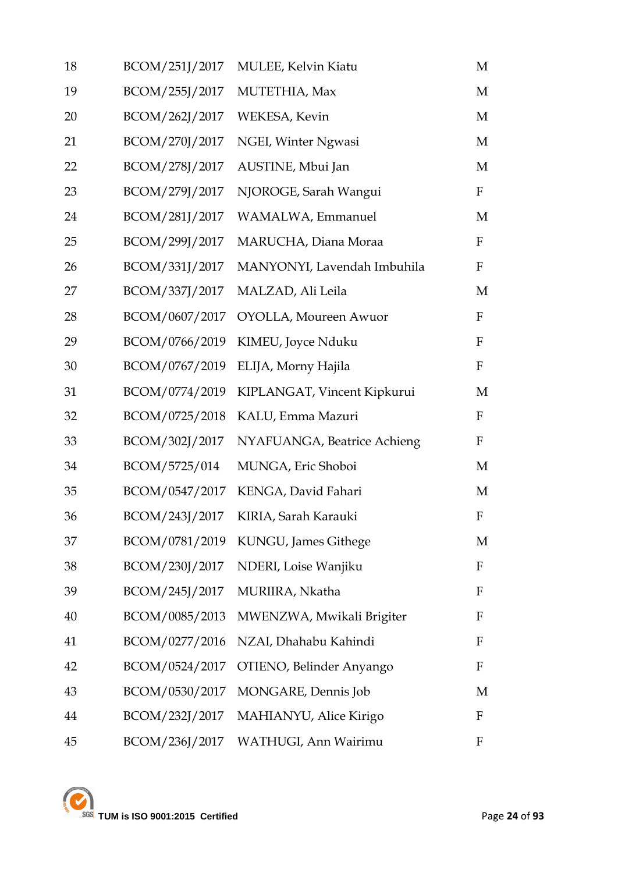| 18 | BCOM/251J/2017 | <b>MULEE, Kelvin Kiatu</b>            | M            |
|----|----------------|---------------------------------------|--------------|
| 19 | BCOM/255J/2017 | MUTETHIA, Max                         | M            |
| 20 | BCOM/262J/2017 | WEKESA, Kevin                         | M            |
| 21 | BCOM/270J/2017 | NGEI, Winter Ngwasi                   | M            |
| 22 | BCOM/278J/2017 | AUSTINE, Mbui Jan                     | M            |
| 23 | BCOM/279J/2017 | NJOROGE, Sarah Wangui                 | $\mathbf{F}$ |
| 24 | BCOM/281J/2017 | WAMALWA, Emmanuel                     | M            |
| 25 | BCOM/299J/2017 | MARUCHA, Diana Moraa                  | $\mathbf{F}$ |
| 26 | BCOM/331J/2017 | MANYONYI, Lavendah Imbuhila           | $\mathbf{F}$ |
| 27 | BCOM/337J/2017 | MALZAD, Ali Leila                     | M            |
| 28 | BCOM/0607/2017 | OYOLLA, Moureen Awuor                 | $\mathbf{F}$ |
| 29 | BCOM/0766/2019 | KIMEU, Joyce Nduku                    | $\mathbf F$  |
| 30 | BCOM/0767/2019 | ELIJA, Morny Hajila                   | $\mathbf{F}$ |
| 31 | BCOM/0774/2019 | KIPLANGAT, Vincent Kipkurui           | M            |
| 32 | BCOM/0725/2018 | KALU, Emma Mazuri                     | $\mathbf{F}$ |
| 33 | BCOM/302J/2017 | NYAFUANGA, Beatrice Achieng           | $\mathbf{F}$ |
| 34 | BCOM/5725/014  | MUNGA, Eric Shoboi                    | M            |
| 35 | BCOM/0547/2017 | KENGA, David Fahari                   | M            |
| 36 | BCOM/243J/2017 | KIRIA, Sarah Karauki                  | $\mathbf F$  |
| 37 |                | BCOM/0781/2019 KUNGU, James Githege   | M            |
| 38 |                | BCOM/230J/2017 NDERI, Loise Wanjiku   | $\mathbf{F}$ |
| 39 | BCOM/245J/2017 | MURIIRA, Nkatha                       | F            |
| 40 | BCOM/0085/2013 | MWENZWA, Mwikali Brigiter             | F            |
| 41 | BCOM/0277/2016 | NZAI, Dhahabu Kahindi                 | F            |
| 42 | BCOM/0524/2017 | OTIENO, Belinder Anyango              | F            |
| 43 | BCOM/0530/2017 | MONGARE, Dennis Job                   | M            |
| 44 |                | BCOM/232J/2017 MAHIANYU, Alice Kirigo | F            |
| 45 | BCOM/236J/2017 | WATHUGI, Ann Wairimu                  | F            |

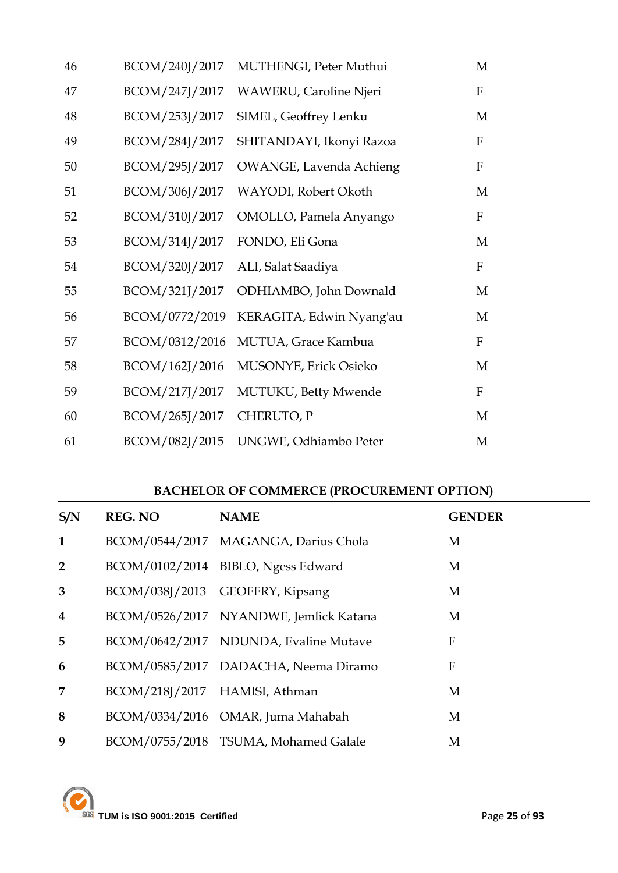| 46 | BCOM/240J/2017 | MUTHENGI, Peter Muthui         | M                |
|----|----------------|--------------------------------|------------------|
| 47 | BCOM/247J/2017 | <b>WAWERU, Caroline Njeri</b>  | $\mathbf{F}$     |
| 48 | BCOM/253J/2017 | SIMEL, Geoffrey Lenku          | M                |
| 49 | BCOM/284J/2017 | SHITANDAYI, Ikonyi Razoa       | $\rm F$          |
| 50 | BCOM/295J/2017 | <b>OWANGE, Lavenda Achieng</b> | $\boldsymbol{F}$ |
| 51 | BCOM/306J/2017 | WAYODI, Robert Okoth           | M                |
| 52 | BCOM/310J/2017 | OMOLLO, Pamela Anyango         | $\rm F$          |
| 53 | BCOM/314J/2017 | FONDO, Eli Gona                | M                |
| 54 | BCOM/320J/2017 | ALI, Salat Saadiya             | $\rm F$          |
| 55 | BCOM/321J/2017 | ODHIAMBO, John Downald         | M                |
| 56 | BCOM/0772/2019 | KERAGITA, Edwin Nyang'au       | M                |
| 57 | BCOM/0312/2016 | MUTUA, Grace Kambua            | $\rm F$          |
| 58 | BCOM/162J/2016 | MUSONYE, Erick Osieko          | M                |
| 59 | BCOM/217J/2017 | MUTUKU, Betty Mwende           | $\rm F$          |
| 60 | BCOM/265J/2017 | CHERUTO, P                     | M                |
| 61 | BCOM/082J/2015 | UNGWE, Odhiambo Peter          | M                |

### **BACHELOR OF COMMERCE (PROCUREMENT OPTION)**

| S/N                     | <b>REG. NO</b>                | <b>NAME</b>                            | <b>GENDER</b> |
|-------------------------|-------------------------------|----------------------------------------|---------------|
| $\mathbf{1}$            |                               | BCOM/0544/2017 MAGANGA, Darius Chola   | M             |
| $2^{\circ}$             |                               | BCOM/0102/2014 BIBLO, Ngess Edward     | M             |
| 3                       |                               | BCOM/038J/2013 GEOFFRY, Kipsang        | M             |
| $\overline{\mathbf{4}}$ |                               | BCOM/0526/2017 NYANDWE, Jemlick Katana | M             |
| 5 <sup>5</sup>          |                               | BCOM/0642/2017 NDUNDA, Evaline Mutave  | F             |
| 6                       |                               | BCOM/0585/2017 DADACHA, Neema Diramo   | F             |
| 7                       | BCOM/218J/2017 HAMISI, Athman |                                        | M             |
| 8                       |                               | BCOM/0334/2016 OMAR, Juma Mahabah      | M             |
| 9                       |                               | BCOM/0755/2018 TSUMA, Mohamed Galale   | M             |

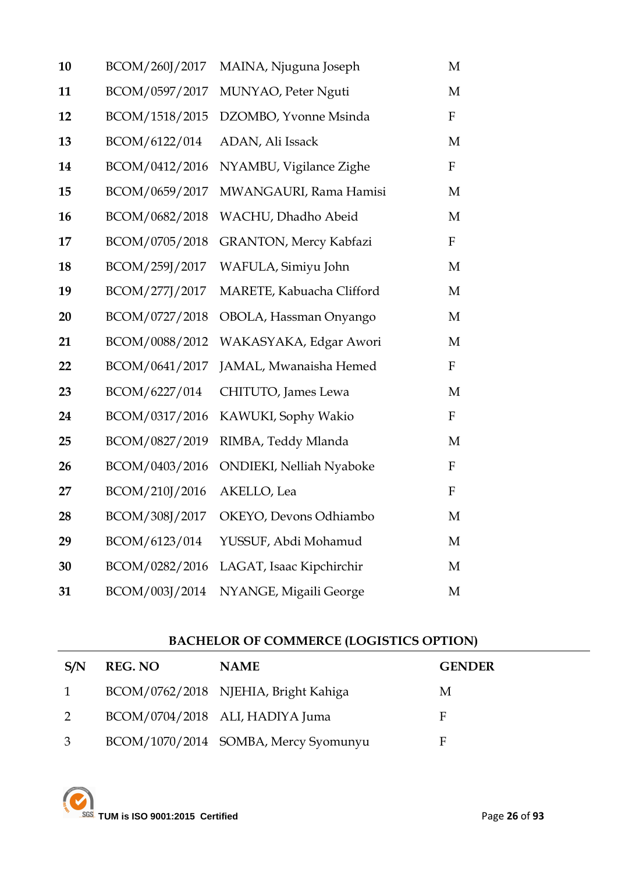| 10 | BCOM/260J/2017 | MAINA, Njuguna Joseph           | M                |
|----|----------------|---------------------------------|------------------|
| 11 | BCOM/0597/2017 | MUNYAO, Peter Nguti             | M                |
| 12 | BCOM/1518/2015 | DZOMBO, Yvonne Msinda           | F                |
| 13 | BCOM/6122/014  | ADAN, Ali Issack                | M                |
| 14 | BCOM/0412/2016 | NYAMBU, Vigilance Zighe         | F                |
| 15 | BCOM/0659/2017 | MWANGAURI, Rama Hamisi          | M                |
| 16 | BCOM/0682/2018 | WACHU, Dhadho Abeid             | M                |
| 17 | BCOM/0705/2018 | <b>GRANTON, Mercy Kabfazi</b>   | F                |
| 18 | BCOM/259J/2017 | WAFULA, Simiyu John             | M                |
| 19 | BCOM/277J/2017 | MARETE, Kabuacha Clifford       | M                |
| 20 | BCOM/0727/2018 | OBOLA, Hassman Onyango          | M                |
| 21 | BCOM/0088/2012 | WAKASYAKA, Edgar Awori          | M                |
| 22 | BCOM/0641/2017 | JAMAL, Mwanaisha Hemed          | F                |
| 23 | BCOM/6227/014  | CHITUTO, James Lewa             | M                |
| 24 | BCOM/0317/2016 | KAWUKI, Sophy Wakio             | F                |
| 25 | BCOM/0827/2019 | RIMBA, Teddy Mlanda             | M                |
| 26 | BCOM/0403/2016 | <b>ONDIEKI, Nelliah Nyaboke</b> | $\mathbf F$      |
| 27 | BCOM/210J/2016 | AKELLO, Lea                     | $\boldsymbol{F}$ |
| 28 | BCOM/308J/2017 | OKEYO, Devons Odhiambo          | M                |
| 29 | BCOM/6123/014  | YUSSUF, Abdi Mohamud            | M                |
| 30 | BCOM/0282/2016 | LAGAT, Isaac Kipchirchir        | M                |
| 31 | BCOM/003J/2014 | NYANGE, Migaili George          | M                |

## **BACHELOR OF COMMERCE (LOGISTICS OPTION)**

| S/N            | <b>REG. NO</b> | <b>NAME</b>                          | <b>GENDER</b> |
|----------------|----------------|--------------------------------------|---------------|
| $\mathbf{1}$   |                | BCOM/0762/2018 NJEHIA, Bright Kahiga | М             |
| 2              |                | BCOM/0704/2018 ALI, HADIYA Juma      | F             |
| $\mathfrak{Z}$ |                | BCOM/1070/2014 SOMBA, Mercy Syomunyu | F             |

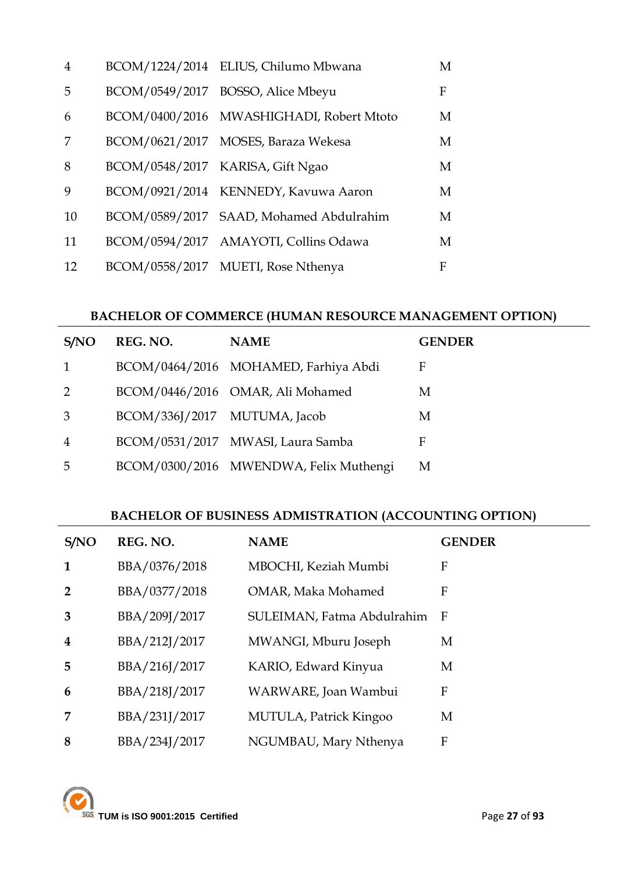| $\overline{4}$ | BCOM/1224/2014 ELIUS, Chilumo Mbwana     | M |
|----------------|------------------------------------------|---|
| 5              | BCOM/0549/2017 BOSSO, Alice Mbeyu        | F |
| 6              | BCOM/0400/2016 MWASHIGHADI, Robert Mtoto | M |
| 7              | BCOM/0621/2017 MOSES, Baraza Wekesa      | M |
| 8              | BCOM/0548/2017 KARISA, Gift Ngao         | M |
| 9              | BCOM/0921/2014 KENNEDY, Kavuwa Aaron     | M |
| 10             | BCOM/0589/2017 SAAD, Mohamed Abdulrahim  | M |
| 11             | BCOM/0594/2017 AMAYOTI, Collins Odawa    | M |
| 12             | BCOM/0558/2017 MUETI, Rose Nthenya       | F |

### **BACHELOR OF COMMERCE (HUMAN RESOURCE MANAGEMENT OPTION)**

| S/NO           | REG. NO.                     | <b>NAME</b>                            | <b>GENDER</b> |
|----------------|------------------------------|----------------------------------------|---------------|
|                |                              | BCOM/0464/2016 MOHAMED, Farhiya Abdi   | F             |
| $\mathcal{P}$  |                              | BCOM/0446/2016 OMAR, Ali Mohamed       | M             |
| 3              | BCOM/336J/2017 MUTUMA, Jacob |                                        | М             |
| $\overline{4}$ |                              | BCOM/0531/2017 MWASI, Laura Samba      | F             |
| 5              |                              | BCOM/0300/2016 MWENDWA, Felix Muthengi | M             |

#### **BACHELOR OF BUSINESS ADMISTRATION (ACCOUNTING OPTION)**

| S/NO                    | REG. NO.      | <b>NAME</b>                | <b>GENDER</b> |
|-------------------------|---------------|----------------------------|---------------|
| $\mathbf{1}$            | BBA/0376/2018 | MBOCHI, Keziah Mumbi       | F             |
| $\overline{2}$          | BBA/0377/2018 | OMAR, Maka Mohamed         | F             |
| 3                       | BBA/209J/2017 | SULEIMAN, Fatma Abdulrahim | - F           |
| $\overline{\mathbf{4}}$ | BBA/212J/2017 | MWANGI, Mburu Joseph       | М             |
| 5                       | BBA/216J/2017 | KARIO, Edward Kinyua       | M             |
| 6                       | BBA/218J/2017 | WARWARE, Joan Wambui       | F             |
| 7                       | BBA/231J/2017 | MUTULA, Patrick Kingoo     | М             |
| 8                       | BBA/234J/2017 | NGUMBAU, Mary Nthenya      | F             |

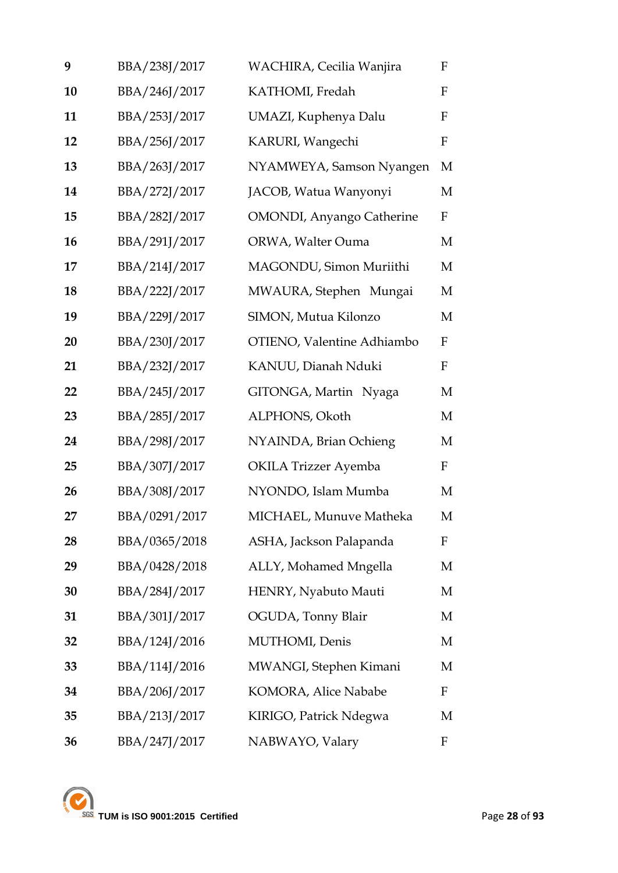| 9  | BBA/238J/2017 | WACHIRA, Cecilia Wanjira          | F            |
|----|---------------|-----------------------------------|--------------|
| 10 | BBA/246J/2017 | KATHOMI, Fredah                   | F            |
| 11 | BBA/253J/2017 | UMAZI, Kuphenya Dalu              | F            |
| 12 | BBA/256J/2017 | KARURI, Wangechi                  | $\mathbf F$  |
| 13 | BBA/263J/2017 | NYAMWEYA, Samson Nyangen          | M            |
| 14 | BBA/272J/2017 | JACOB, Watua Wanyonyi             | M            |
| 15 | BBA/282J/2017 | <b>OMONDI</b> , Anyango Catherine | F            |
| 16 | BBA/291J/2017 | ORWA, Walter Ouma                 | M            |
| 17 | BBA/214J/2017 | MAGONDU, Simon Muriithi           | M            |
| 18 | BBA/222J/2017 | MWAURA, Stephen Mungai            | M            |
| 19 | BBA/229J/2017 | SIMON, Mutua Kilonzo              | M            |
| 20 | BBA/230J/2017 | OTIENO, Valentine Adhiambo        | F            |
| 21 | BBA/232J/2017 | KANUU, Dianah Nduki               | F            |
| 22 | BBA/245J/2017 | GITONGA, Martin Nyaga             | M            |
| 23 | BBA/285J/2017 | ALPHONS, Okoth                    | M            |
| 24 | BBA/298J/2017 | NYAINDA, Brian Ochieng            | M            |
| 25 | BBA/307J/2017 | <b>OKILA Trizzer Ayemba</b>       | $\mathbf{F}$ |
| 26 | BBA/308J/2017 | NYONDO, Islam Mumba               | M            |
| 27 | BBA/0291/2017 | MICHAEL, Munuve Matheka           | М            |
| 28 | BBA/0365/2018 | ASHA, Jackson Palapanda           | F            |
| 29 | BBA/0428/2018 | ALLY, Mohamed Mngella             | М            |
| 30 | BBA/284J/2017 | HENRY, Nyabuto Mauti              | M            |
| 31 | BBA/301J/2017 | OGUDA, Tonny Blair                | M            |
| 32 | BBA/124J/2016 | MUTHOMI, Denis                    | M            |
| 33 | BBA/114J/2016 | MWANGI, Stephen Kimani            | М            |
| 34 | BBA/206J/2017 | KOMORA, Alice Nababe              | F            |
| 35 | BBA/213J/2017 | KIRIGO, Patrick Ndegwa            | М            |
| 36 | BBA/247J/2017 | NABWAYO, Valary                   | F            |

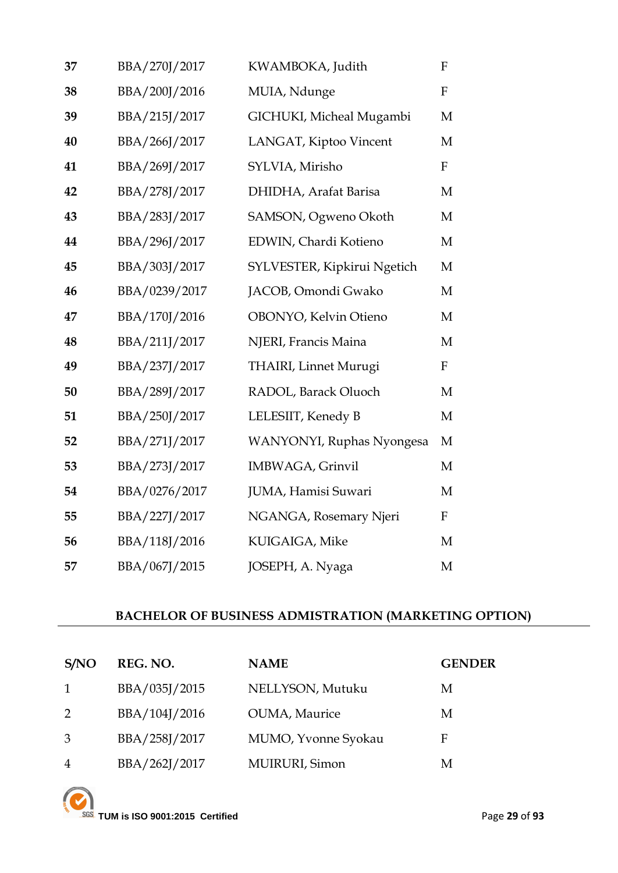| 37 | BBA/270J/2017 | KWAMBOKA, Judith              | F            |
|----|---------------|-------------------------------|--------------|
| 38 | BBA/200J/2016 | MUIA, Ndunge                  | $\mathbf F$  |
| 39 | BBA/215J/2017 | GICHUKI, Micheal Mugambi      | M            |
| 40 | BBA/266J/2017 | LANGAT, Kiptoo Vincent        | M            |
| 41 | BBA/269J/2017 | SYLVIA, Mirisho               | $\mathbf F$  |
| 42 | BBA/278J/2017 | DHIDHA, Arafat Barisa         | M            |
| 43 | BBA/283J/2017 | SAMSON, Ogweno Okoth          | M            |
| 44 | BBA/296J/2017 | EDWIN, Chardi Kotieno         | $\mathbf M$  |
| 45 | BBA/303J/2017 | SYLVESTER, Kipkirui Ngetich   | M            |
| 46 | BBA/0239/2017 | JACOB, Omondi Gwako           | M            |
| 47 | BBA/170J/2016 | OBONYO, Kelvin Otieno         | M            |
| 48 | BBA/211J/2017 | NJERI, Francis Maina          | M            |
| 49 | BBA/237J/2017 | <b>THAIRI</b> , Linnet Murugi | $\mathbf{F}$ |
| 50 | BBA/289J/2017 | RADOL, Barack Oluoch          | M            |
| 51 | BBA/250J/2017 | LELESIIT, Kenedy B            | M            |
| 52 | BBA/271J/2017 | WANYONYI, Ruphas Nyongesa     | M            |
| 53 | BBA/273J/2017 | IMBWAGA, Grinvil              | M            |
| 54 | BBA/0276/2017 | JUMA, Hamisi Suwari           | M            |
| 55 | BBA/227J/2017 | NGANGA, Rosemary Njeri        | $\mathbf F$  |
| 56 | BBA/118J/2016 | KUIGAIGA, Mike                | M            |
| 57 | BBA/067J/2015 | JOSEPH, A. Nyaga              | M            |

## **BACHELOR OF BUSINESS ADMISTRATION (MARKETING OPTION)**

| S/NO           | REG. NO.      | <b>NAME</b>         | <b>GENDER</b> |
|----------------|---------------|---------------------|---------------|
| 1              | BBA/035J/2015 | NELLYSON, Mutuku    | M             |
| 2              | BBA/104J/2016 | OUMA, Maurice       | M             |
| 3              | BBA/258J/2017 | MUMO, Yvonne Syokau | F             |
| $\overline{4}$ | BBA/262J/2017 | MUIRURI, Simon      | M             |

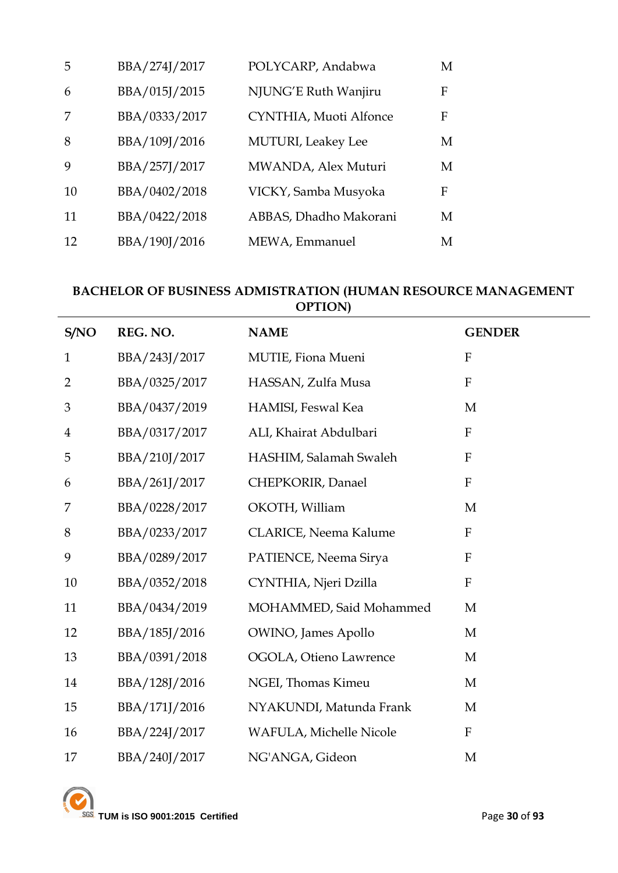| 5  | BBA/274J/2017 | POLYCARP, Andabwa          | М |
|----|---------------|----------------------------|---|
| 6  | BBA/015J/2015 | NJUNG'E Ruth Wanjiru       | F |
|    | BBA/0333/2017 | CYNTHIA, Muoti Alfonce     | F |
| 8  | BBA/109J/2016 | <b>MUTURI</b> , Leakey Lee | М |
| 9  | BBA/257J/2017 | MWANDA, Alex Muturi        | M |
| 10 | BBA/0402/2018 | VICKY, Samba Musyoka       | F |
| 11 | BBA/0422/2018 | ABBAS, Dhadho Makorani     | М |
| 12 | BBA/190J/2016 | MEWA, Emmanuel             | M |

#### **BACHELOR OF BUSINESS ADMISTRATION (HUMAN RESOURCE MANAGEMENT OPTION)**

| S/NO                    | REG. NO.      | <b>NAME</b>             | <b>GENDER</b>             |
|-------------------------|---------------|-------------------------|---------------------------|
| $\mathbf{1}$            | BBA/243J/2017 | MUTIE, Fiona Mueni      | $\mathbf{F}$              |
| $\overline{2}$          | BBA/0325/2017 | HASSAN, Zulfa Musa      | $\mathbf{F}$              |
| 3                       | BBA/0437/2019 | HAMISI, Feswal Kea      | M                         |
| $\overline{\mathbf{4}}$ | BBA/0317/2017 | ALI, Khairat Abdulbari  | ${\bf F}$                 |
| 5                       | BBA/210J/2017 | HASHIM, Salamah Swaleh  | $\mathbf{F}$              |
| 6                       | BBA/261J/2017 | CHEPKORIR, Danael       | ${\bf F}$                 |
| 7                       | BBA/0228/2017 | OKOTH, William          | M                         |
| $8\,$                   | BBA/0233/2017 | CLARICE, Neema Kalume   | $\boldsymbol{\mathrm{F}}$ |
| 9                       | BBA/0289/2017 | PATIENCE, Neema Sirya   | $\mathbf{F}$              |
| 10                      | BBA/0352/2018 | CYNTHIA, Njeri Dzilla   | $\mathbf{F}$              |
| 11                      | BBA/0434/2019 | MOHAMMED, Said Mohammed | M                         |
| 12                      | BBA/185J/2016 | OWINO, James Apollo     | $\mathbf{M}$              |
| 13                      | BBA/0391/2018 | OGOLA, Otieno Lawrence  | M                         |
| 14                      | BBA/128J/2016 | NGEI, Thomas Kimeu      | M                         |
| 15                      | BBA/171J/2016 | NYAKUNDI, Matunda Frank | M                         |
| 16                      | BBA/224J/2017 | WAFULA, Michelle Nicole | $\mathbf F$               |
| 17                      | BBA/240J/2017 | NG'ANGA, Gideon         | M                         |

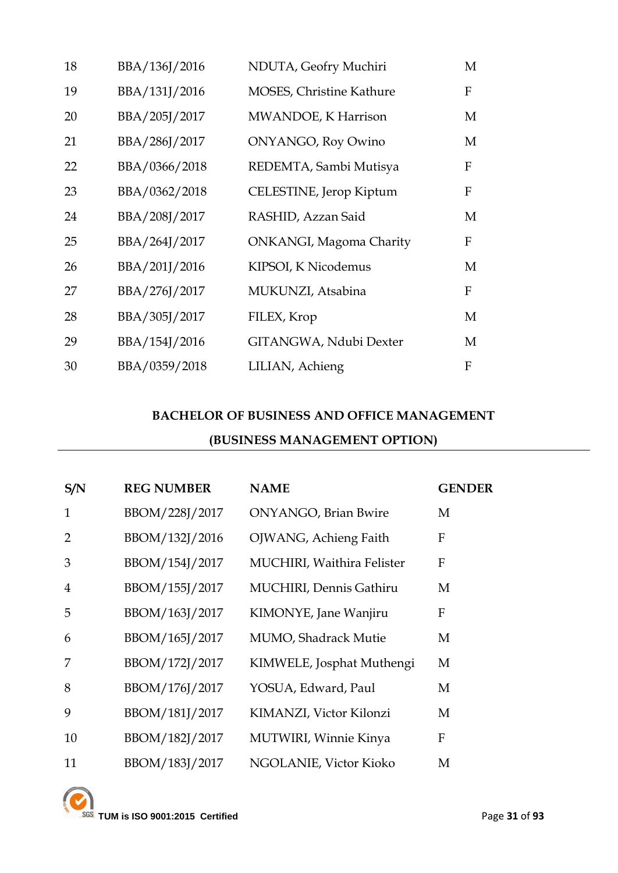| 18 | BBA/136J/2016 | NDUTA, Geofry Muchiri           | M            |
|----|---------------|---------------------------------|--------------|
| 19 | BBA/131J/2016 | <b>MOSES, Christine Kathure</b> | F            |
| 20 | BBA/205J/2017 | MWANDOE, K Harrison             | M            |
| 21 | BBA/286J/2017 | <b>ONYANGO, Roy Owino</b>       | M            |
| 22 | BBA/0366/2018 | REDEMTA, Sambi Mutisya          | F            |
| 23 | BBA/0362/2018 | CELESTINE, Jerop Kiptum         | F            |
| 24 | BBA/208J/2017 | RASHID, Azzan Said              | M            |
| 25 | BBA/264J/2017 | <b>ONKANGI, Magoma Charity</b>  | F            |
| 26 | BBA/201J/2016 | KIPSOI, K Nicodemus             | M            |
| 27 | BBA/276J/2017 | MUKUNZI, Atsabina               | F            |
| 28 | BBA/305J/2017 | FILEX, Krop                     | M            |
| 29 | BBA/154J/2016 | GITANGWA, Ndubi Dexter          | M            |
| 30 | BBA/0359/2018 | LILIAN, Achieng                 | $\mathbf{F}$ |

## **BACHELOR OF BUSINESS AND OFFICE MANAGEMENT (BUSINESS MANAGEMENT OPTION)**

| S/N            | <b>REG NUMBER</b> | <b>NAME</b>                     | <b>GENDER</b> |
|----------------|-------------------|---------------------------------|---------------|
| 1              | BBOM/228J/2017    | <b>ONYANGO</b> , Brian Bwire    | M             |
| $\mathcal{P}$  | BBOM/132J/2016    | OJWANG, Achieng Faith           | F             |
| 3              | BBOM/154J/2017    | MUCHIRI, Waithira Felister      | F             |
| $\overline{4}$ | BBOM/155J/2017    | <b>MUCHIRI</b> , Dennis Gathiru | M             |
| 5              | BBOM/163J/2017    | KIMONYE, Jane Wanjiru           | F             |
| 6              | BBOM/165J/2017    | <b>MUMO, Shadrack Mutie</b>     | M             |
| 7              | BBOM/172J/2017    | KIMWELE, Josphat Muthengi       | M             |
| 8              | BBOM/176J/2017    | YOSUA, Edward, Paul             | M             |
| 9              | BBOM/181J/2017    | KIMANZI, Victor Kilonzi         | M             |
| 10             | BBOM/182J/2017    | <b>MUTWIRI, Winnie Kinya</b>    | F             |
| 11             | BBOM/183J/2017    | NGOLANIE, Victor Kioko          | M             |

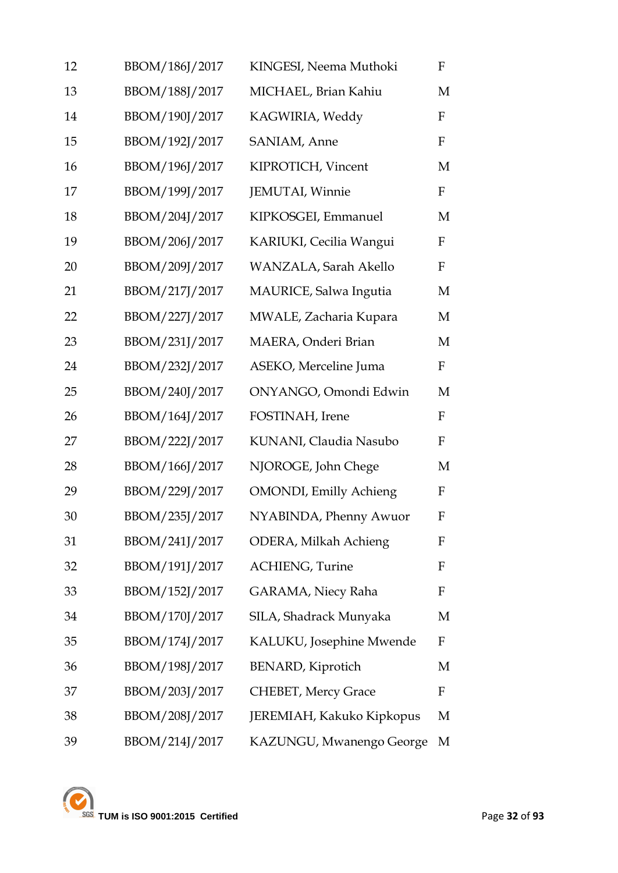| 12 | BBOM/186J/2017 | KINGESI, Neema Muthoki         | $\mathbf F$ |
|----|----------------|--------------------------------|-------------|
| 13 | BBOM/188J/2017 | MICHAEL, Brian Kahiu           | M           |
| 14 | BBOM/190J/2017 | KAGWIRIA, Weddy                | $\mathbf F$ |
| 15 | BBOM/192J/2017 | SANIAM, Anne                   | $\mathbf F$ |
| 16 | BBOM/196J/2017 | KIPROTICH, Vincent             | M           |
| 17 | BBOM/199J/2017 | JEMUTAI, Winnie                | $\rm F$     |
| 18 | BBOM/204J/2017 | KIPKOSGEI, Emmanuel            | M           |
| 19 | BBOM/206J/2017 | KARIUKI, Cecilia Wangui        | F           |
| 20 | BBOM/209J/2017 | WANZALA, Sarah Akello          | $\mathbf F$ |
| 21 | BBOM/217J/2017 | MAURICE, Salwa Ingutia         | M           |
| 22 | BBOM/227J/2017 | MWALE, Zacharia Kupara         | M           |
| 23 | BBOM/231J/2017 | MAERA, Onderi Brian            | M           |
| 24 | BBOM/232J/2017 | ASEKO, Merceline Juma          | $\mathbf F$ |
| 25 | BBOM/240J/2017 | ONYANGO, Omondi Edwin          | M           |
| 26 | BBOM/164J/2017 | FOSTINAH, Irene                | $\mathbf F$ |
| 27 | BBOM/222J/2017 | KUNANI, Claudia Nasubo         | F           |
| 28 | BBOM/166J/2017 | NJOROGE, John Chege            | M           |
| 29 | BBOM/229J/2017 | <b>OMONDI</b> , Emilly Achieng | $\mathbf F$ |
| 30 | BBOM/235J/2017 | NYABINDA, Phenny Awuor         | F           |
| 31 | BBOM/241J/2017 | <b>ODERA, Milkah Achieng</b>   | F           |
| 32 | BBOM/191J/2017 | <b>ACHIENG</b> , Turine        | F           |
| 33 | BBOM/152J/2017 | GARAMA, Niecy Raha             | F           |
| 34 | BBOM/170J/2017 | SILA, Shadrack Munyaka         | M           |
| 35 | BBOM/174J/2017 | KALUKU, Josephine Mwende       | F           |
| 36 | BBOM/198J/2017 | <b>BENARD</b> , Kiprotich      | M           |
| 37 | BBOM/203J/2017 | CHEBET, Mercy Grace            | F           |
| 38 | BBOM/208J/2017 | JEREMIAH, Kakuko Kipkopus      | М           |
| 39 | BBOM/214J/2017 | KAZUNGU, Mwanengo George       | М           |

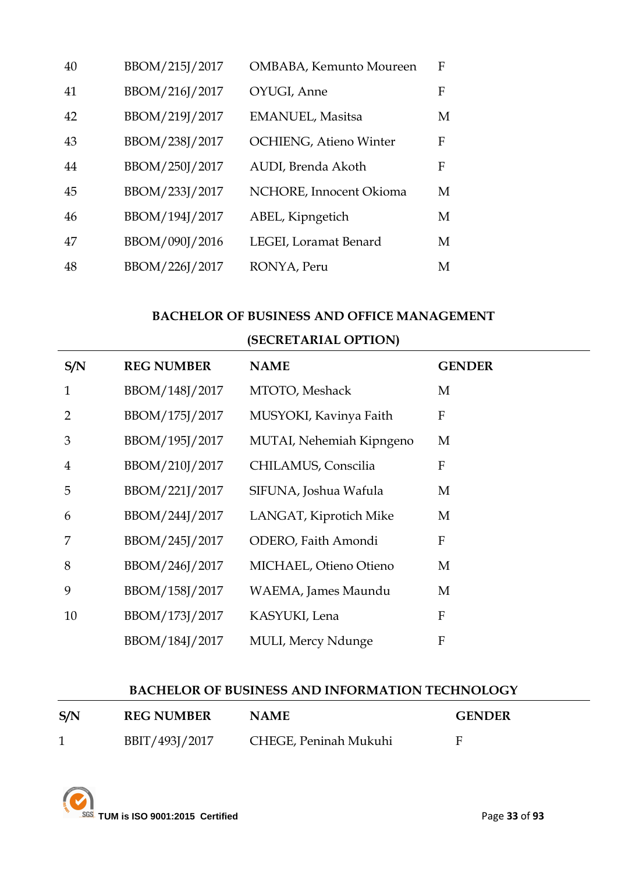| 40 | BBOM/215J/2017 | OMBABA, Kemunto Moureen       | $\mathbf{F}$ |
|----|----------------|-------------------------------|--------------|
| 41 | BBOM/216J/2017 | OYUGI, Anne                   | F            |
| 42 | BBOM/219J/2017 | <b>EMANUEL</b> , Masitsa      | M            |
| 43 | BBOM/238J/2017 | <b>OCHIENG, Atieno Winter</b> | F            |
| 44 | BBOM/250J/2017 | AUDI, Brenda Akoth            | F            |
| 45 | BBOM/233J/2017 | NCHORE, Innocent Okioma       | M            |
| 46 | BBOM/194J/2017 | ABEL, Kipngetich              | M            |
| 47 | BBOM/090J/2016 | LEGEI, Loramat Benard         | M            |
| 48 | BBOM/226J/2017 | RONYA, Peru                   | M            |

#### **BACHELOR OF BUSINESS AND OFFICE MANAGEMENT**

### **(SECRETARIAL OPTION)**

| S/N            | <b>REG NUMBER</b> | <b>NAME</b>                | <b>GENDER</b> |
|----------------|-------------------|----------------------------|---------------|
| $\mathbf{1}$   | BBOM/148J/2017    | MTOTO, Meshack             | M             |
| $\overline{2}$ | BBOM/175J/2017    | MUSYOKI, Kavinya Faith     | ${\bf F}$     |
| 3              | BBOM/195J/2017    | MUTAI, Nehemiah Kipngeno   | M             |
| $\overline{4}$ | BBOM/210J/2017    | CHILAMUS, Conscilia        | F             |
| 5              | BBOM/221J/2017    | SIFUNA, Joshua Wafula      | M             |
| 6              | BBOM/244J/2017    | LANGAT, Kiprotich Mike     | M             |
| 7              | BBOM/245J/2017    | ODERO, Faith Amondi        | ${\bf F}$     |
| 8              | BBOM/246J/2017    | MICHAEL, Otieno Otieno     | M             |
| 9              | BBOM/158J/2017    | WAEMA, James Maundu        | M             |
| 10             | BBOM/173J/2017    | KASYUKI, Lena              | ${\bf F}$     |
|                | BBOM/184J/2017    | <b>MULI</b> , Mercy Ndunge | ${\bf F}$     |

#### **BACHELOR OF BUSINESS AND INFORMATION TECHNOLOGY**

| S/N | <b>REG NUMBER</b> | <b>NAME</b>           | <b>GENDER</b> |
|-----|-------------------|-----------------------|---------------|
|     | BBIT/493J/2017    | CHEGE, Peninah Mukuhi |               |

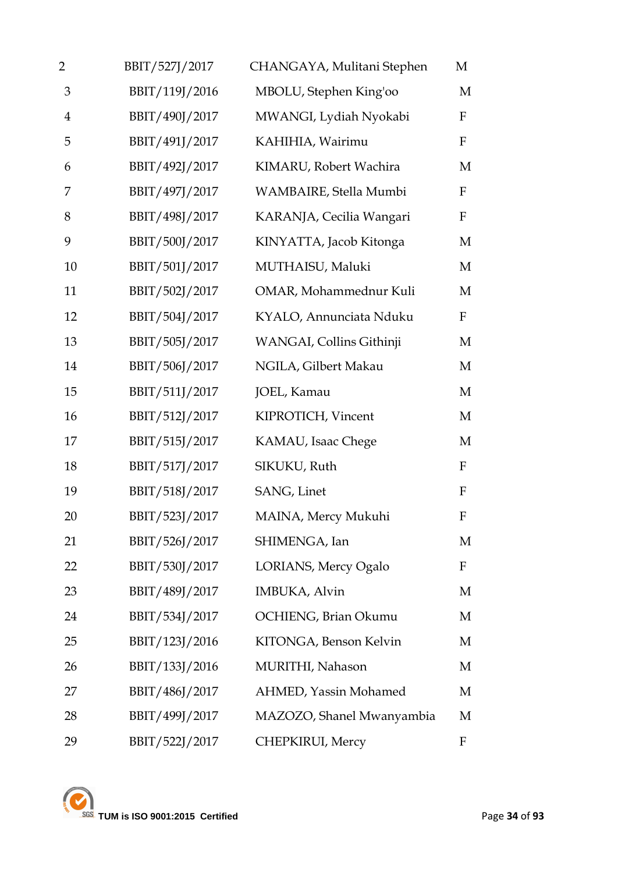| 2              | BBIT/527J/2017 | CHANGAYA, Mulitani Stephen  | М            |
|----------------|----------------|-----------------------------|--------------|
| 3              | BBIT/119J/2016 | MBOLU, Stephen King'oo      | M            |
| $\overline{4}$ | BBIT/490J/2017 | MWANGI, Lydiah Nyokabi      | $\mathbf F$  |
| 5              | BBIT/491J/2017 | KAHIHIA, Wairimu            | $\mathbf F$  |
| 6              | BBIT/492J/2017 | KIMARU, Robert Wachira      | M            |
| 7              | BBIT/497J/2017 | WAMBAIRE, Stella Mumbi      | $\mathbf F$  |
| 8              | BBIT/498J/2017 | KARANJA, Cecilia Wangari    | $\mathbf{F}$ |
| 9              | BBIT/500J/2017 | KINYATTA, Jacob Kitonga     | M            |
| 10             | BBIT/501J/2017 | MUTHAISU, Maluki            | M            |
| 11             | BBIT/502J/2017 | OMAR, Mohammednur Kuli      | M            |
| 12             | BBIT/504J/2017 | KYALO, Annunciata Nduku     | $\mathbf F$  |
| 13             | BBIT/505J/2017 | WANGAI, Collins Githinji    | M            |
| 14             | BBIT/506J/2017 | NGILA, Gilbert Makau        | M            |
| 15             | BBIT/511J/2017 | JOEL, Kamau                 | M            |
| 16             | BBIT/512J/2017 | KIPROTICH, Vincent          | M            |
| 17             | BBIT/515J/2017 | KAMAU, Isaac Chege          | M            |
| 18             | BBIT/517J/2017 | SIKUKU, Ruth                | $\mathbf F$  |
| 19             | BBIT/518J/2017 | SANG, Linet                 | $\mathbf F$  |
| 20             | BBIT/523J/2017 | MAINA, Mercy Mukuhi         | $\mathbf F$  |
| 21             | BBIT/526J/2017 | SHIMENGA, Ian               | М            |
| 22             | BBIT/530J/2017 | <b>LORIANS, Mercy Ogalo</b> | $\mathbf F$  |
| 23             | BBIT/489J/2017 | IMBUKA, Alvin               | M            |
| 24             | BBIT/534J/2017 | OCHIENG, Brian Okumu        | M            |
| 25             | BBIT/123J/2016 | KITONGA, Benson Kelvin      | M            |
| 26             | BBIT/133J/2016 | MURITHI, Nahason            | M            |
| 27             | BBIT/486J/2017 | AHMED, Yassin Mohamed       | M            |
| 28             | BBIT/499J/2017 | MAZOZO, Shanel Mwanyambia   | M            |
| 29             | BBIT/522J/2017 | CHEPKIRUI, Mercy            | F            |

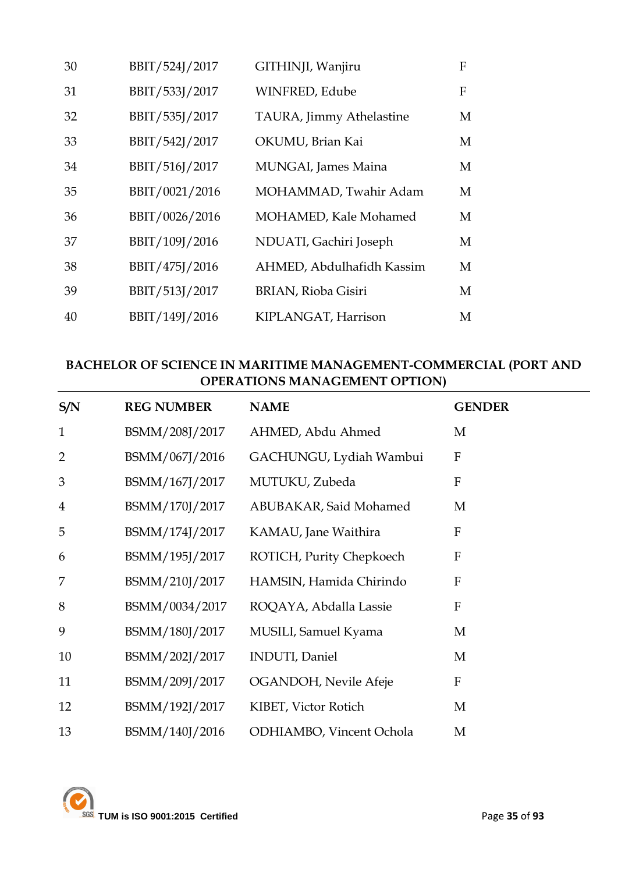| 30 | BBIT/524J/2017 | GITHINJI, Wanjiru         | F |
|----|----------------|---------------------------|---|
| 31 | BBIT/533J/2017 | WINFRED, Edube            | F |
| 32 | BBIT/535J/2017 | TAURA, Jimmy Athelastine  | M |
| 33 | BBIT/542J/2017 | OKUMU, Brian Kai          | M |
| 34 | BBIT/516J/2017 | MUNGAI, James Maina       | M |
| 35 | BBIT/0021/2016 | MOHAMMAD, Twahir Adam     | M |
| 36 | BBIT/0026/2016 | MOHAMED, Kale Mohamed     | M |
| 37 | BBIT/109J/2016 | NDUATI, Gachiri Joseph    | М |
| 38 | BBIT/475J/2016 | AHMED, Abdulhafidh Kassim | M |
| 39 | BBIT/513J/2017 | BRIAN, Rioba Gisiri       | M |
| 40 | BBIT/149J/2016 | KIPLANGAT, Harrison       | M |

### **BACHELOR OF SCIENCE IN MARITIME MANAGEMENT-COMMERCIAL (PORT AND OPERATIONS MANAGEMENT OPTION)**

| S/N            | <b>REG NUMBER</b> | <b>NAME</b>              | <b>GENDER</b>             |
|----------------|-------------------|--------------------------|---------------------------|
| $\mathbf{1}$   | BSMM/208J/2017    | AHMED, Abdu Ahmed        | M                         |
| $\overline{2}$ | BSMM/067J/2016    | GACHUNGU, Lydiah Wambui  | $\boldsymbol{\mathrm{F}}$ |
| 3              | BSMM/167J/2017    | MUTUKU, Zubeda           | ${\bf F}$                 |
| $\overline{4}$ | BSMM/170J/2017    | ABUBAKAR, Said Mohamed   | M                         |
| 5              | BSMM/174J/2017    | KAMAU, Jane Waithira     | ${\bf F}$                 |
| 6              | BSMM/195J/2017    | ROTICH, Purity Chepkoech | $\boldsymbol{\mathrm{F}}$ |
| 7              | BSMM/210J/2017    | HAMSIN, Hamida Chirindo  | F                         |
| 8              | BSMM/0034/2017    | ROQAYA, Abdalla Lassie   | F                         |
| 9              | BSMM/180J/2017    | MUSILI, Samuel Kyama     | M                         |
| 10             | BSMM/202J/2017    | <b>INDUTI</b> , Daniel   | M                         |
| 11             | BSMM/209J/2017    | OGANDOH, Nevile Afeje    | $\boldsymbol{\mathrm{F}}$ |
| 12             | BSMM/192J/2017    | KIBET, Victor Rotich     | M                         |
| 13             | BSMM/140J/2016    | ODHIAMBO, Vincent Ochola | M                         |

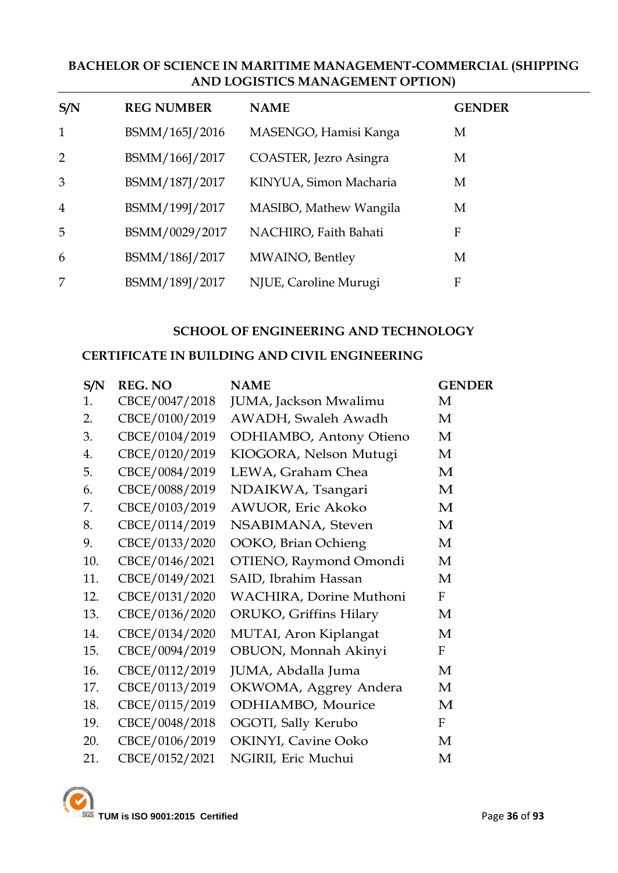### **BACHELOR OF SCIENCE IN MARITIME MANAGEMENT-COMMERCIAL (SHIPPING AND LOGISTICS MANAGEMENT OPTION)**

| S/N            | <b>REG NUMBER</b> | <b>NAME</b>            | <b>GENDER</b> |
|----------------|-------------------|------------------------|---------------|
| $\mathbf{1}$   | BSMM/165J/2016    | MASENGO, Hamisi Kanga  | M             |
| 2              | BSMM/166J/2017    | COASTER, Jezro Asingra | M             |
| 3              | BSMM/187J/2017    | KINYUA, Simon Macharia | M             |
| $\overline{4}$ | BSMM/199J/2017    | MASIBO, Mathew Wangila | M             |
| 5              | BSMM/0029/2017    | NACHIRO, Faith Bahati  | F             |
| 6              | BSMM/186J/2017    | MWAINO, Bentley        | M             |
| 7              | BSMM/189J/2017    | NJUE, Caroline Murugi  | F             |

#### **SCHOOL OF ENGINEERING AND TECHNOLOGY**

#### **CERTIFICATE IN BUILDING AND CIVIL ENGINEERING**

| S/N | <b>REG. NO</b> | <b>NAME</b>             | <b>GENDER</b>    |
|-----|----------------|-------------------------|------------------|
| 1.  | CBCE/0047/2018 | JUMA, Jackson Mwalimu   | М                |
| 2.  | CBCE/0100/2019 | AWADH, Swaleh Awadh     | M                |
| 3.  | CBCE/0104/2019 | ODHIAMBO, Antony Otieno | M                |
| 4.  | CBCE/0120/2019 | KIOGORA, Nelson Mutugi  | M                |
| 5.  | CBCE/0084/2019 | LEWA, Graham Chea       | M                |
| 6.  | CBCE/0088/2019 | NDAIKWA, Tsangari       | M                |
| 7.  | CBCE/0103/2019 | AWUOR, Eric Akoko       | M                |
| 8.  | CBCE/0114/2019 | NSABIMANA, Steven       | M                |
| 9.  | CBCE/0133/2020 | OOKO, Brian Ochieng     | M                |
| 10. | CBCE/0146/2021 | OTIENO, Raymond Omondi  | М                |
| 11. | CBCE/0149/2021 | SAID, Ibrahim Hassan    | M                |
| 12. | CBCE/0131/2020 | WACHIRA, Dorine Muthoni | $\boldsymbol{F}$ |
| 13. | CBCE/0136/2020 | ORUKO, Griffins Hilary  | М                |
| 14. | CBCE/0134/2020 | MUTAI, Aron Kiplangat   | M                |
| 15. | CBCE/0094/2019 | OBUON, Monnah Akinyi    | F                |
| 16. | CBCE/0112/2019 | JUMA, Abdalla Juma      | M                |
| 17. | CBCE/0113/2019 | OKWOMA, Aggrey Andera   | M                |
| 18. | CBCE/0115/2019 | ODHIAMBO, Mourice       | M                |
| 19. | CBCE/0048/2018 | OGOTI, Sally Kerubo     | F                |
| 20. | CBCE/0106/2019 | OKINYI, Cavine Ooko     | M                |
| 21. | CBCE/0152/2021 | NGIRII, Eric Muchui     | M                |

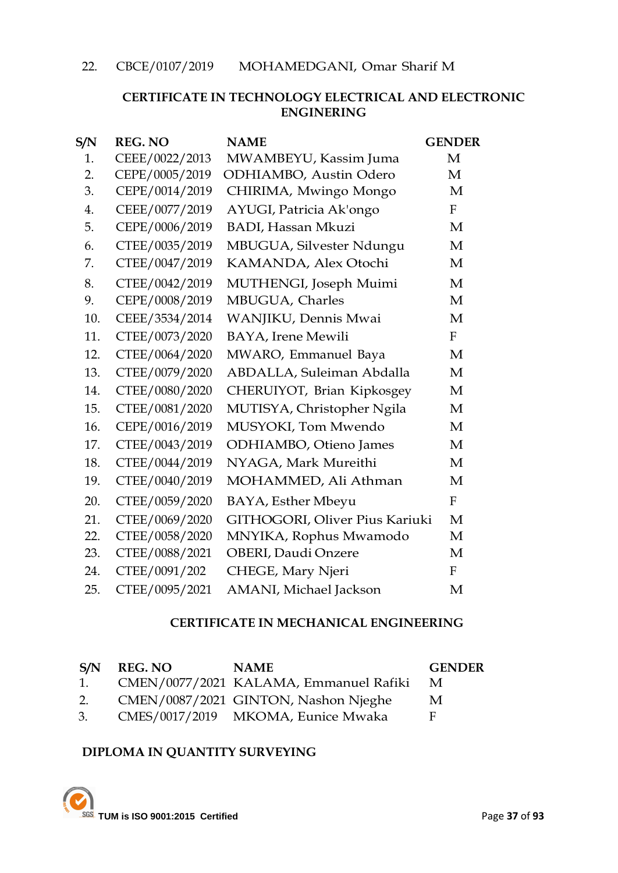# **CERTIFICATE IN TECHNOLOGY ELECTRICAL AND ELECTRONIC ENGINERING**

| S/N | <b>REG. NO</b> | <b>NAME</b>                    | <b>GENDER</b> |
|-----|----------------|--------------------------------|---------------|
| 1.  | CEEE/0022/2013 | MWAMBEYU, Kassim Juma          | M             |
| 2.  | CEPE/0005/2019 | ODHIAMBO, Austin Odero         | M             |
| 3.  | CEPE/0014/2019 | CHIRIMA, Mwingo Mongo          | M             |
| 4.  | CEEE/0077/2019 | AYUGI, Patricia Ak'ongo        | F             |
| 5.  | CEPE/0006/2019 | <b>BADI</b> , Hassan Mkuzi     | $\mathbf{M}$  |
| 6.  | CTEE/0035/2019 | MBUGUA, Silvester Ndungu       | M             |
| 7.  | CTEE/0047/2019 | KAMANDA, Alex Otochi           | M             |
| 8.  | CTEE/0042/2019 | MUTHENGI, Joseph Muimi         | M             |
| 9.  | CEPE/0008/2019 | MBUGUA, Charles                | $\mathbf{M}$  |
| 10. | CEEE/3534/2014 | WANJIKU, Dennis Mwai           | $\mathbf{M}$  |
| 11. | CTEE/0073/2020 | <b>BAYA</b> , Irene Mewili     | $\mathbf{F}$  |
| 12. | CTEE/0064/2020 | MWARO, Emmanuel Baya           | M             |
| 13. | CTEE/0079/2020 | ABDALLA, Suleiman Abdalla      | M             |
| 14. | CTEE/0080/2020 | CHERUIYOT, Brian Kipkosgey     | M             |
| 15. | CTEE/0081/2020 | MUTISYA, Christopher Ngila     | M             |
| 16. | CEPE/0016/2019 | MUSYOKI, Tom Mwendo            | M             |
| 17. | CTEE/0043/2019 | ODHIAMBO, Otieno James         | M             |
| 18. | CTEE/0044/2019 | NYAGA, Mark Mureithi           | $\mathbf{M}$  |
| 19. | CTEE/0040/2019 | MOHAMMED, Ali Athman           | M             |
| 20. | CTEE/0059/2020 | BAYA, Esther Mbeyu             | $\mathbf{F}$  |
| 21. | CTEE/0069/2020 | GITHOGORI, Oliver Pius Kariuki | M             |
| 22. | CTEE/0058/2020 | MNYIKA, Rophus Mwamodo         | M             |
| 23. | CTEE/0088/2021 | <b>OBERI</b> , Daudi Onzere    | M             |
| 24. | CTEE/0091/202  | CHEGE, Mary Njeri              | $\mathbf{F}$  |
| 25. | CTEE/0095/2021 | AMANI, Michael Jackson         | $\mathbf{M}$  |

# **CERTIFICATE IN MECHANICAL ENGINEERING**

| S/N | REG. NO | <b>NAME</b>                            | <b>GENDER</b> |
|-----|---------|----------------------------------------|---------------|
| 1.  |         | CMEN/0077/2021 KALAMA, Emmanuel Rafiki | - M           |
| 2.  |         | CMEN/0087/2021 GINTON, Nashon Njeghe   | M             |
| 3.  |         | CMES/0017/2019 MKOMA, Eunice Mwaka     | E.            |

# **DIPLOMA IN QUANTITY SURVEYING**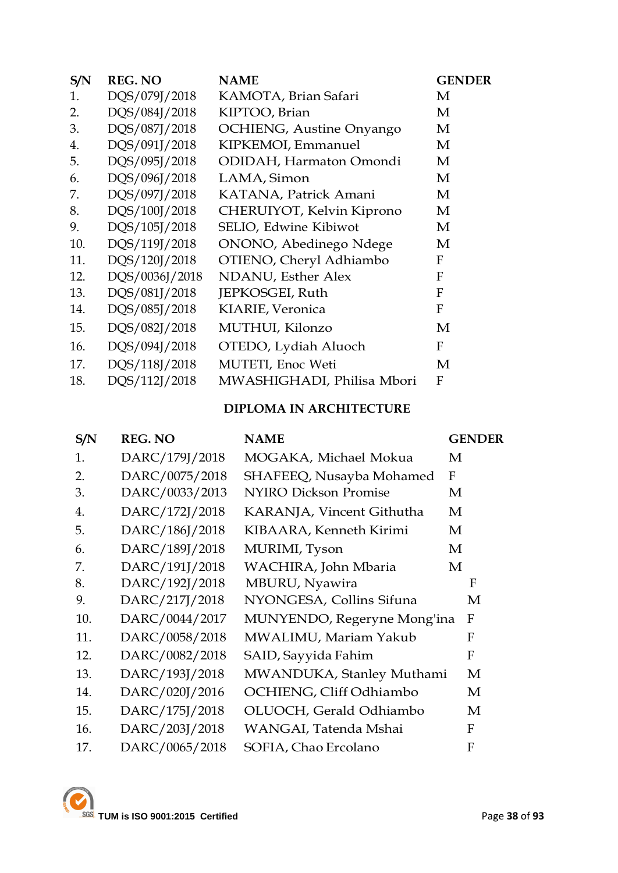| S/N | <b>REG. NO</b> | <b>NAME</b>                | <b>GENDER</b> |
|-----|----------------|----------------------------|---------------|
| 1.  | DQS/079J/2018  | KAMOTA, Brian Safari       | M             |
| 2.  | DQS/084J/2018  | KIPTOO, Brian              | М             |
| 3.  | DQS/087J/2018  | OCHIENG, Austine Onyango   | М             |
| 4.  | DQS/091J/2018  | KIPKEMOI, Emmanuel         | M             |
| 5.  | DQS/095J/2018  | ODIDAH, Harmaton Omondi    | М             |
| 6.  | DQS/096J/2018  | LAMA, Simon                | M             |
| 7.  | DQS/097J/2018  | KATANA, Patrick Amani      | M             |
| 8.  | DQS/100J/2018  | CHERUIYOT, Kelvin Kiprono  | M             |
| 9.  | DQS/105J/2018  | SELIO, Edwine Kibiwot      | M             |
| 10. | DQS/119J/2018  | ONONO, Abedinego Ndege     | M             |
| 11. | DQS/120J/2018  | OTIENO, Cheryl Adhiambo    | F             |
| 12. | DQS/0036J/2018 | NDANU, Esther Alex         | $\mathbf{F}$  |
| 13. | DQS/081J/2018  | JEPKOSGEI, Ruth            | $\mathbf{F}$  |
| 14. | DQS/085J/2018  | KIARIE, Veronica           | F             |
| 15. | DQS/082J/2018  | MUTHUI, Kilonzo            | M             |
| 16. | DQS/094J/2018  | OTEDO, Lydiah Aluoch       | F             |
| 17. | DQS/118J/2018  | MUTETI, Enoc Weti          | М             |
| 18. | DQS/112J/2018  | MWASHIGHADI, Philisa Mbori | F             |
|     |                |                            |               |

# **DIPLOMA IN ARCHITECTURE**

| S/N | <b>REG. NO</b> | <b>NAME</b>                  |              | <b>GENDER</b> |
|-----|----------------|------------------------------|--------------|---------------|
| 1.  | DARC/179J/2018 | MOGAKA, Michael Mokua        | М            |               |
| 2.  | DARC/0075/2018 | SHAFEEQ, Nusayba Mohamed     | $\mathbf{F}$ |               |
| 3.  | DARC/0033/2013 | <b>NYIRO Dickson Promise</b> | М            |               |
| 4.  | DARC/172J/2018 | KARANJA, Vincent Githutha    | M            |               |
| 5.  | DARC/186J/2018 | KIBAARA, Kenneth Kirimi      | М            |               |
| 6.  | DARC/189J/2018 | MURIMI, Tyson                | М            |               |
| 7.  | DARC/191J/2018 | WACHIRA, John Mbaria         | M            |               |
| 8.  | DARC/192J/2018 | MBURU, Nyawira               |              | F             |
| 9.  | DARC/217J/2018 | NYONGESA, Collins Sifuna     |              | М             |
| 10. | DARC/0044/2017 | MUNYENDO, Regeryne Mong'ina  |              | F             |
| 11. | DARC/0058/2018 | MWALIMU, Mariam Yakub        |              | F             |
| 12. | DARC/0082/2018 | SAID, Sayyida Fahim          |              | F             |
| 13. | DARC/193J/2018 | MWANDUKA, Stanley Muthami    |              | M             |
| 14. | DARC/020J/2016 | OCHIENG, Cliff Odhiambo      |              | M             |
| 15. | DARC/175J/2018 | OLUOCH, Gerald Odhiambo      |              | M             |
| 16. | DARC/203J/2018 | WANGAI, Tatenda Mshai        |              | $\mathbf{F}$  |
| 17. | DARC/0065/2018 | SOFIA, Chao Ercolano         |              | F             |

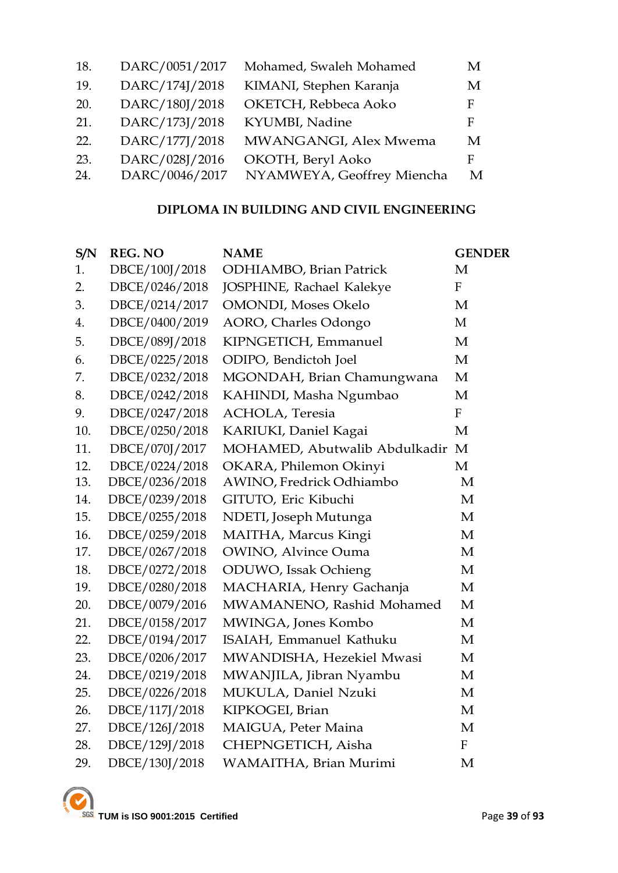| 18. | DARC/0051/2017 | Mohamed, Swaleh Mohamed    | M |
|-----|----------------|----------------------------|---|
| 19. | DARC/174J/2018 | KIMANI, Stephen Karanja    | M |
| 20. | DARC/180J/2018 | OKETCH, Rebbeca Aoko       | F |
| 21. | DARC/173J/2018 | KYUMBI, Nadine             | F |
| 22. | DARC/177J/2018 | MWANGANGI, Alex Mwema      | M |
| 23. | DARC/028J/2016 | OKOTH, Beryl Aoko          | F |
| 24. | DARC/0046/2017 | NYAMWEYA, Geoffrey Miencha | M |

# **DIPLOMA IN BUILDING AND CIVIL ENGINEERING**

| S/N | <b>REG. NO</b> | <b>NAME</b>                     | <b>GENDER</b>    |
|-----|----------------|---------------------------------|------------------|
| 1.  | DBCE/100J/2018 | <b>ODHIAMBO</b> , Brian Patrick | M                |
| 2.  | DBCE/0246/2018 | JOSPHINE, Rachael Kalekye       | ${\bf F}$        |
| 3.  | DBCE/0214/2017 | <b>OMONDI</b> , Moses Okelo     | M                |
| 4.  | DBCE/0400/2019 | AORO, Charles Odongo            | M                |
| 5.  | DBCE/089J/2018 | KIPNGETICH, Emmanuel            | M                |
| 6.  | DBCE/0225/2018 | ODIPO, Bendictoh Joel           | M                |
| 7.  | DBCE/0232/2018 | MGONDAH, Brian Chamungwana      | $\mathbf{M}$     |
| 8.  | DBCE/0242/2018 | KAHINDI, Masha Ngumbao          | M                |
| 9.  | DBCE/0247/2018 | ACHOLA, Teresia                 | $\mathbf{F}$     |
| 10. | DBCE/0250/2018 | KARIUKI, Daniel Kagai           | M                |
| 11. | DBCE/070J/2017 | MOHAMED, Abutwalib Abdulkadir   | M                |
| 12. | DBCE/0224/2018 | OKARA, Philemon Okinyi          | M                |
| 13. | DBCE/0236/2018 | AWINO, Fredrick Odhiambo        | M                |
| 14. | DBCE/0239/2018 | GITUTO, Eric Kibuchi            | M                |
| 15. | DBCE/0255/2018 | NDETI, Joseph Mutunga           | $\mathbf{M}$     |
| 16. | DBCE/0259/2018 | MAITHA, Marcus Kingi            | M                |
| 17. | DBCE/0267/2018 | <b>OWINO</b> , Alvince Ouma     | M                |
| 18. | DBCE/0272/2018 | ODUWO, Issak Ochieng            | M                |
| 19. | DBCE/0280/2018 | MACHARIA, Henry Gachanja        | M                |
| 20. | DBCE/0079/2016 | MWAMANENO, Rashid Mohamed       | M                |
| 21. | DBCE/0158/2017 | MWINGA, Jones Kombo             | M                |
| 22. | DBCE/0194/2017 | ISAIAH, Emmanuel Kathuku        | M                |
| 23. | DBCE/0206/2017 | MWANDISHA, Hezekiel Mwasi       | M                |
| 24. | DBCE/0219/2018 | MWANJILA, Jibran Nyambu         | M                |
| 25. | DBCE/0226/2018 | MUKULA, Daniel Nzuki            | M                |
| 26. | DBCE/117J/2018 | KIPKOGEI, Brian                 | M                |
| 27. | DBCE/126J/2018 | MAIGUA, Peter Maina             | M                |
| 28. | DBCE/129J/2018 | CHEPNGETICH, Aisha              | $\boldsymbol{F}$ |
| 29. | DBCE/130J/2018 | WAMAITHA, Brian Murimi          | $\mathbf{M}$     |

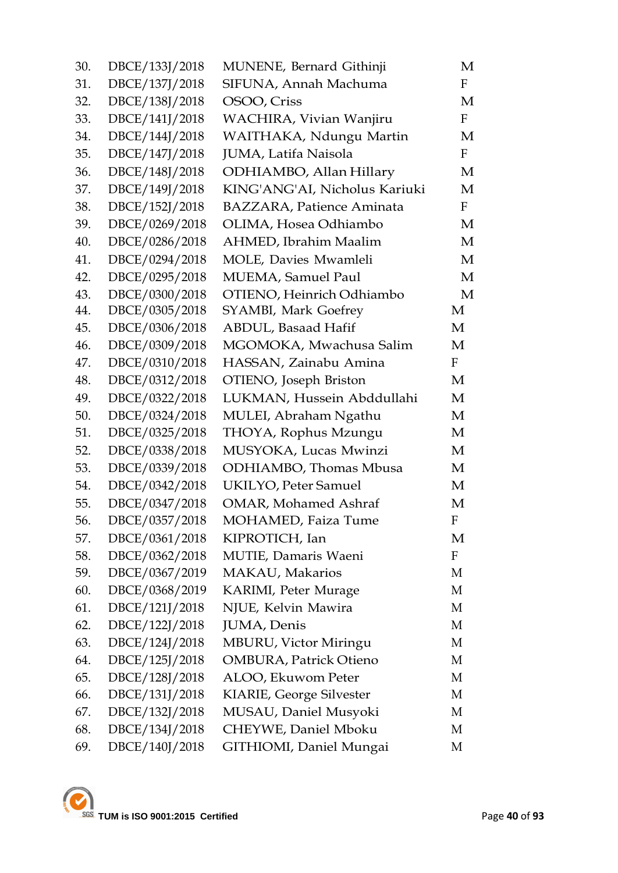| 30. | DBCE/133J/2018 | MUNENE, Bernard Githinji         | M            |
|-----|----------------|----------------------------------|--------------|
| 31. | DBCE/137J/2018 | SIFUNA, Annah Machuma            | F            |
| 32. | DBCE/138J/2018 | OSOO, Criss                      | M            |
| 33. | DBCE/141J/2018 | WACHIRA, Vivian Wanjiru          | $\mathbf{F}$ |
| 34. | DBCE/144J/2018 | WAITHAKA, Ndungu Martin          | М            |
| 35. | DBCE/147J/2018 | JUMA, Latifa Naisola             | $\mathbf{F}$ |
| 36. | DBCE/148J/2018 | ODHIAMBO, Allan Hillary          | M            |
| 37. | DBCE/149J/2018 | KING'ANG'AI, Nicholus Kariuki    | M            |
| 38. | DBCE/152J/2018 | <b>BAZZARA, Patience Aminata</b> | $\mathbf{F}$ |
| 39. | DBCE/0269/2018 | OLIMA, Hosea Odhiambo            | M            |
| 40. | DBCE/0286/2018 | AHMED, Ibrahim Maalim            | M            |
| 41. | DBCE/0294/2018 | MOLE, Davies Mwamleli            | M            |
| 42. | DBCE/0295/2018 | <b>MUEMA, Samuel Paul</b>        | M            |
| 43. | DBCE/0300/2018 | OTIENO, Heinrich Odhiambo        | M            |
| 44. | DBCE/0305/2018 | <b>SYAMBI, Mark Goefrey</b>      | M            |
| 45. | DBCE/0306/2018 | ABDUL, Basaad Hafif              | M            |
| 46. | DBCE/0309/2018 | MGOMOKA, Mwachusa Salim          | M            |
| 47. | DBCE/0310/2018 | HASSAN, Zainabu Amina            | $\mathbf{F}$ |
| 48. | DBCE/0312/2018 | OTIENO, Joseph Briston           | M            |
| 49. | DBCE/0322/2018 | LUKMAN, Hussein Abddullahi       | M            |
| 50. | DBCE/0324/2018 | MULEI, Abraham Ngathu            | M            |
| 51. | DBCE/0325/2018 | THOYA, Rophus Mzungu             | M            |
| 52. | DBCE/0338/2018 | MUSYOKA, Lucas Mwinzi            | M            |
| 53. | DBCE/0339/2018 | ODHIAMBO, Thomas Mbusa           | M            |
| 54. | DBCE/0342/2018 | <b>UKILYO, Peter Samuel</b>      | M            |
| 55. | DBCE/0347/2018 | <b>OMAR, Mohamed Ashraf</b>      | M            |
| 56. | DBCE/0357/2018 | <b>MOHAMED, Faiza Tume</b>       | F            |
| 57. | DBCE/0361/2018 | KIPROTICH, Ian                   | M            |
| 58. | DBCE/0362/2018 | MUTIE, Damaris Waeni             | F            |
| 59. | DBCE/0367/2019 | MAKAU, Makarios                  | M            |
| 60. | DBCE/0368/2019 | KARIMI, Peter Murage             | M            |
| 61. | DBCE/121J/2018 | NJUE, Kelvin Mawira              | M            |
| 62. | DBCE/122J/2018 | JUMA, Denis                      | M            |
| 63. | DBCE/124J/2018 | <b>MBURU, Victor Miringu</b>     | M            |
| 64. | DBCE/125J/2018 | <b>OMBURA, Patrick Otieno</b>    | M            |
| 65. | DBCE/128J/2018 | ALOO, Ekuwom Peter               | M            |
| 66. | DBCE/131J/2018 | KIARIE, George Silvester         | M            |
| 67. | DBCE/132J/2018 | MUSAU, Daniel Musyoki            | M            |
| 68. | DBCE/134J/2018 | CHEYWE, Daniel Mboku             | M            |
| 69. | DBCE/140J/2018 | GITHIOMI, Daniel Mungai          | M            |

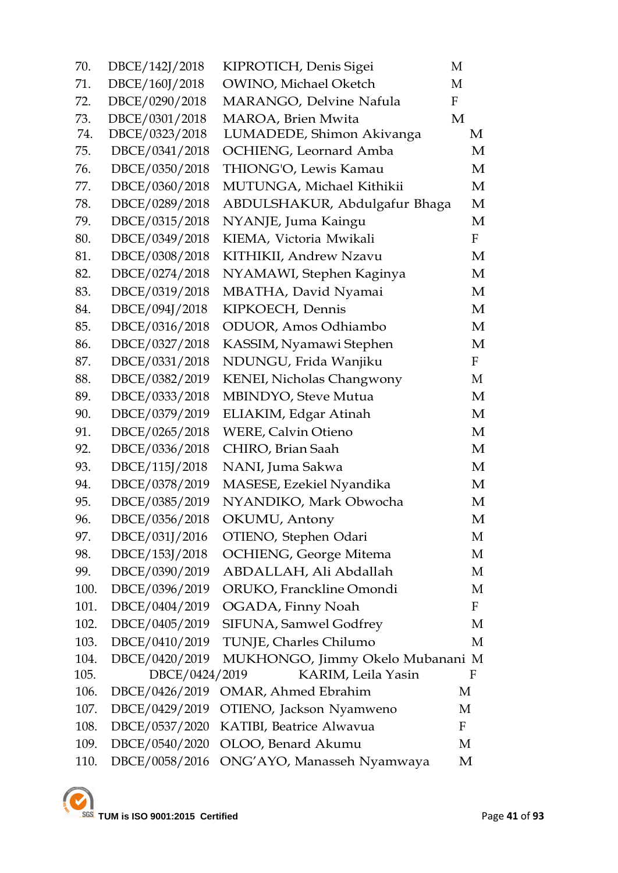| 70.  | DBCE/142J/2018 | KIPROTICH, Denis Sigei           | M            |
|------|----------------|----------------------------------|--------------|
| 71.  | DBCE/160J/2018 | OWINO, Michael Oketch            | M            |
| 72.  | DBCE/0290/2018 | MARANGO, Delvine Nafula          | $\mathbf{F}$ |
| 73.  | DBCE/0301/2018 | MAROA, Brien Mwita               | M            |
| 74.  | DBCE/0323/2018 | LUMADEDE, Shimon Akivanga        | M            |
| 75.  | DBCE/0341/2018 | OCHIENG, Leornard Amba           | M            |
| 76.  | DBCE/0350/2018 | THIONG'O, Lewis Kamau            | M            |
| 77.  | DBCE/0360/2018 | MUTUNGA, Michael Kithikii        | M            |
| 78.  | DBCE/0289/2018 | ABDULSHAKUR, Abdulgafur Bhaga    | M            |
| 79.  | DBCE/0315/2018 | NYANJE, Juma Kaingu              | M            |
| 80.  | DBCE/0349/2018 | KIEMA, Victoria Mwikali          | $\mathbf{F}$ |
| 81.  | DBCE/0308/2018 | KITHIKII, Andrew Nzavu           | M            |
| 82.  | DBCE/0274/2018 | NYAMAWI, Stephen Kaginya         | M            |
| 83.  | DBCE/0319/2018 | MBATHA, David Nyamai             | M            |
| 84.  | DBCE/094J/2018 | KIPKOECH, Dennis                 | M            |
| 85.  | DBCE/0316/2018 | ODUOR, Amos Odhiambo             | M            |
| 86.  | DBCE/0327/2018 | KASSIM, Nyamawi Stephen          | M            |
| 87.  | DBCE/0331/2018 | NDUNGU, Frida Wanjiku            | $\mathbf{F}$ |
| 88.  | DBCE/0382/2019 | KENEI, Nicholas Changwony        | M            |
| 89.  | DBCE/0333/2018 | MBINDYO, Steve Mutua             | M            |
| 90.  | DBCE/0379/2019 | ELIAKIM, Edgar Atinah            | M            |
| 91.  | DBCE/0265/2018 | <b>WERE, Calvin Otieno</b>       | M            |
| 92.  | DBCE/0336/2018 | CHIRO, Brian Saah                | M            |
| 93.  | DBCE/115J/2018 | NANI, Juma Sakwa                 | M            |
| 94.  | DBCE/0378/2019 | MASESE, Ezekiel Nyandika         | M            |
| 95.  | DBCE/0385/2019 | NYANDIKO, Mark Obwocha           | M            |
| 96.  | DBCE/0356/2018 | OKUMU, Antony                    | M            |
| 97.  | DBCE/031J/2016 | OTIENO, Stephen Odari            | M            |
| 98.  | DBCE/153J/2018 | OCHIENG, George Mitema           | M            |
| 99.  | DBCE/0390/2019 | ABDALLAH, Ali Abdallah           | M            |
| 100. | DBCE/0396/2019 | ORUKO, Franckline Omondi         | M            |
| 101. | DBCE/0404/2019 | OGADA, Finny Noah                | F            |
| 102. | DBCE/0405/2019 | SIFUNA, Samwel Godfrey           | M            |
| 103. | DBCE/0410/2019 | TUNJE, Charles Chilumo           | M            |
| 104. | DBCE/0420/2019 | MUKHONGO, Jimmy Okelo Mubanani M |              |
| 105. | DBCE/0424/2019 | KARIM, Leila Yasin               | F            |
| 106. | DBCE/0426/2019 | <b>OMAR, Ahmed Ebrahim</b>       | М            |
| 107. | DBCE/0429/2019 | OTIENO, Jackson Nyamweno         | M            |
| 108. | DBCE/0537/2020 | KATIBI, Beatrice Alwavua         | F            |
| 109. | DBCE/0540/2020 | OLOO, Benard Akumu               | M            |
| 110. | DBCE/0058/2016 | ONG'AYO, Manasseh Nyamwaya       | M            |

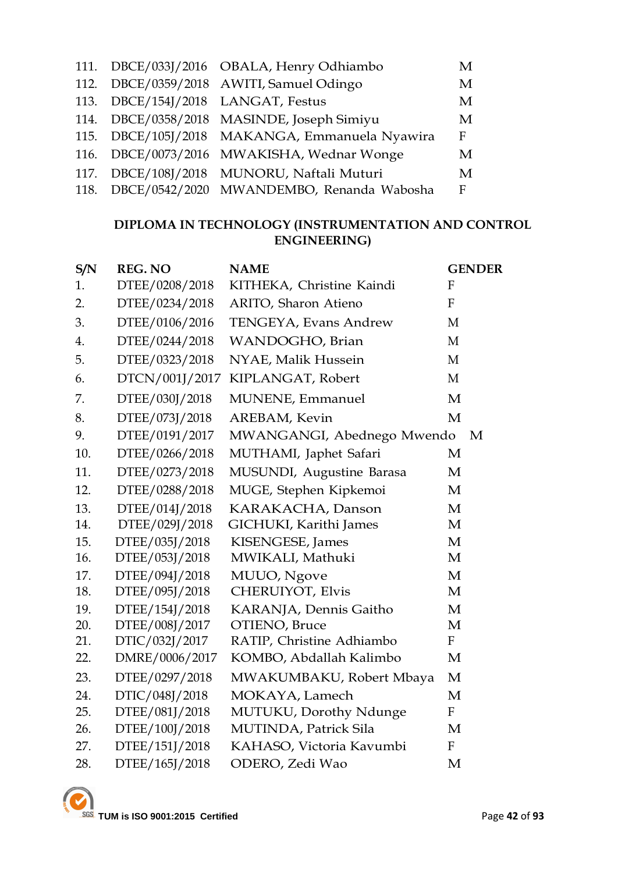|  | 111. DBCE/033J/2016 OBALA, Henry Odhiambo      | M            |
|--|------------------------------------------------|--------------|
|  | 112. DBCE/0359/2018 AWITI, Samuel Odingo       | M            |
|  | 113. DBCE/154J/2018 LANGAT, Festus             | M            |
|  | 114. DBCE/0358/2018 MASINDE, Joseph Simiyu     | M            |
|  | 115. DBCE/105J/2018 MAKANGA, Emmanuela Nyawira | $\mathbf{F}$ |
|  | 116. DBCE/0073/2016 MWAKISHA, Wednar Wonge     | M            |
|  | 117. DBCE/108J/2018 MUNORU, Naftali Muturi     | M            |
|  | 118. DBCE/0542/2020 MWANDEMBO, Renanda Wabosha | $\mathbf{F}$ |

# **DIPLOMA IN TECHNOLOGY (INSTRUMENTATION AND CONTROL ENGINEERING)**

| S/N | <b>REG. NO</b> | <b>NAME</b>                | <b>GENDER</b> |
|-----|----------------|----------------------------|---------------|
| 1.  | DTEE/0208/2018 | KITHEKA, Christine Kaindi  | $\mathbf{F}$  |
| 2.  | DTEE/0234/2018 | ARITO, Sharon Atieno       | $\mathbf{F}$  |
| 3.  | DTEE/0106/2016 | TENGEYA, Evans Andrew      | M             |
| 4.  | DTEE/0244/2018 | WANDOGHO, Brian            | M             |
| 5.  | DTEE/0323/2018 | NYAE, Malik Hussein        | M             |
| 6.  | DTCN/001J/2017 | KIPLANGAT, Robert          | M             |
| 7.  | DTEE/030J/2018 | MUNENE, Emmanuel           | $\mathbf{M}$  |
| 8.  | DTEE/073J/2018 | AREBAM, Kevin              | M             |
| 9.  | DTEE/0191/2017 | MWANGANGI, Abednego Mwendo | M             |
| 10. | DTEE/0266/2018 | MUTHAMI, Japhet Safari     | M             |
| 11. | DTEE/0273/2018 | MUSUNDI, Augustine Barasa  | M             |
| 12. | DTEE/0288/2018 | MUGE, Stephen Kipkemoi     | M             |
| 13. | DTEE/014J/2018 | KARAKACHA, Danson          | M             |
| 14. | DTEE/029J/2018 | GICHUKI, Karithi James     | M             |
| 15. | DTEE/035J/2018 | KISENGESE, James           | M             |
| 16. | DTEE/053J/2018 | MWIKALI, Mathuki           | M             |
| 17. | DTEE/094J/2018 | MUUO, Ngove                | M             |
| 18. | DTEE/095J/2018 | CHERUIYOT, Elvis           | M             |
| 19. | DTEE/154J/2018 | KARANJA, Dennis Gaitho     | M             |
| 20. | DTEE/008J/2017 | OTIENO, Bruce              | M             |
| 21. | DTIC/032J/2017 | RATIP, Christine Adhiambo  | $\mathbf{F}$  |
| 22. | DMRE/0006/2017 | KOMBO, Abdallah Kalimbo    | M             |
| 23. | DTEE/0297/2018 | MWAKUMBAKU, Robert Mbaya   | M             |
| 24. | DTIC/048J/2018 | MOKAYA, Lamech             | $\mathbf{M}$  |
| 25. | DTEE/081J/2018 | MUTUKU, Dorothy Ndunge     | $\mathbf{F}$  |
| 26. | DTEE/100J/2018 | MUTINDA, Patrick Sila      | M             |
| 27. | DTEE/151J/2018 | KAHASO, Victoria Kavumbi   | $\mathbf{F}$  |
| 28. | DTEE/165J/2018 | ODERO, Zedi Wao            | M             |
|     |                |                            |               |

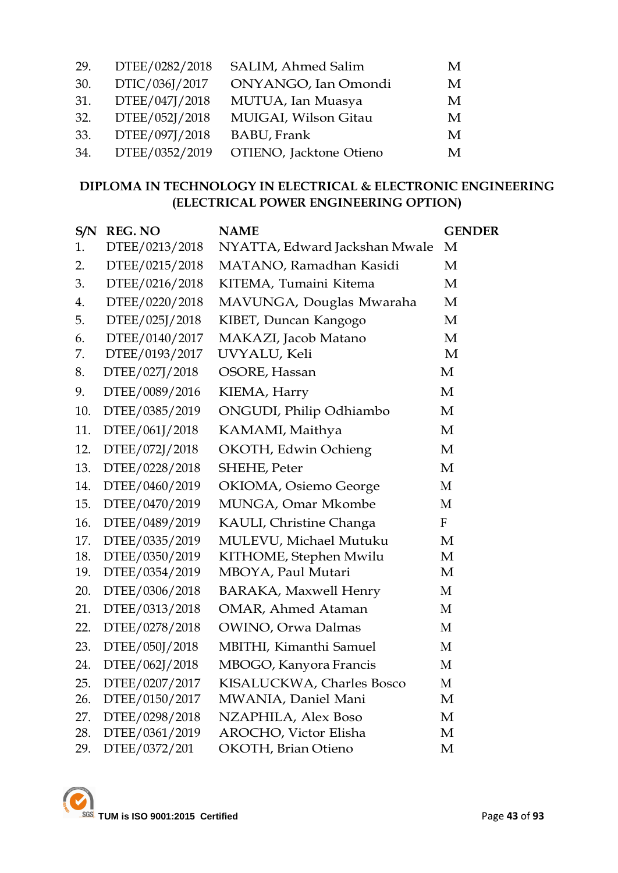| 29. | DTEE/0282/2018 | SALIM, Ahmed Salim      | M |
|-----|----------------|-------------------------|---|
| 30. | DTIC/036J/2017 | ONYANGO, Ian Omondi     | M |
| 31. | DTEE/047J/2018 | MUTUA, Ian Muasya       | M |
| 32. | DTEE/052J/2018 | MUIGAI, Wilson Gitau    | M |
| 33. | DTEE/097J/2018 | <b>BABU, Frank</b>      | M |
| 34. | DTEE/0352/2019 | OTIENO, Jacktone Otieno | M |

# **DIPLOMA IN TECHNOLOGY IN ELECTRICAL & ELECTRONIC ENGINEERING (ELECTRICAL POWER ENGINEERING OPTION)**

| S/N | <b>REG. NO</b> | <b>NAME</b>                   | <b>GENDER</b>    |
|-----|----------------|-------------------------------|------------------|
| 1.  | DTEE/0213/2018 | NYATTA, Edward Jackshan Mwale | M                |
| 2.  | DTEE/0215/2018 | MATANO, Ramadhan Kasidi       | M                |
| 3.  | DTEE/0216/2018 | KITEMA, Tumaini Kitema        | M                |
| 4.  | DTEE/0220/2018 | MAVUNGA, Douglas Mwaraha      | M                |
| 5.  | DTEE/025J/2018 | KIBET, Duncan Kangogo         | M                |
| 6.  | DTEE/0140/2017 | MAKAZI, Jacob Matano          | M                |
| 7.  | DTEE/0193/2017 | UVYALU, Keli                  | M                |
| 8.  | DTEE/027J/2018 | OSORE, Hassan                 | M                |
| 9.  | DTEE/0089/2016 | KIEMA, Harry                  | $\mathbf M$      |
| 10. | DTEE/0385/2019 | ONGUDI, Philip Odhiambo       | M                |
| 11. | DTEE/061J/2018 | KAMAMI, Maithya               | M                |
| 12. | DTEE/072J/2018 | OKOTH, Edwin Ochieng          | M                |
| 13. | DTEE/0228/2018 | SHEHE, Peter                  | M                |
| 14. | DTEE/0460/2019 | OKIOMA, Osiemo George         | M                |
| 15. | DTEE/0470/2019 | MUNGA, Omar Mkombe            | M                |
| 16. | DTEE/0489/2019 | KAULI, Christine Changa       | $\boldsymbol{F}$ |
| 17. | DTEE/0335/2019 | MULEVU, Michael Mutuku        | $\mathbf{M}$     |
| 18. | DTEE/0350/2019 | KITHOME, Stephen Mwilu        | M                |
| 19. | DTEE/0354/2019 | MBOYA, Paul Mutari            | M                |
| 20. | DTEE/0306/2018 | <b>BARAKA, Maxwell Henry</b>  | M                |
| 21. | DTEE/0313/2018 | <b>OMAR, Ahmed Ataman</b>     | M                |
| 22. | DTEE/0278/2018 | OWINO, Orwa Dalmas            | M                |
| 23. | DTEE/050J/2018 | MBITHI, Kimanthi Samuel       | M                |
| 24. | DTEE/062J/2018 | MBOGO, Kanyora Francis        | M                |
| 25. | DTEE/0207/2017 | KISALUCKWA, Charles Bosco     | $\mathbf{M}$     |
| 26. | DTEE/0150/2017 | MWANIA, Daniel Mani           | M                |
| 27. | DTEE/0298/2018 | NZAPHILA, Alex Boso           | M                |
| 28. | DTEE/0361/2019 | AROCHO, Victor Elisha         | M                |
| 29. | DTEE/0372/201  | <b>OKOTH</b> , Brian Otieno   | M                |

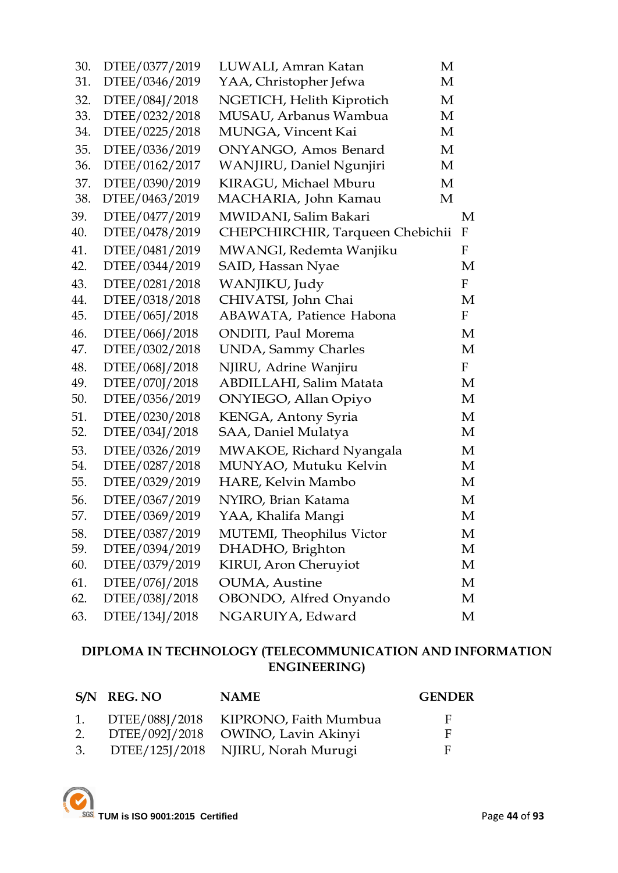| 30. | DTEE/0377/2019 | LUWALI, Amran Katan              | M                         |
|-----|----------------|----------------------------------|---------------------------|
| 31. | DTEE/0346/2019 | YAA, Christopher Jefwa           | M                         |
| 32. | DTEE/084J/2018 | NGETICH, Helith Kiprotich        | M                         |
| 33. | DTEE/0232/2018 | MUSAU, Arbanus Wambua            | M                         |
| 34. | DTEE/0225/2018 | MUNGA, Vincent Kai               | M                         |
| 35. | DTEE/0336/2019 | ONYANGO, Amos Benard             | M                         |
| 36. | DTEE/0162/2017 | WANJIRU, Daniel Ngunjiri         | M                         |
| 37. | DTEE/0390/2019 | KIRAGU, Michael Mburu            | M                         |
| 38. | DTEE/0463/2019 | MACHARIA, John Kamau<br>M        |                           |
| 39. | DTEE/0477/2019 | MWIDANI, Salim Bakari            | M                         |
| 40. | DTEE/0478/2019 | CHEPCHIRCHIR, Tarqueen Chebichii | F                         |
| 41. | DTEE/0481/2019 | MWANGI, Redemta Wanjiku          | F                         |
| 42. | DTEE/0344/2019 | SAID, Hassan Nyae                | M                         |
| 43. | DTEE/0281/2018 | WANJIKU, Judy                    | F                         |
| 44. | DTEE/0318/2018 | CHIVATSI, John Chai              | M                         |
| 45. | DTEE/065J/2018 | ABAWATA, Patience Habona         | F                         |
| 46. | DTEE/066J/2018 | <b>ONDITI</b> , Paul Morema      | M                         |
| 47. | DTEE/0302/2018 | <b>UNDA</b> , Sammy Charles      | M                         |
| 48. | DTEE/068J/2018 | NJIRU, Adrine Wanjiru            | $\boldsymbol{\mathrm{F}}$ |
| 49. | DTEE/070J/2018 | ABDILLAHI, Salim Matata          | M                         |
| 50. | DTEE/0356/2019 | ONYIEGO, Allan Opiyo             | M                         |
| 51. | DTEE/0230/2018 | KENGA, Antony Syria              | M                         |
| 52. | DTEE/034J/2018 | SAA, Daniel Mulatya              | M                         |
| 53. | DTEE/0326/2019 | MWAKOE, Richard Nyangala         | M                         |
| 54. | DTEE/0287/2018 | MUNYAO, Mutuku Kelvin            | M                         |
| 55. | DTEE/0329/2019 | HARE, Kelvin Mambo               | M                         |
| 56. | DTEE/0367/2019 | NYIRO, Brian Katama              | M                         |
| 57. | DTEE/0369/2019 | YAA, Khalifa Mangi               | М                         |
| 58. | DTEE/0387/2019 | MUTEMI, Theophilus Victor        | M                         |
| 59. | DTEE/0394/2019 | DHADHO, Brighton                 | М                         |
| 60. | DTEE/0379/2019 | KIRUI, Aron Cheruyiot            | M                         |
| 61. | DTEE/076J/2018 | <b>OUMA</b> , Austine            | M                         |
| 62. | DTEE/038J/2018 | OBONDO, Alfred Onyando           | M                         |
| 63. | DTEE/134J/2018 | NGARUIYA, Edward                 | M                         |

# **DIPLOMA IN TECHNOLOGY (TELECOMMUNICATION AND INFORMATION ENGINEERING)**

|    | S/N REG. NO | <b>NAME</b>                             | <b>GENDER</b> |
|----|-------------|-----------------------------------------|---------------|
|    |             | 1. DTEE/088J/2018 KIPRONO, Faith Mumbua | E             |
| 2. |             | DTEE/092J/2018 OWINO, Lavin Akinyi      | F             |
| 3. |             | DTEE/125J/2018 NJIRU, Norah Murugi      | E             |

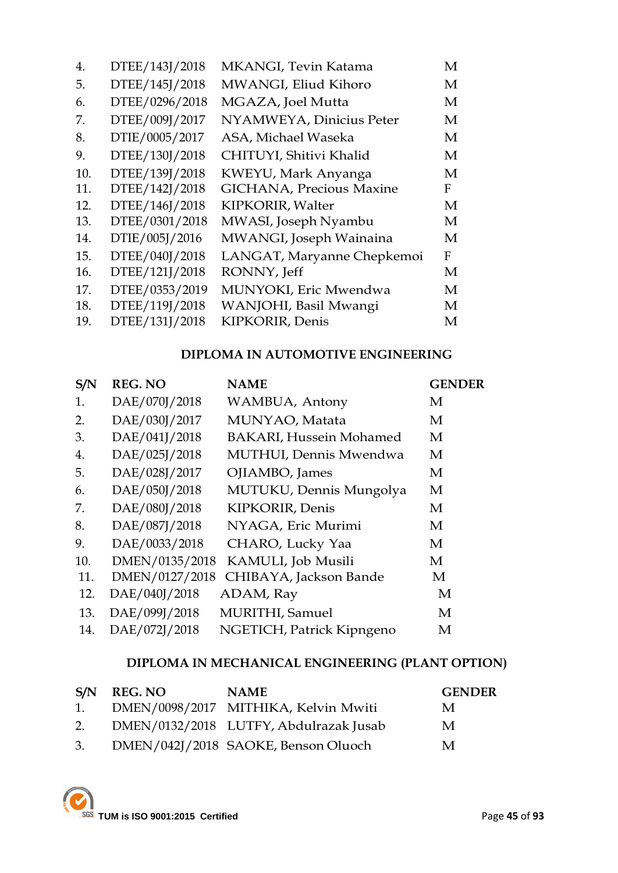| 4.  | DTEE/143J/2018 | MKANGI, Tevin Katama       | М |
|-----|----------------|----------------------------|---|
| 5.  | DTEE/145J/2018 | MWANGI, Eliud Kihoro       | М |
| 6.  | DTEE/0296/2018 | MGAZA, Joel Mutta          | М |
| 7.  | DTEE/009J/2017 | NYAMWEYA, Dinicius Peter   | М |
| 8.  | DTIE/0005/2017 | ASA, Michael Waseka        | М |
| 9.  | DTEE/130J/2018 | CHITUYI, Shitivi Khalid    | М |
| 10. | DTEE/139J/2018 | KWEYU, Mark Anyanga        | M |
| 11. | DTEE/142J/2018 | GICHANA, Precious Maxine   | F |
| 12. | DTEE/146J/2018 | KIPKORIR, Walter           | M |
| 13. | DTEE/0301/2018 | MWASI, Joseph Nyambu       | М |
| 14. | DTIE/005J/2016 | MWANGI, Joseph Wainaina    | М |
| 15. | DTEE/040J/2018 | LANGAT, Maryanne Chepkemoi | F |
| 16. | DTEE/121J/2018 | RONNY, Jeff                | М |
| 17. | DTEE/0353/2019 | MUNYOKI, Eric Mwendwa      | M |
| 18. | DTEE/119J/2018 | WANJOHI, Basil Mwangi      | M |
| 19. | DTEE/131J/2018 | KIPKORIR, Denis            | М |
|     |                |                            |   |

# **DIPLOMA IN AUTOMOTIVE ENGINEERING**

| S/N | <b>REG. NO</b> | <b>NAME</b>                    | <b>GENDER</b> |
|-----|----------------|--------------------------------|---------------|
| 1.  | DAE/070J/2018  | WAMBUA, Antony                 | M             |
| 2.  | DAE/030J/2017  | MUNYAO, Matata                 | M             |
| 3.  | DAE/041J/2018  | <b>BAKARI, Hussein Mohamed</b> | M             |
| 4.  | DAE/025J/2018  | MUTHUI, Dennis Mwendwa         | M             |
| 5.  | DAE/028J/2017  | OJIAMBO, James                 | M             |
| 6.  | DAE/050J/2018  | MUTUKU, Dennis Mungolya        | M             |
| 7.  | DAE/080J/2018  | KIPKORIR, Denis                | M             |
| 8.  | DAE/087J/2018  | NYAGA, Eric Murimi             | M             |
| 9.  | DAE/0033/2018  | CHARO, Lucky Yaa               | M             |
| 10. | DMEN/0135/2018 | KAMULI, Job Musili             | M             |
| 11. | DMEN/0127/2018 | CHIBAYA, Jackson Bande         | M             |
| 12. | DAE/040J/2018  | ADAM, Ray                      | M             |
| 13. | DAE/099J/2018  | MURITHI, Samuel                | M             |
| 14. | DAE/072J/2018  | NGETICH, Patrick Kipngeno      | M             |

# **DIPLOMA IN MECHANICAL ENGINEERING (PLANT OPTION)**

|    | S/N REG. NO | <b>NAME</b>                            | <b>GENDER</b> |
|----|-------------|----------------------------------------|---------------|
| 1. |             | DMEN/0098/2017 MITHIKA, Kelvin Mwiti   | M             |
| 2. |             | DMEN/0132/2018 LUTFY, Abdulrazak Jusab | M             |
| 3. |             | DMEN/042J/2018 SAOKE, Benson Oluoch    | M             |

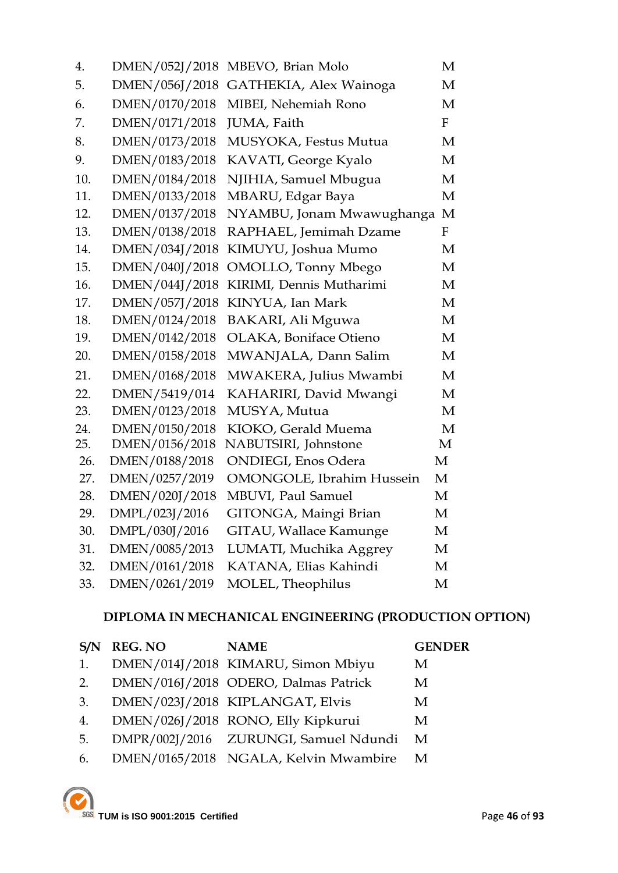| 4.  | DMEN/052J/2018 | MBEVO, Brian Molo                 | М                |
|-----|----------------|-----------------------------------|------------------|
| 5.  | DMEN/056J/2018 | GATHEKIA, Alex Wainoga            | M                |
| 6.  | DMEN/0170/2018 | MIBEI, Nehemiah Rono              | M                |
| 7.  | DMEN/0171/2018 | JUMA, Faith                       | $\mathbf{F}$     |
| 8.  | DMEN/0173/2018 | MUSYOKA, Festus Mutua             | M                |
| 9.  | DMEN/0183/2018 | KAVATI, George Kyalo              | M                |
| 10. | DMEN/0184/2018 | NJIHIA, Samuel Mbugua             | M                |
| 11. | DMEN/0133/2018 | MBARU, Edgar Baya                 | M                |
| 12. | DMEN/0137/2018 | NYAMBU, Jonam Mwawughanga         | M                |
| 13. | DMEN/0138/2018 | RAPHAEL, Jemimah Dzame            | $\boldsymbol{F}$ |
| 14. | DMEN/034J/2018 | KIMUYU, Joshua Mumo               | М                |
| 15. | DMEN/040J/2018 | OMOLLO, Tonny Mbego               | M                |
| 16. | DMEN/044J/2018 | KIRIMI, Dennis Mutharimi          | M                |
| 17. | DMEN/057J/2018 | KINYUA, Ian Mark                  | M                |
| 18. | DMEN/0124/2018 | <b>BAKARI, Ali Mguwa</b>          | M                |
| 19. | DMEN/0142/2018 | OLAKA, Boniface Otieno            | M                |
| 20. | DMEN/0158/2018 | MWANJALA, Dann Salim              | M                |
| 21. | DMEN/0168/2018 | MWAKERA, Julius Mwambi            | M                |
| 22. | DMEN/5419/014  | KAHARIRI, David Mwangi            | M                |
| 23. | DMEN/0123/2018 | MUSYA, Mutua                      | M                |
| 24. | DMEN/0150/2018 | KIOKO, Gerald Muema               | M                |
| 25. | DMEN/0156/2018 | NABUTSIRI, Johnstone              | M                |
| 26. | DMEN/0188/2018 | <b>ONDIEGI</b> , Enos Odera       | M                |
| 27. | DMEN/0257/2019 | <b>OMONGOLE</b> , Ibrahim Hussein | M                |
| 28. | DMEN/020J/2018 | MBUVI, Paul Samuel                | M                |
| 29. | DMPL/023J/2016 | GITONGA, Maingi Brian             | M                |
| 30. | DMPL/030J/2016 | <b>GITAU, Wallace Kamunge</b>     | M                |
| 31. | DMEN/0085/2013 | LUMATI, Muchika Aggrey            | M                |
| 32. | DMEN/0161/2018 | KATANA, Elias Kahindi             | М                |
| 33. | DMEN/0261/2019 | MOLEL, Theophilus                 | M                |

# **DIPLOMA IN MECHANICAL ENGINEERING (PRODUCTION OPTION)**

|    | <b>REG. NO</b> | <b>NAME</b>                           | <b>GENDER</b> |
|----|----------------|---------------------------------------|---------------|
| 1. |                | DMEN/014J/2018 KIMARU, Simon Mbiyu    | M             |
| 2. |                | DMEN/016J/2018 ODERO, Dalmas Patrick  | M             |
| 3. |                | DMEN/023J/2018 KIPLANGAT, Elvis       | M             |
| 4. |                | DMEN/026J/2018 RONO, Elly Kipkurui    | M             |
| 5. |                | DMPR/002J/2016 ZURUNGI, Samuel Ndundi | M             |
| 6. |                | DMEN/0165/2018 NGALA, Kelvin Mwambire | M             |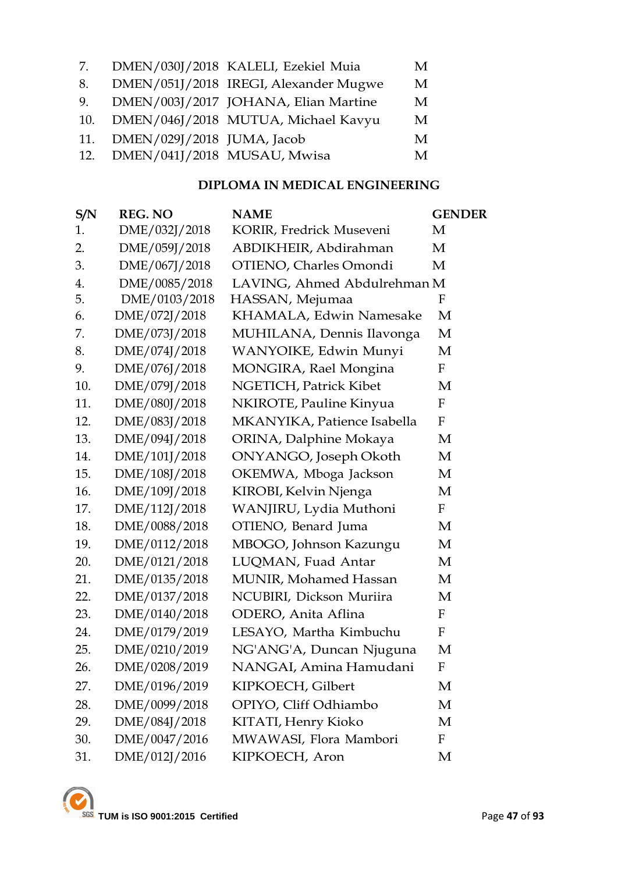| 7.  |                             | DMEN/030J/2018 KALELI, Ezekiel Muia   | M |
|-----|-----------------------------|---------------------------------------|---|
| 8.  |                             | DMEN/051J/2018 IREGI, Alexander Mugwe | M |
| 9.  |                             | DMEN/003J/2017 JOHANA, Elian Martine  | M |
| 10. |                             | DMEN/046J/2018 MUTUA, Michael Kavyu   | M |
| 11. | DMEN/029J/2018 JUMA, Jacob  |                                       | M |
| 12. | DMEN/041J/2018 MUSAU, Mwisa |                                       | M |

### **DIPLOMA IN MEDICAL ENGINEERING**

| S/N | <b>REG. NO</b> | <b>NAME</b>                  | <b>GENDER</b> |
|-----|----------------|------------------------------|---------------|
| 1.  | DME/032J/2018  | KORIR, Fredrick Museveni     | M             |
| 2.  | DME/059J/2018  | ABDIKHEIR, Abdirahman        | M             |
| 3.  | DME/067J/2018  | OTIENO, Charles Omondi       | M             |
| 4.  | DME/0085/2018  | LAVING, Ahmed Abdulrehman M  |               |
| 5.  | DME/0103/2018  | HASSAN, Mejumaa              | F             |
| 6.  | DME/072J/2018  | KHAMALA, Edwin Namesake      | M             |
| 7.  | DME/073J/2018  | MUHILANA, Dennis Ilavonga    | M             |
| 8.  | DME/074J/2018  | WANYOIKE, Edwin Munyi        | M             |
| 9.  | DME/076J/2018  | MONGIRA, Rael Mongina        | ${\bf F}$     |
| 10. | DME/079J/2018  | NGETICH, Patrick Kibet       | M             |
| 11. | DME/080J/2018  | NKIROTE, Pauline Kinyua      | $\mathbf F$   |
| 12. | DME/083J/2018  | MKANYIKA, Patience Isabella  | F             |
| 13. | DME/094J/2018  | ORINA, Dalphine Mokaya       | M             |
| 14. | DME/101J/2018  | ONYANGO, Joseph Okoth        | M             |
| 15. | DME/108J/2018  | OKEMWA, Mboga Jackson        | M             |
| 16. | DME/109J/2018  | KIROBI, Kelvin Njenga        | M             |
| 17. | DME/112J/2018  | WANJIRU, Lydia Muthoni       | F             |
| 18. | DME/0088/2018  | OTIENO, Benard Juma          | M             |
| 19. | DME/0112/2018  | MBOGO, Johnson Kazungu       | M             |
| 20. | DME/0121/2018  | LUQMAN, Fuad Antar           | M             |
| 21. | DME/0135/2018  | <b>MUNIR, Mohamed Hassan</b> | M             |
| 22. | DME/0137/2018  | NCUBIRI, Dickson Muriira     | M             |
| 23. | DME/0140/2018  | ODERO, Anita Aflina          | F             |
| 24. | DME/0179/2019  | LESAYO, Martha Kimbuchu      | $\mathbf F$   |
| 25. | DME/0210/2019  | NG'ANG'A, Duncan Njuguna     | M             |
| 26. | DME/0208/2019  | NANGAI, Amina Hamudani       | F             |
| 27. | DME/0196/2019  | KIPKOECH, Gilbert            | M             |
| 28. | DME/0099/2018  | OPIYO, Cliff Odhiambo        | M             |
| 29. | DME/084J/2018  | KITATI, Henry Kioko          | M             |
| 30. | DME/0047/2016  | MWAWASI, Flora Mambori       | F             |
| 31. | DME/012J/2016  | KIPKOECH, Aron               | M             |
|     |                |                              |               |

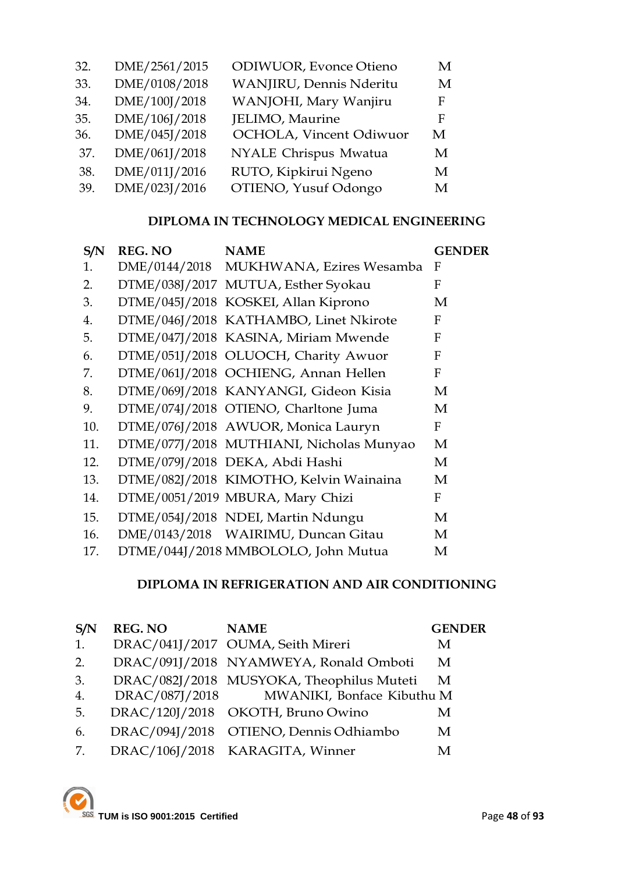| 32. | DME/2561/2015 | <b>ODIWUOR</b> , Evonce Otieno | M |
|-----|---------------|--------------------------------|---|
| 33. | DME/0108/2018 | WANJIRU, Dennis Nderitu        | M |
| 34. | DME/100J/2018 | WANJOHI, Mary Wanjiru          | F |
| 35. | DME/106J/2018 | JELIMO, Maurine                | F |
| 36. | DME/045J/2018 | OCHOLA, Vincent Odiwuor        | М |
| 37. | DME/061J/2018 | NYALE Chrispus Mwatua          | M |
| 38. | DME/011J/2016 | RUTO, Kipkirui Ngeno           | M |
| 39. | DME/023J/2016 | OTIENO, Yusuf Odongo           | M |
|     |               |                                |   |

# **DIPLOMA IN TECHNOLOGY MEDICAL ENGINEERING**

| S/N | <b>REG. NO</b> | <b>NAME</b>                              | <b>GENDER</b> |
|-----|----------------|------------------------------------------|---------------|
| 1.  |                | DME/0144/2018 MUKHWANA, Ezires Wesamba   | F             |
| 2.  |                | DTME/038J/2017 MUTUA, Esther Syokau      | F             |
| 3.  |                | DTME/045J/2018 KOSKEI, Allan Kiprono     | M             |
| 4.  |                | DTME/046J/2018 KATHAMBO, Linet Nkirote   | F             |
| 5.  |                | DTME/047J/2018 KASINA, Miriam Mwende     | F             |
| 6.  |                | DTME/051J/2018 OLUOCH, Charity Awuor     | F             |
| 7.  |                | DTME/061J/2018 OCHIENG, Annan Hellen     | F             |
| 8.  |                | DTME/069J/2018 KANYANGI, Gideon Kisia    | M             |
| 9.  |                | DTME/074J/2018 OTIENO, Charltone Juma    | M             |
| 10. |                | DTME/076J/2018 AWUOR, Monica Lauryn      | F             |
| 11. |                | DTME/077J/2018 MUTHIANI, Nicholas Munyao | М             |
| 12. |                | DTME/079J/2018 DEKA, Abdi Hashi          | M             |
| 13. |                | DTME/082J/2018 KIMOTHO, Kelvin Wainaina  | M             |
| 14. |                | DTME/0051/2019 MBURA, Mary Chizi         | F             |
| 15. |                | DTME/054J/2018 NDEI, Martin Ndungu       | M             |
| 16. |                | DME/0143/2018 WAIRIMU, Duncan Gitau      | M             |
| 17. |                | DTME/044J/2018 MMBOLOLO, John Mutua      | М             |

### **DIPLOMA IN REFRIGERATION AND AIR CONDITIONING**

| S/N | <b>REG. NO</b> | <b>NAME</b>                               | <b>GENDER</b> |
|-----|----------------|-------------------------------------------|---------------|
| 1.  |                | DRAC/041J/2017 OUMA, Seith Mireri         | M             |
| 2.  |                | DRAC/091J/2018 NYAMWEYA, Ronald Omboti    | M             |
| 3.  |                | DRAC/082J/2018 MUSYOKA, Theophilus Muteti | M             |
| 4.  | DRAC/087J/2018 | MWANIKI, Bonface Kibuthu M                |               |
| 5.  |                | DRAC/120J/2018 OKOTH, Bruno Owino         | M             |
| 6.  |                | DRAC/094J/2018 OTIENO, Dennis Odhiambo    | M             |
| 7.  |                | DRAC/106J/2018 KARAGITA, Winner           | M             |

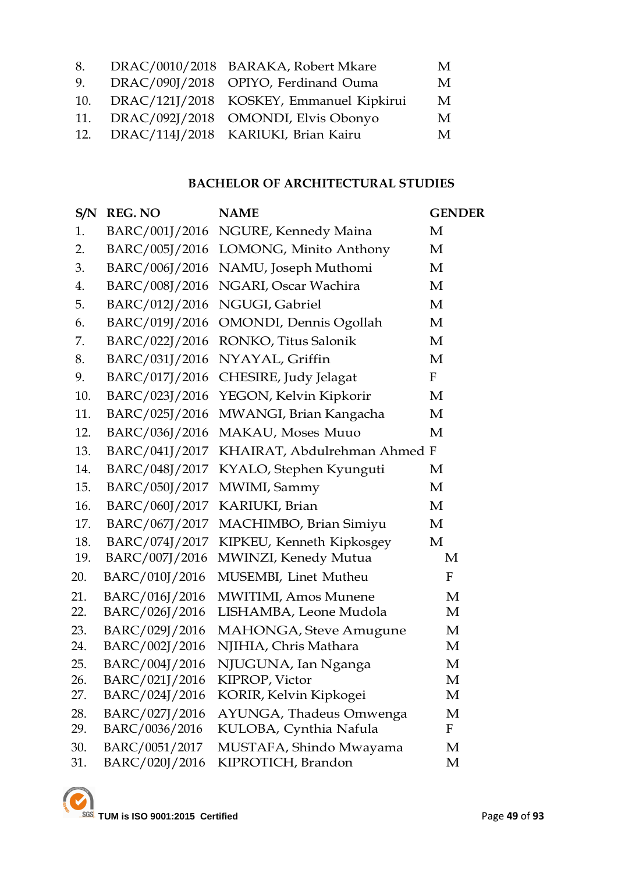|     |     | M                                                                                                                                                                                                     |
|-----|-----|-------------------------------------------------------------------------------------------------------------------------------------------------------------------------------------------------------|
|     |     | M                                                                                                                                                                                                     |
|     |     | M                                                                                                                                                                                                     |
|     |     | М                                                                                                                                                                                                     |
|     |     | М                                                                                                                                                                                                     |
| 12. | 11. | DRAC/0010/2018 BARAKA, Robert Mkare<br>DRAC/090J/2018 OPIYO, Ferdinand Ouma<br>DRAC/121J/2018 KOSKEY, Emmanuel Kipkirui<br>DRAC/092J/2018 OMONDI, Elvis Obonyo<br>DRAC/114J/2018 KARIUKI, Brian Kairu |

# **BACHELOR OF ARCHITECTURAL STUDIES**

| S/N | <b>REG. NO</b> | <b>NAME</b>                    | <b>GENDER</b> |
|-----|----------------|--------------------------------|---------------|
| 1.  | BARC/001J/2016 | NGURE, Kennedy Maina           | M             |
| 2.  | BARC/005J/2016 | LOMONG, Minito Anthony         | М             |
| 3.  | BARC/006J/2016 | NAMU, Joseph Muthomi           | M             |
| 4.  | BARC/008J/2016 | NGARI, Oscar Wachira           | M             |
| 5.  | BARC/012J/2016 | NGUGI, Gabriel                 | M             |
| 6.  | BARC/019J/2016 | OMONDI, Dennis Ogollah         | M             |
| 7.  | BARC/022J/2016 | RONKO, Titus Salonik           | M             |
| 8.  | BARC/031J/2016 | NYAYAL, Griffin                | M             |
| 9.  | BARC/017J/2016 | CHESIRE, Judy Jelagat          | $\mathbf F$   |
| 10. | BARC/023J/2016 | YEGON, Kelvin Kipkorir         | M             |
| 11. | BARC/025J/2016 | MWANGI, Brian Kangacha         | М             |
| 12. | BARC/036J/2016 | MAKAU, Moses Muuo              | M             |
| 13. | BARC/041J/2017 | KHAIRAT, Abdulrehman Ahmed F   |               |
| 14. | BARC/048J/2017 | KYALO, Stephen Kyunguti        | М             |
| 15. | BARC/050J/2017 | MWIMI, Sammy                   | M             |
| 16. | BARC/060J/2017 | KARIUKI, Brian                 | M             |
| 17. | BARC/067J/2017 | MACHIMBO, Brian Simiyu         | M             |
| 18. | BARC/074J/2017 | KIPKEU, Kenneth Kipkosgey      | M             |
| 19. | BARC/007J/2016 | MWINZI, Kenedy Mutua           | M             |
| 20. | BARC/010J/2016 | MUSEMBI, Linet Mutheu          | F             |
| 21. | BARC/016J/2016 | <b>MWITIMI</b> , Amos Munene   | M             |
| 22. | BARC/026J/2016 | LISHAMBA, Leone Mudola         | M             |
| 23. | BARC/029J/2016 | <b>MAHONGA</b> , Steve Amugune | M             |
| 24. | BARC/002J/2016 | NJIHIA, Chris Mathara          | M             |
| 25. | BARC/004J/2016 | NJUGUNA, Ian Nganga            | M             |
| 26. | BARC/021J/2016 | KIPROP, Victor                 | M             |
| 27. | BARC/024J/2016 | KORIR, Kelvin Kipkogei         | M             |
| 28. | BARC/027J/2016 | AYUNGA, Thadeus Omwenga        | M             |
| 29. | BARC/0036/2016 | KULOBA, Cynthia Nafula         | F             |
| 30. | BARC/0051/2017 | MUSTAFA, Shindo Mwayama        | M             |
| 31. | BARC/020J/2016 | KIPROTICH, Brandon             | M             |

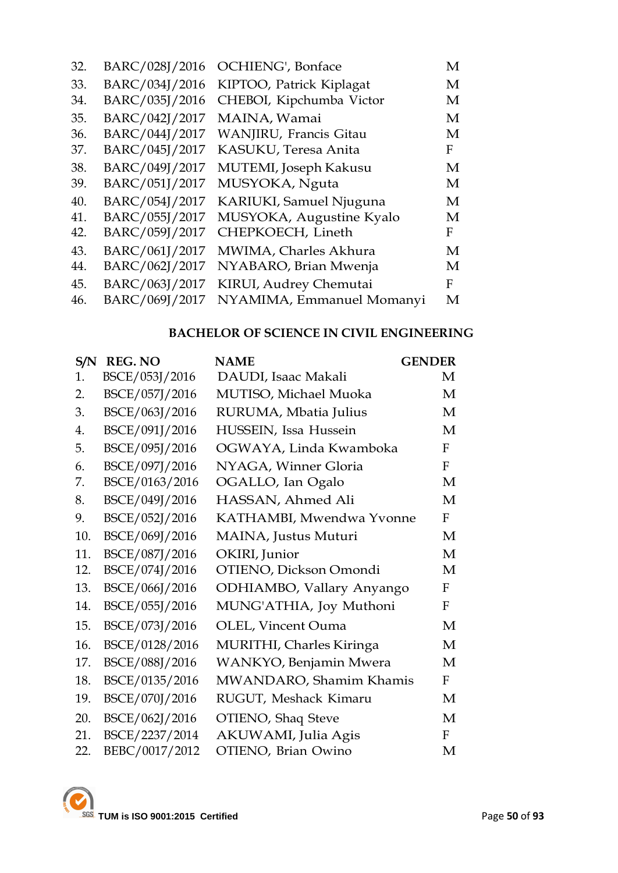| 32. | BARC/028J/2016 | OCHIENG', Bonface         | M |
|-----|----------------|---------------------------|---|
| 33. | BARC/034J/2016 | KIPTOO, Patrick Kiplagat  | M |
| 34. | BARC/035J/2016 | CHEBOI, Kipchumba Victor  | M |
| 35. | BARC/042J/2017 | MAINA, Wamai              | М |
| 36. | BARC/044J/2017 | WANJIRU, Francis Gitau    | M |
| 37. | BARC/045J/2017 | KASUKU, Teresa Anita      | F |
| 38. | BARC/049J/2017 | MUTEMI, Joseph Kakusu     | М |
| 39. | BARC/051J/2017 | MUSYOKA, Nguta            | M |
| 40. | BARC/054J/2017 | KARIUKI, Samuel Njuguna   | M |
| 41. | BARC/055J/2017 | MUSYOKA, Augustine Kyalo  | M |
| 42. | BARC/059J/2017 | CHEPKOECH, Lineth         | F |
| 43. | BARC/061J/2017 | MWIMA, Charles Akhura     | М |
| 44. | BARC/062J/2017 | NYABARO, Brian Mwenja     | М |
| 45. | BARC/063J/2017 | KIRUI, Audrey Chemutai    | F |
| 46. | BARC/069J/2017 | NYAMIMA, Emmanuel Momanyi | M |

# **BACHELOR OF SCIENCE IN CIVIL ENGINEERING**

| S/N | <b>REG. NO</b> | <b>GENDER</b><br><b>NAME</b> |              |
|-----|----------------|------------------------------|--------------|
| 1.  | BSCE/053J/2016 | DAUDI, Isaac Makali          | M            |
| 2.  | BSCE/057J/2016 | MUTISO, Michael Muoka        | M            |
| 3.  | BSCE/063J/2016 | RURUMA, Mbatia Julius        | M            |
| 4.  | BSCE/091J/2016 | HUSSEIN, Issa Hussein        | M            |
| 5.  | BSCE/095J/2016 | OGWAYA, Linda Kwamboka       | F            |
| 6.  | BSCE/097J/2016 | NYAGA, Winner Gloria         | $\mathbf F$  |
| 7.  | BSCE/0163/2016 | OGALLO, Ian Ogalo            | M            |
| 8.  | BSCE/049J/2016 | HASSAN, Ahmed Ali            | M            |
| 9.  | BSCE/052J/2016 | KATHAMBI, Mwendwa Yvonne     | F            |
| 10. | BSCE/069J/2016 | MAINA, Justus Muturi         | M            |
| 11. | BSCE/087J/2016 | OKIRI, Junior                | M            |
| 12. | BSCE/074J/2016 | OTIENO, Dickson Omondi       | M            |
| 13. | BSCE/066J/2016 | ODHIAMBO, Vallary Anyango    | F            |
| 14. | BSCE/055J/2016 | MUNG'ATHIA, Joy Muthoni      | F            |
| 15. | BSCE/073J/2016 | <b>OLEL, Vincent Ouma</b>    | M            |
| 16. | BSCE/0128/2016 | MURITHI, Charles Kiringa     | M            |
| 17. | BSCE/088J/2016 | WANKYO, Benjamin Mwera       | M            |
| 18. | BSCE/0135/2016 | MWANDARO, Shamim Khamis      | F            |
| 19. | BSCE/070J/2016 | RUGUT, Meshack Kimaru        | M            |
| 20. | BSCE/062J/2016 | OTIENO, Shaq Steve           | M            |
| 21. | BSCE/2237/2014 | AKUWAMI, Julia Agis          | $\mathbf{F}$ |
| 22. | BEBC/0017/2012 | OTIENO, Brian Owino          | M            |

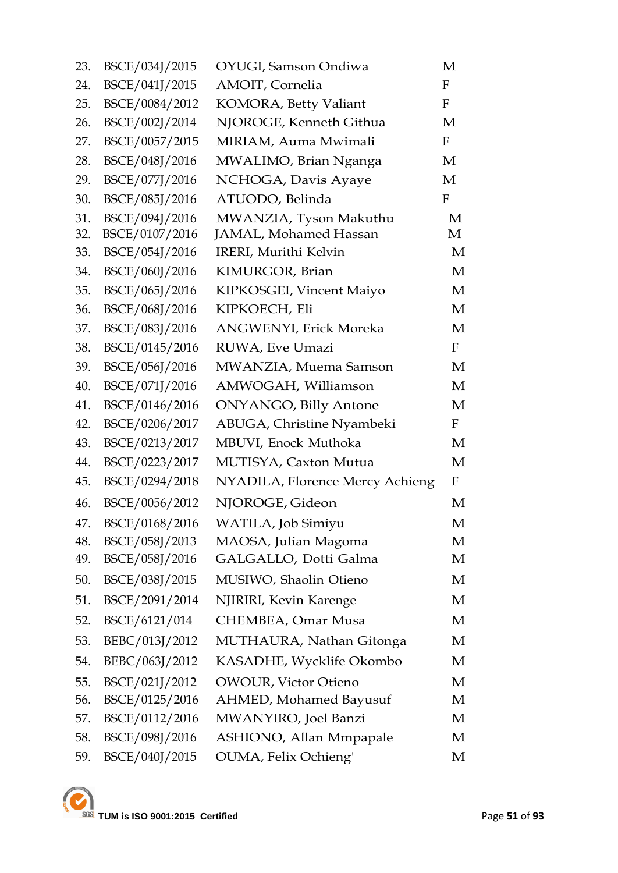| 23. | BSCE/034J/2015 | OYUGI, Samson Ondiwa            | M            |
|-----|----------------|---------------------------------|--------------|
| 24. | BSCE/041J/2015 | AMOIT, Cornelia                 | F            |
| 25. | BSCE/0084/2012 | KOMORA, Betty Valiant           | $\mathbf{F}$ |
| 26. | BSCE/002J/2014 | NJOROGE, Kenneth Githua         | M            |
| 27. | BSCE/0057/2015 | MIRIAM, Auma Mwimali            | $\mathbf{F}$ |
| 28. | BSCE/048J/2016 | MWALIMO, Brian Nganga           | M            |
| 29. | BSCE/077J/2016 | NCHOGA, Davis Ayaye             | M            |
| 30. | BSCE/085J/2016 | ATUODO, Belinda                 | $\mathbf F$  |
| 31. | BSCE/094J/2016 | MWANZIA, Tyson Makuthu          | M            |
| 32. | BSCE/0107/2016 | JAMAL, Mohamed Hassan           | M            |
| 33. | BSCE/054J/2016 | IRERI, Murithi Kelvin           | M            |
| 34. | BSCE/060J/2016 | KIMURGOR, Brian                 | M            |
| 35. | BSCE/065J/2016 | KIPKOSGEI, Vincent Maiyo        | M            |
| 36. | BSCE/068J/2016 | KIPKOECH, Eli                   | M            |
| 37. | BSCE/083J/2016 | <b>ANGWENYI</b> , Erick Moreka  | M            |
| 38. | BSCE/0145/2016 | RUWA, Eve Umazi                 | $\mathbf{F}$ |
| 39. | BSCE/056J/2016 | MWANZIA, Muema Samson           | M            |
| 40. | BSCE/071J/2016 | AMWOGAH, Williamson             | M            |
| 41. | BSCE/0146/2016 | <b>ONYANGO, Billy Antone</b>    | M            |
| 42. | BSCE/0206/2017 | ABUGA, Christine Nyambeki       | $\mathbf{F}$ |
| 43. | BSCE/0213/2017 | MBUVI, Enock Muthoka            | M            |
| 44. | BSCE/0223/2017 | MUTISYA, Caxton Mutua           | M            |
| 45. | BSCE/0294/2018 | NYADILA, Florence Mercy Achieng | F            |
| 46. | BSCE/0056/2012 | NJOROGE, Gideon                 | M            |
| 47. | BSCE/0168/2016 | WATILA, Job Simiyu              | М            |
| 48. | BSCE/058J/2013 | MAOSA, Julian Magoma            | M            |
| 49. | BSCE/058J/2016 | GALGALLO, Dotti Galma           | M            |
| 50. | BSCE/038J/2015 | MUSIWO, Shaolin Otieno          | M            |
| 51. | BSCE/2091/2014 | NJIRIRI, Kevin Karenge          | M            |
| 52. | BSCE/6121/014  | CHEMBEA, Omar Musa              | M            |
| 53. | BEBC/013J/2012 | MUTHAURA, Nathan Gitonga        | M            |
| 54. | BEBC/063J/2012 | KASADHE, Wycklife Okombo        | M            |
| 55. | BSCE/021J/2012 | <b>OWOUR, Victor Otieno</b>     | M            |
| 56. | BSCE/0125/2016 | AHMED, Mohamed Bayusuf          | M            |
| 57. | BSCE/0112/2016 | MWANYIRO, Joel Banzi            | M            |
| 58. | BSCE/098J/2016 | ASHIONO, Allan Mmpapale         | M            |
| 59. | BSCE/040J/2015 | OUMA, Felix Ochieng'            | M            |

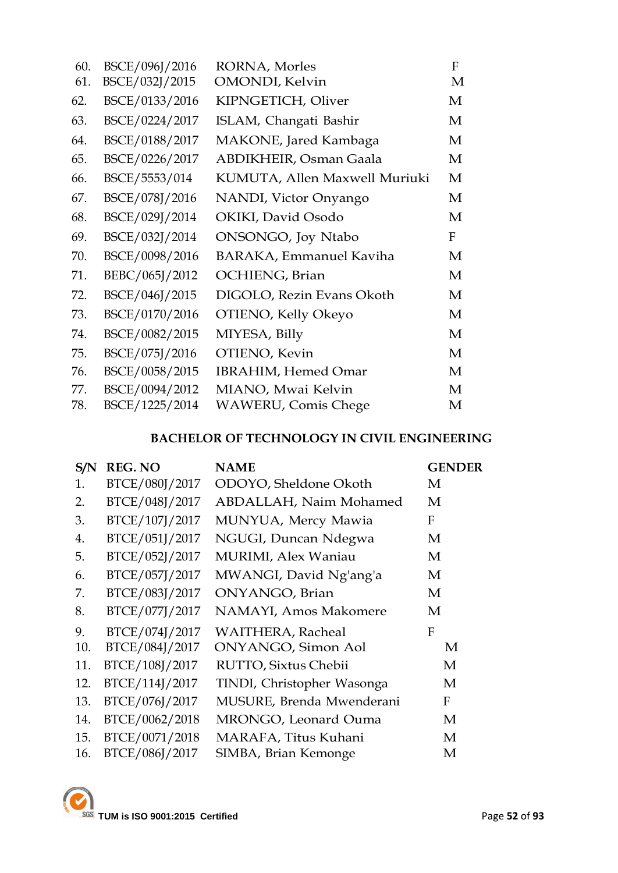| 60. | BSCE/096J/2016 | RORNA, Morles                  | F |
|-----|----------------|--------------------------------|---|
| 61. | BSCE/032J/2015 | <b>OMONDI</b> , Kelvin         | M |
| 62. | BSCE/0133/2016 | KIPNGETICH, Oliver             | M |
| 63. | BSCE/0224/2017 | ISLAM, Changati Bashir         | M |
| 64. | BSCE/0188/2017 | MAKONE, Jared Kambaga          | M |
| 65. | BSCE/0226/2017 | ABDIKHEIR, Osman Gaala         | M |
| 66. | BSCE/5553/014  | KUMUTA, Allen Maxwell Muriuki  | M |
| 67. | BSCE/078J/2016 | NANDI, Victor Onyango          | M |
| 68. | BSCE/029J/2014 | OKIKI, David Osodo             | M |
| 69. | BSCE/032J/2014 | ONSONGO, Joy Ntabo             | F |
| 70. | BSCE/0098/2016 | <b>BARAKA, Emmanuel Kaviha</b> | M |
| 71. | BEBC/065J/2012 | OCHIENG, Brian                 | M |
| 72. | BSCE/046J/2015 | DIGOLO, Rezin Evans Okoth      | M |
| 73. | BSCE/0170/2016 | OTIENO, Kelly Okeyo            | M |
| 74. | BSCE/0082/2015 | MIYESA, Billy                  | M |
| 75. | BSCE/075J/2016 | OTIENO, Kevin                  | M |
| 76. | BSCE/0058/2015 | <b>IBRAHIM, Hemed Omar</b>     | M |
| 77. | BSCE/0094/2012 | MIANO, Mwai Kelvin             | M |
| 78. | BSCE/1225/2014 | <b>WAWERU, Comis Chege</b>     | M |

# **BACHELOR OF TECHNOLOGY IN CIVIL ENGINEERING**

| S/N | <b>REG. NO</b> | <b>NAME</b>                 | <b>GENDER</b> |
|-----|----------------|-----------------------------|---------------|
| 1.  | BTCE/080J/2017 | ODOYO, Sheldone Okoth       | M             |
| 2.  | BTCE/048J/2017 | ABDALLAH, Naim Mohamed      | M             |
| 3.  | BTCE/107J/2017 | MUNYUA, Mercy Mawia         | F             |
| 4.  | BTCE/051J/2017 | NGUGI, Duncan Ndegwa        | M             |
| 5.  | BTCE/052J/2017 | <b>MURIMI</b> , Alex Waniau | M             |
| 6.  | BTCE/057J/2017 | MWANGI, David Ng'ang'a      | M             |
| 7.  | BTCE/083J/2017 | ONYANGO, Brian              | M             |
| 8.  | BTCE/077J/2017 | NAMAYI, Amos Makomere       | M             |
| 9.  | BTCE/074J/2017 | <b>WAITHERA, Racheal</b>    | F             |
| 10. | BTCE/084J/2017 | <b>ONYANGO, Simon Aol</b>   | M             |
| 11. | BTCE/108J/2017 | RUTTO, Sixtus Chebii        | M             |
| 12. | BTCE/114J/2017 | TINDI, Christopher Wasonga  | M             |
| 13. | BTCE/076J/2017 | MUSURE, Brenda Mwenderani   | F             |
| 14. | BTCE/0062/2018 | MRONGO, Leonard Ouma        | M             |
| 15. | BTCE/0071/2018 | MARAFA, Titus Kuhani        | M             |
| 16. | BTCE/086J/2017 | SIMBA, Brian Kemonge        | M             |

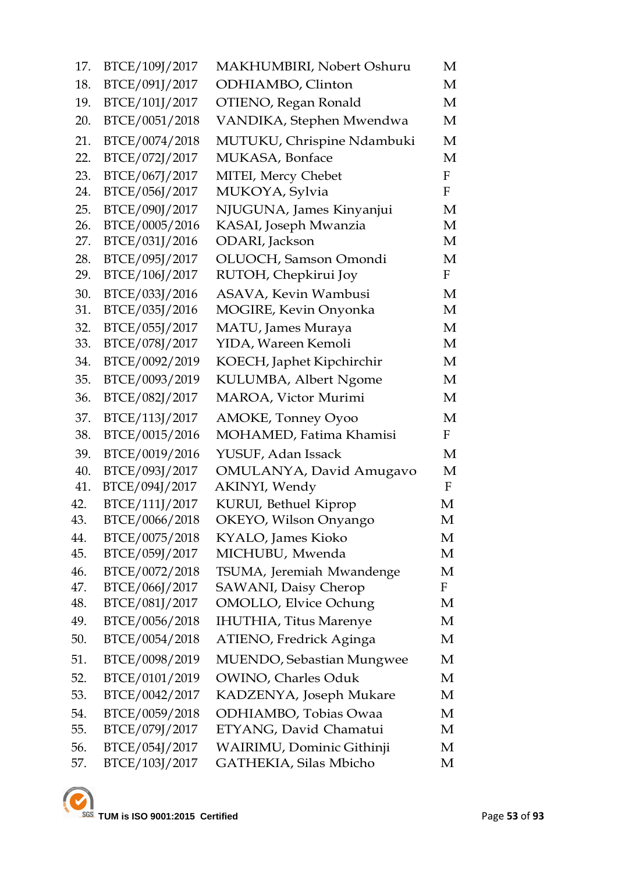| 17.        | BTCE/109J/2017                   | MAKHUMBIRI, Nobert Oshuru                     | M            |
|------------|----------------------------------|-----------------------------------------------|--------------|
| 18.        | BTCE/091J/2017                   | ODHIAMBO, Clinton                             | М            |
| 19.        | BTCE/101J/2017                   | OTIENO, Regan Ronald                          | М            |
| 20.        | BTCE/0051/2018                   | VANDIKA, Stephen Mwendwa                      | M            |
| 21.        | BTCE/0074/2018                   | MUTUKU, Chrispine Ndambuki                    | M            |
| 22.        | BTCE/072J/2017                   | MUKASA, Bonface                               | M            |
| 23.        | BTCE/067J/2017                   | MITEI, Mercy Chebet                           | $\mathbf F$  |
| 24.        | BTCE/056J/2017                   | MUKOYA, Sylvia                                | ${\bf F}$    |
| 25.        | BTCE/090J/2017                   | NJUGUNA, James Kinyanjui                      | M            |
| 26.        | BTCE/0005/2016                   | KASAI, Joseph Mwanzia                         | М            |
| 27.        | BTCE/031J/2016                   | ODARI, Jackson                                | M            |
| 28.        | BTCE/095J/2017                   | OLUOCH, Samson Omondi                         | M            |
| 29.        | BTCE/106J/2017                   | RUTOH, Chepkirui Joy                          | $\mathbf{F}$ |
| 30.        | BTCE/033J/2016                   | ASAVA, Kevin Wambusi                          | M            |
| 31.        | BTCE/035J/2016                   | MOGIRE, Kevin Onyonka                         | M            |
| 32.<br>33. | BTCE/055J/2017<br>BTCE/078J/2017 | MATU, James Muraya<br>YIDA, Wareen Kemoli     | M<br>M       |
| 34.        | BTCE/0092/2019                   |                                               | М            |
| 35.        | BTCE/0093/2019                   | KOECH, Japhet Kipchirchir                     | M            |
| 36.        | BTCE/082J/2017                   | KULUMBA, Albert Ngome<br>MAROA, Victor Murimi | М            |
|            |                                  |                                               |              |
| 37.        | BTCE/113J/2017                   | <b>AMOKE, Tonney Oyoo</b>                     | M            |
| 38.        | BTCE/0015/2016                   | MOHAMED, Fatima Khamisi                       | $\mathbf{F}$ |
| 39.        | BTCE/0019/2016                   | YUSUF, Adan Issack                            | М            |
| 40.<br>41. | BTCE/093J/2017<br>BTCE/094J/2017 | OMULANYA, David Amugavo<br>AKINYI, Wendy      | M<br>F       |
| 42.        | BTCE/111J/2017                   | KURUI, Bethuel Kiprop                         | M            |
| 43.        | BTCE/0066/2018                   | OKEYO, Wilson Onyango                         | M            |
| 44.        | BTCE/0075/2018                   | KYALO, James Kioko                            | M            |
| 45.        | BTCE/059J/2017                   | MICHUBU, Mwenda                               | M            |
| 46.        | BTCE/0072/2018                   | TSUMA, Jeremiah Mwandenge                     | М            |
| 47.        | BTCE/066J/2017                   | SAWANI, Daisy Cherop                          | F            |
| 48.        | BTCE/081J/2017                   | <b>OMOLLO, Elvice Ochung</b>                  | M            |
| 49.        | BTCE/0056/2018                   | <b>IHUTHIA</b> , Titus Marenye                | M            |
| 50.        | BTCE/0054/2018                   | ATIENO, Fredrick Aginga                       | М            |
| 51.        | BTCE/0098/2019                   | MUENDO, Sebastian Mungwee                     | М            |
| 52.        | BTCE/0101/2019                   | <b>OWINO, Charles Oduk</b>                    | M            |
| 53.        | BTCE/0042/2017                   | KADZENYA, Joseph Mukare                       | М            |
| 54.        | BTCE/0059/2018                   | ODHIAMBO, Tobias Owaa                         | М            |
| 55.        | BTCE/079J/2017                   | ETYANG, David Chamatui                        | M            |
| 56.        | BTCE/054J/2017                   | WAIRIMU, Dominic Githinji                     | M            |
| 57.        | BTCE/103J/2017                   | GATHEKIA, Silas Mbicho                        | M            |
|            |                                  |                                               |              |

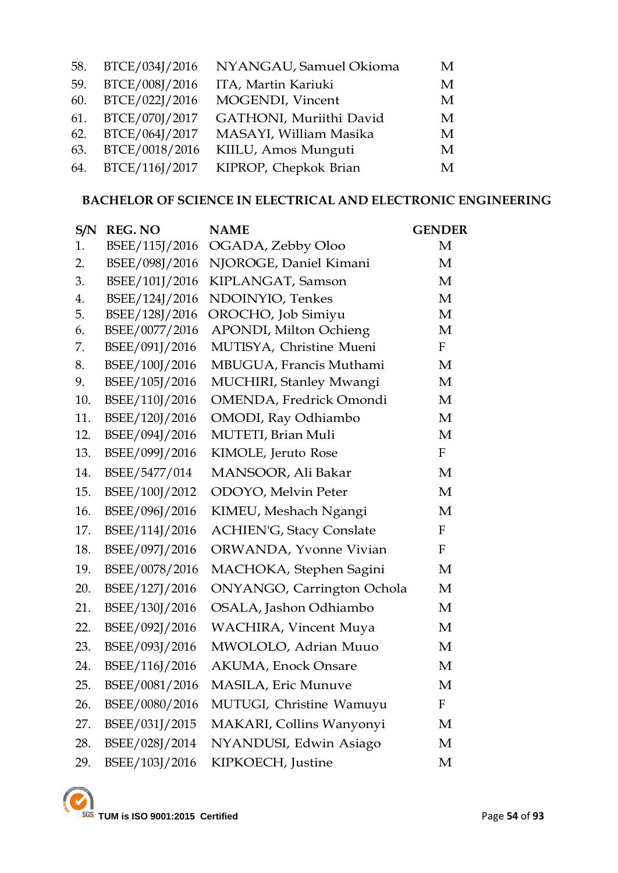| 58. | BTCE/034J/2016     | NYANGAU, Samuel Okioma  | М |
|-----|--------------------|-------------------------|---|
| 59. | BTCE/008J/2016     | ITA, Martin Kariuki     | М |
|     | 60. BTCE/022J/2016 | MOGENDI, Vincent        | М |
|     | 61. BTCE/070J/2017 | GATHONI, Muriithi David | M |
|     | 62. BTCE/064J/2017 | MASAYI, William Masika  | М |
|     | 63. BTCE/0018/2016 | KIILU, Amos Munguti     | М |
|     | 64. BTCE/116J/2017 | KIPROP, Chepkok Brian   | M |

### **BACHELOR OF SCIENCE IN ELECTRICAL AND ELECTRONIC ENGINEERING**

| S/N | <b>REG. NO</b> | <b>NAME</b>                     | <b>GENDER</b> |
|-----|----------------|---------------------------------|---------------|
| 1.  | BSEE/115J/2016 | OGADA, Zebby Oloo               | M             |
| 2.  | BSEE/098J/2016 | NJOROGE, Daniel Kimani          | M             |
| 3.  | BSEE/101J/2016 | KIPLANGAT, Samson               | M             |
| 4.  | BSEE/124J/2016 | NDOINYIO, Tenkes                | M             |
| 5.  | BSEE/128J/2016 | OROCHO, Job Simiyu              | M             |
| 6.  | BSEE/0077/2016 | APONDI, Milton Ochieng          | M             |
| 7.  | BSEE/091J/2016 | MUTISYA, Christine Mueni        | $\mathbf{F}$  |
| 8.  | BSEE/100J/2016 | MBUGUA, Francis Muthami         | M             |
| 9.  | BSEE/105J/2016 | MUCHIRI, Stanley Mwangi         | M             |
| 10. | BSEE/110J/2016 | OMENDA, Fredrick Omondi         | M             |
| 11. | BSEE/120J/2016 | OMODI, Ray Odhiambo             | M             |
| 12. | BSEE/094J/2016 | MUTETI, Brian Muli              | M             |
| 13. | BSEE/099J/2016 | KIMOLE, Jeruto Rose             | $\mathbf{F}$  |
| 14. | BSEE/5477/014  | MANSOOR, Ali Bakar              | M             |
| 15. | BSEE/100J/2012 | ODOYO, Melvin Peter             | M             |
| 16. | BSEE/096J/2016 | KIMEU, Meshach Ngangi           | M             |
| 17. | BSEE/114J/2016 | <b>ACHIEN'G, Stacy Conslate</b> | $\mathbf{F}$  |
| 18. | BSEE/097J/2016 | ORWANDA, Yvonne Vivian          | $\mathbf{F}$  |
| 19. | BSEE/0078/2016 | MACHOKA, Stephen Sagini         | M             |
| 20. | BSEE/127J/2016 | ONYANGO, Carrington Ochola      | M             |
| 21. | BSEE/130J/2016 | OSALA, Jashon Odhiambo          | M             |
| 22. | BSEE/092J/2016 | <b>WACHIRA, Vincent Muya</b>    | M             |
| 23. | BSEE/093J/2016 | MWOLOLO, Adrian Muuo            | M             |
| 24. | BSEE/116J/2016 | <b>AKUMA, Enock Onsare</b>      | M             |
| 25. | BSEE/0081/2016 | MASILA, Eric Munuve             | M             |
| 26. | BSEE/0080/2016 | MUTUGI, Christine Wamuyu        | $\mathbf{F}$  |
| 27. | BSEE/031J/2015 | MAKARI, Collins Wanyonyi        | M             |
| 28. | BSEE/028J/2014 | NYANDUSI, Edwin Asiago          | M             |
| 29. | BSEE/103J/2016 | KIPKOECH, Justine               | M             |

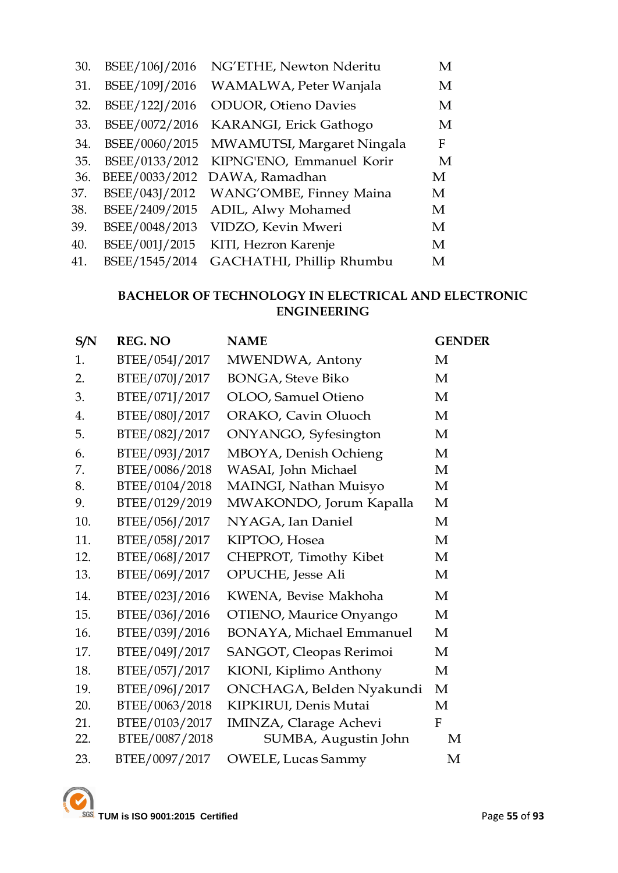| 30. | BSEE/106J/2016 | NG'ETHE, Newton Nderitu      | M |
|-----|----------------|------------------------------|---|
| 31. | BSEE/109J/2016 | WAMALWA, Peter Wanjala       | M |
| 32. | BSEE/122J/2016 | <b>ODUOR</b> , Otieno Davies | M |
| 33. | BSEE/0072/2016 | KARANGI, Erick Gathogo       | M |
| 34. | BSEE/0060/2015 | MWAMUTSI, Margaret Ningala   | F |
| 35. | BSEE/0133/2012 | KIPNG'ENO, Emmanuel Korir    | M |
| 36. | BEEE/0033/2012 | DAWA, Ramadhan               | M |
| 37. | BSEE/043J/2012 | WANG'OMBE, Finney Maina      | M |
| 38. | BSEE/2409/2015 | ADIL, Alwy Mohamed           | M |
| 39. | BSEE/0048/2013 | VIDZO, Kevin Mweri           | M |
| 40. | BSEE/001J/2015 | KITI, Hezron Karenje         | M |
| 41. | BSEE/1545/2014 | GACHATHI, Phillip Rhumbu     | M |

# **BACHELOR OF TECHNOLOGY IN ELECTRICAL AND ELECTRONIC ENGINEERING**

| S/N | <b>REG. NO</b> | <b>NAME</b>                     | <b>GENDER</b> |
|-----|----------------|---------------------------------|---------------|
| 1.  | BTEE/054J/2017 | MWENDWA, Antony                 | M             |
| 2.  | BTEE/070J/2017 | <b>BONGA, Steve Biko</b>        | M             |
| 3.  | BTEE/071J/2017 | OLOO, Samuel Otieno             | M             |
| 4.  | BTEE/080J/2017 | ORAKO, Cavin Oluoch             | M             |
| 5.  | BTEE/082J/2017 | ONYANGO, Syfesington            | M             |
| 6.  | BTEE/093J/2017 | MBOYA, Denish Ochieng           | M             |
| 7.  | BTEE/0086/2018 | WASAI, John Michael             | M             |
| 8.  | BTEE/0104/2018 | MAINGI, Nathan Muisyo           | M             |
| 9.  | BTEE/0129/2019 | MWAKONDO, Jorum Kapalla         | M             |
| 10. | BTEE/056J/2017 | NYAGA, Ian Daniel               | M             |
| 11. | BTEE/058J/2017 | KIPTOO, Hosea                   | M             |
| 12. | BTEE/068J/2017 | CHEPROT, Timothy Kibet          | M             |
| 13. | BTEE/069J/2017 | <b>OPUCHE</b> , Jesse Ali       | M             |
| 14. | BTEE/023J/2016 | KWENA, Bevise Makhoha           | M             |
| 15. | BTEE/036J/2016 | OTIENO, Maurice Onyango         | M             |
| 16. | BTEE/039J/2016 | <b>BONAYA, Michael Emmanuel</b> | M             |
| 17. | BTEE/049J/2017 | SANGOT, Cleopas Rerimoi         | M             |
| 18. | BTEE/057J/2017 | KIONI, Kiplimo Anthony          | M             |
| 19. | BTEE/096J/2017 | ONCHAGA, Belden Nyakundi        | M             |
| 20. | BTEE/0063/2018 | KIPKIRUI, Denis Mutai           | M             |
| 21. | BTEE/0103/2017 | <b>IMINZA, Clarage Achevi</b>   | $\mathbf{F}$  |
| 22. | BTEE/0087/2018 | SUMBA, Augustin John            | M             |
| 23. | BTEE/0097/2017 | <b>OWELE, Lucas Sammy</b>       | M             |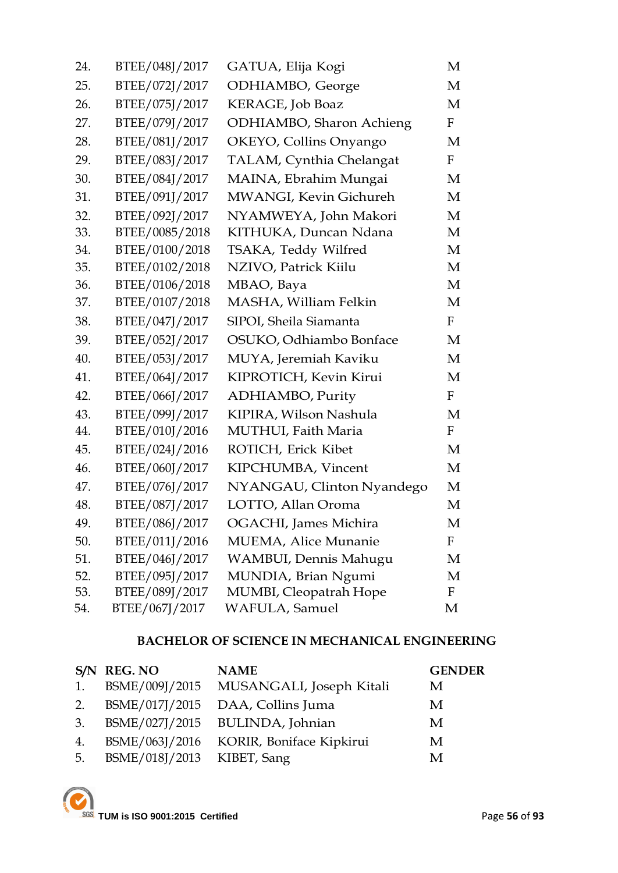| 24. | BTEE/048J/2017 | GATUA, Elija Kogi         | М            |
|-----|----------------|---------------------------|--------------|
| 25. | BTEE/072J/2017 | ODHIAMBO, George          | M            |
| 26. | BTEE/075J/2017 | KERAGE, Job Boaz          | M            |
| 27. | BTEE/079J/2017 | ODHIAMBO, Sharon Achieng  | $\mathbf{F}$ |
| 28. | BTEE/081J/2017 | OKEYO, Collins Onyango    | M            |
| 29. | BTEE/083J/2017 | TALAM, Cynthia Chelangat  | $\mathbf{F}$ |
| 30. | BTEE/084J/2017 | MAINA, Ebrahim Mungai     | M            |
| 31. | BTEE/091J/2017 | MWANGI, Kevin Gichureh    | M            |
| 32. | BTEE/092J/2017 | NYAMWEYA, John Makori     | M            |
| 33. | BTEE/0085/2018 | KITHUKA, Duncan Ndana     | M            |
| 34. | BTEE/0100/2018 | TSAKA, Teddy Wilfred      | M            |
| 35. | BTEE/0102/2018 | NZIVO, Patrick Kiilu      | M            |
| 36. | BTEE/0106/2018 | MBAO, Baya                | M            |
| 37. | BTEE/0107/2018 | MASHA, William Felkin     | M            |
| 38. | BTEE/047J/2017 | SIPOI, Sheila Siamanta    | $\mathbf{F}$ |
| 39. | BTEE/052J/2017 | OSUKO, Odhiambo Bonface   | M            |
| 40. | BTEE/053J/2017 | MUYA, Jeremiah Kaviku     | M            |
| 41. | BTEE/064J/2017 | KIPROTICH, Kevin Kirui    | M            |
| 42. | BTEE/066J/2017 | ADHIAMBO, Purity          | F            |
| 43. | BTEE/099J/2017 | KIPIRA, Wilson Nashula    | M            |
| 44. | BTEE/010J/2016 | MUTHUI, Faith Maria       | $\mathbf{F}$ |
| 45. | BTEE/024J/2016 | ROTICH, Erick Kibet       | M            |
| 46. | BTEE/060J/2017 | KIPCHUMBA, Vincent        | M            |
| 47. | BTEE/076J/2017 | NYANGAU, Clinton Nyandego | M            |
| 48. | BTEE/087J/2017 | LOTTO, Allan Oroma        | M            |
| 49. | BTEE/086J/2017 | OGACHI, James Michira     | М            |
| 50. | BTEE/011J/2016 | MUEMA, Alice Munanie      | F            |
| 51. | BTEE/046J/2017 | WAMBUI, Dennis Mahugu     | М            |
| 52. | BTEE/095J/2017 | MUNDIA, Brian Ngumi       | М            |
| 53. | BTEE/089J/2017 | MUMBI, Cleopatrah Hope    | $\mathbf F$  |
| 54. | BTEE/067J/2017 | WAFULA, Samuel            | M            |

# **BACHELOR OF SCIENCE IN MECHANICAL ENGINEERING**

|    | S/N REG. NO                | <b>NAME</b>                             | <b>GENDER</b> |
|----|----------------------------|-----------------------------------------|---------------|
| 1. |                            | BSME/009J/2015 MUSANGALI, Joseph Kitali | M             |
| 2. |                            | BSME/017J/2015 DAA, Collins Juma        | M             |
| 3. |                            | BSME/027J/2015 BULINDA, Johnian         | M             |
| 4. |                            | BSME/063J/2016 KORIR, Boniface Kipkirui | M             |
| 5. | BSME/018J/2013 KIBET, Sang |                                         | M             |

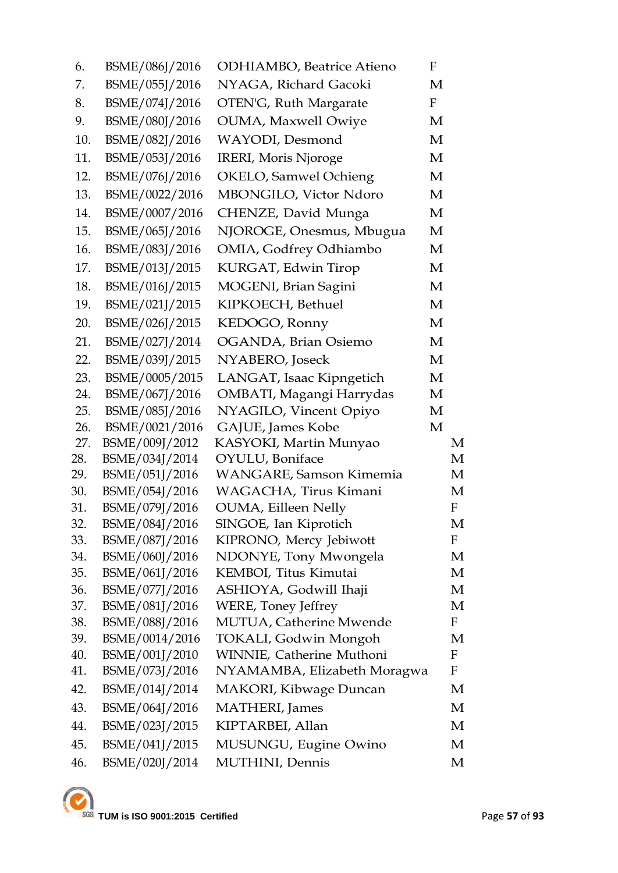| 6.  | BSME/086J/2016 | <b>ODHIAMBO</b> , Beatrice Atieno | F            |              |
|-----|----------------|-----------------------------------|--------------|--------------|
| 7.  | BSME/055J/2016 | NYAGA, Richard Gacoki             | M            |              |
| 8.  | BSME/074J/2016 | OTEN'G, Ruth Margarate            | $\mathbf{F}$ |              |
| 9.  | BSME/080J/2016 | <b>OUMA, Maxwell Owiye</b>        | M            |              |
| 10. | BSME/082J/2016 | WAYODI, Desmond                   | M            |              |
| 11. | BSME/053J/2016 | IRERI, Moris Njoroge              | M            |              |
| 12. | BSME/076J/2016 | OKELO, Samwel Ochieng             | M            |              |
| 13. | BSME/0022/2016 | MBONGILO, Victor Ndoro            | M            |              |
| 14. | BSME/0007/2016 | CHENZE, David Munga               | M            |              |
| 15. | BSME/065J/2016 | NJOROGE, Onesmus, Mbugua          | M            |              |
| 16. | BSME/083J/2016 | OMIA, Godfrey Odhiambo            | М            |              |
| 17. | BSME/013J/2015 | KURGAT, Edwin Tirop               | M            |              |
| 18. | BSME/016J/2015 | MOGENI, Brian Sagini              | M            |              |
| 19. | BSME/021J/2015 | KIPKOECH, Bethuel                 | M            |              |
| 20. | BSME/026J/2015 | KEDOGO, Ronny                     | M            |              |
| 21. | BSME/027J/2014 | OGANDA, Brian Osiemo              | M            |              |
| 22. | BSME/039J/2015 | NYABERO, Joseck                   | M            |              |
| 23. | BSME/0005/2015 | LANGAT, Isaac Kipngetich          | M            |              |
| 24. | BSME/067J/2016 | OMBATI, Magangi Harrydas          | М            |              |
| 25. | BSME/085J/2016 | NYAGILO, Vincent Opiyo            | М            |              |
| 26. | BSME/0021/2016 | GAJUE, James Kobe                 | M            |              |
| 27. | BSME/009J/2012 | KASYOKI, Martin Munyao            |              | М            |
| 28. | BSME/034J/2014 | OYULU, Boniface                   |              | М            |
| 29. | BSME/051J/2016 | <b>WANGARE, Samson Kimemia</b>    |              | M            |
| 30. | BSME/054J/2016 | WAGACHA, Tirus Kimani             |              | M            |
| 31. | BSME/079J/2016 | <b>OUMA</b> , Eilleen Nelly       |              | $\mathbf{F}$ |
| 32. | BSME/084J/2016 | SINGOE, Ian Kiprotich             |              | M            |
| 33. | BSME/087J/2016 | KIPRONO, Mercy Jebiwott           |              | F            |
| 34. | BSME/060J/2016 | NDONYE, Tony Mwongela             |              | М            |
| 35. | BSME/061J/2016 | KEMBOI, Titus Kimutai             |              | М            |
| 36. | BSME/077J/2016 | ASHIOYA, Godwill Ihaji            |              | М            |
| 37. | BSME/081J/2016 | <b>WERE, Toney Jeffrey</b>        |              | М            |
| 38. | BSME/088J/2016 | MUTUA, Catherine Mwende           |              | $\mathbf{F}$ |
| 39. | BSME/0014/2016 | TOKALI, Godwin Mongoh             |              | М            |
| 40. | BSME/001J/2010 | WINNIE, Catherine Muthoni         |              | F            |
| 41. | BSME/073J/2016 | NYAMAMBA, Elizabeth Moragwa       |              | $\mathbf F$  |
| 42. | BSME/014J/2014 | <b>MAKORI</b> , Kibwage Duncan    |              | М            |
| 43. | BSME/064J/2016 | <b>MATHERI</b> , James            |              | М            |
| 44. | BSME/023J/2015 | KIPTARBEI, Allan                  |              | М            |
| 45. | BSME/041J/2015 | MUSUNGU, Eugine Owino             |              | М            |
| 46. | BSME/020J/2014 | MUTHINI, Dennis                   |              | М            |
|     |                |                                   |              |              |

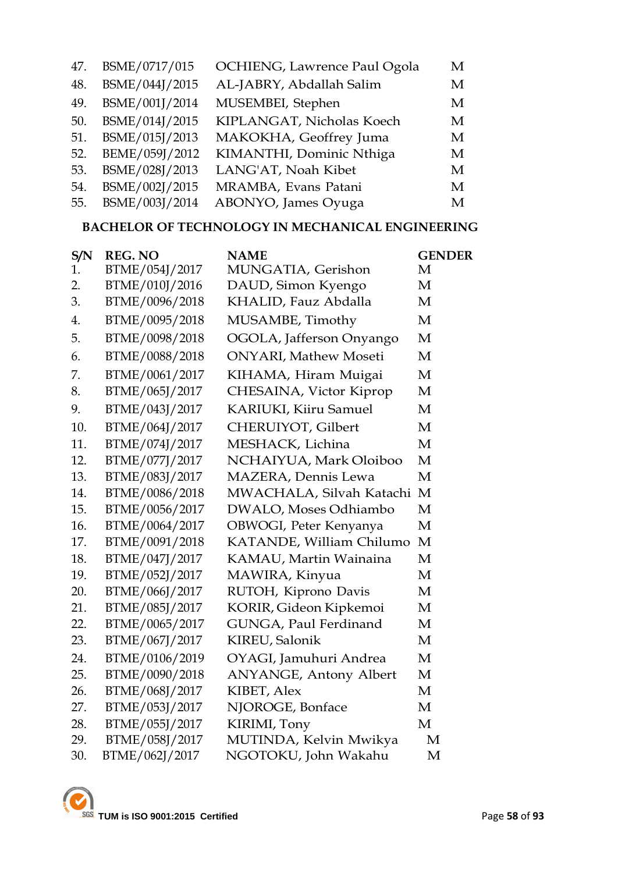| 47. | BSME/0717/015  | OCHIENG, Lawrence Paul Ogola | M |
|-----|----------------|------------------------------|---|
| 48. | BSME/044J/2015 | AL-JABRY, Abdallah Salim     | M |
| 49. | BSME/001J/2014 | MUSEMBEI, Stephen            | M |
| 50. | BSME/014J/2015 | KIPLANGAT, Nicholas Koech    | M |
| 51. | BSME/015J/2013 | MAKOKHA, Geoffrey Juma       | M |
| 52. | BEME/059J/2012 | KIMANTHI, Dominic Nthiga     | M |
| 53. | BSME/028J/2013 | LANG'AT, Noah Kibet          | M |
| 54. | BSME/002J/2015 | MRAMBA, Evans Patani         | M |
| 55. | BSME/003J/2014 | ABONYO, James Oyuga          | M |
|     |                |                              |   |

# **BACHELOR OF TECHNOLOGY IN MECHANICAL ENGINEERING**

| S/N | <b>REG. NO</b> | <b>NAME</b>                   | <b>GENDER</b> |
|-----|----------------|-------------------------------|---------------|
| 1.  | BTME/054J/2017 | MUNGATIA, Gerishon            | М             |
| 2.  | BTME/010J/2016 | DAUD, Simon Kyengo            | M             |
| 3.  | BTME/0096/2018 | KHALID, Fauz Abdalla          | M             |
| 4.  | BTME/0095/2018 | MUSAMBE, Timothy              | M             |
| 5.  | BTME/0098/2018 | OGOLA, Jafferson Onyango      | M             |
| 6.  | BTME/0088/2018 | <b>ONYARI</b> , Mathew Moseti | M             |
| 7.  | BTME/0061/2017 | KIHAMA, Hiram Muigai          | M             |
| 8.  | BTME/065J/2017 | CHESAINA, Victor Kiprop       | M             |
| 9.  | BTME/043J/2017 | <b>KARIUKI, Kiiru Samuel</b>  | M             |
| 10. | BTME/064J/2017 | CHERUIYOT, Gilbert            | M             |
| 11. | BTME/074J/2017 | MESHACK, Lichina              | M             |
| 12. | BTME/077J/2017 | NCHAIYUA, Mark Oloiboo        | M             |
| 13. | BTME/083J/2017 | MAZERA, Dennis Lewa           | $\mathbf{M}$  |
| 14. | BTME/0086/2018 | MWACHALA, Silvah Katachi      | M             |
| 15. | BTME/0056/2017 | DWALO, Moses Odhiambo         | M             |
| 16. | BTME/0064/2017 | OBWOGI, Peter Kenyanya        | M             |
| 17. | BTME/0091/2018 | KATANDE, William Chilumo      | M             |
| 18. | BTME/047J/2017 | KAMAU, Martin Wainaina        | М             |
| 19. | BTME/052J/2017 | MAWIRA, Kinyua                | M             |
| 20. | BTME/066J/2017 | RUTOH, Kiprono Davis          | M             |
| 21. | BTME/085J/2017 | KORIR, Gideon Kipkemoi        | M             |
| 22. | BTME/0065/2017 | GUNGA, Paul Ferdinand         | M             |
| 23. | BTME/067J/2017 | KIREU, Salonik                | M             |
| 24. | BTME/0106/2019 | OYAGI, Jamuhuri Andrea        | M             |
| 25. | BTME/0090/2018 | ANYANGE, Antony Albert        | M             |
| 26. | BTME/068J/2017 | KIBET, Alex                   | М             |
| 27. | BTME/053J/2017 | NJOROGE, Bonface              | M             |
| 28. | BTME/055J/2017 | KIRIMI, Tony                  | M             |
| 29. | BTME/058J/2017 | MUTINDA, Kelvin Mwikya        | M             |
| 30. | BTME/062J/2017 | NGOTOKU, John Wakahu          | M             |

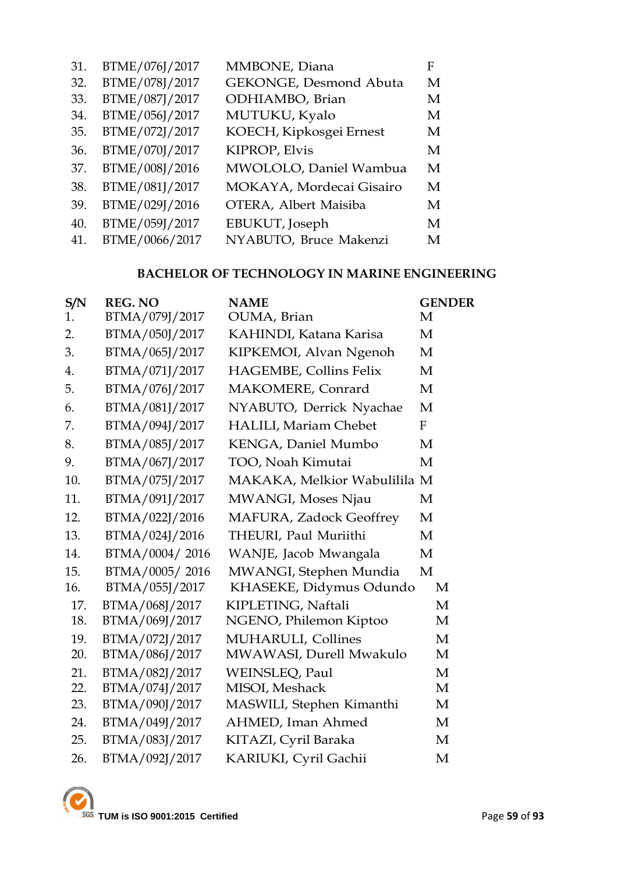| 31. | BTME/076J/2017 | MMBONE, Diana            | F |
|-----|----------------|--------------------------|---|
| 32. | BTME/078J/2017 | GEKONGE, Desmond Abuta   | M |
| 33. | BTME/087J/2017 | ODHIAMBO, Brian          | M |
| 34. | BTME/056J/2017 | MUTUKU, Kyalo            | M |
| 35. | BTME/072J/2017 | KOECH, Kipkosgei Ernest  | M |
| 36. | BTME/070J/2017 | <b>KIPROP, Elvis</b>     | M |
| 37. | BTME/008J/2016 | MWOLOLO, Daniel Wambua   | M |
| 38. | BTME/081J/2017 | MOKAYA, Mordecai Gisairo | M |
| 39. | BTME/029J/2016 | OTERA, Albert Maisiba    | M |
| 40. | BTME/059J/2017 | EBUKUT, Joseph           | M |
| 41. | BTME/0066/2017 | NYABUTO, Bruce Makenzi   | M |

# **BACHELOR OF TECHNOLOGY IN MARINE ENGINEERING**

| S/N | <b>REG. NO</b> | <b>NAME</b>                    | <b>GENDER</b> |
|-----|----------------|--------------------------------|---------------|
| 1.  | BTMA/079J/2017 | OUMA, Brian                    | М             |
| 2.  | BTMA/050J/2017 | KAHINDI, Katana Karisa         | M             |
| 3.  | BTMA/065J/2017 | KIPKEMOI, Alvan Ngenoh         | M             |
| 4.  | BTMA/071J/2017 | HAGEMBE, Collins Felix         | M             |
| 5.  | BTMA/076J/2017 | MAKOMERE, Conrard              | M             |
| 6.  | BTMA/081J/2017 | NYABUTO, Derrick Nyachae       | M             |
| 7.  | BTMA/094J/2017 | <b>HALILI, Mariam Chebet</b>   | $\mathbf{F}$  |
| 8.  | BTMA/085J/2017 | KENGA, Daniel Mumbo            | M             |
| 9.  | BTMA/067J/2017 | TOO, Noah Kimutai              | M             |
| 10. | BTMA/075J/2017 | MAKAKA, Melkior Wabulilila M   |               |
| 11. | BTMA/091J/2017 | MWANGI, Moses Njau             | M             |
| 12. | BTMA/022J/2016 | <b>MAFURA, Zadock Geoffrey</b> | M             |
| 13. | BTMA/024J/2016 | THEURI, Paul Muriithi          | M             |
| 14. | BTMA/0004/2016 | WANJE, Jacob Mwangala          | M             |
| 15. | BTMA/0005/2016 | MWANGI, Stephen Mundia         | M             |
| 16. | BTMA/055J/2017 | KHASEKE, Didymus Odundo        | M             |
| 17. | BTMA/068J/2017 | KIPLETING, Naftali             | M             |
| 18. | BTMA/069J/2017 | NGENO, Philemon Kiptoo         | M             |
| 19. | BTMA/072J/2017 | <b>MUHARULI</b> , Collines     | $\mathbf{M}$  |
| 20. | BTMA/086J/2017 | MWAWASI, Durell Mwakulo        | M             |
| 21. | BTMA/082J/2017 | WEINSLEQ, Paul                 | M             |
| 22. | BTMA/074J/2017 | MISOI, Meshack                 | M             |
| 23. | BTMA/090J/2017 | MASWILI, Stephen Kimanthi      | M             |
| 24. | BTMA/049J/2017 | AHMED, Iman Ahmed              | M             |
| 25. | BTMA/083J/2017 | KITAZI, Cyril Baraka           | M             |
| 26. | BTMA/092J/2017 | KARIUKI, Cyril Gachii          | M             |

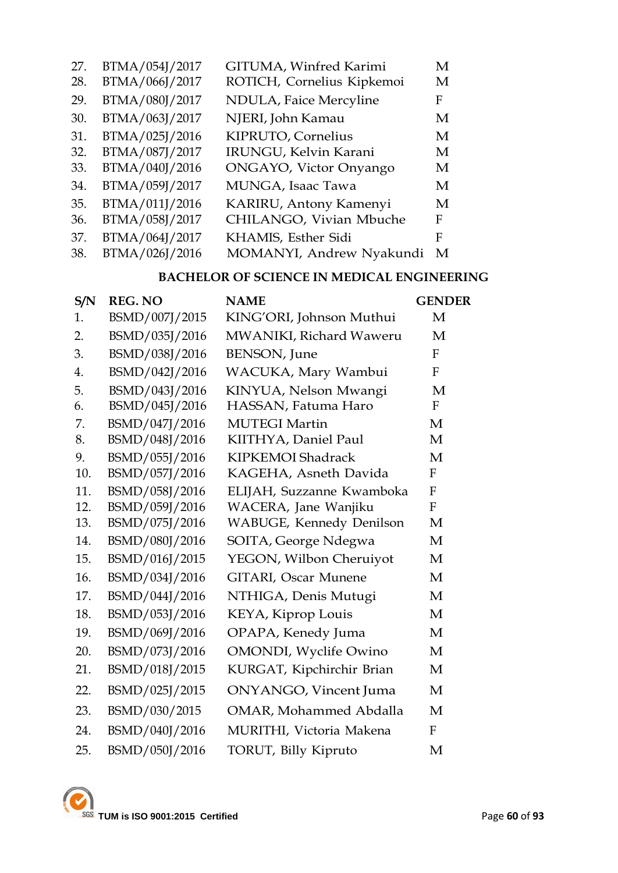| 27. | BTMA/054J/2017 | GITUMA, Winfred Karimi     | М |
|-----|----------------|----------------------------|---|
| 28. | BTMA/066J/2017 | ROTICH, Cornelius Kipkemoi | M |
| 29. | BTMA/080J/2017 | NDULA, Faice Mercyline     | F |
| 30. | BTMA/063J/2017 | NJERI, John Kamau          | M |
| 31. | BTMA/025J/2016 | KIPRUTO, Cornelius         | M |
| 32. | BTMA/087J/2017 | IRUNGU, Kelvin Karani      | M |
| 33. | BTMA/040J/2016 | ONGAYO, Victor Onyango     | M |
| 34. | BTMA/059J/2017 | MUNGA, Isaac Tawa          | M |
| 35. | BTMA/011J/2016 | KARIRU, Antony Kamenyi     | M |
| 36. | BTMA/058J/2017 | CHILANGO, Vivian Mbuche    | F |
| 37. | BTMA/064J/2017 | KHAMIS, Esther Sidi        | F |
| 38. | BTMA/026J/2016 | MOMANYI, Andrew Nyakundi   | M |

# **BACHELOR OF SCIENCE IN MEDICAL ENGINEERING**

| S/N | <b>REG. NO</b> | <b>NAME</b>                   | <b>GENDER</b>    |
|-----|----------------|-------------------------------|------------------|
| 1.  | BSMD/007J/2015 | KING'ORI, Johnson Muthui      | M                |
| 2.  | BSMD/035J/2016 | MWANIKI, Richard Waweru       | M                |
| 3.  | BSMD/038J/2016 | <b>BENSON</b> , June          | $\mathbf{F}$     |
| 4.  | BSMD/042J/2016 | WACUKA, Mary Wambui           | F                |
| 5.  | BSMD/043J/2016 | KINYUA, Nelson Mwangi         | M                |
| 6.  | BSMD/045J/2016 | HASSAN, Fatuma Haro           | $\boldsymbol{F}$ |
| 7.  | BSMD/047J/2016 | <b>MUTEGI Martin</b>          | M                |
| 8.  | BSMD/048J/2016 | KIITHYA, Daniel Paul          | M                |
| 9.  | BSMD/055J/2016 | KIPKEMOI Shadrack             | M                |
| 10. | BSMD/057J/2016 | KAGEHA, Asneth Davida         | $\mathbf{F}$     |
| 11. | BSMD/058J/2016 | ELIJAH, Suzzanne Kwamboka     | F                |
| 12. | BSMD/059J/2016 | WACERA, Jane Wanjiku          | $\overline{F}$   |
| 13. | BSMD/075J/2016 | WABUGE, Kennedy Denilson      | M                |
| 14. | BSMD/080J/2016 | SOITA, George Ndegwa          | M                |
| 15. | BSMD/016J/2015 | YEGON, Wilbon Cheruiyot       | M                |
| 16. | BSMD/034J/2016 | <b>GITARI, Oscar Munene</b>   | M                |
| 17. | BSMD/044J/2016 | NTHIGA, Denis Mutugi          | M                |
| 18. | BSMD/053J/2016 | KEYA, Kiprop Louis            | M                |
| 19. | BSMD/069J/2016 | OPAPA, Kenedy Juma            | M                |
| 20. | BSMD/073J/2016 | <b>OMONDI</b> , Wyclife Owino | M                |
| 21. | BSMD/018J/2015 | KURGAT, Kipchirchir Brian     | M                |
| 22. | BSMD/025J/2015 | <b>ONYANGO</b> , Vincent Juma | M                |
| 23. | BSMD/030/2015  | <b>OMAR, Mohammed Abdalla</b> | M                |
| 24. | BSMD/040J/2016 | MURITHI, Victoria Makena      | F                |
| 25. | BSMD/050J/2016 | TORUT, Billy Kipruto          | M                |

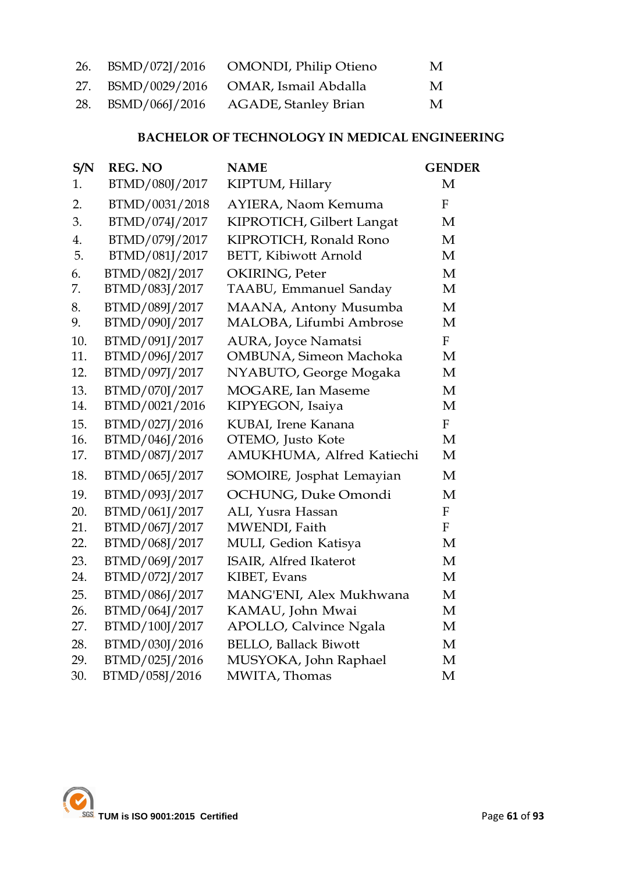|  | 26. BSMD/072J/2016 OMONDI, Philip Otieno | M |
|--|------------------------------------------|---|
|  | 27. BSMD/0029/2016 OMAR, Ismail Abdalla  | M |
|  | 28. BSMD/066J/2016 AGADE, Stanley Brian  | M |

# **BACHELOR OF TECHNOLOGY IN MEDICAL ENGINEERING**

| S/N | <b>REG. NO</b> | <b>NAME</b>                    | <b>GENDER</b>    |
|-----|----------------|--------------------------------|------------------|
| 1.  | BTMD/080J/2017 | KIPTUM, Hillary                | M                |
| 2.  | BTMD/0031/2018 | AYIERA, Naom Kemuma            | $\boldsymbol{F}$ |
| 3.  | BTMD/074J/2017 | KIPROTICH, Gilbert Langat      | M                |
| 4.  | BTMD/079J/2017 | KIPROTICH, Ronald Rono         | M                |
| 5.  | BTMD/081J/2017 | <b>BETT, Kibiwott Arnold</b>   | M                |
| 6.  | BTMD/082J/2017 | OKIRING, Peter                 | M                |
| 7.  | BTMD/083J/2017 | TAABU, Emmanuel Sanday         | M                |
| 8.  | BTMD/089J/2017 | MAANA, Antony Musumba          | M                |
| 9.  | BTMD/090J/2017 | MALOBA, Lifumbi Ambrose        | M                |
| 10. | BTMD/091J/2017 | <b>AURA, Joyce Namatsi</b>     | $\mathbf{F}$     |
| 11. | BTMD/096J/2017 | <b>OMBUNA</b> , Simeon Machoka | M                |
| 12. | BTMD/097J/2017 | NYABUTO, George Mogaka         | M                |
| 13. | BTMD/070J/2017 | <b>MOGARE</b> , Ian Maseme     | M                |
| 14. | BTMD/0021/2016 | KIPYEGON, Isaiya               | M                |
| 15. | BTMD/027J/2016 | KUBAI, Irene Kanana            | $\rm F$          |
| 16. | BTMD/046J/2016 | OTEMO, Justo Kote              | M                |
| 17. | BTMD/087J/2017 | AMUKHUMA, Alfred Katiechi      | M                |
| 18. | BTMD/065J/2017 | SOMOIRE, Josphat Lemayian      | M                |
| 19. | BTMD/093J/2017 | OCHUNG, Duke Omondi            | M                |
| 20. | BTMD/061J/2017 | ALI, Yusra Hassan              | $\mathbf{F}$     |
| 21. | BTMD/067J/2017 | MWENDI, Faith                  | $\mathbf{F}$     |
| 22. | BTMD/068J/2017 | MULI, Gedion Katisya           | M                |
| 23. | BTMD/069J/2017 | ISAIR, Alfred Ikaterot         | M                |
| 24. | BTMD/072J/2017 | KIBET, Evans                   | M                |
| 25. | BTMD/086J/2017 | MANG'ENI, Alex Mukhwana        | M                |
| 26. | BTMD/064J/2017 | KAMAU, John Mwai               | M                |
| 27. | BTMD/100J/2017 | APOLLO, Calvince Ngala         | M                |
| 28. | BTMD/030J/2016 | <b>BELLO, Ballack Biwott</b>   | M                |
| 29. | BTMD/025J/2016 | MUSYOKA, John Raphael          | M                |
| 30. | BTMD/058J/2016 | MWITA, Thomas                  | M                |

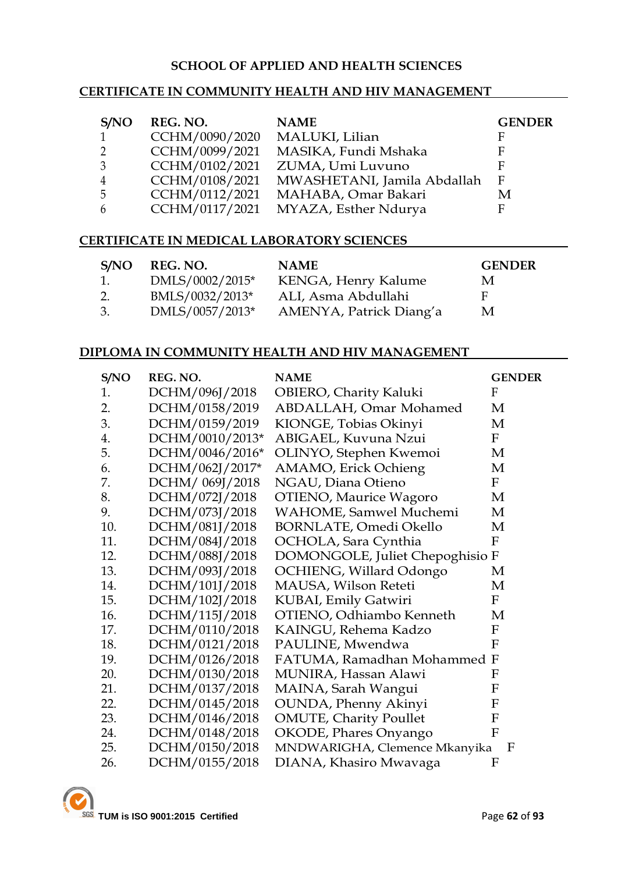#### **SCHOOL OF APPLIED AND HEALTH SCIENCES**

#### **CERTIFICATE IN COMMUNITY HEALTH AND HIV MANAGEMENT**

| S/NO           | REG. NO.       | <b>NAME</b>                 | <b>GENDER</b> |
|----------------|----------------|-----------------------------|---------------|
| $\mathbf{1}$   | CCHM/0090/2020 | MALUKI, Lilian              | F             |
| 2              | CCHM/0099/2021 | MASIKA, Fundi Mshaka        | F             |
| 3              | CCHM/0102/2021 | ZUMA, Umi Luvuno            | F             |
| $\overline{4}$ | CCHM/0108/2021 | MWASHETANI, Jamila Abdallah | F             |
| -5             | CCHM/0112/2021 | MAHABA, Omar Bakari         | M             |
| 6              | CCHM/0117/2021 | MYAZA, Esther Ndurya        | F             |

#### **CERTIFICATE IN MEDICAL LABORATORY SCIENCES**

| S/NO | REG. NO.        | <b>NAME</b>             | <b>GENDER</b> |
|------|-----------------|-------------------------|---------------|
| 1.   | DMLS/0002/2015* | KENGA, Henry Kalume     | M             |
| 2.   | BMLS/0032/2013* | ALI, Asma Abdullahi     | H             |
| 3.   | DMLS/0057/2013* | AMENYA, Patrick Diang'a | M             |

#### **DIPLOMA IN COMMUNITY HEALTH AND HIV MANAGEMENT**

| S/NO | REG. NO.        | <b>NAME</b>                     | <b>GENDER</b>  |
|------|-----------------|---------------------------------|----------------|
| 1.   | DCHM/096J/2018  | <b>OBIERO, Charity Kaluki</b>   | F              |
| 2.   | DCHM/0158/2019  | ABDALLAH, Omar Mohamed          | М              |
| 3.   | DCHM/0159/2019  | KIONGE, Tobias Okinyi           | M              |
| 4.   | DCHM/0010/2013* | ABIGAEL, Kuvuna Nzui            | $_{\rm F}$     |
| 5.   | DCHM/0046/2016* | OLINYO, Stephen Kwemoi          | M              |
| 6.   | DCHM/062J/2017* | AMAMO, Erick Ochieng            | М              |
| 7.   | DCHM/ 069J/2018 | NGAU, Diana Otieno              | $\mathbf F$    |
| 8.   | DCHM/072J/2018  | <b>OTIENO</b> , Maurice Wagoro  | М              |
| 9.   | DCHM/073J/2018  | <b>WAHOME, Samwel Muchemi</b>   | M              |
| 10.  | DCHM/081J/2018  | BORNLATE, Omedi Okello          | M              |
| 11.  | DCHM/084J/2018  | OCHOLA, Sara Cynthia            | F              |
| 12.  | DCHM/088J/2018  | DOMONGOLE, Juliet Chepoghisio F |                |
| 13.  | DCHM/093J/2018  | OCHIENG, Willard Odongo         | М              |
| 14.  | DCHM/101J/2018  | MAUSA, Wilson Reteti            | M              |
| 15.  | DCHM/102J/2018  | KUBAI, Emily Gatwiri            | F              |
| 16.  | DCHM/115J/2018  | OTIENO, Odhiambo Kenneth        | М              |
| 17.  | DCHM/0110/2018  | KAINGU, Rehema Kadzo            | F              |
| 18.  | DCHM/0121/2018  | PAULINE, Mwendwa                | $\mathbf F$    |
| 19.  | DCHM/0126/2018  | FATUMA, Ramadhan Mohammed F     |                |
| 20.  | DCHM/0130/2018  | MUNIRA, Hassan Alawi            | F              |
| 21.  | DCHM/0137/2018  | MAINA, Sarah Wangui             | F              |
| 22.  | DCHM/0145/2018  | <b>OUNDA</b> , Phenny Akinyi    | F              |
| 23.  | DCHM/0146/2018  | <b>OMUTE, Charity Poullet</b>   | F              |
| 24.  | DCHM/0148/2018  | OKODE, Phares Onyango           | $\overline{F}$ |
| 25.  | DCHM/0150/2018  | MNDWARIGHA, Clemence Mkanyika   | F              |
| 26.  | DCHM/0155/2018  | DIANA, Khasiro Mwavaga          | F              |

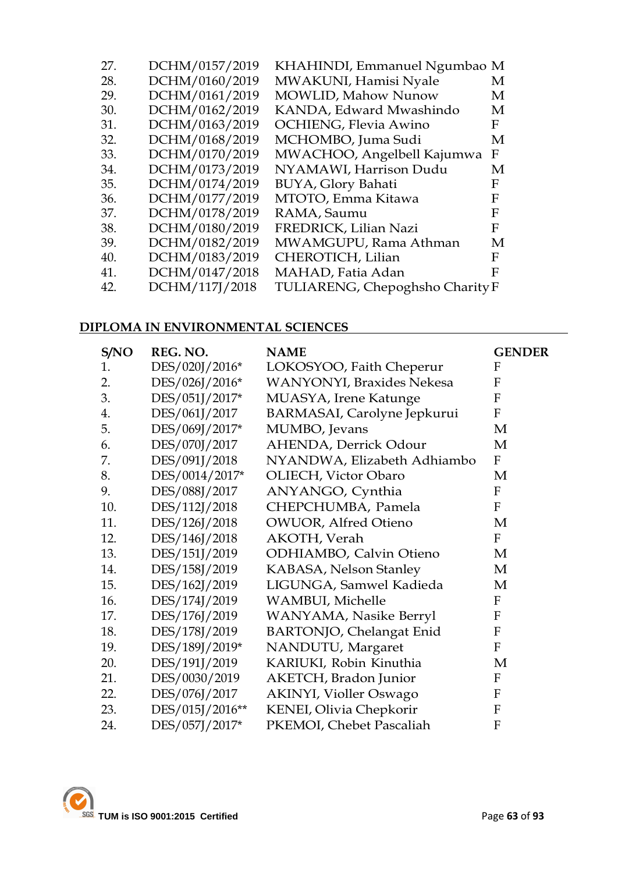| 27. | DCHM/0157/2019 | KHAHINDI, Emmanuel Ngumbao M    |   |
|-----|----------------|---------------------------------|---|
| 28. | DCHM/0160/2019 | MWAKUNI, Hamisi Nyale           | M |
| 29. | DCHM/0161/2019 | <b>MOWLID, Mahow Nunow</b>      | М |
| 30. | DCHM/0162/2019 | KANDA, Edward Mwashindo         | М |
| 31. | DCHM/0163/2019 | <b>OCHIENG, Flevia Awino</b>    | F |
| 32. | DCHM/0168/2019 | MCHOMBO, Juma Sudi              | М |
| 33. | DCHM/0170/2019 | MWACHOO, Angelbell Kajumwa      | F |
| 34. | DCHM/0173/2019 | NYAMAWI, Harrison Dudu          | M |
| 35. | DCHM/0174/2019 | BUYA, Glory Bahati              | F |
| 36. | DCHM/0177/2019 | MTOTO, Emma Kitawa              | F |
| 37. | DCHM/0178/2019 | RAMA, Saumu                     | F |
| 38. | DCHM/0180/2019 | FREDRICK, Lilian Nazi           | F |
| 39. | DCHM/0182/2019 | MWAMGUPU, Rama Athman           | M |
| 40. | DCHM/0183/2019 | CHEROTICH, Lilian               | F |
| 41. | DCHM/0147/2018 | MAHAD, Fatia Adan               | F |
| 42. | DCHM/117J/2018 | TULIARENG, Chepoghsho Charity F |   |
|     |                |                                 |   |

# **DIPLOMA IN ENVIRONMENTAL SCIENCES**

| S/NO | REG. NO.        | <b>NAME</b>                       | <b>GENDER</b>    |
|------|-----------------|-----------------------------------|------------------|
| 1.   | DES/020J/2016*  | LOKOSYOO, Faith Cheperur          | F                |
| 2.   | DES/026J/2016*  | <b>WANYONYI</b> , Braxides Nekesa | $\mathbf{F}$     |
| 3.   | DES/051J/2017*  | MUASYA, Irene Katunge             | F                |
| 4.   | DES/061J/2017   | BARMASAI, Carolyne Jepkurui       | F                |
| 5.   | DES/069J/2017*  | MUMBO, Jevans                     | M                |
| 6.   | DES/070J/2017   | AHENDA, Derrick Odour             | M                |
| 7.   | DES/091J/2018   | NYANDWA, Elizabeth Adhiambo       | F                |
| 8.   | DES/0014/2017*  | OLIECH, Victor Obaro              | M                |
| 9.   | DES/088J/2017   | ANYANGO, Cynthia                  | F                |
| 10.  | DES/112J/2018   | CHEPCHUMBA, Pamela                | $\boldsymbol{F}$ |
| 11.  | DES/126J/2018   | <b>OWUOR, Alfred Otieno</b>       | M                |
| 12.  | DES/146J/2018   | <b>AKOTH</b> , Verah              | F                |
| 13.  | DES/151J/2019   | ODHIAMBO, Calvin Otieno           | M                |
| 14.  | DES/158J/2019   | KABASA, Nelson Stanley            | M                |
| 15.  | DES/162J/2019   | LIGUNGA, Samwel Kadieda           | M                |
| 16.  | DES/174J/2019   | <b>WAMBUI</b> , Michelle          | F                |
| 17.  | DES/176J/2019   | WANYAMA, Nasike Berryl            | F                |
| 18.  | DES/178J/2019   | <b>BARTONJO, Chelangat Enid</b>   | F                |
| 19.  | DES/189J/2019*  | NANDUTU, Margaret                 | F                |
| 20.  | DES/191J/2019   | KARIUKI, Robin Kinuthia           | M                |
| 21.  | DES/0030/2019   | AKETCH, Bradon Junior             | F                |
| 22.  | DES/076J/2017   | <b>AKINYI, Violler Oswago</b>     | F                |
| 23.  | DES/015J/2016** | KENEI, Olivia Chepkorir           | F                |
| 24.  | DES/057J/2017*  | PKEMOI, Chebet Pascaliah          | F                |

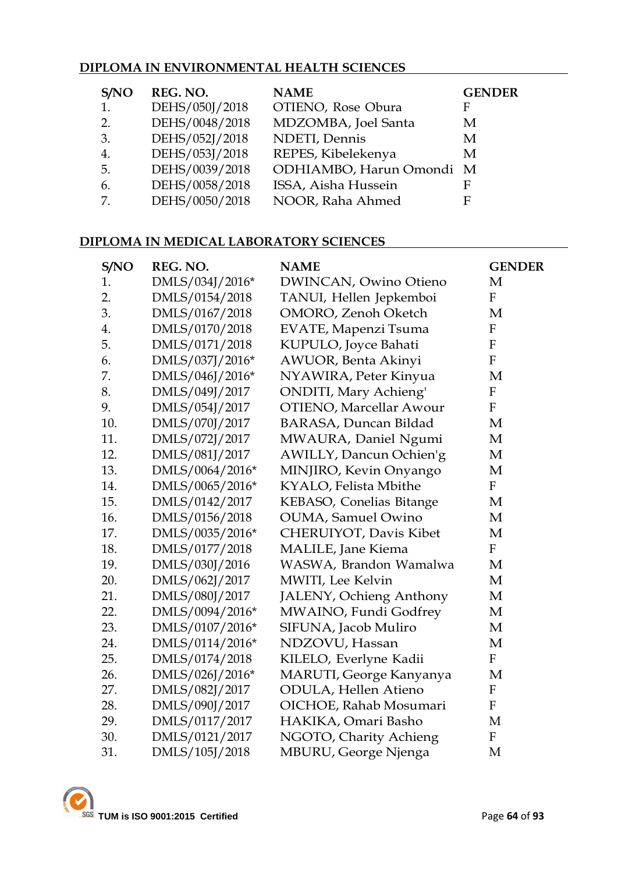# **DIPLOMA IN ENVIRONMENTAL HEALTH SCIENCES**

| S/NO | REG. NO.       | <b>NAME</b>              | <b>GENDER</b> |
|------|----------------|--------------------------|---------------|
| 1.   | DEHS/050J/2018 | OTIENO, Rose Obura       | F             |
| 2.   | DEHS/0048/2018 | MDZOMBA, Joel Santa      | M             |
| 3.   | DEHS/052J/2018 | NDETI, Dennis            | M             |
| 4.   | DEHS/053J/2018 | REPES, Kibelekenya       | M             |
| -5.  | DEHS/0039/2018 | ODHIAMBO, Harun Omondi M |               |
| 6.   | DEHS/0058/2018 | ISSA, Aisha Hussein      | F             |
| 7.   | DEHS/0050/2018 | NOOR, Raha Ahmed         | F             |

### **DIPLOMA IN MEDICAL LABORATORY SCIENCES**

| S/NO | REG. NO.        | <b>NAME</b>                    | <b>GENDER</b>             |
|------|-----------------|--------------------------------|---------------------------|
| 1.   | DMLS/034J/2016* | DWINCAN, Owino Otieno          | M                         |
| 2.   | DMLS/0154/2018  | TANUI, Hellen Jepkemboi        | $\mathbf{F}$              |
| 3.   | DMLS/0167/2018  | OMORO, Zenoh Oketch            | M                         |
| 4.   | DMLS/0170/2018  | <b>EVATE, Mapenzi Tsuma</b>    | $\boldsymbol{\mathrm{F}}$ |
| 5.   | DMLS/0171/2018  | KUPULO, Joyce Bahati           | ${\bf F}$                 |
| 6.   | DMLS/037J/2016* | <b>AWUOR</b> , Benta Akinyi    | $\mathbf{F}$              |
| 7.   | DMLS/046J/2016* | NYAWIRA, Peter Kinyua          | M                         |
| 8.   | DMLS/049J/2017  | <b>ONDITI</b> , Mary Achieng'  | $\boldsymbol{\mathrm{F}}$ |
| 9.   | DMLS/054J/2017  | <b>OTIENO, Marcellar Awour</b> | $\mathbf F$               |
| 10.  | DMLS/070J/2017  | BARASA, Duncan Bildad          | M                         |
| 11.  | DMLS/072J/2017  | MWAURA, Daniel Ngumi           | M                         |
| 12.  | DMLS/081J/2017  | AWILLY, Dancun Ochien'g        | M                         |
| 13.  | DMLS/0064/2016* | MINJIRO, Kevin Onyango         | M                         |
| 14.  | DMLS/0065/2016* | KYALO, Felista Mbithe          | $\mathbf{F}$              |
| 15.  | DMLS/0142/2017  | KEBASO, Conelias Bitange       | M                         |
| 16.  | DMLS/0156/2018  | <b>OUMA, Samuel Owino</b>      | M                         |
| 17.  | DMLS/0035/2016* | CHERUIYOT, Davis Kibet         | M                         |
| 18.  | DMLS/0177/2018  | <b>MALILE</b> , Jane Kiema     | $\mathbf{F}$              |
| 19.  | DMLS/030J/2016  | WASWA, Brandon Wamalwa         | M                         |
| 20.  | DMLS/062J/2017  | MWITI, Lee Kelvin              | M                         |
| 21.  | DMLS/080J/2017  | <b>JALENY, Ochieng Anthony</b> | M                         |
| 22.  | DMLS/0094/2016* | MWAINO, Fundi Godfrey          | M                         |
| 23.  | DMLS/0107/2016* | SIFUNA, Jacob Muliro           | M                         |
| 24.  | DMLS/0114/2016* | NDZOVU, Hassan                 | M                         |
| 25.  | DMLS/0174/2018  | KILELO, Everlyne Kadii         | F                         |
| 26.  | DMLS/026J/2016* | MARUTI, George Kanyanya        | M                         |
| 27.  | DMLS/082J/2017  | <b>ODULA, Hellen Atieno</b>    | ${\bf F}$                 |
| 28.  | DMLS/090J/2017  | OICHOE, Rahab Mosumari         | ${\bf F}$                 |
| 29.  | DMLS/0117/2017  | HAKIKA, Omari Basho            | M                         |
| 30.  | DMLS/0121/2017  | NGOTO, Charity Achieng         | ${\bf F}$                 |
| 31.  | DMLS/105J/2018  | MBURU, George Njenga           | M                         |

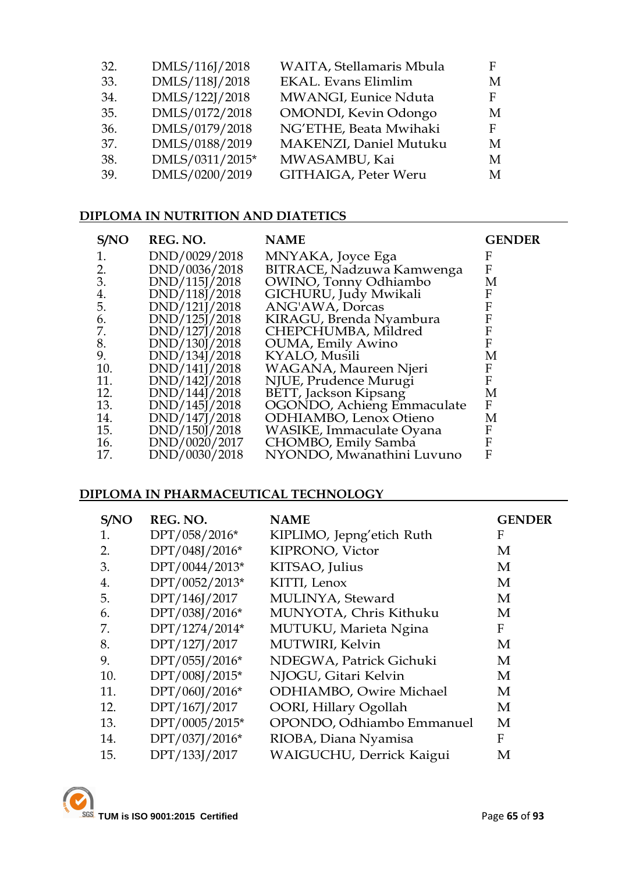| 32. | DMLS/116J/2018  | WAITA, Stellamaris Mbula | F |
|-----|-----------------|--------------------------|---|
| 33. | DMLS/118J/2018  | EKAL. Evans Elimlim      | M |
| 34. | DMLS/122J/2018  | MWANGI, Eunice Nduta     | F |
| 35. | DMLS/0172/2018  | OMONDI, Kevin Odongo     | M |
| 36. | DMLS/0179/2018  | NG'ETHE, Beata Mwihaki   | F |
| 37. | DMLS/0188/2019  | MAKENZI, Daniel Mutuku   | M |
| 38. | DMLS/0311/2015* | MWASAMBU, Kai            | M |
| 39. | DMLS/0200/2019  | GITHAIGA, Peter Weru     | M |
|     |                 |                          |   |

# **DIPLOMA IN NUTRITION AND DIATETICS**

| S/NO | REG. NO.      | <b>NAME</b>                    | <b>GENDER</b> |
|------|---------------|--------------------------------|---------------|
|      | DND/0029/2018 | MNYAKA, Joyce Ega              | F             |
| 2.   | DND/0036/2018 | BITRACE, Nadzuwa Kamwenga      | F             |
| 3.   | DND/115J/2018 | OWINO, Tonny Odhiambo          | М             |
| 4.   | DND/118J/2018 | GICHURU, Judy Mwikali          | F             |
| 5.   | DND/121J/2018 | ANG'AWA, Dorcas                | F             |
| 6.   | DND/125J/2018 | KIRAGU, Brenda Nyambura        | F             |
| 7.   | DND/127J/2018 | CHEPCHUMBA, Mildred            | F             |
| 8.   | DND/130J/2018 | <b>OUMA</b> , Emily Awino      | F             |
| 9.   | DND/134J/2018 | KYALO, Musili                  | Μ             |
| 10.  | DND/141J/2018 | WAGANA, Maureen Njeri          | F             |
| 11.  | DND/142J/2018 | NJUE, Prudence Murugi          | F             |
| 12.  | DND/144J/2018 | <b>BETT, Jackson Kipsang</b>   | Μ             |
| 13.  | DND/145J/2018 | OGONDO, Achieng Emmaculate     | F             |
| 14.  | DND/147J/2018 | <b>ODHIAMBO</b> , Lenox Otieno | М             |
| 15.  | DND/150J/2018 | WASIKE, Immaculate Oyana       | F             |
| 16.  | DND/0020/2017 | CHOMBO, Emily Samba            | F             |
| 17.  | DND/0030/2018 | NYONDO, Mwanathini Luvuno      | F             |

### **DIPLOMA IN PHARMACEUTICAL TECHNOLOGY**

| S/NO | REG. NO.       | <b>NAME</b>                     | <b>GENDER</b> |
|------|----------------|---------------------------------|---------------|
|      | DPT/058/2016*  | KIPLIMO, Jepng'etich Ruth       | F             |
| 2.   | DPT/048J/2016* | KIPRONO, Victor                 | M             |
| 3.   | DPT/0044/2013* | KITSAO, Julius                  | M             |
| 4.   | DPT/0052/2013* | KITTI, Lenox                    | M             |
| 5.   | DPT/146J/2017  | MULINYA, Steward                | M             |
| 6.   | DPT/038J/2016* | MUNYOTA, Chris Kithuku          | M             |
| 7.   | DPT/1274/2014* | MUTUKU, Marieta Ngina           | F             |
| 8.   | DPT/127J/2017  | MUTWIRI, Kelvin                 | М             |
| 9.   | DPT/055J/2016* | NDEGWA, Patrick Gichuki         | M             |
| 10.  | DPT/008J/2015* | NJOGU, Gitari Kelvin            | M             |
| 11.  | DPT/060J/2016* | <b>ODHIAMBO</b> , Owire Michael | M             |
| 12.  | DPT/167J/2017  | OORI, Hillary Ogollah           | M             |
| 13.  | DPT/0005/2015* | OPONDO, Odhiambo Emmanuel       | M             |
| 14.  | DPT/037J/2016* | RIOBA, Diana Nyamisa            | F             |
| 15.  | DPT/133J/2017  | WAIGUCHU, Derrick Kaigui        | M             |

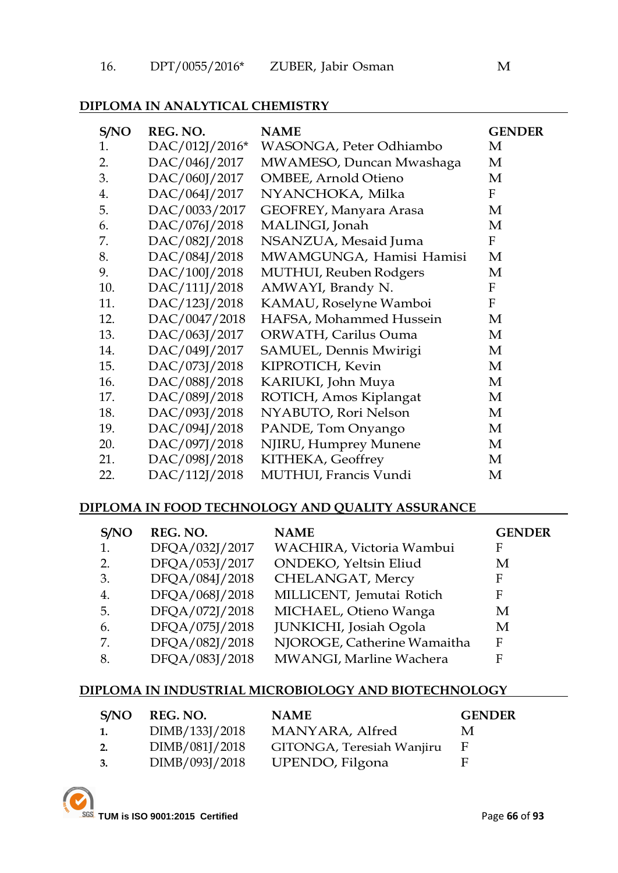### **DIPLOMA IN ANALYTICAL CHEMISTRY**

| S/NO | REG. NO.       | <b>NAME</b>                 | <b>GENDER</b> |
|------|----------------|-----------------------------|---------------|
| 1.   | DAC/012J/2016* | WASONGA, Peter Odhiambo     | M             |
| 2.   | DAC/046J/2017  | MWAMESO, Duncan Mwashaga    | M             |
| 3.   | DAC/060J/2017  | <b>OMBEE, Arnold Otieno</b> | M             |
| 4.   | DAC/064J/2017  | NYANCHOKA, Milka            | $\mathbf{F}$  |
| 5.   | DAC/0033/2017  | GEOFREY, Manyara Arasa      | M             |
| 6.   | DAC/076J/2018  | MALINGI, Jonah              | M             |
| 7.   | DAC/082J/2018  | NSANZUA, Mesaid Juma        | F             |
| 8.   | DAC/084J/2018  | MWAMGUNGA, Hamisi Hamisi    | M             |
| 9.   | DAC/100J/2018  | MUTHUI, Reuben Rodgers      | M             |
| 10.  | DAC/111J/2018  | AMWAYI, Brandy N.           | F             |
| 11.  | DAC/123J/2018  | KAMAU, Roselyne Wamboi      | F             |
| 12.  | DAC/0047/2018  | HAFSA, Mohammed Hussein     | M             |
| 13.  | DAC/063J/2017  | ORWATH, Carilus Ouma        | M             |
| 14.  | DAC/049J/2017  | SAMUEL, Dennis Mwirigi      | M             |
| 15.  | DAC/073J/2018  | KIPROTICH, Kevin            | M             |
| 16.  | DAC/088J/2018  | KARIUKI, John Muya          | M             |
| 17.  | DAC/089J/2018  | ROTICH, Amos Kiplangat      | M             |
| 18.  | DAC/093J/2018  | NYABUTO, Rori Nelson        | M             |
| 19.  | DAC/094J/2018  | PANDE, Tom Onyango          | M             |
| 20.  | DAC/097J/2018  | NJIRU, Humprey Munene       | M             |
| 21.  | DAC/098J/2018  | KITHEKA, Geoffrey           | M             |
| 22.  | DAC/112J/2018  | MUTHUI, Francis Vundi       | M             |

#### **DIPLOMA IN FOOD TECHNOLOGY AND QUALITY ASSURANCE**

| S/NO | REG. NO.       | <b>NAME</b>                 | <b>GENDER</b> |
|------|----------------|-----------------------------|---------------|
| 1.   | DFQA/032J/2017 | WACHIRA, Victoria Wambui    | F             |
| 2.   | DFQA/053J/2017 | ONDEKO, Yeltsin Eliud       | М             |
| 3.   | DFQA/084J/2018 | CHELANGAT, Mercy            | F             |
| 4.   | DFQA/068J/2018 | MILLICENT, Jemutai Rotich   | F             |
| 5.   | DFQA/072J/2018 | MICHAEL, Otieno Wanga       | М             |
| 6.   | DFQA/075J/2018 | JUNKICHI, Josiah Ogola      | М             |
| 7.   | DFQA/082J/2018 | NJOROGE, Catherine Wamaitha | F             |
| 8.   | DFQA/083J/2018 | MWANGI, Marline Wachera     | F             |

### **DIPLOMA IN INDUSTRIAL MICROBIOLOGY AND BIOTECHNOLOGY**

| S/NO | REG. NO.       | <b>NAME</b>               | <b>GENDER</b> |
|------|----------------|---------------------------|---------------|
| 1.   | DIMB/133J/2018 | MANYARA, Alfred           | M             |
| 2.   | DIMB/081J/2018 | GITONGA, Teresiah Wanjiru |               |
| 3.   | DIMB/093J/2018 | UPENDO, Filgona           | H             |

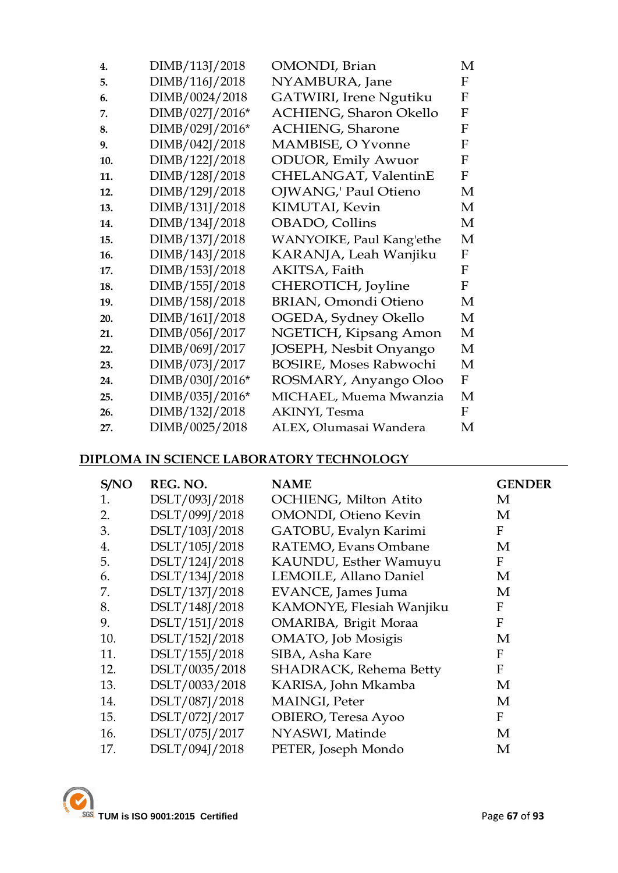| 4.  | DIMB/113J/2018  | OMONDI, Brian                 | M                         |
|-----|-----------------|-------------------------------|---------------------------|
| 5.  | DIMB/116J/2018  | NYAMBURA, Jane                | F                         |
| 6.  | DIMB/0024/2018  | GATWIRI, Irene Ngutiku        | F                         |
| 7.  | DIMB/027J/2016* | <b>ACHIENG, Sharon Okello</b> | $\mathbf F$               |
| 8.  | DIMB/029J/2016* | <b>ACHIENG, Sharone</b>       | F                         |
| 9.  | DIMB/042J/2018  | MAMBISE, O Yvonne             | F                         |
| 10. | DIMB/122J/2018  | <b>ODUOR</b> , Emily Awuor    | $\mathbf{F}$              |
| 11. | DIMB/128J/2018  | CHELANGAT, ValentinE          | F                         |
| 12. | DIMB/129J/2018  | <b>OJWANG,' Paul Otieno</b>   | M                         |
| 13. | DIMB/131J/2018  | KIMUTAI, Kevin                | М                         |
| 14. | DIMB/134J/2018  | OBADO, Collins                | М                         |
| 15. | DIMB/137J/2018  | WANYOIKE, Paul Kang'ethe      | М                         |
| 16. | DIMB/143J/2018  | KARANJA, Leah Wanjiku         | $\boldsymbol{\mathrm{F}}$ |
| 17. | DIMB/153J/2018  | AKITSA, Faith                 | F                         |
| 18. | DIMB/155J/2018  | CHEROTICH, Joyline            | $\mathbf F$               |
| 19. | DIMB/158J/2018  | <b>BRIAN, Omondi Otieno</b>   | M                         |
| 20. | DIMB/161J/2018  | OGEDA, Sydney Okello          | М                         |
| 21. | DIMB/056J/2017  | NGETICH, Kipsang Amon         | M                         |
| 22. | DIMB/069J/2017  | JOSEPH, Nesbit Onyango        | М                         |
| 23. | DIMB/073J/2017  | <b>BOSIRE, Moses Rabwochi</b> | М                         |
| 24. | DIMB/030J/2016* | ROSMARY, Anyango Oloo         | $\boldsymbol{\mathrm{F}}$ |
| 25. | DIMB/035J/2016* | MICHAEL, Muema Mwanzia        | М                         |
| 26. | DIMB/132J/2018  | AKINYI, Tesma                 | F                         |
| 27. | DIMB/0025/2018  | ALEX, Olumasai Wandera        | М                         |

### **DIPLOMA IN SCIENCE LABORATORY TECHNOLOGY**

| S/NO | REG. NO.       | <b>NAME</b>                   | <b>GENDER</b> |
|------|----------------|-------------------------------|---------------|
| 1.   | DSLT/093J/2018 | OCHIENG, Milton Atito         | M             |
| 2.   | DSLT/099J/2018 | <b>OMONDI</b> , Otieno Kevin  | M             |
| 3.   | DSLT/103J/2018 | GATOBU, Evalyn Karimi         | F             |
| 4.   | DSLT/105J/2018 | RATEMO, Evans Ombane          | M             |
| 5.   | DSLT/124J/2018 | KAUNDU, Esther Wamuyu         | F             |
| 6.   | DSLT/134J/2018 | LEMOILE, Allano Daniel        | M             |
| 7.   | DSLT/137J/2018 | EVANCE, James Juma            | M             |
| 8.   | DSLT/148J/2018 | KAMONYE, Flesiah Wanjiku      | F             |
| 9.   | DSLT/151J/2018 | OMARIBA, Brigit Moraa         | F             |
| 10.  | DSLT/152J/2018 | OMATO, Job Mosigis            | M             |
| 11.  | DSLT/155J/2018 | SIBA, Asha Kare               | F             |
| 12.  | DSLT/0035/2018 | <b>SHADRACK, Rehema Betty</b> | F             |
| 13.  | DSLT/0033/2018 | KARISA, John Mkamba           | M             |
| 14.  | DSLT/087J/2018 | MAINGI, Peter                 | M             |
| 15.  | DSLT/072J/2017 | OBIERO, Teresa Ayoo           | F             |
| 16.  | DSLT/075J/2017 | NYASWI, Matinde               | M             |
| 17.  | DSLT/094J/2018 | PETER, Joseph Mondo           | M             |

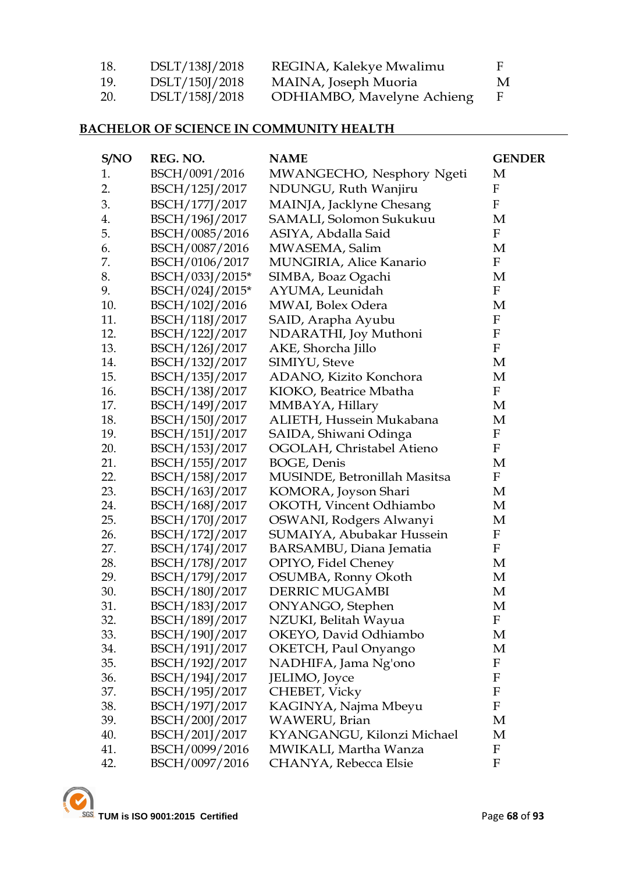| 18.        | DSLT/138J/2018 | REGINA, Kalekye Mwalimu            | F |
|------------|----------------|------------------------------------|---|
| 19.        | DSLT/150J/2018 | MAINA, Joseph Muoria               | M |
| <b>20.</b> | DSLT/158J/2018 | <b>ODHIAMBO</b> , Mavelyne Achieng |   |

# **BACHELOR OF SCIENCE IN COMMUNITY HEALTH**

| S/NO | REG. NO.        | <b>NAME</b>                    | <b>GENDER</b> |
|------|-----------------|--------------------------------|---------------|
| 1.   | BSCH/0091/2016  | MWANGECHO, Nesphory Ngeti      | М             |
| 2.   | BSCH/125J/2017  | NDUNGU, Ruth Wanjiru           | F             |
| 3.   | BSCH/177J/2017  | MAINJA, Jacklyne Chesang       | $\mathbf{F}$  |
| 4.   | BSCH/196J/2017  | SAMALI, Solomon Sukukuu        | M             |
| 5.   | BSCH/0085/2016  | ASIYA, Abdalla Said            | $\mathbf F$   |
| 6.   | BSCH/0087/2016  | MWASEMA, Salim                 | М             |
| 7.   | BSCH/0106/2017  | <b>MUNGIRIA, Alice Kanario</b> | $\mathbf F$   |
| 8.   | BSCH/033J/2015* | SIMBA, Boaz Ogachi             | M             |
| 9.   | BSCH/024J/2015* | AYUMA, Leunidah                | $\mathbf F$   |
| 10.  | BSCH/102J/2016  | MWAI, Bolex Odera              | M             |
| 11.  | BSCH/118J/2017  | SAID, Arapha Ayubu             | $\mathbf F$   |
| 12.  | BSCH/122J/2017  | NDARATHI, Joy Muthoni          | $\mathbf F$   |
| 13.  | BSCH/126J/2017  | AKE, Shorcha Jillo             | ${\bf F}$     |
| 14.  | BSCH/132J/2017  | SIMIYU, Steve                  | M             |
| 15.  | BSCH/135J/2017  | ADANO, Kizito Konchora         | M             |
| 16.  | BSCH/138J/2017  | KIOKO, Beatrice Mbatha         | $\mathbf F$   |
| 17.  | BSCH/149J/2017  | MMBAYA, Hillary                | М             |
| 18.  | BSCH/150J/2017  | ALIETH, Hussein Mukabana       | M             |
| 19.  | BSCH/151J/2017  | SAIDA, Shiwani Odinga          | $\mathbf F$   |
| 20.  | BSCH/153J/2017  | OGOLAH, Christabel Atieno      | $\mathbf F$   |
| 21.  | BSCH/155J/2017  | BOGE, Denis                    | М             |
| 22.  | BSCH/158J/2017  | MUSINDE, Betronillah Masitsa   | $\mathbf F$   |
| 23.  | BSCH/163J/2017  | KOMORA, Joyson Shari           | М             |
| 24.  | BSCH/168J/2017  | <b>OKOTH, Vincent Odhiambo</b> | М             |
| 25.  | BSCH/170J/2017  | OSWANI, Rodgers Alwanyi        | М             |
| 26.  | BSCH/172J/2017  | SUMAIYA, Abubakar Hussein      | F             |
| 27.  | BSCH/174J/2017  | BARSAMBU, Diana Jematia        | $\mathbf F$   |
| 28.  | BSCH/178J/2017  | OPIYO, Fidel Cheney            | M             |
| 29.  | BSCH/179J/2017  | OSUMBA, Ronny Okoth            | M             |
| 30.  | BSCH/180J/2017  | <b>DERRIC MUGAMBI</b>          | M             |
| 31.  | BSCH/183J/2017  | ONYANGO, Stephen               | M             |
| 32.  | BSCH/189J/2017  | NZUKI, Belitah Wayua           | F             |
| 33.  | BSCH/190J/2017  | OKEYO, David Odhiambo          | M             |
| 34.  | BSCH/191J/2017  | OKETCH, Paul Onyango           | M             |
| 35.  | BSCH/192J/2017  | NADHIFA, Jama Ng'ono           | $\mathbf F$   |
| 36.  | BSCH/194J/2017  | JELIMO, Joyce                  | F             |
| 37.  | BSCH/195J/2017  | <b>CHEBET, Vicky</b>           | $\mathbf F$   |
| 38.  | BSCH/197J/2017  | KAGINYA, Najma Mbeyu           | ${\bf F}$     |
| 39.  | BSCH/200J/2017  | WAWERU, Brian                  | M             |
| 40.  | BSCH/201J/2017  | KYANGANGU, Kilonzi Michael     | M             |
| 41.  | BSCH/0099/2016  | MWIKALI, Martha Wanza          | $\mathbf F$   |
| 42.  | BSCH/0097/2016  | CHANYA, Rebecca Elsie          | F             |

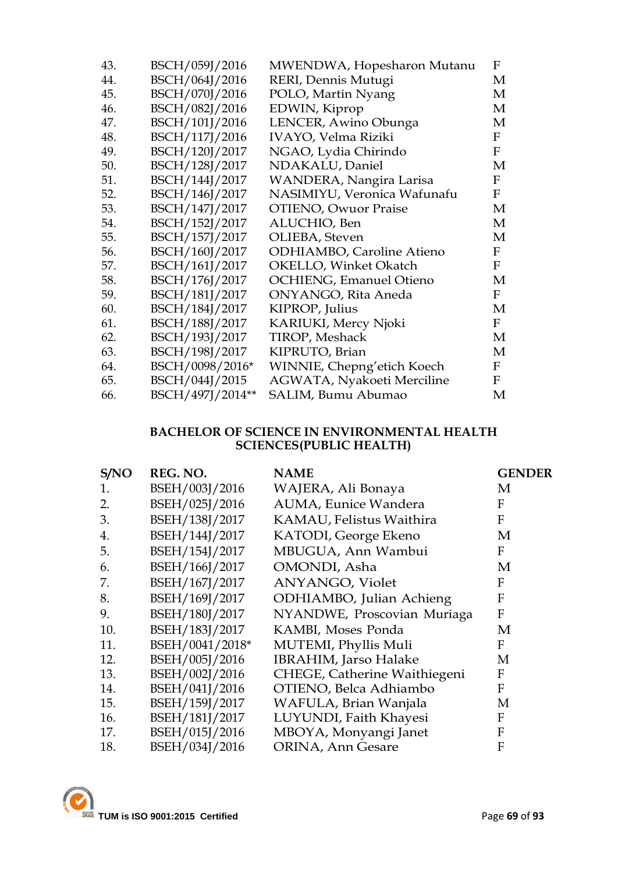| 43. | BSCH/059J/2016   | MWENDWA, Hopesharon Mutanu       | F            |
|-----|------------------|----------------------------------|--------------|
| 44. | BSCH/064J/2016   | RERI, Dennis Mutugi              | M            |
| 45. | BSCH/070J/2016   | POLO, Martin Nyang               | М            |
| 46. | BSCH/082J/2016   | EDWIN, Kiprop                    | М            |
| 47. | BSCH/101J/2016   | LENCER, Awino Obunga             | М            |
| 48. | BSCH/117J/2016   | <b>IVAYO, Velma Riziki</b>       | $\mathbf{F}$ |
| 49. | BSCH/120J/2017   | NGAO, Lydia Chirindo             | $\mathbf{F}$ |
| 50. | BSCH/128J/2017   | NDAKALU, Daniel                  | М            |
| 51. | BSCH/144J/2017   | WANDERA, Nangira Larisa          | F            |
| 52. | BSCH/146J/2017   | NASIMIYU, Veronica Wafunafu      | F            |
| 53. | BSCH/147J/2017   | <b>OTIENO, Owuor Praise</b>      | М            |
| 54. | BSCH/152J/2017   | ALUCHIO, Ben                     | М            |
| 55. | BSCH/157J/2017   | OLIEBA, Steven                   | М            |
| 56. | BSCH/160J/2017   | <b>ODHIAMBO, Caroline Atieno</b> | $\mathbf{F}$ |
| 57. | BSCH/161J/2017   | OKELLO, Winket Okatch            | $\mathbf F$  |
| 58. | BSCH/176J/2017   | <b>OCHIENG, Emanuel Otieno</b>   | М            |
| 59. | BSCH/181J/2017   | <b>ONYANGO, Rita Aneda</b>       | $\mathbf F$  |
| 60. | BSCH/184J/2017   | KIPROP, Julius                   | М            |
| 61. | BSCH/188J/2017   | KARIUKI, Mercy Njoki             | $\mathbf{F}$ |
| 62. | BSCH/193J/2017   | <b>TIROP, Meshack</b>            | М            |
| 63. | BSCH/198J/2017   | KIPRUTO, Brian                   | М            |
| 64. | BSCH/0098/2016*  | WINNIE, Chepng'etich Koech       | $\mathbf{F}$ |
| 65. | BSCH/044J/2015   | AGWATA, Nyakoeti Merciline       | $\mathbf F$  |
| 66. | BSCH/497J/2014** | SALIM, Bumu Abumao               | М            |

### **BACHELOR OF SCIENCE IN ENVIRONMENTAL HEALTH SCIENCES(PUBLIC HEALTH)**

| S/NO | REG. NO.        | <b>NAME</b>                  | <b>GENDER</b> |
|------|-----------------|------------------------------|---------------|
| 1.   | BSEH/003J/2016  | WAJERA, Ali Bonaya           | M             |
| 2.   | BSEH/025J/2016  | AUMA, Eunice Wandera         | F             |
| 3.   | BSEH/138J/2017  | KAMAU, Felistus Waithira     | F             |
| 4.   | BSEH/144J/2017  | KATODI, George Ekeno         | M             |
| 5.   | BSEH/154J/2017  | MBUGUA, Ann Wambui           | F             |
| 6.   | BSEH/166J/2017  | OMONDI, Asha                 | M             |
| 7.   | BSEH/167J/2017  | ANYANGO, Violet              | F             |
| 8.   | BSEH/169J/2017  | ODHIAMBO, Julian Achieng     | F             |
| 9.   | BSEH/180J/2017  | NYANDWE, Proscovian Muriaga  | F             |
| 10.  | BSEH/183J/2017  | KAMBI, Moses Ponda           | M             |
| 11.  | BSEH/0041/2018* | MUTEMI, Phyllis Muli         | F             |
| 12.  | BSEH/005J/2016  | <b>IBRAHIM, Jarso Halake</b> | М             |
| 13.  | BSEH/002J/2016  | CHEGE, Catherine Waithiegeni | F             |
| 14.  | BSEH/041J/2016  | OTIENO, Belca Adhiambo       | F             |
| 15.  | BSEH/159J/2017  | WAFULA, Brian Wanjala        | M             |
| 16.  | BSEH/181J/2017  | LUYUNDI, Faith Khayesi       | F             |
| 17.  | BSEH/015J/2016  | MBOYA, Monyangi Janet        | F             |
| 18.  | BSEH/034J/2016  | ORINA, Ann Gesare            | F             |

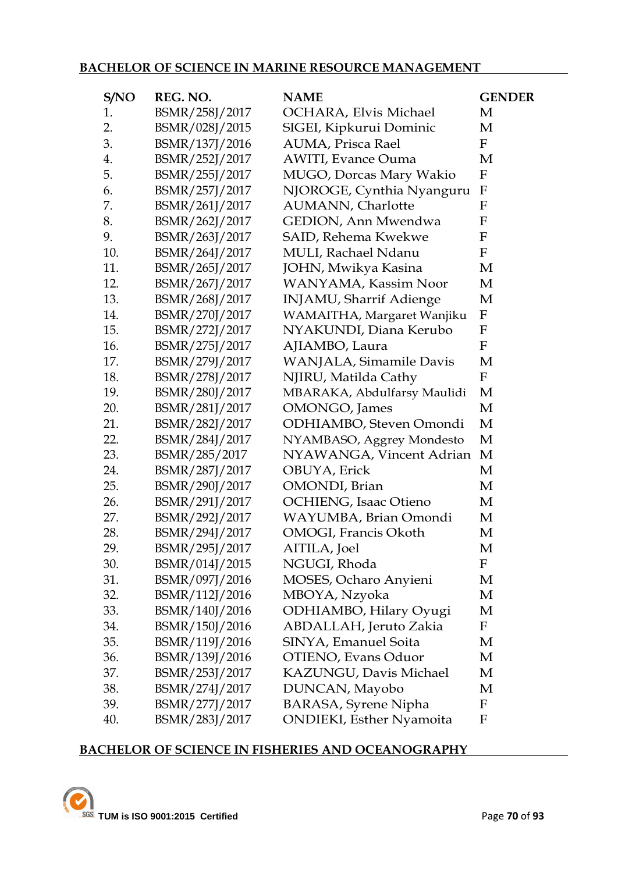### **BACHELOR OF SCIENCE IN MARINE RESOURCE MANAGEMENT**

| S/NO | REG. NO.       | <b>NAME</b>                      | <b>GENDER</b>             |
|------|----------------|----------------------------------|---------------------------|
| 1.   | BSMR/258J/2017 | OCHARA, Elvis Michael            | M                         |
| 2.   | BSMR/028J/2015 | SIGEI, Kipkurui Dominic          | М                         |
| 3.   | BSMR/137J/2016 | AUMA, Prisca Rael                | $\mathbf F$               |
| 4.   | BSMR/252J/2017 | <b>AWITI, Evance Ouma</b>        | M                         |
| 5.   | BSMR/255J/2017 | MUGO, Dorcas Mary Wakio          | $\mathbf F$               |
| 6.   | BSMR/257J/2017 | NJOROGE, Cynthia Nyanguru        | $\boldsymbol{\mathrm{F}}$ |
| 7.   | BSMR/261J/2017 | <b>AUMANN</b> , Charlotte        | $\mathbf{F}$              |
| 8.   | BSMR/262J/2017 | GEDION, Ann Mwendwa              | $\mathbf{F}$              |
| 9.   | BSMR/263J/2017 | SAID, Rehema Kwekwe              | $\mathbf F$               |
| 10.  | BSMR/264J/2017 | <b>MULI, Rachael Ndanu</b>       | ${\bf F}$                 |
| 11.  | BSMR/265J/2017 | JOHN, Mwikya Kasina              | М                         |
| 12.  | BSMR/267J/2017 | WANYAMA, Kassim Noor             | M                         |
| 13.  | BSMR/268J/2017 | INJAMU, Sharrif Adienge          | M                         |
| 14.  | BSMR/270J/2017 | WAMAITHA, Margaret Wanjiku       | $\mathbf F$               |
| 15.  | BSMR/272J/2017 | NYAKUNDI, Diana Kerubo           | F                         |
| 16.  | BSMR/275J/2017 | AJIAMBO, Laura                   | $\boldsymbol{\mathrm{F}}$ |
| 17.  | BSMR/279J/2017 | WANJALA, Simamile Davis          | М                         |
| 18.  | BSMR/278J/2017 | NJIRU, Matilda Cathy             | $\mathbf F$               |
| 19.  | BSMR/280J/2017 | MBARAKA, Abdulfarsy Maulidi      | M                         |
| 20.  | BSMR/281J/2017 | <b>OMONGO</b> , James            | M                         |
| 21.  | BSMR/282J/2017 | ODHIAMBO, Steven Omondi          | M                         |
| 22.  | BSMR/284J/2017 | NYAMBASO, Aggrey Mondesto        | M                         |
| 23.  | BSMR/285/2017  | NYAWANGA, Vincent Adrian         | M                         |
| 24.  | BSMR/287J/2017 | OBUYA, Erick                     | M                         |
| 25.  | BSMR/290J/2017 | OMONDI, Brian                    | M                         |
| 26.  | BSMR/291J/2017 | <b>OCHIENG, Isaac Otieno</b>     | М                         |
| 27.  | BSMR/292J/2017 | WAYUMBA, Brian Omondi            | M                         |
| 28.  | BSMR/294J/2017 | OMOGI, Francis Okoth             | M                         |
| 29.  | BSMR/295J/2017 | AITILA, Joel                     | М                         |
| 30.  | BSMR/014J/2015 | NGUGI, Rhoda                     | F                         |
| 31.  | BSMR/097J/2016 | MOSES, Ocharo Anyieni            | M                         |
| 32.  | BSMR/112J/2016 | MBOYA, Nzyoka                    | М                         |
| 33.  | BSMR/140J/2016 | ODHIAMBO, Hilary Oyugi           | M                         |
| 34.  | BSMR/150J/2016 | ABDALLAH, Jeruto Zakia           | $\mathbf F$               |
| 35.  | BSMR/119J/2016 | SINYA, Emanuel Soita             | M                         |
| 36.  | BSMR/139J/2016 | OTIENO, Evans Oduor              | М                         |
| 37.  | BSMR/253J/2017 | KAZUNGU, Davis Michael           | M                         |
| 38.  | BSMR/274J/2017 | DUNCAN, Mayobo                   | М                         |
| 39.  | BSMR/277J/2017 | <b>BARASA, Syrene Nipha</b>      | $\mathbf F$               |
| 40.  | BSMR/283J/2017 | <b>ONDIEKI</b> , Esther Nyamoita | $\mathbf F$               |

### **BACHELOR OF SCIENCE IN FISHERIES AND OCEANOGRAPHY**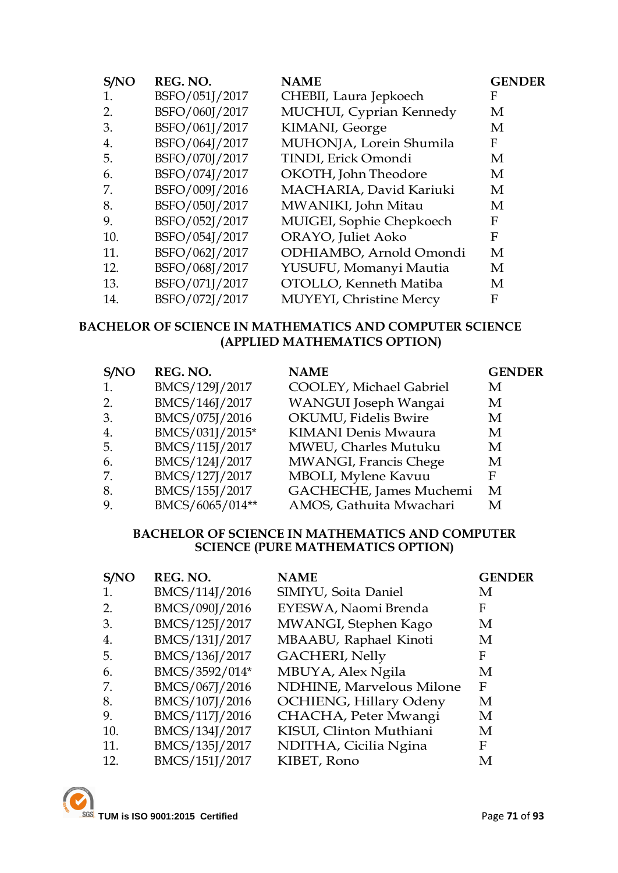| S/NO | REG. NO.       | <b>NAME</b>                     | <b>GENDER</b> |
|------|----------------|---------------------------------|---------------|
| 1.   | BSFO/051J/2017 | CHEBII, Laura Jepkoech          | F             |
| 2.   | BSFO/060J/2017 | MUCHUI, Cyprian Kennedy         | M             |
| 3.   | BSFO/061J/2017 | KIMANI, George                  | M             |
| 4.   | BSFO/064J/2017 | MUHONJA, Lorein Shumila         | F             |
| 5.   | BSFO/070J/2017 | TINDI, Erick Omondi             | M             |
| 6.   | BSFO/074J/2017 | OKOTH, John Theodore            | M             |
| 7.   | BSFO/009J/2016 | MACHARIA, David Kariuki         | M             |
| 8.   | BSFO/050J/2017 | MWANIKI, John Mitau             | M             |
| 9.   | BSFO/052J/2017 | MUIGEI, Sophie Chepkoech        | F             |
| 10.  | BSFO/054J/2017 | ORAYO, Juliet Aoko              | F             |
| 11.  | BSFO/062J/2017 | ODHIAMBO, Arnold Omondi         | M             |
| 12.  | BSFO/068J/2017 | YUSUFU, Momanyi Mautia          | M             |
| 13.  | BSFO/071J/2017 | OTOLLO, Kenneth Matiba          | M             |
| 14.  | BSFO/072J/2017 | <b>MUYEYI</b> , Christine Mercy | F             |

### **BACHELOR OF SCIENCE IN MATHEMATICS AND COMPUTER SCIENCE (APPLIED MATHEMATICS OPTION)**

| S/NO | REG. NO.        | <b>NAME</b>                | <b>GENDER</b> |
|------|-----------------|----------------------------|---------------|
|      | BMCS/129J/2017  | COOLEY, Michael Gabriel    | M             |
| 2.   | BMCS/146J/2017  | WANGUI Joseph Wangai       | M             |
| 3.   | BMCS/075J/2016  | OKUMU, Fidelis Bwire       | M             |
| 4.   | BMCS/031J/2015* | <b>KIMANI Denis Mwaura</b> | M             |
| 5.   | BMCS/115J/2017  | MWEU, Charles Mutuku       | M             |
| 6.   | BMCS/124J/2017  | MWANGI, Francis Chege      | M             |
| 7.   | BMCS/127J/2017  | MBOLI, Mylene Kavuu        | F             |
| 8.   | BMCS/155J/2017  | GACHECHE, James Muchemi    | M             |
|      | BMCS/6065/014** | AMOS, Gathuita Mwachari    | M             |

#### **BACHELOR OF SCIENCE IN MATHEMATICS AND COMPUTER SCIENCE (PURE MATHEMATICS OPTION)**

| S/NO | REG. NO.       | <b>NAME</b>                     | <b>GENDER</b> |
|------|----------------|---------------------------------|---------------|
| 1.   | BMCS/114J/2016 | SIMIYU, Soita Daniel            | М             |
| 2.   | BMCS/090J/2016 | EYESWA, Naomi Brenda            | F             |
| 3.   | BMCS/125J/2017 | MWANGI, Stephen Kago            | M             |
| 4.   | BMCS/131J/2017 | MBAABU, Raphael Kinoti          | M             |
| 5.   | BMCS/136J/2017 | <b>GACHERI, Nelly</b>           | F             |
| 6.   | BMCS/3592/014* | MBUYA, Alex Ngila               | M             |
| 7.   | BMCS/067J/2016 | <b>NDHINE, Marvelous Milone</b> | F             |
| 8.   | BMCS/107J/2016 | <b>OCHIENG, Hillary Odeny</b>   | M             |
| 9.   | BMCS/117J/2016 | CHACHA, Peter Mwangi            | M             |
| 10.  | BMCS/134J/2017 | KISUI, Clinton Muthiani         | M             |
| 11.  | BMCS/135J/2017 | NDITHA, Cicilia Ngina           | F             |
| 12.  | BMCS/151J/2017 | KIBET, Rono                     | M             |

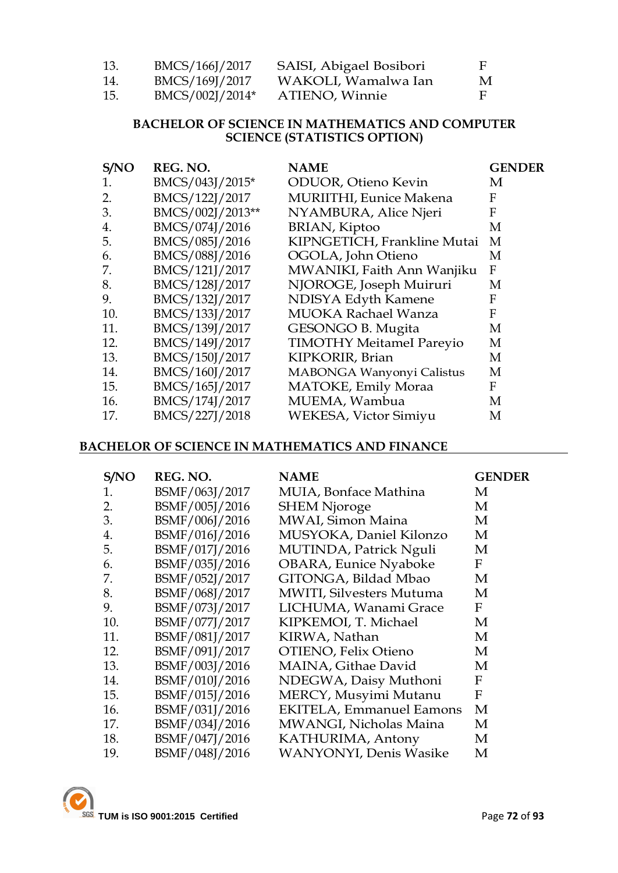| 13. | BMCS/166J/2017  | SAISI, Abigael Bosibori | н. |
|-----|-----------------|-------------------------|----|
| 14. | BMCS/169J/2017  | WAKOLI, Wamalwa Ian     | M  |
| 15. | BMCS/002J/2014* | ATIENO, Winnie          | Е. |

#### **BACHELOR OF SCIENCE IN MATHEMATICS AND COMPUTER SCIENCE (STATISTICS OPTION)**

| S/NO | REG. NO.         | <b>NAME</b>                     | <b>GENDER</b> |
|------|------------------|---------------------------------|---------------|
| 1.   | BMCS/043J/2015*  | <b>ODUOR</b> , Otieno Kevin     | M             |
| 2.   | BMCS/122J/2017   | <b>MURIITHI</b> , Eunice Makena | F             |
| 3.   | BMCS/002J/2013** | NYAMBURA, Alice Njeri           | F             |
| 4.   | BMCS/074J/2016   | BRIAN, Kiptoo                   | M             |
| 5.   | BMCS/085J/2016   | KIPNGETICH, Frankline Mutai     | M             |
| 6.   | BMCS/088J/2016   | OGOLA, John Otieno              | M             |
| 7.   | BMCS/121J/2017   | MWANIKI, Faith Ann Wanjiku      | F             |
| 8.   | BMCS/128J/2017   | NJOROGE, Joseph Muiruri         | M             |
| 9.   | BMCS/132J/2017   | NDISYA Edyth Kamene             | F             |
| 10.  | BMCS/133J/2017   | <b>MUOKA Rachael Wanza</b>      | F             |
| 11.  | BMCS/139J/2017   | GESONGO B. Mugita               | M             |
| 12.  | BMCS/149J/2017   | <b>TIMOTHY MeitameI Pareyio</b> | M             |
| 13.  | BMCS/150J/2017   | KIPKORIR, Brian                 | M             |
| 14.  | BMCS/160J/2017   | MABONGA Wanyonyi Calistus       | M             |
| 15.  | BMCS/165J/2017   | MATOKE, Emily Moraa             | F             |
| 16.  | BMCS/174J/2017   | MUEMA, Wambua                   | M             |
| 17.  | BMCS/227J/2018   | WEKESA, Victor Simiyu           | M             |

#### **BACHELOR OF SCIENCE IN MATHEMATICS AND FINANCE**

| S/NO | REG. NO.       | <b>NAME</b>                     | <b>GENDER</b> |
|------|----------------|---------------------------------|---------------|
| 1.   | BSMF/063J/2017 | MUIA, Bonface Mathina           | M             |
| 2.   | BSMF/005J/2016 | <b>SHEM Njoroge</b>             | М             |
| 3.   | BSMF/006J/2016 | MWAI, Simon Maina               | M             |
| 4.   | BSMF/016J/2016 | MUSYOKA, Daniel Kilonzo         | М             |
| 5.   | BSMF/017J/2016 | MUTINDA, Patrick Nguli          | М             |
| 6.   | BSMF/035J/2016 | <b>OBARA, Eunice Nyaboke</b>    | F             |
| 7.   | BSMF/052J/2017 | GITONGA, Bildad Mbao            | M             |
| 8.   | BSMF/068J/2017 | MWITI, Silvesters Mutuma        | M             |
| 9.   | BSMF/073J/2017 | LICHUMA, Wanami Grace           | F             |
| 10.  | BSMF/077J/2017 | KIPKEMOI, T. Michael            | М             |
| 11.  | BSMF/081J/2017 | KIRWA, Nathan                   | M             |
| 12.  | BSMF/091J/2017 | OTIENO, Felix Otieno            | М             |
| 13.  | BSMF/003J/2016 | MAINA, Githae David             | М             |
| 14.  | BSMF/010J/2016 | NDEGWA, Daisy Muthoni           | F             |
| 15.  | BSMF/015J/2016 | MERCY, Musyimi Mutanu           | F             |
| 16.  | BSMF/031J/2016 | <b>EKITELA, Emmanuel Eamons</b> | M             |
| 17.  | BSMF/034J/2016 | MWANGI, Nicholas Maina          | М             |
| 18.  | BSMF/047J/2016 | KATHURIMA, Antony               | М             |
| 19.  | BSMF/048J/2016 | <b>WANYONYI</b> , Denis Wasike  | М             |

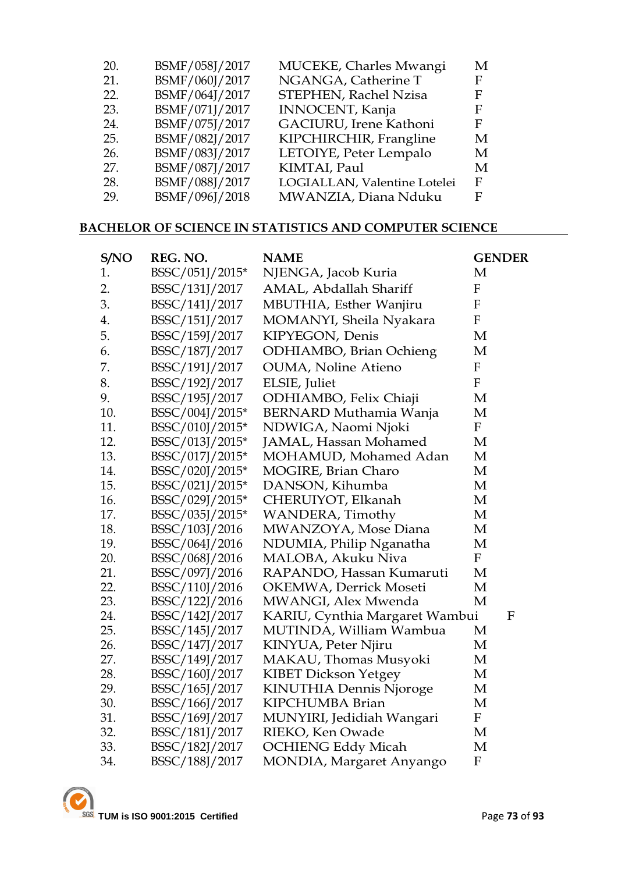| 20. | BSMF/058J/2017 | MUCEKE, Charles Mwangi       | M |
|-----|----------------|------------------------------|---|
| 21. | BSMF/060J/2017 | NGANGA, Catherine T          | F |
| 22. | BSMF/064J/2017 | STEPHEN, Rachel Nzisa        | F |
| 23. | BSMF/071J/2017 | INNOCENT, Kanja              | F |
| 24. | BSMF/075J/2017 | GACIURU, Irene Kathoni       | F |
| 25. | BSMF/082J/2017 | KIPCHIRCHIR, Frangline       | M |
| 26. | BSMF/083J/2017 | LETOIYE, Peter Lempalo       | M |
| 27. | BSMF/087J/2017 | KIMTAI, Paul                 | M |
| 28. | BSMF/088J/2017 | LOGIALLAN, Valentine Lotelei | F |
| 29. | BSMF/096J/2018 | MWANZIA, Diana Nduku         | Е |
|     |                |                              |   |

### **BACHELOR OF SCIENCE IN STATISTICS AND COMPUTER SCIENCE**

| S/NO | REG. NO.        | <b>NAME</b>                    | <b>GENDER</b>    |
|------|-----------------|--------------------------------|------------------|
| 1.   | BSSC/051J/2015* | NJENGA, Jacob Kuria            | M                |
| 2.   | BSSC/131J/2017  | AMAL, Abdallah Shariff         | $\boldsymbol{F}$ |
| 3.   | BSSC/141J/2017  | MBUTHIA, Esther Wanjiru        | $\mathbf F$      |
| 4.   | BSSC/151J/2017  | MOMANYI, Sheila Nyakara        | ${\bf F}$        |
| 5.   | BSSC/159J/2017  | KIPYEGON, Denis                | M                |
| 6.   | BSSC/187J/2017  | <b>ODHIAMBO, Brian Ochieng</b> | M                |
| 7.   | BSSC/191J/2017  | <b>OUMA, Noline Atieno</b>     | $\boldsymbol{F}$ |
| 8.   | BSSC/192J/2017  | ELSIE, Juliet                  | $\boldsymbol{F}$ |
| 9.   | BSSC/195J/2017  | ODHIAMBO, Felix Chiaji         | М                |
| 10.  | BSSC/004J/2015* | <b>BERNARD Muthamia Wanja</b>  | M                |
| 11.  | BSSC/010J/2015* | NDWIGA, Naomi Njoki            | $\mathbf F$      |
| 12.  | BSSC/013J/2015* | JAMAL, Hassan Mohamed          | М                |
| 13.  | BSSC/017J/2015* | MOHAMUD, Mohamed Adan          | М                |
| 14.  | BSSC/020J/2015* | MOGIRE, Brian Charo            | М                |
| 15.  | BSSC/021J/2015* | DANSON, Kihumba                | М                |
| 16.  | BSSC/029J/2015* | CHERUIYOT, Elkanah             | М                |
| 17.  | BSSC/035J/2015* | WANDERA, Timothy               | М                |
| 18.  | BSSC/103J/2016  | MWANZOYA, Mose Diana           | М                |
| 19.  | BSSC/064J/2016  | NDUMIA, Philip Nganatha        | M                |
| 20.  | BSSC/068J/2016  | MALOBA, Akuku Niva             | ${\bf F}$        |
| 21.  | BSSC/097J/2016  | RAPANDO, Hassan Kumaruti       | M                |
| 22.  | BSSC/110J/2016  | OKEMWA, Derrick Moseti         | M                |
| 23.  | BSSC/122J/2016  | MWANGI, Alex Mwenda            | M                |
| 24.  | BSSC/142J/2017  | KARIU, Cynthia Margaret Wambui | $\mathbf F$      |
| 25.  | BSSC/145J/2017  | MUTINDA, William Wambua        | М                |
| 26.  | BSSC/147J/2017  | KINYUA, Peter Njiru            | М                |
| 27.  | BSSC/149J/2017  | MAKAU, Thomas Musyoki          | М                |
| 28.  | BSSC/160J/2017  | <b>KIBET Dickson Yetgey</b>    | М                |
| 29.  | BSSC/165J/2017  | <b>KINUTHIA Dennis Njoroge</b> | М                |
| 30.  | BSSC/166J/2017  | KIPCHUMBA Brian                | M                |
| 31.  | BSSC/169J/2017  | MUNYIRI, Jedidiah Wangari      | $\mathbf F$      |
| 32.  | BSSC/181J/2017  | RIEKO, Ken Owade               | М                |
| 33.  | BSSC/182J/2017  | <b>OCHIENG Eddy Micah</b>      | M                |
| 34.  | BSSC/188J/2017  | MONDIA, Margaret Anyango       | ${\bf F}$        |
|      |                 |                                |                  |

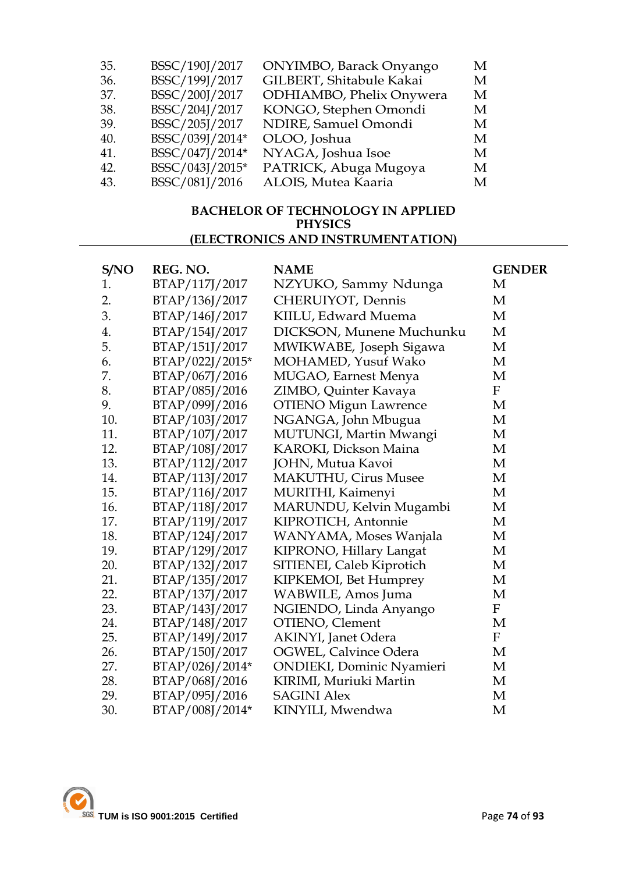| BSSC/190J/2017  | ONYIMBO, Barack Onyango  | M |
|-----------------|--------------------------|---|
| BSSC/199J/2017  | GILBERT, Shitabule Kakai | M |
| BSSC/200J/2017  | ODHIAMBO, Phelix Onywera | M |
| BSSC/204J/2017  | KONGO, Stephen Omondi    | M |
| BSSC/205J/2017  | NDIRE, Samuel Omondi     | M |
| BSSC/039J/2014* | OLOO, Joshua             | M |
| BSSC/047J/2014* | NYAGA, Joshua Isoe       | M |
| BSSC/043J/2015* | PATRICK, Abuga Mugoya    | M |
| BSSC/081J/2016  | ALOIS, Mutea Kaaria      | M |
|                 |                          |   |

#### **BACHELOR OF TECHNOLOGY IN APPLIED PHYSICS (ELECTRONICS AND INSTRUMENTATION)**

| S/NO | REG. NO.        | <b>NAME</b>                       | <b>GENDER</b>             |
|------|-----------------|-----------------------------------|---------------------------|
| 1.   | BTAP/117J/2017  | NZYUKO, Sammy Ndunga              | М                         |
| 2.   | BTAP/136J/2017  | CHERUIYOT, Dennis                 | M                         |
| 3.   | BTAP/146J/2017  | KIILU, Edward Muema               | M                         |
| 4.   | BTAP/154J/2017  | DICKSON, Munene Muchunku          | M                         |
| 5.   | BTAP/151J/2017  | MWIKWABE, Joseph Sigawa           | M                         |
| 6.   | BTAP/022J/2015* | MOHAMED, Yusuf Wako               | M                         |
| 7.   | BTAP/067J/2016  | MUGAO, Earnest Menya              | M                         |
| 8.   | BTAP/085J/2016  | ZIMBO, Quinter Kavaya             | $\boldsymbol{\mathrm{F}}$ |
| 9.   | BTAP/099J/2016  | <b>OTIENO</b> Migun Lawrence      | M                         |
| 10.  | BTAP/103J/2017  | NGANGA, John Mbugua               | M                         |
| 11.  | BTAP/107J/2017  | MUTUNGI, Martin Mwangi            | M                         |
| 12.  | BTAP/108J/2017  | <b>KAROKI, Dickson Maina</b>      | M                         |
| 13.  | BTAP/112J/2017  | JOHN, Mutua Kavoi                 | M                         |
| 14.  | BTAP/113J/2017  | <b>MAKUTHU, Cirus Musee</b>       | M                         |
| 15.  | BTAP/116J/2017  | MURITHI, Kaimenyi                 | M                         |
| 16.  | BTAP/118J/2017  | MARUNDU, Kelvin Mugambi           | M                         |
| 17.  | BTAP/119J/2017  | KIPROTICH, Antonnie               | M                         |
| 18.  | BTAP/124J/2017  | WANYAMA, Moses Wanjala            | M                         |
| 19.  | BTAP/129J/2017  | KIPRONO, Hillary Langat           | M                         |
| 20.  | BTAP/132J/2017  | SITIENEI, Caleb Kiprotich         | M                         |
| 21.  | BTAP/135J/2017  | KIPKEMOI, Bet Humprey             | M                         |
| 22.  | BTAP/137J/2017  | WABWILE, Amos Juma                | M                         |
| 23.  | BTAP/143J/2017  | NGIENDO, Linda Anyango            | $\mathbf F$               |
| 24.  | BTAP/148J/2017  | OTIENO, Clement                   | M                         |
| 25.  | BTAP/149J/2017  | <b>AKINYI</b> , Janet Odera       | $\boldsymbol{\mathrm{F}}$ |
| 26.  | BTAP/150J/2017  | OGWEL, Calvince Odera             | M                         |
| 27.  | BTAP/026J/2014* | <b>ONDIEKI</b> , Dominic Nyamieri | M                         |
| 28.  | BTAP/068J/2016  | KIRIMI, Muriuki Martin            | M                         |
| 29.  | BTAP/095J/2016  | <b>SAGINI Alex</b>                | M                         |
| 30.  | BTAP/008J/2014* | KINYILI, Mwendwa                  | M                         |

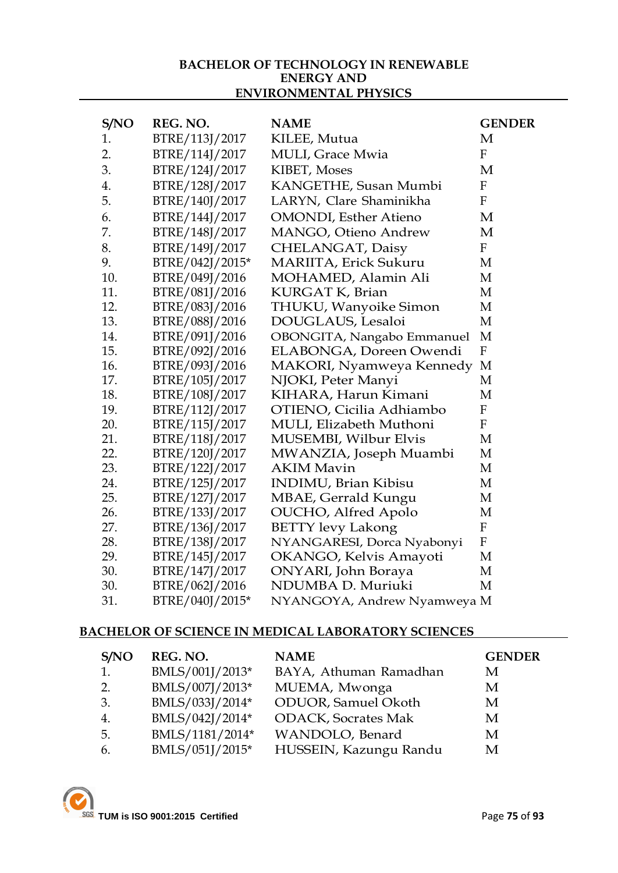#### **BACHELOR OF TECHNOLOGY IN RENEWABLE ENERGY AND ENVIRONMENTAL PHYSICS**

| S/NO | REG. NO.        | <b>NAME</b>                              | <b>GENDER</b>             |
|------|-----------------|------------------------------------------|---------------------------|
| 1.   | BTRE/113J/2017  | KILEE, Mutua                             | M                         |
| 2.   | BTRE/114J/2017  | <b>MULI</b> , Grace Mwia                 | $\boldsymbol{\mathrm{F}}$ |
| 3.   | BTRE/124J/2017  | KIBET, Moses                             | M                         |
| 4.   | BTRE/128J/2017  | KANGETHE, Susan Mumbi                    | $\boldsymbol{\mathrm{F}}$ |
| 5.   | BTRE/140J/2017  | LARYN, Clare Shaminikha                  | F                         |
| 6.   | BTRE/144J/2017  | <b>OMONDI</b> , Esther Atieno            | М                         |
| 7.   | BTRE/148J/2017  | MANGO, Otieno Andrew                     | М                         |
| 8.   | BTRE/149J/2017  | CHELANGAT, Daisy                         | F                         |
| 9.   | BTRE/042J/2015* | MARIITA, Erick Sukuru                    | M                         |
| 10.  | BTRE/049J/2016  | MOHAMED, Alamin Ali                      | М                         |
| 11.  | BTRE/081J/2016  | KURGAT K, Brian                          | M                         |
| 12.  | BTRE/083J/2016  | THUKU, Wanyoike Simon                    | M                         |
| 13.  | BTRE/088J/2016  | DOUGLAUS, Lesaloi                        | M                         |
| 14.  | BTRE/091J/2016  | OBONGITA, Nangabo Emmanuel               | M                         |
| 15.  | BTRE/092J/2016  | ELABONGA, Doreen Owendi                  | $\boldsymbol{F}$          |
| 16.  | BTRE/093J/2016  | MAKORI, Nyamweya Kennedy                 | M                         |
| 17.  | BTRE/105J/2017  | NJOKI, Peter Manyi                       | M                         |
| 18.  | BTRE/108J/2017  | KIHARA, Harun Kimani                     | M                         |
| 19.  | BTRE/112J/2017  | OTIENO, Cicilia Adhiambo                 | ${\bf F}$                 |
| 20.  | BTRE/115J/2017  | MULI, Elizabeth Muthoni                  | $\mathbf{F}$              |
| 21.  | BTRE/118J/2017  | MUSEMBI, Wilbur Elvis                    | M                         |
| 22.  | BTRE/120J/2017  | MWANZIA, Joseph Muambi                   | M                         |
| 23.  | BTRE/122J/2017  | <b>AKIM Mavin</b>                        | M                         |
| 24.  | BTRE/125J/2017  | <b>INDIMU</b> , Brian Kibisu             | М                         |
| 25.  | BTRE/127J/2017  | MBAE, Gerrald Kungu                      | M                         |
| 26.  | BTRE/133J/2017  | OUCHO, Alfred Apolo                      | М                         |
| 27.  | BTRE/136J/2017  | <b>BETTY levy Lakong</b>                 | $\boldsymbol{F}$          |
| 28.  | BTRE/138J/2017  | NYANGARESI, Dorca Nyabonyi               | $\mathbf{F}$              |
| 29.  | BTRE/145J/2017  | OKANGO, Kelvis Amayoti                   | M                         |
| 30.  | BTRE/147J/2017  | ONYARI, John Boraya<br>NDUMBA D. Muriuki | M<br>M                    |
| 30.  | BTRE/062J/2016  |                                          |                           |
| 31.  | BTRE/040J/2015* | NYANGOYA, Andrew Nyamweya M              |                           |

### **BACHELOR OF SCIENCE IN MEDICAL LABORATORY SCIENCES**

| S/NO | REG. NO.        | <b>NAME</b>                 | <b>GENDER</b> |
|------|-----------------|-----------------------------|---------------|
| 1.   | BMLS/001J/2013* | BAYA, Athuman Ramadhan      | М             |
| 2.   | BMLS/007J/2013* | MUEMA, Mwonga               | М             |
| 3.   | BMLS/033J/2014* | <b>ODUOR</b> , Samuel Okoth | M             |
| 4.   | BMLS/042J/2014* | <b>ODACK, Socrates Mak</b>  | М             |
| -5.  | BMLS/1181/2014* | WANDOLO, Benard             | М             |
| 6.   | BMLS/051J/2015* | HUSSEIN, Kazungu Randu      | М             |

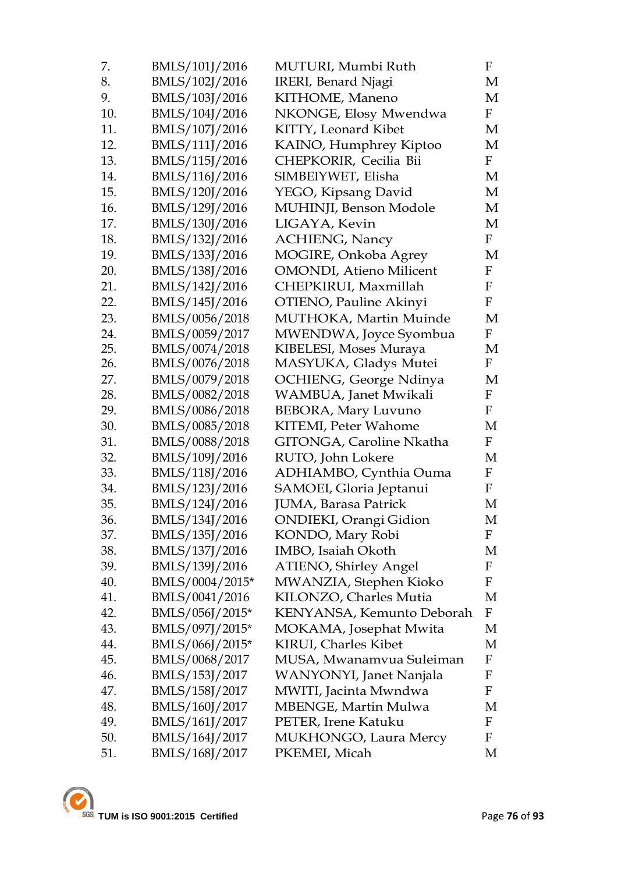| 7.  | BMLS/101J/2016  | MUTURI, Mumbi Ruth              | F            |
|-----|-----------------|---------------------------------|--------------|
| 8.  | BMLS/102J/2016  | IRERI, Benard Njagi             | M            |
| 9.  | BMLS/103J/2016  | KITHOME, Maneno                 | M            |
| 10. | BMLS/104J/2016  | NKONGE, Elosy Mwendwa           | $\mathbf{F}$ |
| 11. | BMLS/107J/2016  | KITTY, Leonard Kibet            | M            |
| 12. | BMLS/111J/2016  | KAINO, Humphrey Kiptoo          | М            |
| 13. | BMLS/115J/2016  | CHEPKORIR, Cecilia Bii          | F            |
| 14. | BMLS/116J/2016  | SIMBEIYWET, Elisha              | M            |
| 15. | BMLS/120J/2016  | YEGO, Kipsang David             | M            |
| 16. | BMLS/129J/2016  | MUHINJI, Benson Modole          | M            |
| 17. | BMLS/130J/2016  | LIGAYA, Kevin                   | M            |
| 18. | BMLS/132J/2016  | <b>ACHIENG, Nancy</b>           | $\mathbf{F}$ |
| 19. | BMLS/133J/2016  | MOGIRE, Onkoba Agrey            | M            |
| 20. | BMLS/138J/2016  | <b>OMONDI</b> , Atieno Milicent | F            |
| 21. | BMLS/142J/2016  | CHEPKIRUI, Maxmillah            | $\rm F$      |
| 22. | BMLS/145J/2016  | OTIENO, Pauline Akinyi          | F            |
| 23. | BMLS/0056/2018  | MUTHOKA, Martin Muinde          | M            |
| 24. | BMLS/0059/2017  | MWENDWA, Joyce Syombua          | F            |
| 25. | BMLS/0074/2018  | KIBELESI, Moses Muraya          | M            |
| 26. | BMLS/0076/2018  | MASYUKA, Gladys Mutei           | $\mathbf F$  |
| 27. | BMLS/0079/2018  | OCHIENG, George Ndinya          | M            |
| 28. | BMLS/0082/2018  | WAMBUA, Janet Mwikali           | F            |
| 29. | BMLS/0086/2018  | <b>BEBORA, Mary Luvuno</b>      | $\mathbf F$  |
| 30. | BMLS/0085/2018  | KITEMI, Peter Wahome            | M            |
| 31. | BMLS/0088/2018  | GITONGA, Caroline Nkatha        | $\mathbf{F}$ |
| 32. | BMLS/109J/2016  | RUTO, John Lokere               | M            |
| 33. | BMLS/118J/2016  | ADHIAMBO, Cynthia Ouma          | F            |
| 34. | BMLS/123J/2016  | SAMOEI, Gloria Jeptanui         | F            |
| 35. | BMLS/124J/2016  | JUMA, Barasa Patrick            | М            |
| 36. | BMLS/134J/2016  | ONDIEKI, Orangi Gidion          | M            |
| 37. | BMLS/135J/2016  | KONDO, Mary Robi                | F            |
| 38. | BMLS/137J/2016  | IMBO, Isaiah Okoth              | M            |
| 39. | BMLS/139J/2016  | <b>ATIENO, Shirley Angel</b>    | F            |
| 40. | BMLS/0004/2015* | MWANZIA, Stephen Kioko          | F            |
| 41. | BMLS/0041/2016  | KILONZO, Charles Mutia          | M            |
| 42. | BMLS/056J/2015* | KENYANSA, Kemunto Deborah       | F            |
| 43. | BMLS/097J/2015* | MOKAMA, Josephat Mwita          | M            |
| 44. | BMLS/066J/2015* | <b>KIRUI, Charles Kibet</b>     | M            |
| 45. | BMLS/0068/2017  | MUSA, Mwanamvua Suleiman        | F            |
| 46. | BMLS/153J/2017  | WANYONYI, Janet Nanjala         | F            |
| 47. | BMLS/158J/2017  | MWITI, Jacinta Mwndwa           | F            |
| 48. | BMLS/160J/2017  | MBENGE, Martin Mulwa            | M            |
| 49. | BMLS/161J/2017  | PETER, Irene Katuku             | F            |
| 50. | BMLS/164J/2017  | MUKHONGO, Laura Mercy           | F            |
| 51. | BMLS/168J/2017  | PKEMEI, Micah                   | М            |

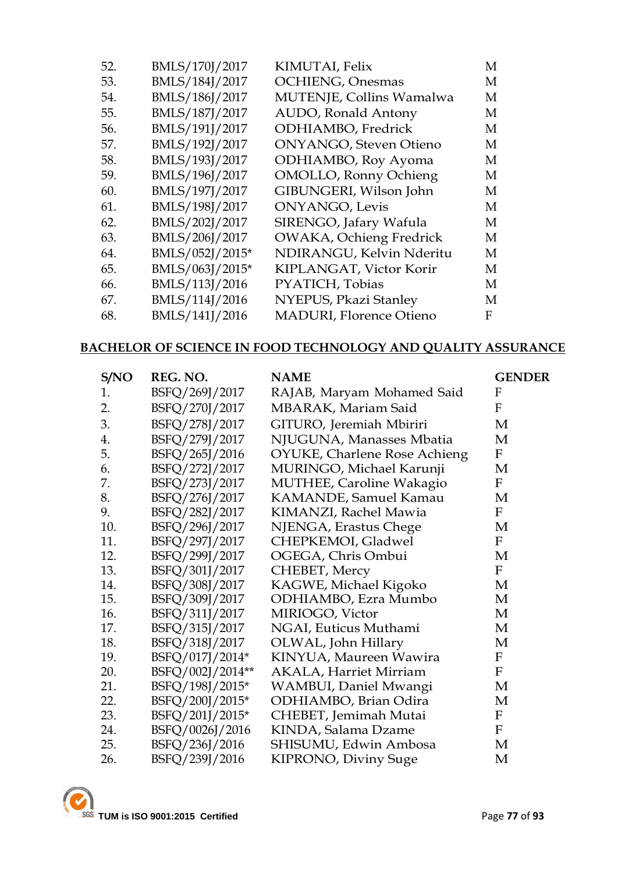| 52. | BMLS/170J/2017  | KIMUTAI, Felix                 | М |
|-----|-----------------|--------------------------------|---|
| 53. | BMLS/184J/2017  | <b>OCHIENG</b> , Onesmas       | М |
| 54. | BMLS/186J/2017  | MUTENJE, Collins Wamalwa       | М |
| 55. | BMLS/187J/2017  | AUDO, Ronald Antony            | М |
| 56. | BMLS/191J/2017  | ODHIAMBO, Fredrick             | М |
| 57. | BMLS/192J/2017  | <b>ONYANGO</b> , Steven Otieno | M |
| 58. | BMLS/193J/2017  | ODHIAMBO, Roy Ayoma            | M |
| 59. | BMLS/196J/2017  | <b>OMOLLO, Ronny Ochieng</b>   | М |
| 60. | BMLS/197J/2017  | GIBUNGERI, Wilson John         | M |
| 61. | BMLS/198J/2017  | <b>ONYANGO</b> , Levis         | М |
| 62. | BMLS/202J/2017  | SIRENGO, Jafary Wafula         | M |
| 63. | BMLS/206J/2017  | OWAKA, Ochieng Fredrick        | M |
| 64. | BMLS/052J/2015* | NDIRANGU, Kelvin Nderitu       | M |
| 65. | BMLS/063J/2015* | KIPLANGAT, Victor Korir        | M |
| 66. | BMLS/113J/2016  | PYATICH, Tobias                | M |
| 67. | BMLS/114J/2016  | NYEPUS, Pkazi Stanley          | M |
| 68. | BMLS/141J/2016  | <b>MADURI, Florence Otieno</b> | F |

#### **BACHELOR OF SCIENCE IN FOOD TECHNOLOGY AND QUALITY ASSURANCE**

| S/NO | REG. NO.         | <b>NAME</b>                         | <b>GENDER</b>             |
|------|------------------|-------------------------------------|---------------------------|
| 1.   | BSFQ/269J/2017   | RAJAB, Maryam Mohamed Said          | F                         |
| 2.   | BSFQ/270J/2017   | MBARAK, Mariam Said                 | F                         |
| 3.   | BSFQ/278J/2017   | GITURO, Jeremiah Mbiriri            | М                         |
| 4.   | BSFQ/279J/2017   | NJUGUNA, Manasses Mbatia            | M                         |
| 5.   | BSFQ/265J/2016   | <b>OYUKE, Charlene Rose Achieng</b> | $\mathbf F$               |
| 6.   | BSFQ/272J/2017   | MURINGO, Michael Karunji            | M                         |
| 7.   | BSFQ/273J/2017   | MUTHEE, Caroline Wakagio            | $\mathbf F$               |
| 8.   | BSFQ/276J/2017   | KAMANDE, Samuel Kamau               | M                         |
| 9.   | BSFQ/282J/2017   | KIMANZI, Rachel Mawia               | F                         |
| 10.  | BSFQ/296J/2017   | NJENGA, Erastus Chege               | M                         |
| 11.  | BSFQ/297J/2017   | CHEPKEMOI, Gladwel                  | $\mathbf F$               |
| 12.  | BSFQ/299J/2017   | OGEGA, Chris Ombui                  | M                         |
| 13.  | BSFQ/301J/2017   | CHEBET, Mercy                       | F                         |
| 14.  | BSFQ/308J/2017   | KAGWE, Michael Kigoko               | M                         |
| 15.  | BSFQ/309J/2017   | ODHIAMBO, Ezra Mumbo                | M                         |
| 16.  | BSFQ/311J/2017   | MIRIOGO, Victor                     | M                         |
| 17.  | BSFQ/315J/2017   | NGAI, Euticus Muthami               | M                         |
| 18.  | BSFQ/318J/2017   | OLWAL, John Hillary                 | M                         |
| 19.  | BSFQ/017J/2014*  | KINYUA, Maureen Wawira              | $\boldsymbol{\mathrm{F}}$ |
| 20.  | BSFQ/002J/2014** | <b>AKALA, Harriet Mirriam</b>       | $\mathbf F$               |
| 21.  | BSFQ/198J/2015*  | WAMBUI, Daniel Mwangi               | M                         |
| 22.  | BSFQ/200J/2015*  | ODHIAMBO, Brian Odira               | M                         |
| 23.  | BSFQ/201J/2015*  | CHEBET, Jemimah Mutai               | F                         |
| 24.  | BSFQ/0026J/2016  | KINDA, Salama Dzame                 | $\mathbf F$               |
| 25.  | BSFQ/236J/2016   | SHISUMU, Edwin Ambosa               | M                         |
| 26.  | BSFQ/239J/2016   | KIPRONO, Diviny Suge                | M                         |
|      |                  |                                     |                           |

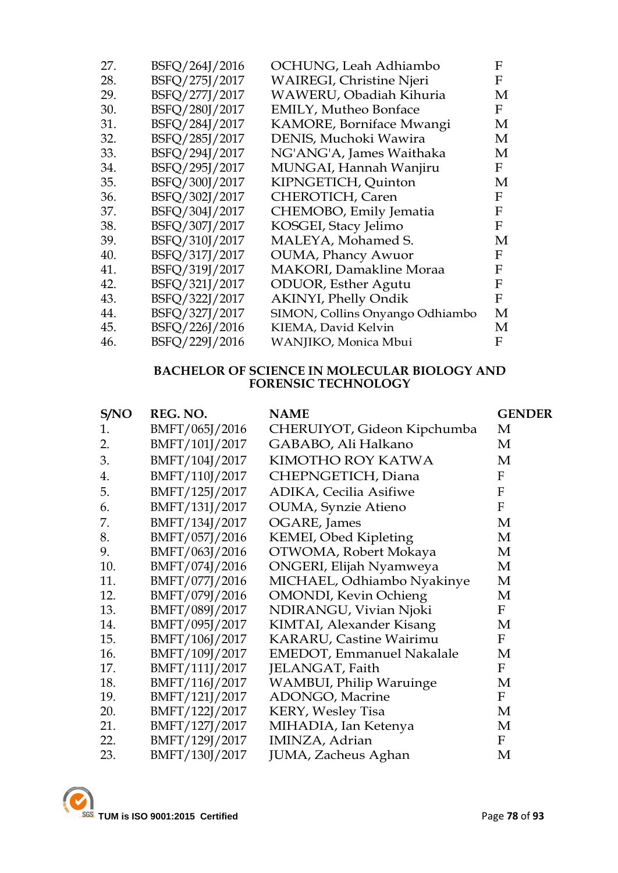| 27. | BSFQ/264J/2016 | OCHUNG, Leah Adhiambo           | F |
|-----|----------------|---------------------------------|---|
| 28. | BSFQ/275J/2017 | <b>WAIREGI, Christine Njeri</b> | F |
| 29. | BSFQ/277J/2017 | WAWERU, Obadiah Kihuria         | М |
| 30. | BSFQ/280J/2017 | <b>EMILY, Mutheo Bonface</b>    | F |
| 31. | BSFQ/284J/2017 | KAMORE, Borniface Mwangi        | М |
| 32. | BSFQ/285J/2017 | DENIS, Muchoki Wawira           | М |
| 33. | BSFQ/294J/2017 | NG'ANG'A, James Waithaka        | М |
| 34. | BSFQ/295J/2017 | MUNGAI, Hannah Wanjiru          | F |
| 35. | BSFQ/300J/2017 | KIPNGETICH, Quinton             | М |
| 36. | BSFQ/302J/2017 | CHEROTICH, Caren                | F |
| 37. | BSFQ/304J/2017 | CHEMOBO, Emily Jematia          | F |
| 38. | BSFQ/307J/2017 | KOSGEI, Stacy Jelimo            | F |
| 39. | BSFQ/310J/2017 | MALEYA, Mohamed S.              | М |
| 40. | BSFQ/317J/2017 | <b>OUMA</b> , Phancy Awuor      | F |
| 41. | BSFQ/319J/2017 | <b>MAKORI</b> , Damakline Moraa | F |
| 42. | BSFQ/321J/2017 | ODUOR, Esther Agutu             | F |
| 43. | BSFQ/322J/2017 | <b>AKINYI, Phelly Ondik</b>     | F |
| 44. | BSFQ/327J/2017 | SIMON, Collins Onyango Odhiambo | М |
| 45. | BSFQ/226J/2016 | KIEMA, David Kelvin             | М |
| 46. | BSFQ/229J/2016 | WANJIKO, Monica Mbui            | F |
|     |                |                                 |   |

### **BACHELOR OF SCIENCE IN MOLECULAR BIOLOGY AND FORENSIC TECHNOLOGY**

| S/NO | REG. NO.       | <b>NAME</b>                       | <b>GENDER</b> |
|------|----------------|-----------------------------------|---------------|
| 1.   | BMFT/065J/2016 | CHERUIYOT, Gideon Kipchumba       | M             |
| 2.   | BMFT/101J/2017 | GABABO, Ali Halkano               | M             |
| 3.   | BMFT/104J/2017 | KIMOTHO ROY KATWA                 | M             |
| 4.   | BMFT/110J/2017 | CHEPNGETICH, Diana                | $\mathbf{F}$  |
| 5.   | BMFT/125J/2017 | <b>ADIKA, Cecilia Asifiwe</b>     | F             |
| 6.   | BMFT/131J/2017 | OUMA, Synzie Atieno               | F             |
| 7.   | BMFT/134J/2017 | OGARE, James                      | M             |
| 8.   | BMFT/057J/2016 | KEMEI, Obed Kipleting             | M             |
| 9.   | BMFT/063J/2016 | OTWOMA, Robert Mokaya             | M             |
| 10.  | BMFT/074J/2016 | ONGERI, Elijah Nyamweya           | M             |
| 11.  | BMFT/077J/2016 | MICHAEL, Odhiambo Nyakinye        | M             |
| 12.  | BMFT/079J/2016 | <b>OMONDI</b> , Kevin Ochieng     | M             |
| 13.  | BMFT/089J/2017 | NDIRANGU, Vivian Njoki            | F             |
| 14.  | BMFT/095J/2017 | KIMTAI, Alexander Kisang          | M             |
| 15.  | BMFT/106J/2017 | KARARU, Castine Wairimu           | F             |
| 16.  | BMFT/109J/2017 | <b>EMEDOT</b> , Emmanuel Nakalale | M             |
| 17.  | BMFT/111J/2017 | JELANGAT, Faith                   | F             |
| 18.  | BMFT/116J/2017 | <b>WAMBUI, Philip Waruinge</b>    | M             |
| 19.  | BMFT/121J/2017 | ADONGO, Macrine                   | F             |
| 20.  | BMFT/122J/2017 | <b>KERY, Wesley Tisa</b>          | M             |
| 21.  | BMFT/127J/2017 | MIHADIA, Ian Ketenya              | M             |
| 22.  | BMFT/129J/2017 | IMINZA, Adrian                    | $\mathbf{F}$  |
| 23.  | BMFT/130J/2017 | JUMA, Zacheus Aghan               | M             |
|      |                |                                   |               |

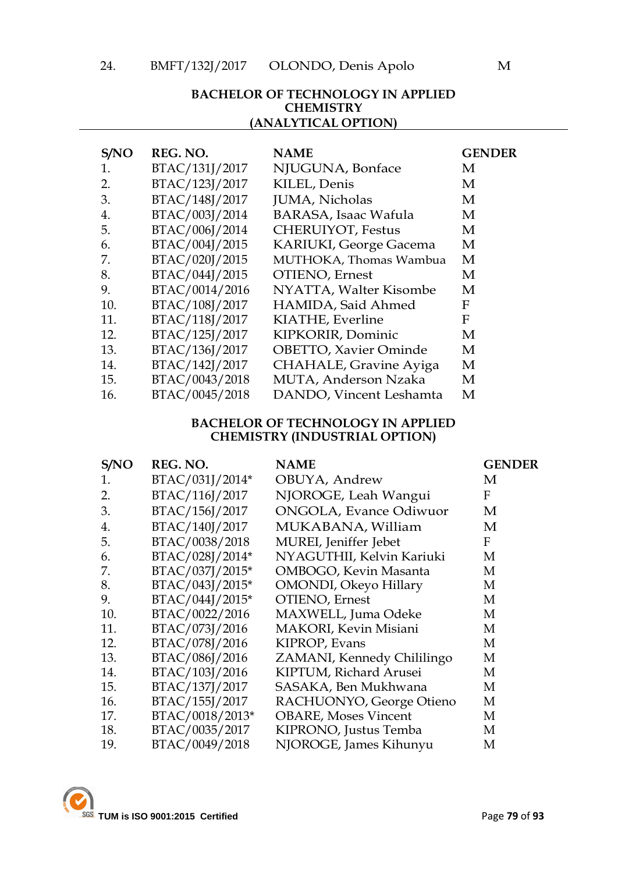### **BACHELOR OF TECHNOLOGY IN APPLIED CHEMISTRY (ANALYTICAL OPTION)**

| S/NO | REG. NO.       | <b>NAME</b>                  | <b>GENDER</b> |
|------|----------------|------------------------------|---------------|
| 1.   | BTAC/131J/2017 | NJUGUNA, Bonface             | М             |
| 2.   | BTAC/123J/2017 | KILEL, Denis                 | М             |
| 3.   | BTAC/148J/2017 | JUMA, Nicholas               | M             |
| 4.   | BTAC/003J/2014 | <b>BARASA, Isaac Wafula</b>  | М             |
| 5.   | BTAC/006J/2014 | <b>CHERUIYOT, Festus</b>     | М             |
| 6.   | BTAC/004J/2015 | KARIUKI, George Gacema       | M             |
| 7.   | BTAC/020J/2015 | MUTHOKA, Thomas Wambua       | M             |
| 8.   | BTAC/044J/2015 | OTIENO, Ernest               | M             |
| 9.   | BTAC/0014/2016 | NYATTA, Walter Kisombe       | M             |
| 10.  | BTAC/108J/2017 | HAMIDA, Said Ahmed           | F             |
| 11.  | BTAC/118J/2017 | KIATHE, Everline             | F             |
| 12.  | BTAC/125J/2017 | KIPKORIR, Dominic            | М             |
| 13.  | BTAC/136J/2017 | <b>OBETTO, Xavier Ominde</b> | М             |
| 14.  | BTAC/142J/2017 | CHAHALE, Gravine Ayiga       | M             |
| 15.  | BTAC/0043/2018 | MUTA, Anderson Nzaka         | М             |
| 16.  | BTAC/0045/2018 | DANDO, Vincent Leshamta      | М             |

#### **BACHELOR OF TECHNOLOGY IN APPLIED CHEMISTRY (INDUSTRIAL OPTION)**

| S/NO | REG. NO.        | <b>NAME</b>                   | <b>GENDER</b> |
|------|-----------------|-------------------------------|---------------|
| 1.   | BTAC/031J/2014* | OBUYA, Andrew                 | M             |
| 2.   | BTAC/116J/2017  | NJOROGE, Leah Wangui          | F             |
| 3.   | BTAC/156J/2017  | <b>ONGOLA, Evance Odiwuor</b> | M             |
| 4.   | BTAC/140J/2017  | MUKABANA, William             | M             |
| 5.   | BTAC/0038/2018  | MUREI, Jeniffer Jebet         | F             |
| 6.   | BTAC/028J/2014* | NYAGUTHII, Kelvin Kariuki     | М             |
| 7.   | BTAC/037J/2015* | OMBOGO, Kevin Masanta         | M             |
| 8.   | BTAC/043J/2015* | OMONDI, Okeyo Hillary         | M             |
| 9.   | BTAC/044J/2015* | OTIENO, Ernest                | M             |
| 10.  | BTAC/0022/2016  | MAXWELL, Juma Odeke           | M             |
| 11.  | BTAC/073J/2016  | MAKORI, Kevin Misiani         | M             |
| 12.  | BTAC/078J/2016  | KIPROP, Evans                 | M             |
| 13.  | BTAC/086J/2016  | ZAMANI, Kennedy Chililingo    | M             |
| 14.  | BTAC/103J/2016  | KIPTUM, Richard Arusei        | M             |
| 15.  | BTAC/137J/2017  | SASAKA, Ben Mukhwana          | М             |
| 16.  | BTAC/155J/2017  | RACHUONYO, George Otieno      | M             |
| 17.  | BTAC/0018/2013* | <b>OBARE, Moses Vincent</b>   | M             |
| 18.  | BTAC/0035/2017  | KIPRONO, Justus Temba         | M             |
| 19.  | BTAC/0049/2018  | NJOROGE, James Kihunyu        | M             |

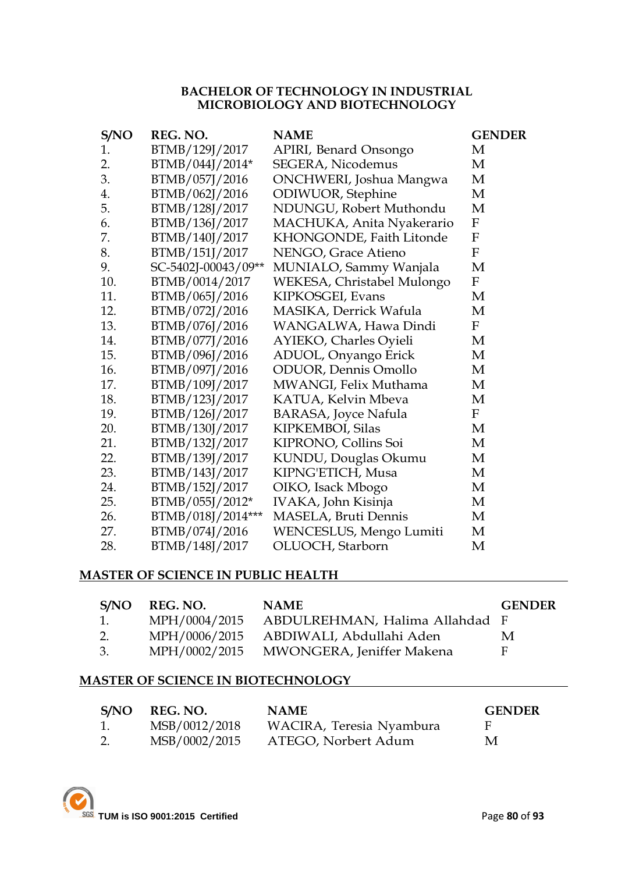#### **BACHELOR OF TECHNOLOGY IN INDUSTRIAL MICROBIOLOGY AND BIOTECHNOLOGY**

| S/NO | REG. NO.            | <b>NAME</b>                  | <b>GENDER</b>             |
|------|---------------------|------------------------------|---------------------------|
| 1.   | BTMB/129J/2017      | APIRI, Benard Onsongo        | M                         |
| 2.   | BTMB/044J/2014*     | <b>SEGERA, Nicodemus</b>     | M                         |
| 3.   | BTMB/057J/2016      | ONCHWERI, Joshua Mangwa      | M                         |
| 4.   | BTMB/062J/2016      | ODIWUOR, Stephine            | M                         |
| 5.   | BTMB/128J/2017      | NDUNGU, Robert Muthondu      | M                         |
| 6.   | BTMB/136J/2017      | MACHUKA, Anita Nyakerario    | $\boldsymbol{\mathrm{F}}$ |
| 7.   | BTMB/140J/2017      | KHONGONDE, Faith Litonde     | $\boldsymbol{F}$          |
| 8.   | BTMB/151J/2017      | NENGO, Grace Atieno          | $\mathbf F$               |
| 9.   | SC-5402J-00043/09** | MUNIALO, Sammy Wanjala       | M                         |
| 10.  | BTMB/0014/2017      | WEKESA, Christabel Mulongo   | $\mathbf F$               |
| 11.  | BTMB/065J/2016      | KIPKOSGEI, Evans             | M                         |
| 12.  | BTMB/072J/2016      | MASIKA, Derrick Wafula       | M                         |
| 13.  | BTMB/076J/2016      | WANGALWA, Hawa Dindi         | $\boldsymbol{\mathrm{F}}$ |
| 14.  | BTMB/077J/2016      | AYIEKO, Charles Oyieli       | M                         |
| 15.  | BTMB/096J/2016      | ADUOL, Onyango Erick         | M                         |
| 16.  | BTMB/097J/2016      | <b>ODUOR</b> , Dennis Omollo | M                         |
| 17.  | BTMB/109J/2017      | MWANGI, Felix Muthama        | M                         |
| 18.  | BTMB/123J/2017      | KATUA, Kelvin Mbeva          | M                         |
| 19.  | BTMB/126J/2017      | <b>BARASA, Joyce Nafula</b>  | $\boldsymbol{\mathrm{F}}$ |
| 20.  | BTMB/130J/2017      | KIPKEMBOI, Silas             | M                         |
| 21.  | BTMB/132J/2017      | KIPRONO, Collins Soi         | M                         |
| 22.  | BTMB/139J/2017      | KUNDU, Douglas Okumu         | M                         |
| 23.  | BTMB/143J/2017      | KIPNG'ETICH, Musa            | M                         |
| 24.  | BTMB/152J/2017      | OIKO, Isack Mbogo            | M                         |
| 25.  | BTMB/055J/2012*     | IVAKA, John Kisinja          | M                         |
| 26.  | BTMB/018J/2014***   | MASELA, Bruti Dennis         | M                         |
| 27.  | BTMB/074J/2016      | WENCESLUS, Mengo Lumiti      | M                         |
| 28.  | BTMB/148J/2017      | OLUOCH, Starborn             | M                         |

### **MASTER OF SCIENCE IN PUBLIC HEALTH**

| S/NO | REG. NO.      | <b>NAME</b>                    | <b>GENDER</b> |
|------|---------------|--------------------------------|---------------|
| 1.   | MPH/0004/2015 | ABDULREHMAN, Halima Allahdad F |               |
| 2.   | MPH/0006/2015 | ABDIWALI, Abdullahi Aden       | M             |
| 3.   | MPH/0002/2015 | MWONGERA, Jeniffer Makena      | E             |

#### **MASTER OF SCIENCE IN BIOTECHNOLOGY**

| S/NO | REG. NO.      | <b>NAME</b>              | <b>GENDER</b> |
|------|---------------|--------------------------|---------------|
| 1.   | MSB/0012/2018 | WACIRA, Teresia Nyambura | - F           |
| 2.   | MSB/0002/2015 | ATEGO, Norbert Adum      | M             |

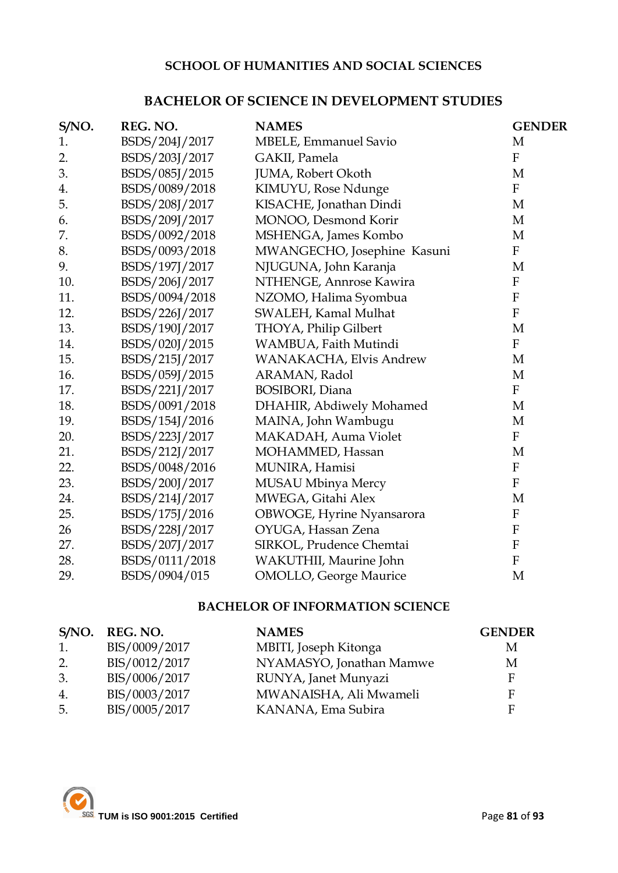### **SCHOOL OF HUMANITIES AND SOCIAL SCIENCES**

### **BACHELOR OF SCIENCE IN DEVELOPMENT STUDIES**

| S/NO. | REG. NO.       | <b>NAMES</b>                   | <b>GENDER</b>             |
|-------|----------------|--------------------------------|---------------------------|
| 1.    | BSDS/204J/2017 | <b>MBELE, Emmanuel Savio</b>   | M                         |
| 2.    | BSDS/203J/2017 | GAKII, Pamela                  | $\mathbf{F}$              |
| 3.    | BSDS/085J/2015 | JUMA, Robert Okoth             | $\mathbf M$               |
| 4.    | BSDS/0089/2018 | KIMUYU, Rose Ndunge            | $\mathbf{F}$              |
| 5.    | BSDS/208J/2017 | KISACHE, Jonathan Dindi        | M                         |
| 6.    | BSDS/209J/2017 | MONOO, Desmond Korir           | M                         |
| 7.    | BSDS/0092/2018 | MSHENGA, James Kombo           | M                         |
| 8.    | BSDS/0093/2018 | MWANGECHO, Josephine Kasuni    | $\boldsymbol{F}$          |
| 9.    | BSDS/197J/2017 | NJUGUNA, John Karanja          | M                         |
| 10.   | BSDS/206J/2017 | NTHENGE, Annrose Kawira        | $\rm F$                   |
| 11.   | BSDS/0094/2018 | NZOMO, Halima Syombua          | ${\bf F}$                 |
| 12.   | BSDS/226J/2017 | SWALEH, Kamal Mulhat           | $\mathbf{F}$              |
| 13.   | BSDS/190J/2017 | THOYA, Philip Gilbert          | M                         |
| 14.   | BSDS/020J/2015 | WAMBUA, Faith Mutindi          | $\mathbf F$               |
| 15.   | BSDS/215J/2017 | WANAKACHA, Elvis Andrew        | M                         |
| 16.   | BSDS/059J/2015 | ARAMAN, Radol                  | M                         |
| 17.   | BSDS/221J/2017 | <b>BOSIBORI</b> , Diana        | $\mathbf{F}$              |
| 18.   | BSDS/0091/2018 | DHAHIR, Abdiwely Mohamed       | M                         |
| 19.   | BSDS/154J/2016 | MAINA, John Wambugu            | M                         |
| 20.   | BSDS/223J/2017 | MAKADAH, Auma Violet           | $\mathbf{F}$              |
| 21.   | BSDS/212J/2017 | MOHAMMED, Hassan               | M                         |
| 22.   | BSDS/0048/2016 | MUNIRA, Hamisi                 | $\rm F$                   |
| 23.   | BSDS/200J/2017 | MUSAU Mbinya Mercy             | $\mathbf{F}$              |
| 24.   | BSDS/214J/2017 | MWEGA, Gitahi Alex             | M                         |
| 25.   | BSDS/175J/2016 | OBWOGE, Hyrine Nyansarora      | $\mathbf{F}$              |
| 26    | BSDS/228J/2017 | OYUGA, Hassan Zena             | ${\bf F}$                 |
| 27.   | BSDS/207J/2017 | SIRKOL, Prudence Chemtai       | $\boldsymbol{\mathrm{F}}$ |
| 28.   | BSDS/0111/2018 | WAKUTHII, Maurine John         | $\mathbf F$               |
| 29.   | BSDS/0904/015  | <b>OMOLLO</b> , George Maurice | M                         |

### **BACHELOR OF INFORMATION SCIENCE**

| S/NO.            | REG. NO.      | <b>NAMES</b>             | <b>GENDER</b> |
|------------------|---------------|--------------------------|---------------|
| 1.               | BIS/0009/2017 | MBITI, Joseph Kitonga    | M             |
| 2.               | BIS/0012/2017 | NYAMASYO, Jonathan Mamwe | М             |
| 3.               | BIS/0006/2017 | RUNYA, Janet Munyazi     | E             |
| $\overline{4}$ . | BIS/0003/2017 | MWANAISHA, Ali Mwameli   |               |
| 5.               | BIS/0005/2017 | KANANA, Ema Subira       |               |

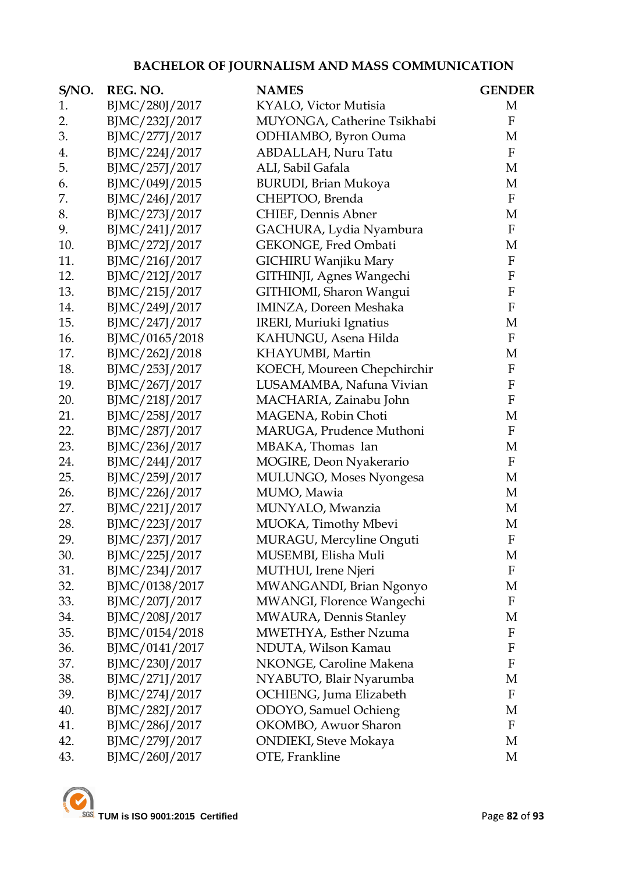# **BACHELOR OF JOURNALISM AND MASS COMMUNICATION**

| S/NO. | REG. NO.       | <b>NAMES</b>                  | <b>GENDER</b>             |
|-------|----------------|-------------------------------|---------------------------|
| 1.    | BJMC/280J/2017 | KYALO, Victor Mutisia         | M                         |
| 2.    | BJMC/232J/2017 | MUYONGA, Catherine Tsikhabi   | $\mathbf F$               |
| 3.    | BJMC/277J/2017 | ODHIAMBO, Byron Ouma          | M                         |
| 4.    | BJMC/224J/2017 | ABDALLAH, Nuru Tatu           | $\mathbf F$               |
| 5.    | BJMC/257J/2017 | ALI, Sabil Gafala             | M                         |
| 6.    | BJMC/049J/2015 | <b>BURUDI</b> , Brian Mukoya  | M                         |
| 7.    | BJMC/246J/2017 | CHEPTOO, Brenda               | $\mathbf F$               |
| 8.    | BJMC/273J/2017 | CHIEF, Dennis Abner           | M                         |
| 9.    | BJMC/241J/2017 | GACHURA, Lydia Nyambura       | $\mathbf F$               |
| 10.   | BJMC/272J/2017 | GEKONGE, Fred Ombati          | M                         |
| 11.   | BJMC/216J/2017 | GICHIRU Wanjiku Mary          | $\rm F$                   |
| 12.   | BJMC/212J/2017 | GITHINJI, Agnes Wangechi      | $\mathbf F$               |
| 13.   | BJMC/215J/2017 | GITHIOMI, Sharon Wangui       | $\rm F$                   |
| 14.   | BJMC/249J/2017 | IMINZA, Doreen Meshaka        | $\rm F$                   |
| 15.   | BJMC/247J/2017 | IRERI, Muriuki Ignatius       | M                         |
| 16.   | BJMC/0165/2018 | KAHUNGU, Asena Hilda          | $\mathbf F$               |
| 17.   | BJMC/262J/2018 | KHAYUMBI, Martin              | M                         |
| 18.   | BJMC/253J/2017 | KOECH, Moureen Chepchirchir   | $\rm F$                   |
| 19.   | BJMC/267J/2017 | LUSAMAMBA, Nafuna Vivian      | $\rm F$                   |
| 20.   | BJMC/218J/2017 | MACHARIA, Zainabu John        | $\boldsymbol{\mathrm{F}}$ |
| 21.   | BJMC/258J/2017 | MAGENA, Robin Choti           | M                         |
| 22.   | BJMC/287J/2017 | MARUGA, Prudence Muthoni      | $\mathbf{F}$              |
| 23.   | BJMC/236J/2017 | MBAKA, Thomas Ian             | M                         |
| 24.   | BJMC/244J/2017 | MOGIRE, Deon Nyakerario       | $\mathbf F$               |
| 25.   | BJMC/259J/2017 | MULUNGO, Moses Nyongesa       | M                         |
| 26.   | BJMC/226J/2017 | MUMO, Mawia                   | M                         |
| 27.   | BJMC/221J/2017 | MUNYALO, Mwanzia              | M                         |
| 28.   | BJMC/223J/2017 | MUOKA, Timothy Mbevi          | M                         |
| 29.   | BJMC/237J/2017 | MURAGU, Mercyline Onguti      | ${\bf F}$                 |
| 30.   | BJMC/225J/2017 | MUSEMBI, Elisha Muli          | M                         |
| 31.   | BJMC/234J/2017 | MUTHUI, Irene Njeri           | $\mathbf F$               |
| 32.   | BJMC/0138/2017 | MWANGANDI, Brian Ngonyo       | M                         |
| 33.   | BJMC/207J/2017 | MWANGI, Florence Wangechi     | $\mathbf F$               |
| 34.   | BJMC/208J/2017 | MWAURA, Dennis Stanley        | M                         |
| 35.   | BJMC/0154/2018 | MWETHYA, Esther Nzuma         | $\mathbf F$               |
| 36.   | BJMC/0141/2017 | NDUTA, Wilson Kamau           | ${\bf F}$                 |
| 37.   | BJMC/230J/2017 | NKONGE, Caroline Makena       | $\boldsymbol{\mathrm{F}}$ |
| 38.   | BJMC/271J/2017 | NYABUTO, Blair Nyarumba       | M                         |
| 39.   | BJMC/274J/2017 | OCHIENG, Juma Elizabeth       | $\mathbf F$               |
| 40.   | BJMC/282J/2017 | ODOYO, Samuel Ochieng         | M                         |
| 41.   | BJMC/286J/2017 | OKOMBO, Awuor Sharon          | $\mathbf F$               |
| 42.   | BJMC/279J/2017 | <b>ONDIEKI</b> , Steve Mokaya | M                         |
| 43.   | BJMC/260J/2017 | OTE, Frankline                | M                         |

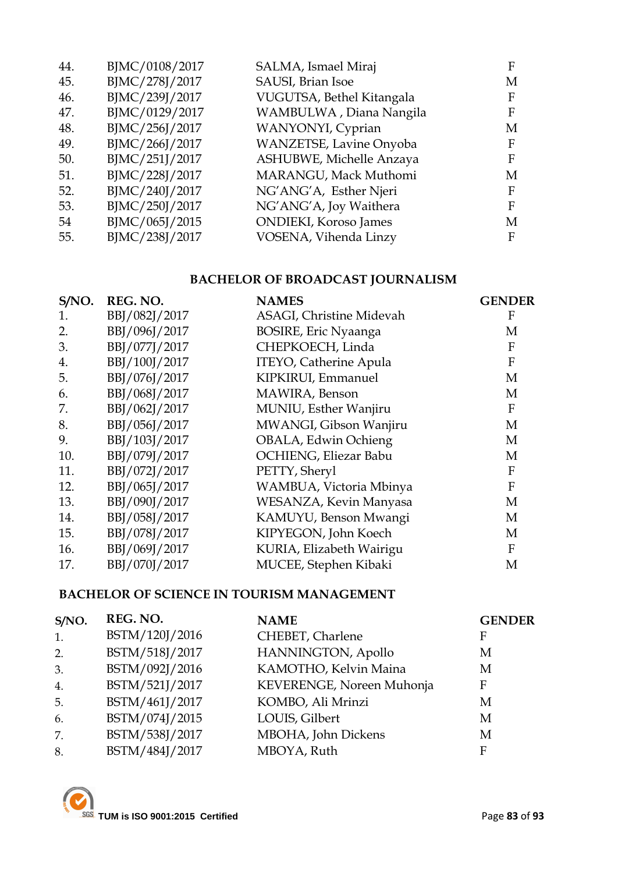| 44. | BJMC/0108/2017 | SALMA, Ismael Miraj           | F |
|-----|----------------|-------------------------------|---|
| 45. | BJMC/278J/2017 | SAUSI, Brian Isoe             | М |
| 46. | BJMC/239J/2017 | VUGUTSA, Bethel Kitangala     | F |
| 47. | BJMC/0129/2017 | WAMBULWA, Diana Nangila       | F |
| 48. | BJMC/256J/2017 | WANYONYI, Cyprian             | М |
| 49. | BJMC/266J/2017 | WANZETSE, Lavine Onyoba       | F |
| 50. | BJMC/251J/2017 | ASHUBWE, Michelle Anzaya      | F |
| 51. | BJMC/228J/2017 | MARANGU, Mack Muthomi         | М |
| 52. | BJMC/240J/2017 | NG'ANG'A, Esther Njeri        | F |
| 53. | BJMC/250J/2017 | NG'ANG'A, Joy Waithera        | F |
| 54  | BJMC/065J/2015 | <b>ONDIEKI</b> , Koroso James | М |
| 55. | BJMC/238J/2017 | VOSENA, Vihenda Linzy         | F |
|     |                |                               |   |

# **BACHELOR OF BROADCAST JOURNALISM**

| S/NO. | REG. NO.      | <b>NAMES</b>                  | <b>GENDER</b> |
|-------|---------------|-------------------------------|---------------|
| 1.    | BBJ/082J/2017 | ASAGI, Christine Midevah      | F             |
| 2.    | BBJ/096J/2017 | <b>BOSIRE, Eric Nyaanga</b>   | М             |
| 3.    | BBJ/077J/2017 | CHEPKOECH, Linda              | F             |
| 4.    | BBJ/100J/2017 | <b>ITEYO, Catherine Apula</b> | $\mathbf{F}$  |
| 5.    | BBJ/076J/2017 | KIPKIRUI, Emmanuel            | M             |
| 6.    | BBJ/068J/2017 | MAWIRA, Benson                | M             |
| 7.    | BBJ/062J/2017 | MUNIU, Esther Wanjiru         | $\mathbf{F}$  |
| 8.    | BBJ/056J/2017 | MWANGI, Gibson Wanjiru        | M             |
| 9.    | BBJ/103J/2017 | OBALA, Edwin Ochieng          | M             |
| 10.   | BBJ/079J/2017 | OCHIENG, Eliezar Babu         | M             |
| 11.   | BBJ/072J/2017 | PETTY, Sheryl                 | F             |
| 12.   | BBJ/065J/2017 | WAMBUA, Victoria Mbinya       | F             |
| 13.   | BBJ/090J/2017 | WESANZA, Kevin Manyasa        | M             |
| 14.   | BBJ/058J/2017 | KAMUYU, Benson Mwangi         | M             |
| 15.   | BBJ/078J/2017 | KIPYEGON, John Koech          | M             |
| 16.   | BBJ/069J/2017 | KURIA, Elizabeth Wairigu      | F             |
| 17.   | BBJ/070J/2017 | MUCEE, Stephen Kibaki         | M             |

# **BACHELOR OF SCIENCE IN TOURISM MANAGEMENT**

| S/NO. | REG. NO.       | <b>NAME</b>               | <b>GENDER</b> |
|-------|----------------|---------------------------|---------------|
| 1.    | BSTM/120J/2016 | CHEBET, Charlene          | F             |
| 2.    | BSTM/518J/2017 | HANNINGTON, Apollo        | М             |
| 3.    | BSTM/092J/2016 | KAMOTHO, Kelvin Maina     | M             |
| 4.    | BSTM/521J/2017 | KEVERENGE, Noreen Muhonja | F             |
| 5.    | BSTM/461J/2017 | KOMBO, Ali Mrinzi         | М             |
| 6.    | BSTM/074J/2015 | LOUIS, Gilbert            | М             |
| 7.    | BSTM/538J/2017 | MBOHA, John Dickens       | М             |
| 8.    | BSTM/484J/2017 | MBOYA, Ruth               | F             |

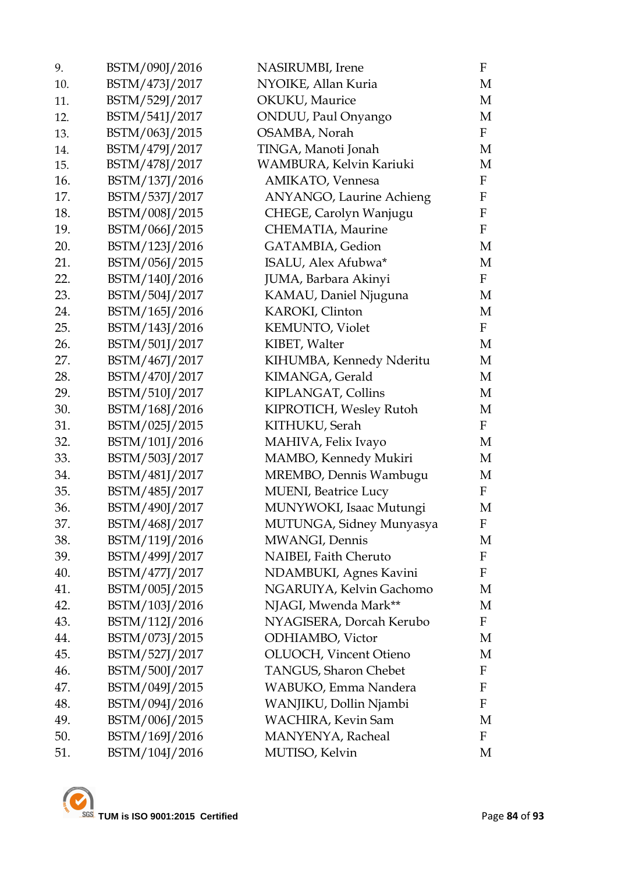|                | NYOIKE, Allan Kuria             | M                     |
|----------------|---------------------------------|-----------------------|
| BSTM/529J/2017 | <b>OKUKU</b> , Maurice          | М                     |
| BSTM/541J/2017 | ONDUU, Paul Onyango             | M                     |
| BSTM/063J/2015 | OSAMBA, Norah                   | $\mathbf{F}$          |
| BSTM/479J/2017 | TINGA, Manoti Jonah             | М                     |
| BSTM/478J/2017 | WAMBURA, Kelvin Kariuki         | $\mathbf M$           |
| BSTM/137J/2016 | AMIKATO, Vennesa                | F                     |
| BSTM/537J/2017 | <b>ANYANGO, Laurine Achieng</b> | $\mathbf F$           |
| BSTM/008J/2015 | CHEGE, Carolyn Wanjugu          | F                     |
| BSTM/066J/2015 | CHEMATIA, Maurine               | $\mathbf F$           |
| BSTM/123J/2016 | GATAMBIA, Gedion                | M                     |
| BSTM/056J/2015 | ISALU, Alex Afubwa*             | М                     |
| BSTM/140J/2016 | JUMA, Barbara Akinyi            | $\mathbf{F}$          |
| BSTM/504J/2017 | KAMAU, Daniel Njuguna           | M                     |
| BSTM/165J/2016 | KAROKI, Clinton                 | M                     |
| BSTM/143J/2016 | <b>KEMUNTO, Violet</b>          | $\mathbf{F}$          |
| BSTM/501J/2017 | KIBET, Walter                   | M                     |
| BSTM/467J/2017 | KIHUMBA, Kennedy Nderitu        | M                     |
| BSTM/470J/2017 | KIMANGA, Gerald                 | M                     |
| BSTM/510J/2017 | KIPLANGAT, Collins              | М                     |
| BSTM/168J/2016 | KIPROTICH, Wesley Rutoh         | М                     |
| BSTM/025J/2015 | KITHUKU, Serah                  | $\mathbf{F}$          |
| BSTM/101J/2016 | MAHIVA, Felix Ivayo             | M                     |
| BSTM/503J/2017 |                                 | М                     |
| BSTM/481J/2017 | MREMBO, Dennis Wambugu          | M                     |
| BSTM/485J/2017 | <b>MUENI</b> , Beatrice Lucy    | $\mathbf{F}$          |
| BSTM/490J/2017 | MUNYWOKI, Isaac Mutungi         | M                     |
| BSTM/468J/2017 | MUTUNGA, Sidney Munyasya        | F                     |
| BSTM/119J/2016 | MWANGI, Dennis                  | М                     |
| BSTM/499J/2017 | NAIBEI, Faith Cheruto           | F                     |
| BSTM/477J/2017 | NDAMBUKI, Agnes Kavini          | F                     |
| BSTM/005J/2015 | NGARUIYA, Kelvin Gachomo        | M                     |
| BSTM/103J/2016 | NJAGI, Mwenda Mark**            | M                     |
| BSTM/112J/2016 | NYAGISERA, Dorcah Kerubo        | F                     |
| BSTM/073J/2015 | <b>ODHIAMBO</b> , Victor        | M                     |
| BSTM/527J/2017 | OLUOCH, Vincent Otieno          | M                     |
| BSTM/500J/2017 | <b>TANGUS, Sharon Chebet</b>    | $\mathbf{F}$          |
| BSTM/049J/2015 | WABUKO, Emma Nandera            | F                     |
| BSTM/094J/2016 | WANJIKU, Dollin Njambi          | F                     |
| BSTM/006J/2015 | <b>WACHIRA, Kevin Sam</b>       | M                     |
| BSTM/169J/2016 | MANYENYA, Racheal               | F                     |
| BSTM/104J/2016 | MUTISO, Kelvin                  | M                     |
|                | BSTM/473J/2017                  | MAMBO, Kennedy Mukiri |

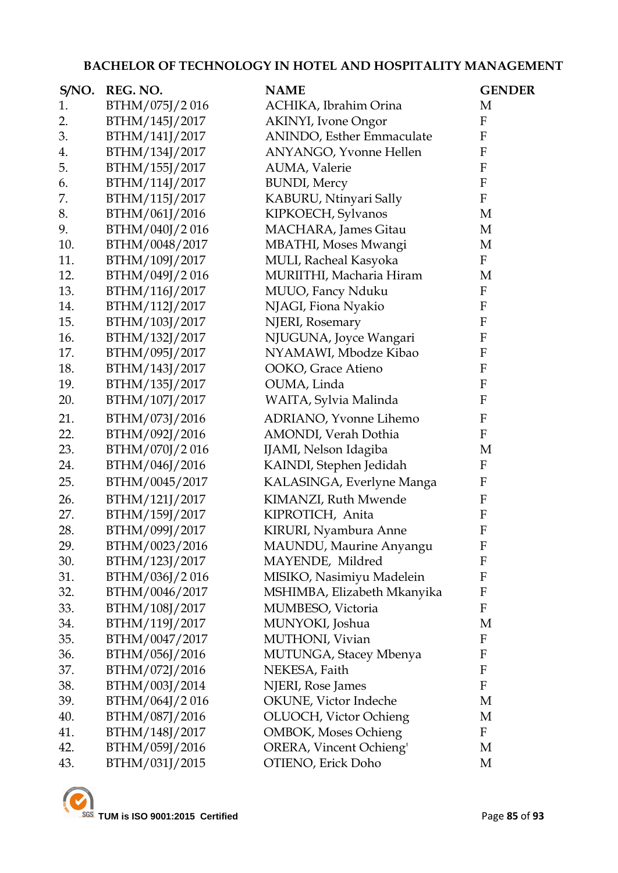### **BACHELOR OF TECHNOLOGY IN HOTEL AND HOSPITALITY MANAGEMENT**

| S/NO. | REG. NO.       | <b>NAME</b>                   | <b>GENDER</b>             |
|-------|----------------|-------------------------------|---------------------------|
| 1.    | BTHM/075J/2016 | ACHIKA, Ibrahim Orina         | M                         |
| 2.    | BTHM/145J/2017 | <b>AKINYI</b> , Ivone Ongor   | $\mathbf F$               |
| 3.    | BTHM/141J/2017 | ANINDO, Esther Emmaculate     | ${\bf F}$                 |
| 4.    | BTHM/134J/2017 | <b>ANYANGO, Yvonne Hellen</b> | $\boldsymbol{F}$          |
| 5.    | BTHM/155J/2017 | AUMA, Valerie                 | $\boldsymbol{\mathrm{F}}$ |
| 6.    | BTHM/114J/2017 | <b>BUNDI</b> , Mercy          | ${\bf F}$                 |
| 7.    | BTHM/115J/2017 | KABURU, Ntinyari Sally        | $\rm F$                   |
| 8.    | BTHM/061J/2016 | KIPKOECH, Sylvanos            | M                         |
| 9.    | BTHM/040J/2016 | MACHARA, James Gitau          | M                         |
| 10.   | BTHM/0048/2017 | MBATHI, Moses Mwangi          | M                         |
| 11.   | BTHM/109J/2017 | MULI, Racheal Kasyoka         | $\boldsymbol{F}$          |
| 12.   | BTHM/049J/2016 | MURIITHI, Macharia Hiram      | M                         |
| 13.   | BTHM/116J/2017 | MUUO, Fancy Nduku             | $\rm F$                   |
| 14.   | BTHM/112J/2017 | NJAGI, Fiona Nyakio           | $\mathbf{F}$              |
| 15.   | BTHM/103J/2017 | NJERI, Rosemary               | $\mathbf{F}$              |
| 16.   | BTHM/132J/2017 | NJUGUNA, Joyce Wangari        | $\mathbf{F}$              |
| 17.   | BTHM/095J/2017 | NYAMAWI, Mbodze Kibao         | $\mathbf{F}$              |
| 18.   | BTHM/143J/2017 | OOKO, Grace Atieno            | $\boldsymbol{\mathrm{F}}$ |
| 19.   | BTHM/135J/2017 | OUMA, Linda                   | $\mathbf{F}$              |
| 20.   | BTHM/107J/2017 | WAITA, Sylvia Malinda         | $\mathbf{F}$              |
| 21.   | BTHM/073J/2016 | ADRIANO, Yvonne Lihemo        | $\mathbf{F}$              |
| 22.   | BTHM/092J/2016 | AMONDI, Verah Dothia          | ${\bf F}$                 |
| 23.   | BTHM/070J/2016 | IJAMI, Nelson Idagiba         | M                         |
| 24.   | BTHM/046J/2016 | KAINDI, Stephen Jedidah       | $\mathbf F$               |
| 25.   | BTHM/0045/2017 | KALASINGA, Everlyne Manga     | $\mathbf{F}$              |
| 26.   | BTHM/121J/2017 | KIMANZI, Ruth Mwende          | $\boldsymbol{\mathrm{F}}$ |
| 27.   | BTHM/159J/2017 | KIPROTICH, Anita              | $\mathbf{F}$              |
| 28.   | BTHM/099J/2017 | KIRURI, Nyambura Anne         | $\mathbf{F}$              |
| 29.   | BTHM/0023/2016 | MAUNDU, Maurine Anyangu       | $\boldsymbol{\mathrm{F}}$ |
| 30.   | BTHM/123J/2017 | MAYENDE, Mildred              | $\mathbf{F}$              |
| 31.   | BTHM/036J/2016 | MISIKO, Nasimiyu Madelein     | $\mathbf{F}$              |
| 32.   | BTHM/0046/2017 | MSHIMBA, Elizabeth Mkanyika   | $\mathbf{F}$              |
| 33.   | BTHM/108J/2017 | MUMBESO, Victoria             | $\mathbf F$               |
| 34.   | BTHM/119J/2017 | MUNYOKI, Joshua               | M                         |
| 35.   | BTHM/0047/2017 | MUTHONI, Vivian               | F                         |
| 36.   | BTHM/056J/2016 | MUTUNGA, Stacey Mbenya        | $\mathbf F$               |
| 37.   | BTHM/072J/2016 | NEKESA, Faith                 | $\boldsymbol{F}$          |
| 38.   | BTHM/003J/2014 | NJERI, Rose James             | ${\bf F}$                 |
| 39.   | BTHM/064J/2016 | OKUNE, Victor Indeche         | M                         |
| 40.   | BTHM/087J/2016 | OLUOCH, Victor Ochieng        | M                         |
| 41.   | BTHM/148J/2017 | <b>OMBOK, Moses Ochieng</b>   | $\mathbf F$               |
| 42.   | BTHM/059J/2016 | ORERA, Vincent Ochieng'       | M                         |
| 43.   | BTHM/031J/2015 | OTIENO, Erick Doho            | M                         |

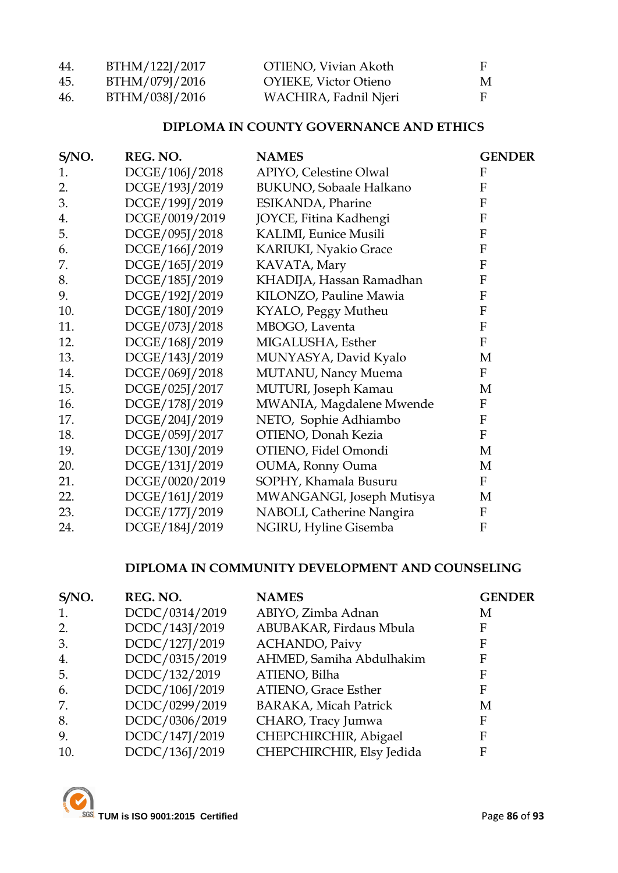| 44. | BTHM/122J/2017 | OTIENO, Vivian Akoth         | F |
|-----|----------------|------------------------------|---|
| 45  | BTHM/079J/2016 | <b>OYIEKE, Victor Otieno</b> | M |
| 46. | BTHM/038J/2016 | WACHIRA, Fadnil Njeri        | F |

### **DIPLOMA IN COUNTY GOVERNANCE AND ETHICS**

| S/NO. | REG. NO.       | <b>NAMES</b>                    | <b>GENDER</b>    |
|-------|----------------|---------------------------------|------------------|
| 1.    | DCGE/106J/2018 | <b>APIYO, Celestine Olwal</b>   | $\boldsymbol{F}$ |
| 2.    | DCGE/193J/2019 | <b>BUKUNO</b> , Sobaale Halkano | $\mathbf F$      |
| 3.    | DCGE/199J/2019 | ESIKANDA, Pharine               | $\mathbf{F}$     |
| 4.    | DCGE/0019/2019 | JOYCE, Fitina Kadhengi          | ${\bf F}$        |
| 5.    | DCGE/095J/2018 | KALIMI, Eunice Musili           | $\mathbf{F}$     |
| 6.    | DCGE/166J/2019 | <b>KARIUKI, Nyakio Grace</b>    | F                |
| 7.    | DCGE/165J/2019 | KAVATA, Mary                    | F                |
| 8.    | DCGE/185J/2019 | KHADIJA, Hassan Ramadhan        | $\mathbf F$      |
| 9.    | DCGE/192J/2019 | KILONZO, Pauline Mawia          | $\mathbf{F}$     |
| 10.   | DCGE/180J/2019 | KYALO, Peggy Mutheu             | $\mathbf{F}$     |
| 11.   | DCGE/073J/2018 | MBOGO, Laventa                  | F                |
| 12.   | DCGE/168J/2019 | MIGALUSHA, Esther               | $\mathbf{F}$     |
| 13.   | DCGE/143J/2019 | MUNYASYA, David Kyalo           | M                |
| 14.   | DCGE/069J/2018 | MUTANU, Nancy Muema             | $\mathbf F$      |
| 15.   | DCGE/025J/2017 | MUTURI, Joseph Kamau            | M                |
| 16.   | DCGE/178J/2019 | MWANIA, Magdalene Mwende        | $\boldsymbol{F}$ |
| 17.   | DCGE/204J/2019 | NETO, Sophie Adhiambo           | $\boldsymbol{F}$ |
| 18.   | DCGE/059J/2017 | OTIENO, Donah Kezia             | $\mathbf F$      |
| 19.   | DCGE/130J/2019 | OTIENO, Fidel Omondi            | M                |
| 20.   | DCGE/131J/2019 | OUMA, Ronny Ouma                | M                |
| 21.   | DCGE/0020/2019 | SOPHY, Khamala Busuru           | $\rm F$          |
| 22.   | DCGE/161J/2019 | MWANGANGI, Joseph Mutisya       | M                |
| 23.   | DCGE/177J/2019 | NABOLI, Catherine Nangira       | $\boldsymbol{F}$ |
| 24.   | DCGE/184J/2019 | NGIRU, Hyline Gisemba           | ${\bf F}$        |

### **DIPLOMA IN COMMUNITY DEVELOPMENT AND COUNSELING**

| S/NO. | REG. NO.       | <b>NAMES</b>                 | <b>GENDER</b> |
|-------|----------------|------------------------------|---------------|
| 1.    | DCDC/0314/2019 | ABIYO, Zimba Adnan           | M             |
| 2.    | DCDC/143J/2019 | ABUBAKAR, Firdaus Mbula      | F             |
| 3.    | DCDC/127J/2019 | <b>ACHANDO</b> , Paivy       | F             |
| 4.    | DCDC/0315/2019 | AHMED, Samiha Abdulhakim     | F             |
| 5.    | DCDC/132/2019  | ATIENO, Bilha                | F             |
| 6.    | DCDC/106J/2019 | ATIENO, Grace Esther         | F             |
| 7.    | DCDC/0299/2019 | <b>BARAKA, Micah Patrick</b> | М             |
| 8.    | DCDC/0306/2019 | CHARO, Tracy Jumwa           | F             |
| 9.    | DCDC/147J/2019 | CHEPCHIRCHIR, Abigael        | F             |
| 10.   | DCDC/136J/2019 | CHEPCHIRCHIR, Elsy Jedida    | F             |

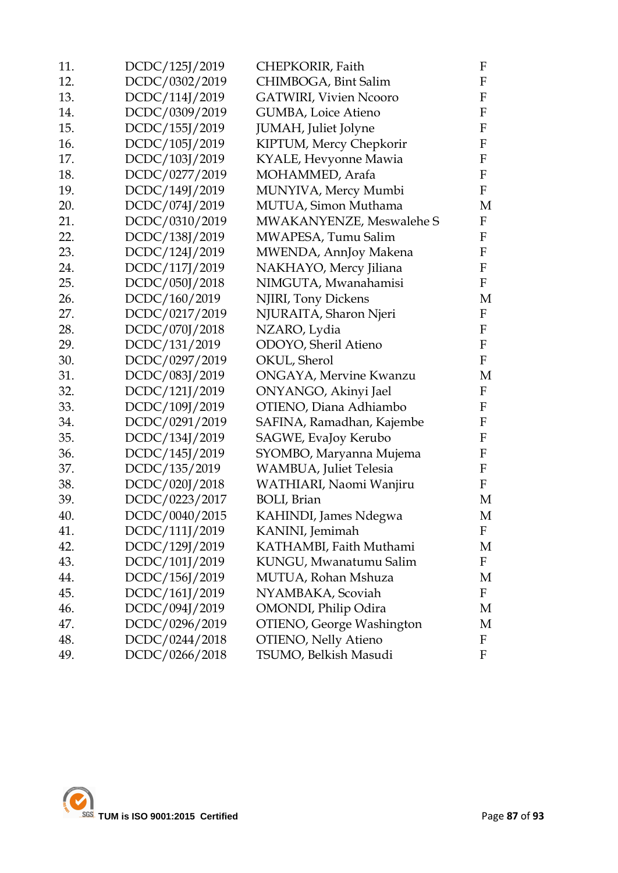| 11. | DCDC/125J/2019 | CHEPKORIR, Faith              | F                         |
|-----|----------------|-------------------------------|---------------------------|
| 12. | DCDC/0302/2019 | CHIMBOGA, Bint Salim          | F                         |
| 13. | DCDC/114J/2019 | <b>GATWIRI, Vivien Ncooro</b> | F                         |
| 14. | DCDC/0309/2019 | GUMBA, Loice Atieno           | $\boldsymbol{\mathrm{F}}$ |
| 15. | DCDC/155J/2019 | JUMAH, Juliet Jolyne          | F                         |
| 16. | DCDC/105J/2019 | KIPTUM, Mercy Chepkorir       | F                         |
| 17. | DCDC/103J/2019 | KYALE, Hevyonne Mawia         | F                         |
| 18. | DCDC/0277/2019 | MOHAMMED, Arafa               | $\mathbf F$               |
| 19. | DCDC/149J/2019 | MUNYIVA, Mercy Mumbi          | $\mathbf F$               |
| 20. | DCDC/074J/2019 | MUTUA, Simon Muthama          | M                         |
| 21. | DCDC/0310/2019 | MWAKANYENZE, Meswalehe S      | $\mathbf F$               |
| 22. | DCDC/138J/2019 | MWAPESA, Tumu Salim           | $\mathbf F$               |
| 23. | DCDC/124J/2019 | MWENDA, AnnJoy Makena         | F                         |
| 24. | DCDC/117J/2019 | NAKHAYO, Mercy Jiliana        | F                         |
| 25. | DCDC/050J/2018 | NIMGUTA, Mwanahamisi          | F                         |
| 26. | DCDC/160/2019  | NJIRI, Tony Dickens           | M                         |
| 27. | DCDC/0217/2019 | NJURAITA, Sharon Njeri        | $\mathbf{F}$              |
| 28. | DCDC/070J/2018 | NZARO, Lydia                  | F                         |
| 29. | DCDC/131/2019  | ODOYO, Sheril Atieno          | $\mathbf{F}$              |
| 30. | DCDC/0297/2019 | OKUL, Sherol                  | $\mathbf F$               |
| 31. | DCDC/083J/2019 | ONGAYA, Mervine Kwanzu        | M                         |
| 32. | DCDC/121J/2019 | ONYANGO, Akinyi Jael          | $\mathbf F$               |
| 33. | DCDC/109J/2019 | OTIENO, Diana Adhiambo        | F                         |
| 34. | DCDC/0291/2019 | SAFINA, Ramadhan, Kajembe     | F                         |
| 35. | DCDC/134J/2019 | SAGWE, EvaJoy Kerubo          | $\mathbf F$               |
| 36. | DCDC/145J/2019 | SYOMBO, Maryanna Mujema       | F                         |
| 37. | DCDC/135/2019  | WAMBUA, Juliet Telesia        | $\mathbf F$               |
| 38. | DCDC/020J/2018 | WATHIARI, Naomi Wanjiru       | F                         |
| 39. | DCDC/0223/2017 | <b>BOLI</b> , Brian           | M                         |
| 40. | DCDC/0040/2015 | KAHINDI, James Ndegwa         | М                         |
| 41. | DCDC/111J/2019 | KANINI, Jemimah               | F                         |
| 42. | DCDC/129J/2019 | KATHAMBI, Faith Muthami       | M                         |
| 43. | DCDC/101J/2019 | KUNGU, Mwanatumu Salim        | F                         |
| 44. | DCDC/156J/2019 | MUTUA, Rohan Mshuza           | M                         |
| 45. | DCDC/161J/2019 | NYAMBAKA, Scoviah             | F                         |
| 46. | DCDC/094J/2019 | <b>OMONDI</b> , Philip Odira  | M                         |
| 47. | DCDC/0296/2019 | OTIENO, George Washington     | M                         |
| 48. | DCDC/0244/2018 | <b>OTIENO, Nelly Atieno</b>   | F                         |
| 49. | DCDC/0266/2018 | TSUMO, Belkish Masudi         | F                         |
|     |                |                               |                           |

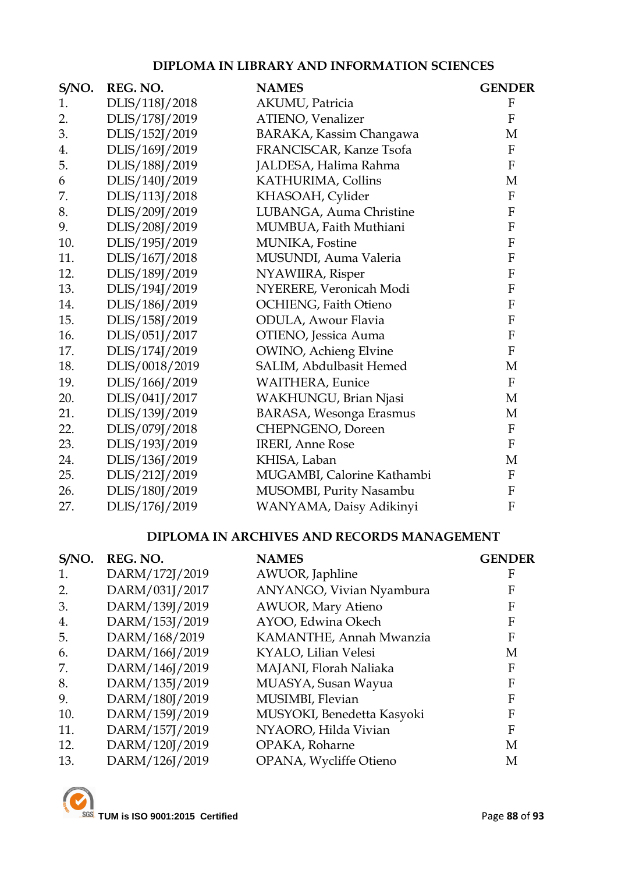### **DIPLOMA IN LIBRARY AND INFORMATION SCIENCES**

| S/NO. | REG. NO.       | <b>NAMES</b>                   | <b>GENDER</b>             |
|-------|----------------|--------------------------------|---------------------------|
| 1.    | DLIS/118J/2018 | AKUMU, Patricia                | $\boldsymbol{\mathrm{F}}$ |
| 2.    | DLIS/178J/2019 | ATIENO, Venalizer              | $\mathbf{F}$              |
| 3.    | DLIS/152J/2019 | BARAKA, Kassim Changawa        | M                         |
| 4.    | DLIS/169J/2019 | FRANCISCAR, Kanze Tsofa        | $\mathbf{F}$              |
| 5.    | DLIS/188J/2019 | JALDESA, Halima Rahma          | $\rm F$                   |
| 6     | DLIS/140J/2019 | KATHURIMA, Collins             | M                         |
| 7.    | DLIS/113J/2018 | KHASOAH, Cylider               | $\boldsymbol{F}$          |
| 8.    | DLIS/209J/2019 | LUBANGA, Auma Christine        | ${\bf F}$                 |
| 9.    | DLIS/208J/2019 | MUMBUA, Faith Muthiani         | $\rm F$                   |
| 10.   | DLIS/195J/2019 | MUNIKA, Fostine                | $\rm F$                   |
| 11.   | DLIS/167J/2018 | MUSUNDI, Auma Valeria          | ${\bf F}$                 |
| 12.   | DLIS/189J/2019 | NYAWIIRA, Risper               | ${\bf F}$                 |
| 13.   | DLIS/194J/2019 | NYERERE, Veronicah Modi        | ${\bf F}$                 |
| 14.   | DLIS/186J/2019 | OCHIENG, Faith Otieno          | $\rm F$                   |
| 15.   | DLIS/158J/2019 | ODULA, Awour Flavia            | $\boldsymbol{\mathrm{F}}$ |
| 16.   | DLIS/051J/2017 | OTIENO, Jessica Auma           | $\rm F$                   |
| 17.   | DLIS/174J/2019 | <b>OWINO</b> , Achieng Elvine  | ${\bf F}$                 |
| 18.   | DLIS/0018/2019 | SALIM, Abdulbasit Hemed        | M                         |
| 19.   | DLIS/166J/2019 | <b>WAITHERA</b> , Eunice       | $\mathbf{F}$              |
| 20.   | DLIS/041J/2017 | WAKHUNGU, Brian Njasi          | M                         |
| 21.   | DLIS/139J/2019 | <b>BARASA, Wesonga Erasmus</b> | M                         |
| 22.   | DLIS/079J/2018 | CHEPNGENO, Doreen              | $\rm F$                   |
| 23.   | DLIS/193J/2019 | <b>IRERI</b> , Anne Rose       | $\rm F$                   |
| 24.   | DLIS/136J/2019 | KHISA, Laban                   | M                         |
| 25.   | DLIS/212J/2019 | MUGAMBI, Calorine Kathambi     | $\rm F$                   |
| 26.   | DLIS/180J/2019 | MUSOMBI, Purity Nasambu        | ${\bf F}$                 |
| 27.   | DLIS/176J/2019 | WANYAMA, Daisy Adikinyi        | $\mathbf{F}$              |

### **DIPLOMA IN ARCHIVES AND RECORDS MANAGEMENT**

| S/NO. | REG. NO.       | <b>NAMES</b>               | <b>GENDER</b> |
|-------|----------------|----------------------------|---------------|
| 1.    | DARM/172J/2019 | AWUOR, Japhline            | F             |
| 2.    | DARM/031J/2017 | ANYANGO, Vivian Nyambura   | F             |
| 3.    | DARM/139J/2019 | <b>AWUOR, Mary Atieno</b>  | F             |
| 4.    | DARM/153J/2019 | AYOO, Edwina Okech         | F             |
| 5.    | DARM/168/2019  | KAMANTHE, Annah Mwanzia    | F             |
| 6.    | DARM/166J/2019 | KYALO, Lilian Velesi       | М             |
| 7.    | DARM/146J/2019 | MAJANI, Florah Naliaka     | F             |
| 8.    | DARM/135J/2019 | MUASYA, Susan Wayua        | F             |
| 9.    | DARM/180J/2019 | MUSIMBI, Flevian           | F             |
| 10.   | DARM/159J/2019 | MUSYOKI, Benedetta Kasyoki | F             |
| 11.   | DARM/157J/2019 | NYAORO, Hilda Vivian       | F             |
| 12.   | DARM/120J/2019 | OPAKA, Roharne             | М             |
| 13.   | DARM/126J/2019 | OPANA, Wycliffe Otieno     | М             |

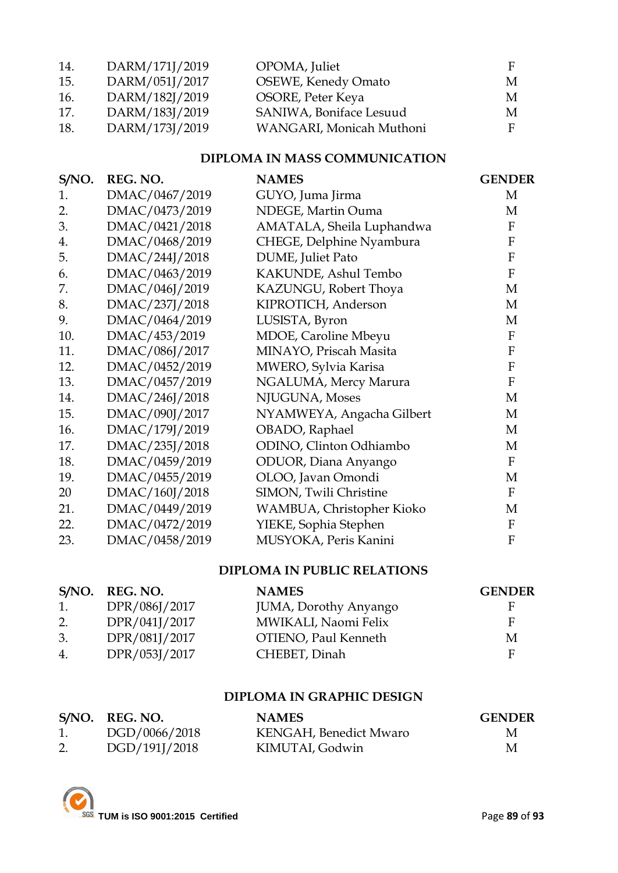| 14. | DARM/171J/2019 | OPOMA, Juliet              |    |
|-----|----------------|----------------------------|----|
| 15. | DARM/051J/2017 | <b>OSEWE, Kenedy Omato</b> | M  |
| 16. | DARM/182J/2019 | OSORE, Peter Keya          | M  |
| 17. | DARM/183J/2019 | SANIWA, Boniface Lesuud    | M  |
| 18. | DARM/173J/2019 | WANGARI, Monicah Muthoni   | F. |

### **DIPLOMA IN MASS COMMUNICATION**

| S/NO. | REG. NO.       | <b>NAMES</b>              | <b>GENDER</b>  |
|-------|----------------|---------------------------|----------------|
| 1.    | DMAC/0467/2019 | GUYO, Juma Jirma          | M              |
| 2.    | DMAC/0473/2019 | NDEGE, Martin Ouma        | М              |
| 3.    | DMAC/0421/2018 | AMATALA, Sheila Luphandwa | F              |
| 4.    | DMAC/0468/2019 | CHEGE, Delphine Nyambura  | $\mathbf{F}$   |
| 5.    | DMAC/244J/2018 | DUME, Juliet Pato         | $\mathbf{F}$   |
| 6.    | DMAC/0463/2019 | KAKUNDE, Ashul Tembo      | $\mathbf{F}$   |
| 7.    | DMAC/046J/2019 | KAZUNGU, Robert Thoya     | M              |
| 8.    | DMAC/237J/2018 | KIPROTICH, Anderson       | M              |
| 9.    | DMAC/0464/2019 | LUSISTA, Byron            | М              |
| 10.   | DMAC/453/2019  | MDOE, Caroline Mbeyu      | $\mathbf{F}$   |
| 11.   | DMAC/086J/2017 | MINAYO, Priscah Masita    | $\mathbf{F}$   |
| 12.   | DMAC/0452/2019 | MWERO, Sylvia Karisa      | $\mathbf{F}$   |
| 13.   | DMAC/0457/2019 | NGALUMA, Mercy Marura     | $\overline{F}$ |
| 14.   | DMAC/246J/2018 | NJUGUNA, Moses            | M              |
| 15.   | DMAC/090J/2017 | NYAMWEYA, Angacha Gilbert | M              |
| 16.   | DMAC/179J/2019 | OBADO, Raphael            | M              |
| 17.   | DMAC/235J/2018 | ODINO, Clinton Odhiambo   | M              |
| 18.   | DMAC/0459/2019 | ODUOR, Diana Anyango      | $\mathbf{F}$   |
| 19.   | DMAC/0455/2019 | OLOO, Javan Omondi        | M              |
| 20    | DMAC/160J/2018 | SIMON, Twili Christine    | $\mathbf{F}$   |
| 21.   | DMAC/0449/2019 | WAMBUA, Christopher Kioko | M              |
| 22.   | DMAC/0472/2019 | YIEKE, Sophia Stephen     | F              |
| 23.   | DMAC/0458/2019 | MUSYOKA, Peris Kanini     | $\mathbf{F}$   |

### **DIPLOMA IN PUBLIC RELATIONS**

|                  | S/NO. REG. NO. | <b>NAMES</b>                  | <b>GENDER</b> |
|------------------|----------------|-------------------------------|---------------|
| 1.               | DPR/086J/2017  | <b>JUMA</b> , Dorothy Anyango | н.            |
| 2.               | DPR/041J/2017  | MWIKALI, Naomi Felix          | E             |
| 3.               | DPR/081J/2017  | OTIENO, Paul Kenneth          | M             |
| $\overline{4}$ . | DPR/053J/2017  | CHEBET, Dinah                 | E             |

### **DIPLOMA IN GRAPHIC DESIGN**

| S/NO. REG. NO. | <b>NAMES</b>           | <b>GENDER</b> |
|----------------|------------------------|---------------|
| DGD/0066/2018  | KENGAH, Benedict Mwaro | M             |
| DGD/191J/2018  | KIMUTAI, Godwin        | M             |

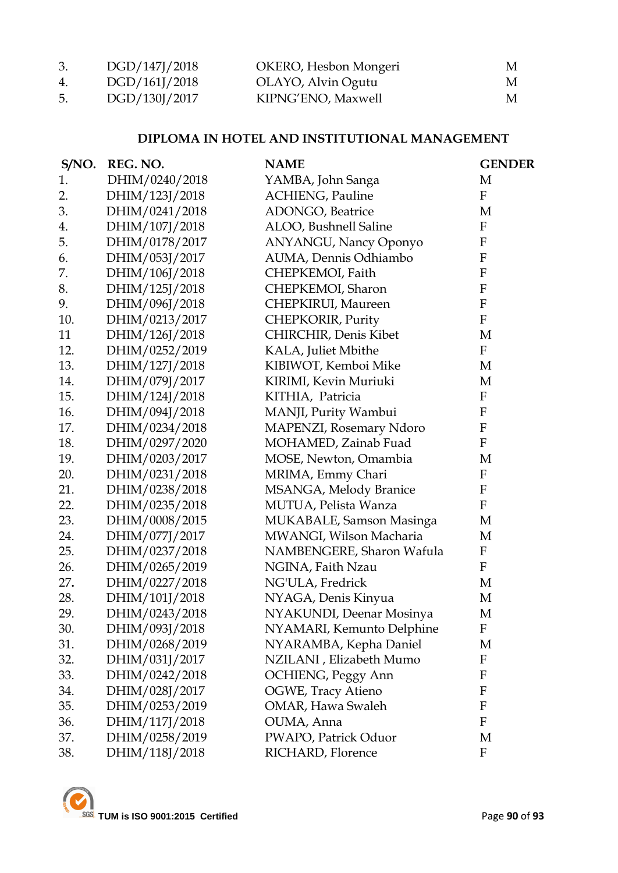| 3. | DGD/147J/2018 | OKERO, Hesbon Mongeri | M |
|----|---------------|-----------------------|---|
| 4. | DGD/161J/2018 | OLAYO, Alvin Ogutu    | M |
| 5. | DGD/130J/2017 | KIPNG'ENO, Maxwell    | M |

### **DIPLOMA IN HOTEL AND INSTITUTIONAL MANAGEMENT**

| S/NO. | REG. NO.       | <b>NAME</b>                  | <b>GENDER</b>             |
|-------|----------------|------------------------------|---------------------------|
| 1.    | DHIM/0240/2018 | YAMBA, John Sanga            | M                         |
| 2.    | DHIM/123J/2018 | <b>ACHIENG</b> , Pauline     | $\mathbf{F}$              |
| 3.    | DHIM/0241/2018 | <b>ADONGO</b> , Beatrice     | M                         |
| 4.    | DHIM/107J/2018 | ALOO, Bushnell Saline        | $\boldsymbol{\mathrm{F}}$ |
| 5.    | DHIM/0178/2017 | <b>ANYANGU, Nancy Oponyo</b> | ${\bf F}$                 |
| 6.    | DHIM/053J/2017 | AUMA, Dennis Odhiambo        | $\boldsymbol{\mathrm{F}}$ |
| 7.    | DHIM/106J/2018 | CHEPKEMOI, Faith             | ${\bf F}$                 |
| 8.    | DHIM/125J/2018 | CHEPKEMOI, Sharon            | $\boldsymbol{\mathrm{F}}$ |
| 9.    | DHIM/096J/2018 | CHEPKIRUI, Maureen           | ${\bf F}$                 |
| 10.   | DHIM/0213/2017 | CHEPKORIR, Purity            | $\mathbf F$               |
| 11    | DHIM/126J/2018 | CHIRCHIR, Denis Kibet        | M                         |
| 12.   | DHIM/0252/2019 | KALA, Juliet Mbithe          | $\mathbf{F}$              |
| 13.   | DHIM/127J/2018 | KIBIWOT, Kemboi Mike         | M                         |
| 14.   | DHIM/079J/2017 | KIRIMI, Kevin Muriuki        | M                         |
| 15.   | DHIM/124J/2018 | KITHIA, Patricia             | ${\bf F}$                 |
| 16.   | DHIM/094J/2018 | MANJI, Purity Wambui         | ${\bf F}$                 |
| 17.   | DHIM/0234/2018 | MAPENZI, Rosemary Ndoro      | $\boldsymbol{\mathrm{F}}$ |
| 18.   | DHIM/0297/2020 | MOHAMED, Zainab Fuad         | $\mathbf F$               |
| 19.   | DHIM/0203/2017 | MOSE, Newton, Omambia        | M                         |
| 20.   | DHIM/0231/2018 | MRIMA, Emmy Chari            | $\boldsymbol{\mathrm{F}}$ |
| 21.   | DHIM/0238/2018 | MSANGA, Melody Branice       | ${\bf F}$                 |
| 22.   | DHIM/0235/2018 | MUTUA, Pelista Wanza         | $\mathbf F$               |
| 23.   | DHIM/0008/2015 | MUKABALE, Samson Masinga     | M                         |
| 24.   | DHIM/077J/2017 | MWANGI, Wilson Macharia      | M                         |
| 25.   | DHIM/0237/2018 | NAMBENGERE, Sharon Wafula    | $\boldsymbol{\mathrm{F}}$ |
| 26.   | DHIM/0265/2019 | NGINA, Faith Nzau            | $\mathbf F$               |
| 27.   | DHIM/0227/2018 | NG'ULA, Fredrick             | M                         |
| 28.   | DHIM/101J/2018 | NYAGA, Denis Kinyua          | M                         |
| 29.   | DHIM/0243/2018 | NYAKUNDI, Deenar Mosinya     | M                         |
| 30.   | DHIM/093J/2018 | NYAMARI, Kemunto Delphine    | F                         |
| 31.   | DHIM/0268/2019 | NYARAMBA, Kepha Daniel       | M                         |
| 32.   | DHIM/031J/2017 | NZILANI, Elizabeth Mumo      | F                         |
| 33.   | DHIM/0242/2018 | <b>OCHIENG</b> , Peggy Ann   | F                         |
| 34.   | DHIM/028J/2017 | <b>OGWE, Tracy Atieno</b>    | $\mathbf{F}$              |
| 35.   | DHIM/0253/2019 | OMAR, Hawa Swaleh            | $\boldsymbol{F}$          |
| 36.   | DHIM/117J/2018 | OUMA, Anna                   | $\boldsymbol{F}$          |
| 37.   | DHIM/0258/2019 | PWAPO, Patrick Oduor         | M                         |
| 38.   | DHIM/118J/2018 | RICHARD, Florence            | F                         |

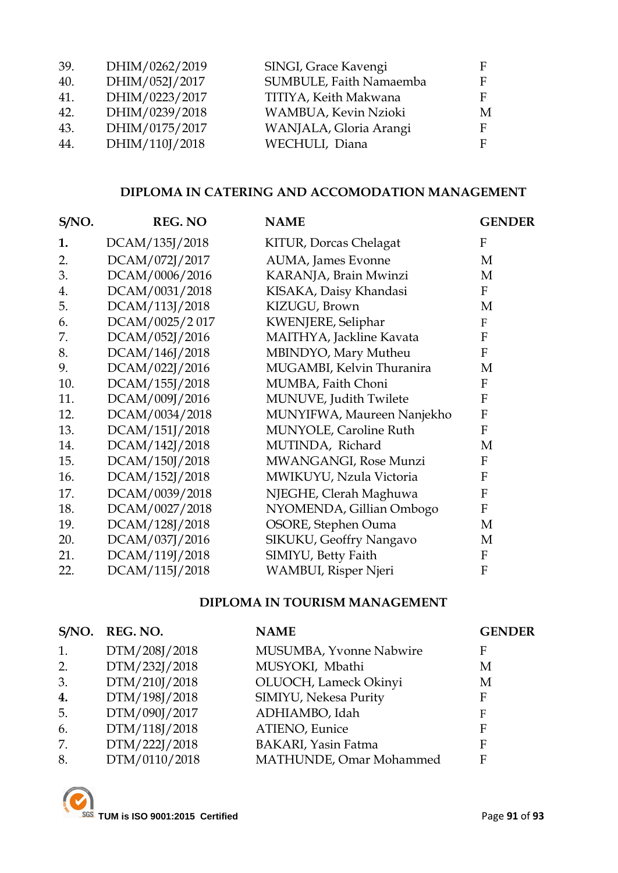| 39. | DHIM/0262/2019 | SINGI, Grace Kavengi    |   |
|-----|----------------|-------------------------|---|
| 40. | DHIM/052J/2017 | SUMBULE, Faith Namaemba | F |
| 41. | DHIM/0223/2017 | TITIYA, Keith Makwana   |   |
| 42. | DHIM/0239/2018 | WAMBUA, Kevin Nzioki    | M |
| 43. | DHIM/0175/2017 | WANJALA, Gloria Arangi  |   |
| 44. | DHIM/110J/2018 | WECHULI, Diana          |   |

### **DIPLOMA IN CATERING AND ACCOMODATION MANAGEMENT**

| S/NO. | <b>REG. NO</b> | <b>NAME</b>                | <b>GENDER</b>             |
|-------|----------------|----------------------------|---------------------------|
| 1.    | DCAM/135J/2018 | KITUR, Dorcas Chelagat     | $\boldsymbol{\mathrm{F}}$ |
| 2.    | DCAM/072J/2017 | AUMA, James Evonne         | M                         |
| 3.    | DCAM/0006/2016 | KARANJA, Brain Mwinzi      | M                         |
| 4.    | DCAM/0031/2018 | KISAKA, Daisy Khandasi     | $\mathbf F$               |
| 5.    | DCAM/113J/2018 | KIZUGU, Brown              | M                         |
| 6.    | DCAM/0025/2017 | KWENJERE, Seliphar         | $\mathbf{F}$              |
| 7.    | DCAM/052J/2016 | MAITHYA, Jackline Kavata   | $\mathbf{F}$              |
| 8.    | DCAM/146J/2018 | MBINDYO, Mary Mutheu       | F                         |
| 9.    | DCAM/022J/2016 | MUGAMBI, Kelvin Thuranira  | M                         |
| 10.   | DCAM/155J/2018 | MUMBA, Faith Choni         | $\mathbf{F}$              |
| 11.   | DCAM/009J/2016 | MUNUVE, Judith Twilete     | $\mathbf{F}$              |
| 12.   | DCAM/0034/2018 | MUNYIFWA, Maureen Nanjekho | $\mathbf{F}$              |
| 13.   | DCAM/151J/2018 | MUNYOLE, Caroline Ruth     | F                         |
| 14.   | DCAM/142J/2018 | MUTINDA, Richard           | M                         |
| 15.   | DCAM/150J/2018 | MWANGANGI, Rose Munzi      | $\mathbf{F}$              |
| 16.   | DCAM/152J/2018 | MWIKUYU, Nzula Victoria    | F                         |
| 17.   | DCAM/0039/2018 | NJEGHE, Clerah Maghuwa     | $\mathbf{F}$              |
| 18.   | DCAM/0027/2018 | NYOMENDA, Gillian Ombogo   | $\mathbf{F}$              |
| 19.   | DCAM/128J/2018 | OSORE, Stephen Ouma        | M                         |
| 20.   | DCAM/037J/2016 | SIKUKU, Geoffry Nangavo    | M                         |
| 21.   | DCAM/119J/2018 | SIMIYU, Betty Faith        | ${\bf F}$                 |
| 22.   | DCAM/115J/2018 | WAMBUI, Risper Njeri       | $\mathbf{F}$              |

#### **DIPLOMA IN TOURISM MANAGEMENT**

| S/NO. | REG. NO.      | <b>NAME</b>                | <b>GENDER</b> |
|-------|---------------|----------------------------|---------------|
| 1.    | DTM/208J/2018 | MUSUMBA, Yvonne Nabwire    | F             |
| 2.    | DTM/232J/2018 | MUSYOKI, Mbathi            | М             |
| 3.    | DTM/210J/2018 | OLUOCH, Lameck Okinyi      | М             |
| 4.    | DTM/198J/2018 | SIMIYU, Nekesa Purity      | F             |
| 5.    | DTM/090J/2017 | ADHIAMBO, Idah             | F             |
| 6.    | DTM/118J/2018 | ATIENO, Eunice             | F             |
| 7.    | DTM/222J/2018 | <b>BAKARI, Yasin Fatma</b> | F             |
| 8.    | DTM/0110/2018 | MATHUNDE, Omar Mohammed    | F             |

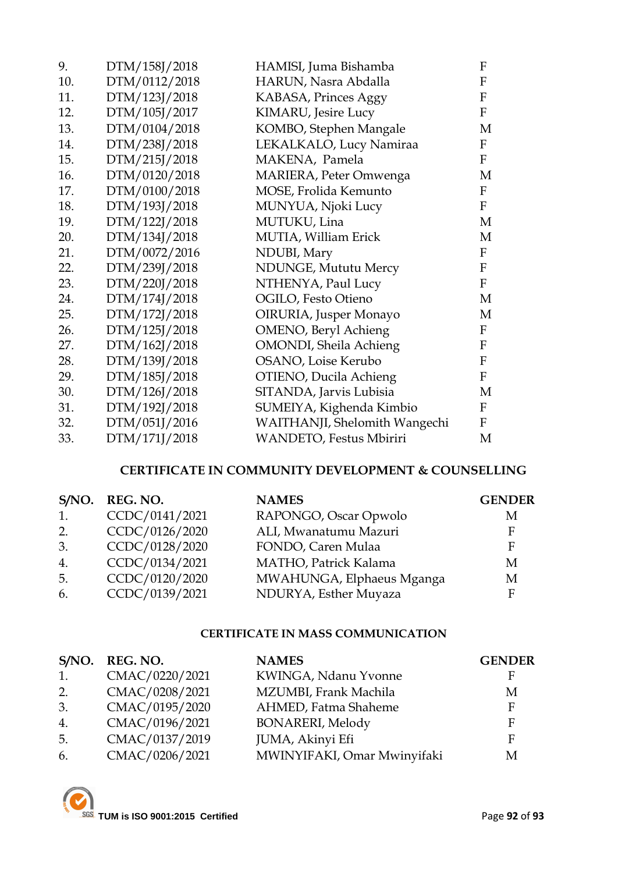| 9.  | DTM/158J/2018 | HAMISI, Juma Bishamba          | F           |
|-----|---------------|--------------------------------|-------------|
| 10. | DTM/0112/2018 | HARUN, Nasra Abdalla           | $\rm F$     |
| 11. | DTM/123J/2018 | KABASA, Princes Aggy           | $\rm F$     |
| 12. | DTM/105J/2017 | KIMARU, Jesire Lucy            | $\rm F$     |
| 13. | DTM/0104/2018 | KOMBO, Stephen Mangale         | M           |
| 14. | DTM/238J/2018 | LEKALKALO, Lucy Namiraa        | F           |
| 15. | DTM/215J/2018 | MAKENA, Pamela                 | $\rm F$     |
| 16. | DTM/0120/2018 | MARIERA, Peter Omwenga         | M           |
| 17. | DTM/0100/2018 | MOSE, Frolida Kemunto          | F           |
| 18. | DTM/193J/2018 | MUNYUA, Njoki Lucy             | $\mathbf F$ |
| 19. | DTM/122J/2018 | MUTUKU, Lina                   | M           |
| 20. | DTM/134J/2018 | MUTIA, William Erick           | М           |
| 21. | DTM/0072/2016 | NDUBI, Mary                    | F           |
| 22. | DTM/239J/2018 | NDUNGE, Mututu Mercy           | ${\bf F}$   |
| 23. | DTM/220J/2018 | NTHENYA, Paul Lucy             | $\rm F$     |
| 24. | DTM/174J/2018 | OGILO, Festo Otieno            | M           |
| 25. | DTM/172J/2018 | OIRURIA, Jusper Monayo         | M           |
| 26. | DTM/125J/2018 | OMENO, Beryl Achieng           | $\mathbf F$ |
| 27. | DTM/162J/2018 | <b>OMONDI</b> , Sheila Achieng | F           |
| 28. | DTM/139J/2018 | OSANO, Loise Kerubo            | F           |
| 29. | DTM/185J/2018 | OTIENO, Ducila Achieng         | $\mathbf F$ |
| 30. | DTM/126J/2018 | SITANDA, Jarvis Lubisia        | M           |
| 31. | DTM/192J/2018 | SUMEIYA, Kighenda Kimbio       | F           |
| 32. | DTM/051J/2016 | WAITHANJI, Shelomith Wangechi  | $\mathbf F$ |
| 33. | DTM/171J/2018 | WANDETO, Festus Mbiriri        | M           |

### **CERTIFICATE IN COMMUNITY DEVELOPMENT & COUNSELLING**

| S/NO. | REG. NO.       | <b>NAMES</b>              | <b>GENDER</b> |
|-------|----------------|---------------------------|---------------|
| 1.    | CCDC/0141/2021 | RAPONGO, Oscar Opwolo     | М             |
| 2.    | CCDC/0126/2020 | ALI, Mwanatumu Mazuri     | F.            |
| 3.    | CCDC/0128/2020 | FONDO, Caren Mulaa        | E             |
| 4.    | CCDC/0134/2021 | MATHO, Patrick Kalama     | М             |
| 5.    | CCDC/0120/2020 | MWAHUNGA, Elphaeus Mganga | М             |
| 6.    | CCDC/0139/2021 | NDURYA, Esther Muyaza     |               |

### **CERTIFICATE IN MASS COMMUNICATION**

| S/NO. | REG. NO.       | <b>NAMES</b>                | <b>GENDER</b> |
|-------|----------------|-----------------------------|---------------|
| 1.    | CMAC/0220/2021 | KWINGA, Ndanu Yvonne        |               |
| 2.    | CMAC/0208/2021 | MZUMBI, Frank Machila       | М             |
| 3.    | CMAC/0195/2020 | AHMED, Fatma Shaheme        | E             |
| 4.    | CMAC/0196/2021 | <b>BONARERI, Melody</b>     | E             |
| 5.    | CMAC/0137/2019 | JUMA, Akinyi Efi            | F             |
| 6.    | CMAC/0206/2021 | MWINYIFAKI, Omar Mwinyifaki | М             |